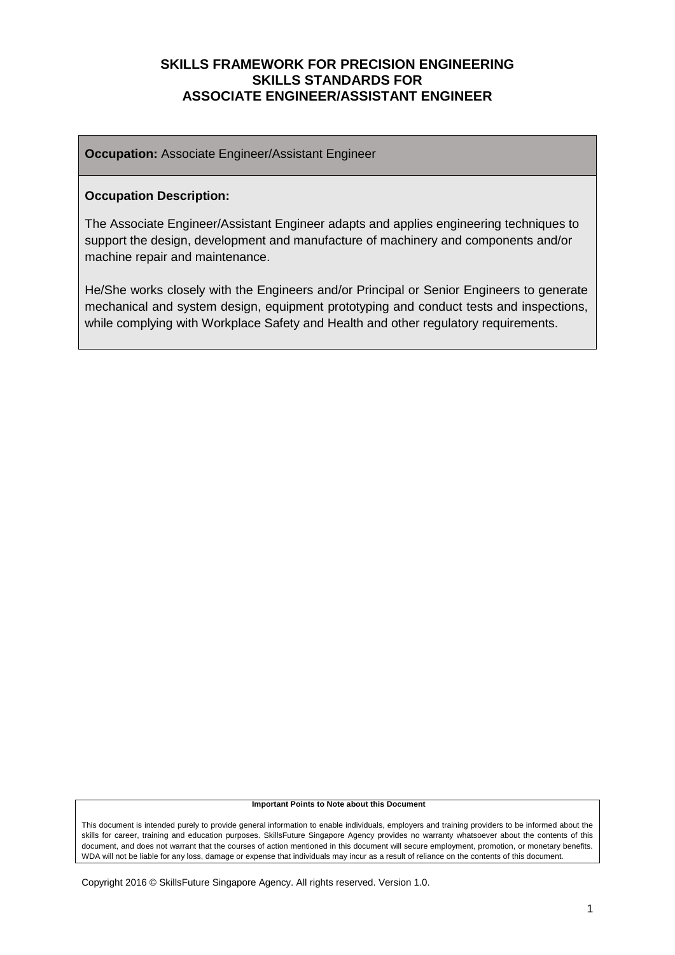**Occupation:** Associate Engineer/Assistant Engineer

#### **Occupation Description:**

The Associate Engineer/Assistant Engineer adapts and applies engineering techniques to support the design, development and manufacture of machinery and components and/or machine repair and maintenance.

He/She works closely with the Engineers and/or Principal or Senior Engineers to generate mechanical and system design, equipment prototyping and conduct tests and inspections, while complying with Workplace Safety and Health and other regulatory requirements.

#### **Important Points to Note about this Document**

This document is intended purely to provide general information to enable individuals, employers and training providers to be informed about the skills for career, training and education purposes. SkillsFuture Singapore Agency provides no warranty whatsoever about the contents of this document, and does not warrant that the courses of action mentioned in this document will secure employment, promotion, or monetary benefits. WDA will not be liable for any loss, damage or expense that individuals may incur as a result of reliance on the contents of this document.

Copyright 2016 © SkillsFuture Singapore Agency. All rights reserved. Version 1.0.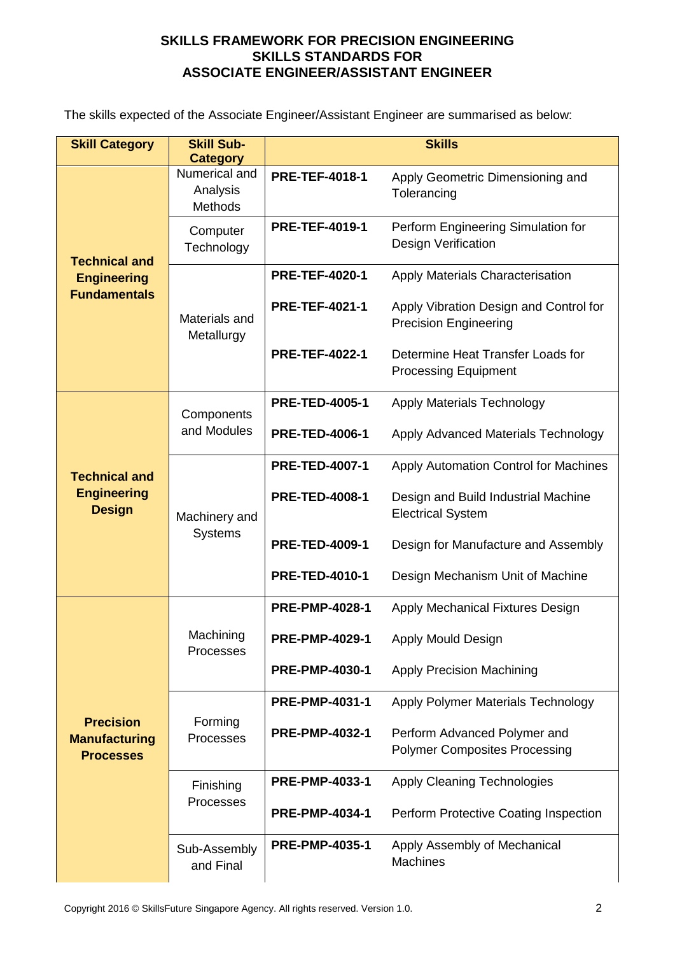The skills expected of the Associate Engineer/Assistant Engineer are summarised as below:

| <b>Skill Category</b>                                        | <b>Skill Sub-</b><br><b>Category</b>        | <b>Skills</b>                                                |                                                                        |  |
|--------------------------------------------------------------|---------------------------------------------|--------------------------------------------------------------|------------------------------------------------------------------------|--|
| <b>Technical and</b>                                         | Numerical and<br>Analysis<br><b>Methods</b> | <b>PRE-TEF-4018-1</b>                                        | Apply Geometric Dimensioning and<br>Tolerancing                        |  |
|                                                              | Computer<br>Technology                      | <b>PRE-TEF-4019-1</b>                                        | Perform Engineering Simulation for<br>Design Verification              |  |
| <b>Engineering</b>                                           |                                             | <b>PRE-TEF-4020-1</b>                                        | <b>Apply Materials Characterisation</b>                                |  |
| <b>Fundamentals</b>                                          | Materials and<br>Metallurgy                 | <b>PRE-TEF-4021-1</b>                                        | Apply Vibration Design and Control for<br><b>Precision Engineering</b> |  |
|                                                              |                                             | <b>PRE-TEF-4022-1</b>                                        | Determine Heat Transfer Loads for<br><b>Processing Equipment</b>       |  |
|                                                              | Components                                  | <b>PRE-TED-4005-1</b>                                        | <b>Apply Materials Technology</b>                                      |  |
| <b>Technical and</b><br><b>Engineering</b><br><b>Design</b>  | and Modules                                 | <b>PRE-TED-4006-1</b><br>Apply Advanced Materials Technology |                                                                        |  |
|                                                              |                                             | <b>PRE-TED-4007-1</b>                                        | Apply Automation Control for Machines                                  |  |
|                                                              | Machinery and<br><b>Systems</b>             | <b>PRE-TED-4008-1</b>                                        | Design and Build Industrial Machine<br><b>Electrical System</b>        |  |
|                                                              |                                             | <b>PRE-TED-4009-1</b>                                        | Design for Manufacture and Assembly                                    |  |
|                                                              |                                             | <b>PRE-TED-4010-1</b>                                        | Design Mechanism Unit of Machine                                       |  |
|                                                              |                                             | <b>PRE-PMP-4028-1</b>                                        | Apply Mechanical Fixtures Design                                       |  |
|                                                              | Machining<br>Processes                      | <b>PRE-PMP-4029-1</b>                                        | Apply Mould Design                                                     |  |
|                                                              |                                             | <b>PRE-PMP-4030-1</b>                                        | <b>Apply Precision Machining</b>                                       |  |
|                                                              |                                             | <b>PRE-PMP-4031-1</b>                                        | Apply Polymer Materials Technology                                     |  |
| <b>Precision</b><br><b>Manufacturing</b><br><b>Processes</b> | Forming<br>Processes                        | <b>PRE-PMP-4032-1</b>                                        | Perform Advanced Polymer and<br><b>Polymer Composites Processing</b>   |  |
|                                                              | Finishing                                   | <b>PRE-PMP-4033-1</b>                                        | <b>Apply Cleaning Technologies</b>                                     |  |
|                                                              | Processes                                   | <b>PRE-PMP-4034-1</b>                                        | Perform Protective Coating Inspection                                  |  |
|                                                              | Sub-Assembly<br>and Final                   | <b>PRE-PMP-4035-1</b>                                        | Apply Assembly of Mechanical<br><b>Machines</b>                        |  |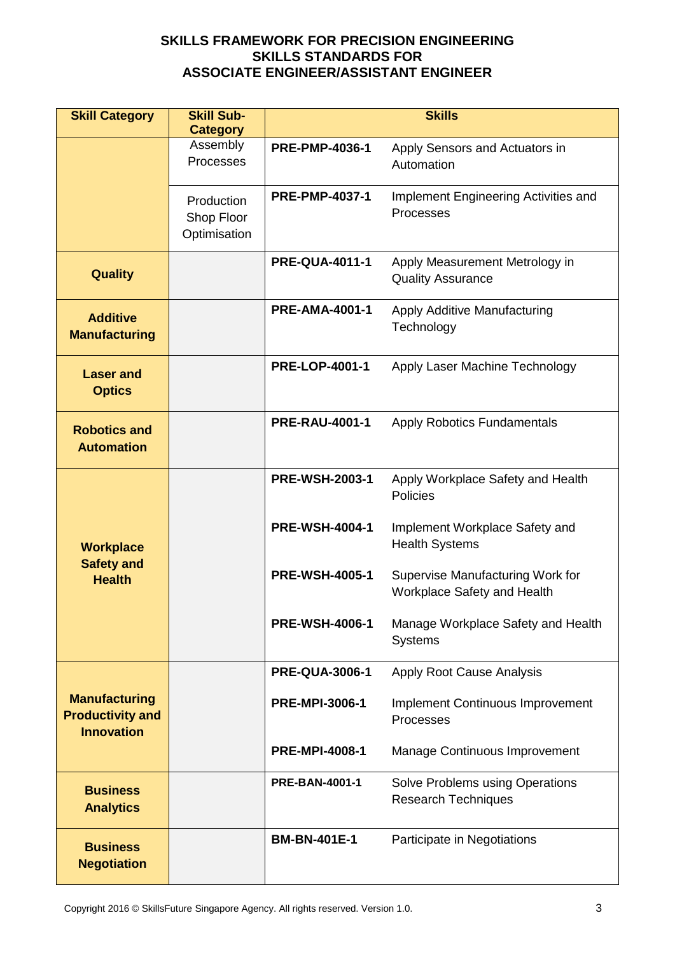| <b>Skill Category</b>                                                | <b>Skill Sub-</b>                        | <b>Skills</b>         |                                                                 |  |
|----------------------------------------------------------------------|------------------------------------------|-----------------------|-----------------------------------------------------------------|--|
|                                                                      | <b>Category</b><br>Assembly              |                       |                                                                 |  |
|                                                                      | Processes                                | <b>PRE-PMP-4036-1</b> | Apply Sensors and Actuators in<br>Automation                    |  |
|                                                                      | Production<br>Shop Floor<br>Optimisation | <b>PRE-PMP-4037-1</b> | Implement Engineering Activities and<br>Processes               |  |
| <b>Quality</b>                                                       |                                          | <b>PRE-QUA-4011-1</b> | Apply Measurement Metrology in<br><b>Quality Assurance</b>      |  |
| <b>Additive</b><br><b>Manufacturing</b>                              |                                          | <b>PRE-AMA-4001-1</b> | Apply Additive Manufacturing<br>Technology                      |  |
| <b>Laser and</b><br><b>Optics</b>                                    |                                          | <b>PRE-LOP-4001-1</b> | Apply Laser Machine Technology                                  |  |
| <b>Robotics and</b><br><b>Automation</b>                             |                                          | <b>PRE-RAU-4001-1</b> | <b>Apply Robotics Fundamentals</b>                              |  |
|                                                                      |                                          | <b>PRE-WSH-2003-1</b> | Apply Workplace Safety and Health<br><b>Policies</b>            |  |
| <b>Workplace</b><br><b>Safety and</b><br><b>Health</b>               |                                          | <b>PRE-WSH-4004-1</b> | Implement Workplace Safety and<br><b>Health Systems</b>         |  |
|                                                                      |                                          | <b>PRE-WSH-4005-1</b> | Supervise Manufacturing Work for<br>Workplace Safety and Health |  |
|                                                                      |                                          | <b>PRE-WSH-4006-1</b> | Manage Workplace Safety and Health<br><b>Systems</b>            |  |
|                                                                      |                                          | <b>PRE-QUA-3006-1</b> | Apply Root Cause Analysis                                       |  |
| <b>Manufacturing</b><br><b>Productivity and</b><br><b>Innovation</b> |                                          | <b>PRE-MPI-3006-1</b> | <b>Implement Continuous Improvement</b><br>Processes            |  |
|                                                                      |                                          | <b>PRE-MPI-4008-1</b> | Manage Continuous Improvement                                   |  |
| <b>Business</b><br><b>Analytics</b>                                  |                                          | <b>PRE-BAN-4001-1</b> | Solve Problems using Operations<br><b>Research Techniques</b>   |  |
| <b>Business</b><br><b>Negotiation</b>                                |                                          | <b>BM-BN-401E-1</b>   | Participate in Negotiations                                     |  |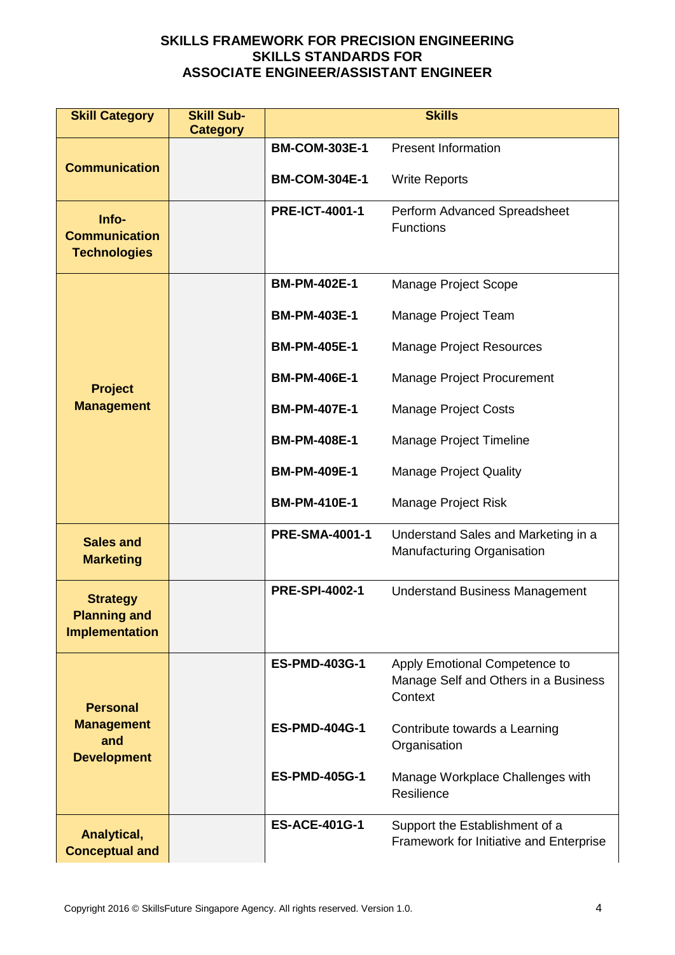| <b>Skill Category</b>                                           | <b>Skill Sub-</b><br><b>Category</b> | <b>Skills</b>         |                                                                                  |  |
|-----------------------------------------------------------------|--------------------------------------|-----------------------|----------------------------------------------------------------------------------|--|
|                                                                 |                                      | <b>BM-COM-303E-1</b>  | <b>Present Information</b>                                                       |  |
| <b>Communication</b>                                            |                                      | <b>BM-COM-304E-1</b>  | <b>Write Reports</b>                                                             |  |
| Info-<br><b>Communication</b><br><b>Technologies</b>            |                                      | <b>PRE-ICT-4001-1</b> | Perform Advanced Spreadsheet<br><b>Functions</b>                                 |  |
|                                                                 |                                      | <b>BM-PM-402E-1</b>   | Manage Project Scope                                                             |  |
|                                                                 |                                      | <b>BM-PM-403E-1</b>   | Manage Project Team                                                              |  |
|                                                                 |                                      | <b>BM-PM-405E-1</b>   | <b>Manage Project Resources</b>                                                  |  |
| <b>Project</b>                                                  |                                      | <b>BM-PM-406E-1</b>   | Manage Project Procurement                                                       |  |
| <b>Management</b>                                               |                                      | <b>BM-PM-407E-1</b>   | <b>Manage Project Costs</b>                                                      |  |
|                                                                 |                                      | <b>BM-PM-408E-1</b>   | Manage Project Timeline                                                          |  |
|                                                                 |                                      | <b>BM-PM-409E-1</b>   | <b>Manage Project Quality</b>                                                    |  |
|                                                                 |                                      | <b>BM-PM-410E-1</b>   | Manage Project Risk                                                              |  |
| <b>Sales and</b><br><b>Marketing</b>                            |                                      | <b>PRE-SMA-4001-1</b> | Understand Sales and Marketing in a<br>Manufacturing Organisation                |  |
| <b>Strategy</b><br><b>Planning and</b><br><b>Implementation</b> |                                      | <b>PRE-SPI-4002-1</b> | <b>Understand Business Management</b>                                            |  |
| <b>Personal</b>                                                 |                                      | <b>ES-PMD-403G-1</b>  | Apply Emotional Competence to<br>Manage Self and Others in a Business<br>Context |  |
| <b>Management</b><br>and<br><b>Development</b>                  |                                      | <b>ES-PMD-404G-1</b>  | Contribute towards a Learning<br>Organisation                                    |  |
|                                                                 |                                      | <b>ES-PMD-405G-1</b>  | Manage Workplace Challenges with<br>Resilience                                   |  |
| Analytical,<br><b>Conceptual and</b>                            |                                      | <b>ES-ACE-401G-1</b>  | Support the Establishment of a<br>Framework for Initiative and Enterprise        |  |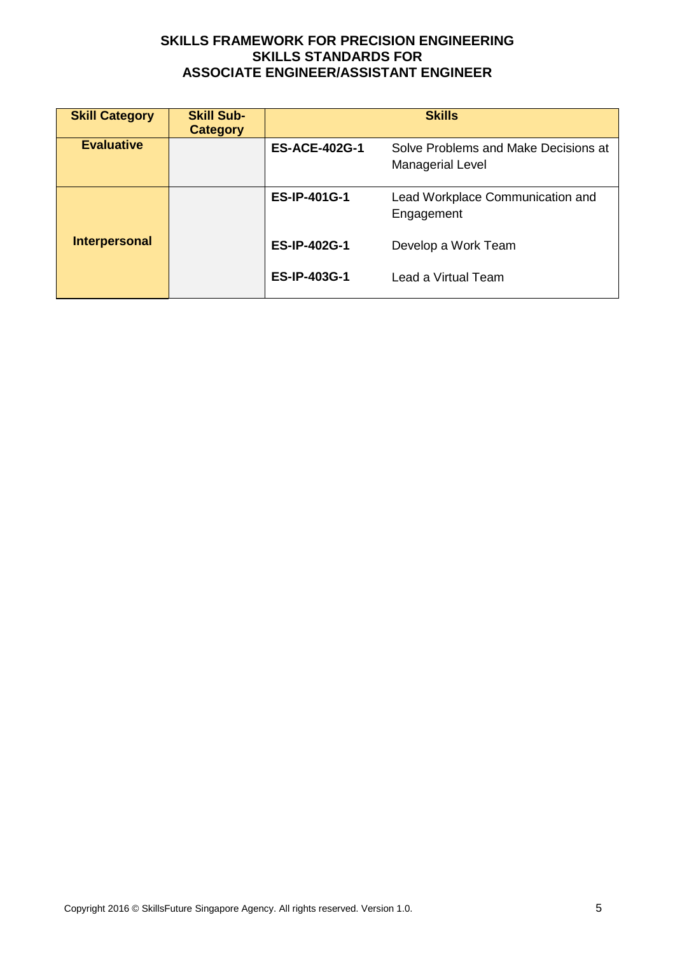| <b>Skill Category</b> | <b>Skill Sub-</b><br><b>Category</b> | <b>Skills</b>        |                                                          |  |
|-----------------------|--------------------------------------|----------------------|----------------------------------------------------------|--|
| <b>Evaluative</b>     |                                      | <b>ES-ACE-402G-1</b> | Solve Problems and Make Decisions at<br>Managerial Level |  |
|                       |                                      | <b>ES-IP-401G-1</b>  | Lead Workplace Communication and<br>Engagement           |  |
| <b>Interpersonal</b>  |                                      | <b>ES-IP-402G-1</b>  | Develop a Work Team                                      |  |
|                       |                                      | <b>ES-IP-403G-1</b>  | Lead a Virtual Team                                      |  |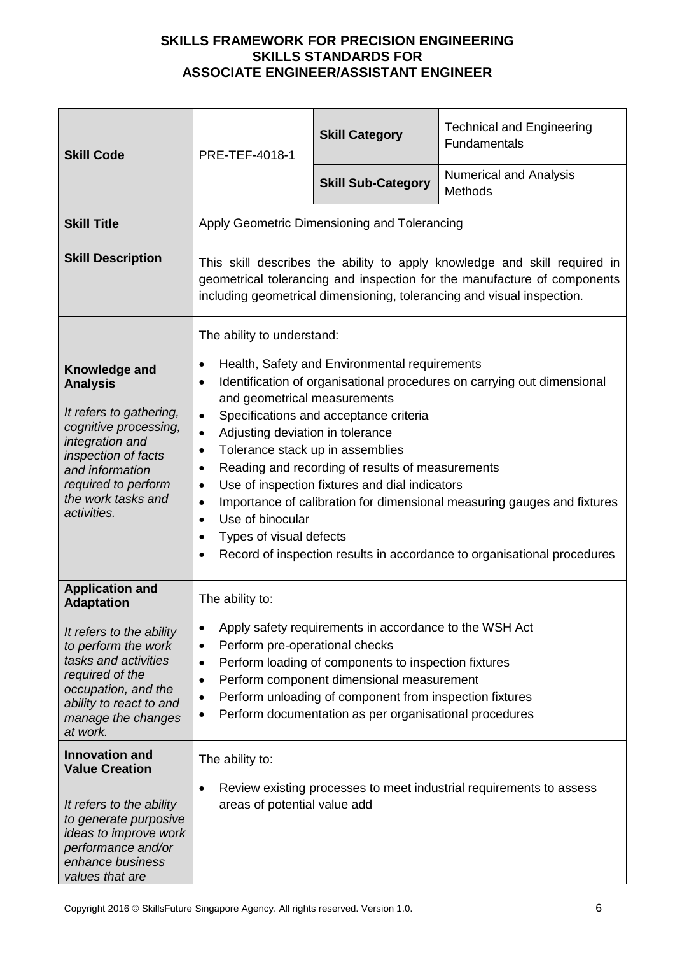| <b>Skill Code</b>                                                                                                                                                                                                             | PRE-TEF-4018-1                                                                                                                                                                                                                                                                                                                                                                                                                                                                                                                                                                                                                                                                                                                   | <b>Skill Category</b>                                                                                                                                                                                                                                                            | <b>Technical and Engineering</b><br><b>Fundamentals</b> |
|-------------------------------------------------------------------------------------------------------------------------------------------------------------------------------------------------------------------------------|----------------------------------------------------------------------------------------------------------------------------------------------------------------------------------------------------------------------------------------------------------------------------------------------------------------------------------------------------------------------------------------------------------------------------------------------------------------------------------------------------------------------------------------------------------------------------------------------------------------------------------------------------------------------------------------------------------------------------------|----------------------------------------------------------------------------------------------------------------------------------------------------------------------------------------------------------------------------------------------------------------------------------|---------------------------------------------------------|
|                                                                                                                                                                                                                               |                                                                                                                                                                                                                                                                                                                                                                                                                                                                                                                                                                                                                                                                                                                                  | <b>Skill Sub-Category</b>                                                                                                                                                                                                                                                        | <b>Numerical and Analysis</b><br><b>Methods</b>         |
| <b>Skill Title</b>                                                                                                                                                                                                            |                                                                                                                                                                                                                                                                                                                                                                                                                                                                                                                                                                                                                                                                                                                                  | Apply Geometric Dimensioning and Tolerancing                                                                                                                                                                                                                                     |                                                         |
| <b>Skill Description</b>                                                                                                                                                                                                      | This skill describes the ability to apply knowledge and skill required in<br>geometrical tolerancing and inspection for the manufacture of components<br>including geometrical dimensioning, tolerancing and visual inspection.                                                                                                                                                                                                                                                                                                                                                                                                                                                                                                  |                                                                                                                                                                                                                                                                                  |                                                         |
| Knowledge and<br><b>Analysis</b><br>It refers to gathering,<br>cognitive processing,<br>integration and<br>inspection of facts<br>and information<br>required to perform<br>the work tasks and<br>activities.                 | The ability to understand:<br>Health, Safety and Environmental requirements<br>Identification of organisational procedures on carrying out dimensional<br>٠<br>and geometrical measurements<br>Specifications and acceptance criteria<br>$\bullet$<br>Adjusting deviation in tolerance<br>$\bullet$<br>Tolerance stack up in assemblies<br>$\bullet$<br>Reading and recording of results of measurements<br>$\bullet$<br>Use of inspection fixtures and dial indicators<br>$\bullet$<br>Importance of calibration for dimensional measuring gauges and fixtures<br>$\bullet$<br>Use of binocular<br>$\bullet$<br>Types of visual defects<br>Record of inspection results in accordance to organisational procedures<br>$\bullet$ |                                                                                                                                                                                                                                                                                  |                                                         |
| <b>Application and</b><br><b>Adaptation</b><br>It refers to the ability<br>to perform the work<br>tasks and activities<br>required of the<br>occupation, and the<br>ability to react to and<br>manage the changes<br>at work. | The ability to:<br>$\bullet$<br>Perform pre-operational checks<br>$\bullet$<br>$\bullet$<br>٠<br>$\bullet$                                                                                                                                                                                                                                                                                                                                                                                                                                                                                                                                                                                                                       | Apply safety requirements in accordance to the WSH Act<br>Perform loading of components to inspection fixtures<br>Perform component dimensional measurement<br>Perform unloading of component from inspection fixtures<br>Perform documentation as per organisational procedures |                                                         |
| <b>Innovation and</b><br><b>Value Creation</b><br>It refers to the ability<br>to generate purposive<br>ideas to improve work<br>performance and/or<br>enhance business<br>values that are                                     | The ability to:<br>Review existing processes to meet industrial requirements to assess<br>areas of potential value add                                                                                                                                                                                                                                                                                                                                                                                                                                                                                                                                                                                                           |                                                                                                                                                                                                                                                                                  |                                                         |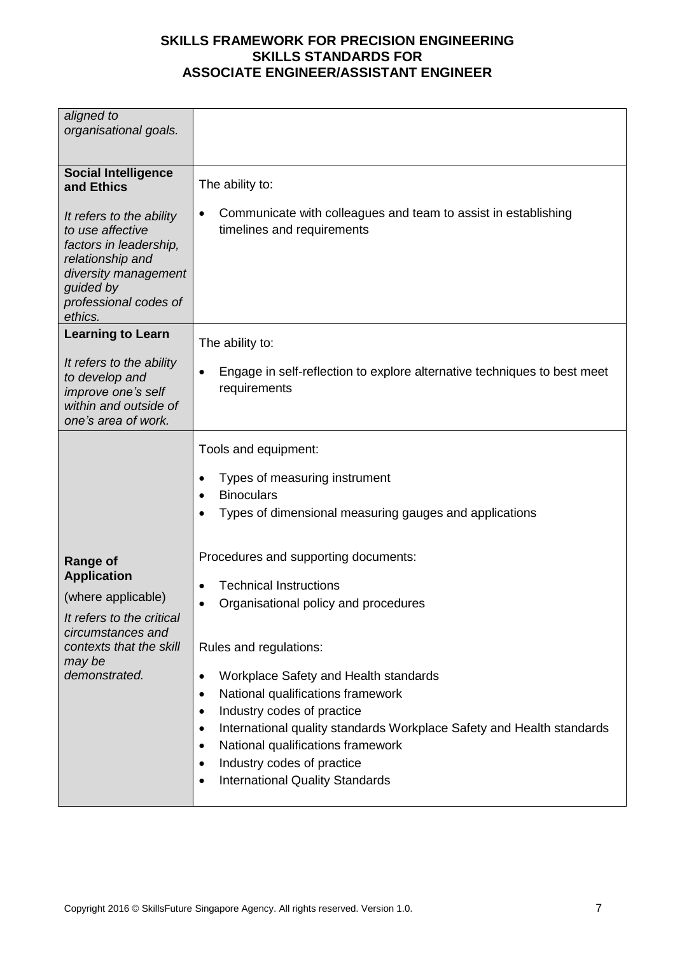| aligned to<br>organisational goals.                                                                                                                                                                             |                                                                                                                                                                                                                                                                                                                                                                                                                                                                                                                                                                                                                                                    |
|-----------------------------------------------------------------------------------------------------------------------------------------------------------------------------------------------------------------|----------------------------------------------------------------------------------------------------------------------------------------------------------------------------------------------------------------------------------------------------------------------------------------------------------------------------------------------------------------------------------------------------------------------------------------------------------------------------------------------------------------------------------------------------------------------------------------------------------------------------------------------------|
| <b>Social Intelligence</b><br>and Ethics<br>It refers to the ability<br>to use affective<br>factors in leadership,<br>relationship and<br>diversity management<br>guided by<br>professional codes of<br>ethics. | The ability to:<br>Communicate with colleagues and team to assist in establishing<br>timelines and requirements                                                                                                                                                                                                                                                                                                                                                                                                                                                                                                                                    |
| <b>Learning to Learn</b><br>It refers to the ability<br>to develop and<br>improve one's self<br>within and outside of<br>one's area of work.                                                                    | The ability to:<br>Engage in self-reflection to explore alternative techniques to best meet<br>requirements                                                                                                                                                                                                                                                                                                                                                                                                                                                                                                                                        |
| <b>Range of</b><br><b>Application</b><br>(where applicable)<br>It refers to the critical<br>circumstances and<br>contexts that the skill<br>may be<br>demonstrated.                                             | Tools and equipment:<br>Types of measuring instrument<br><b>Binoculars</b><br>Types of dimensional measuring gauges and applications<br>Procedures and supporting documents:<br><b>Technical Instructions</b><br>Organisational policy and procedures<br>Rules and regulations:<br>Workplace Safety and Health standards<br>$\bullet$<br>National qualifications framework<br>$\bullet$<br>Industry codes of practice<br>$\bullet$<br>International quality standards Workplace Safety and Health standards<br>$\bullet$<br>National qualifications framework<br>Industry codes of practice<br><b>International Quality Standards</b><br>$\bullet$ |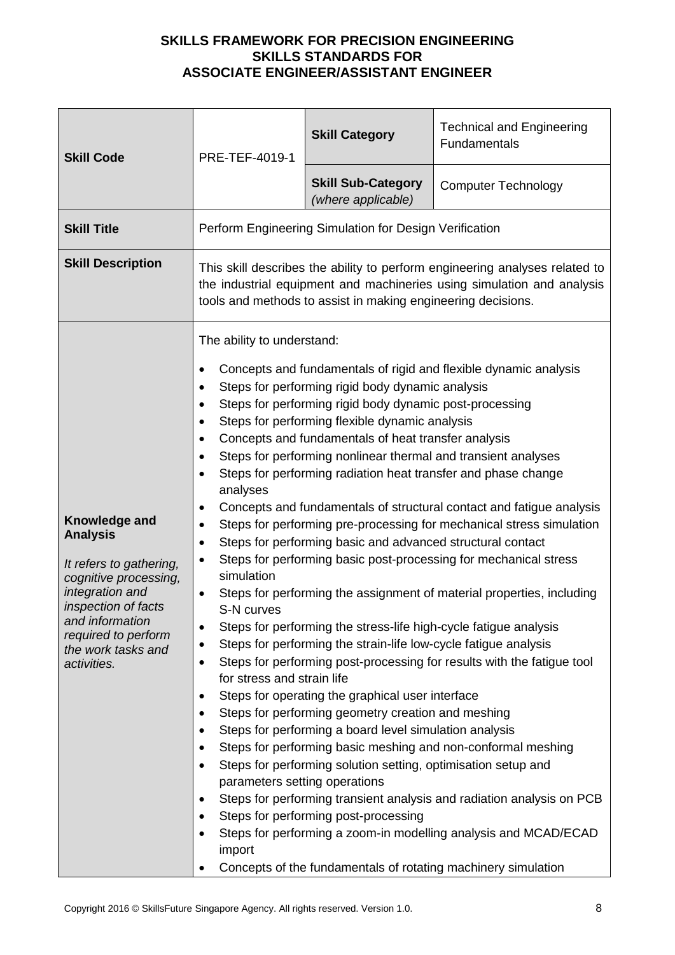| <b>Skill Code</b>                                                                                                                                                                                             | PRE-TEF-4019-1                                                                                                                                                                                                                                                                                                                                                                                                                                                                                                                                                                                                                                                                                                                                                                                                                                                                                                                                                                                                                                                                                                                                                                                                                                                                                                                                                                                                                                                                                                                                                                                                                                                                                                                                                                               | <b>Skill Category</b>                           | <b>Technical and Engineering</b><br>Fundamentals |
|---------------------------------------------------------------------------------------------------------------------------------------------------------------------------------------------------------------|----------------------------------------------------------------------------------------------------------------------------------------------------------------------------------------------------------------------------------------------------------------------------------------------------------------------------------------------------------------------------------------------------------------------------------------------------------------------------------------------------------------------------------------------------------------------------------------------------------------------------------------------------------------------------------------------------------------------------------------------------------------------------------------------------------------------------------------------------------------------------------------------------------------------------------------------------------------------------------------------------------------------------------------------------------------------------------------------------------------------------------------------------------------------------------------------------------------------------------------------------------------------------------------------------------------------------------------------------------------------------------------------------------------------------------------------------------------------------------------------------------------------------------------------------------------------------------------------------------------------------------------------------------------------------------------------------------------------------------------------------------------------------------------------|-------------------------------------------------|--------------------------------------------------|
|                                                                                                                                                                                                               |                                                                                                                                                                                                                                                                                                                                                                                                                                                                                                                                                                                                                                                                                                                                                                                                                                                                                                                                                                                                                                                                                                                                                                                                                                                                                                                                                                                                                                                                                                                                                                                                                                                                                                                                                                                              | <b>Skill Sub-Category</b><br>(where applicable) | <b>Computer Technology</b>                       |
| <b>Skill Title</b>                                                                                                                                                                                            | Perform Engineering Simulation for Design Verification                                                                                                                                                                                                                                                                                                                                                                                                                                                                                                                                                                                                                                                                                                                                                                                                                                                                                                                                                                                                                                                                                                                                                                                                                                                                                                                                                                                                                                                                                                                                                                                                                                                                                                                                       |                                                 |                                                  |
| <b>Skill Description</b>                                                                                                                                                                                      | This skill describes the ability to perform engineering analyses related to<br>the industrial equipment and machineries using simulation and analysis<br>tools and methods to assist in making engineering decisions.                                                                                                                                                                                                                                                                                                                                                                                                                                                                                                                                                                                                                                                                                                                                                                                                                                                                                                                                                                                                                                                                                                                                                                                                                                                                                                                                                                                                                                                                                                                                                                        |                                                 |                                                  |
| Knowledge and<br><b>Analysis</b><br>It refers to gathering,<br>cognitive processing,<br>integration and<br>inspection of facts<br>and information<br>required to perform<br>the work tasks and<br>activities. | The ability to understand:<br>Concepts and fundamentals of rigid and flexible dynamic analysis<br>٠<br>Steps for performing rigid body dynamic analysis<br>Steps for performing rigid body dynamic post-processing<br>Steps for performing flexible dynamic analysis<br>Concepts and fundamentals of heat transfer analysis<br>Steps for performing nonlinear thermal and transient analyses<br>$\bullet$<br>Steps for performing radiation heat transfer and phase change<br>analyses<br>Concepts and fundamentals of structural contact and fatigue analysis<br>Steps for performing pre-processing for mechanical stress simulation<br>$\bullet$<br>Steps for performing basic and advanced structural contact<br>٠<br>Steps for performing basic post-processing for mechanical stress<br>٠<br>simulation<br>Steps for performing the assignment of material properties, including<br>$\bullet$<br>S-N curves<br>Steps for performing the stress-life high-cycle fatigue analysis<br>Steps for performing the strain-life low-cycle fatigue analysis<br>Steps for performing post-processing for results with the fatigue tool<br>٠<br>for stress and strain life<br>Steps for operating the graphical user interface<br>٠<br>Steps for performing geometry creation and meshing<br>$\bullet$<br>Steps for performing a board level simulation analysis<br>Steps for performing basic meshing and non-conformal meshing<br>Steps for performing solution setting, optimisation setup and<br>parameters setting operations<br>Steps for performing transient analysis and radiation analysis on PCB<br>Steps for performing post-processing<br>Steps for performing a zoom-in modelling analysis and MCAD/ECAD<br>import<br>Concepts of the fundamentals of rotating machinery simulation |                                                 |                                                  |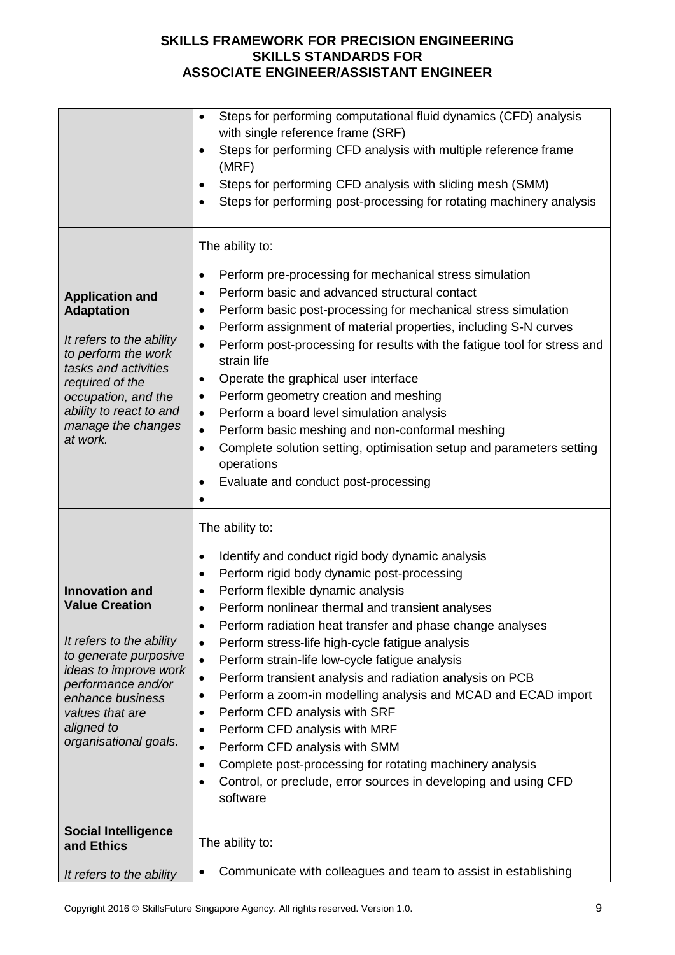|                                                                                                                                                                                                                                  | Steps for performing computational fluid dynamics (CFD) analysis<br>$\bullet$<br>with single reference frame (SRF)<br>Steps for performing CFD analysis with multiple reference frame<br>$\bullet$<br>(MRF)<br>Steps for performing CFD analysis with sliding mesh (SMM)<br>$\bullet$<br>Steps for performing post-processing for rotating machinery analysis                                                                                                                                                                                                                                                                                                                                                                                                                                                                                                          |
|----------------------------------------------------------------------------------------------------------------------------------------------------------------------------------------------------------------------------------|------------------------------------------------------------------------------------------------------------------------------------------------------------------------------------------------------------------------------------------------------------------------------------------------------------------------------------------------------------------------------------------------------------------------------------------------------------------------------------------------------------------------------------------------------------------------------------------------------------------------------------------------------------------------------------------------------------------------------------------------------------------------------------------------------------------------------------------------------------------------|
| <b>Application and</b><br><b>Adaptation</b><br>It refers to the ability<br>to perform the work<br>tasks and activities<br>required of the<br>occupation, and the<br>ability to react to and<br>manage the changes<br>at work.    | The ability to:<br>Perform pre-processing for mechanical stress simulation<br>$\bullet$<br>Perform basic and advanced structural contact<br>$\bullet$<br>Perform basic post-processing for mechanical stress simulation<br>٠<br>Perform assignment of material properties, including S-N curves<br>$\bullet$<br>Perform post-processing for results with the fatigue tool for stress and<br>strain life<br>Operate the graphical user interface<br>٠<br>Perform geometry creation and meshing<br>٠<br>Perform a board level simulation analysis<br>$\bullet$<br>Perform basic meshing and non-conformal meshing<br>$\bullet$<br>Complete solution setting, optimisation setup and parameters setting<br>$\bullet$<br>operations<br>Evaluate and conduct post-processing                                                                                                |
| <b>Innovation and</b><br><b>Value Creation</b><br>It refers to the ability<br>to generate purposive<br>ideas to improve work<br>performance and/or<br>enhance business<br>values that are<br>aligned to<br>organisational goals. | The ability to:<br>Identify and conduct rigid body dynamic analysis<br>٠<br>Perform rigid body dynamic post-processing<br>Perform flexible dynamic analysis<br>Perform nonlinear thermal and transient analyses<br>Perform radiation heat transfer and phase change analyses<br>٠<br>Perform stress-life high-cycle fatigue analysis<br>$\bullet$<br>Perform strain-life low-cycle fatigue analysis<br>$\bullet$<br>Perform transient analysis and radiation analysis on PCB<br>$\bullet$<br>Perform a zoom-in modelling analysis and MCAD and ECAD import<br>٠<br>Perform CFD analysis with SRF<br>$\bullet$<br>Perform CFD analysis with MRF<br>$\bullet$<br>Perform CFD analysis with SMM<br>$\bullet$<br>Complete post-processing for rotating machinery analysis<br>$\bullet$<br>Control, or preclude, error sources in developing and using CFD<br>٠<br>software |
| <b>Social Intelligence</b><br>and Ethics<br>It refers to the ability                                                                                                                                                             | The ability to:<br>Communicate with colleagues and team to assist in establishing<br>$\bullet$                                                                                                                                                                                                                                                                                                                                                                                                                                                                                                                                                                                                                                                                                                                                                                         |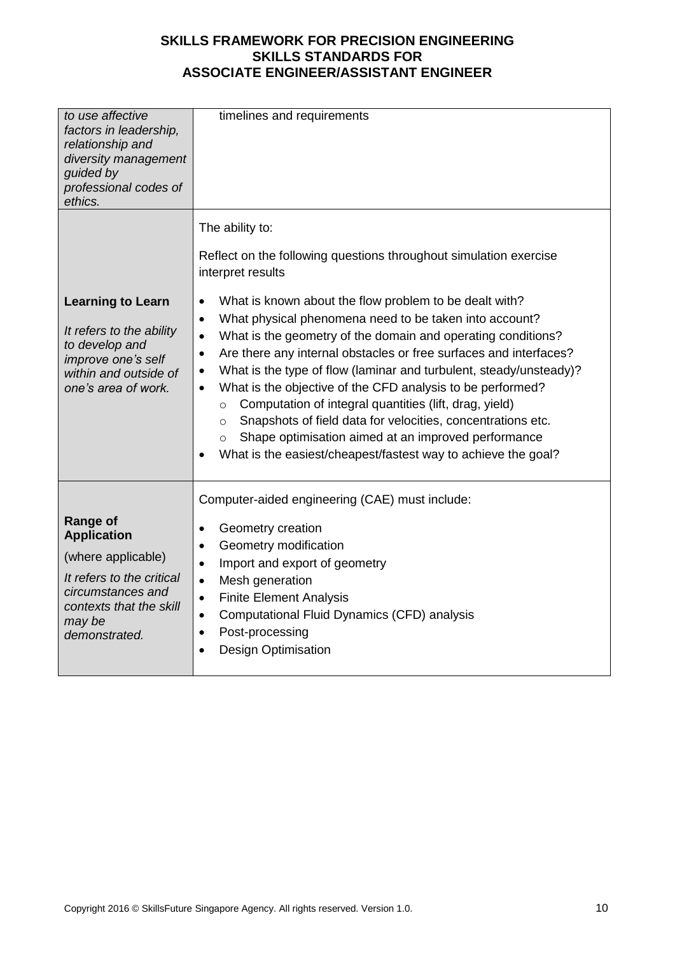| to use affective<br>factors in leadership,<br>relationship and<br>diversity management<br>guided by<br>professional codes of<br>ethics.                      | timelines and requirements                                                                                                                                                                                                                                                                                                                                                                                                                                                                                                                                                                                                                                                                                                                                                                                                                                             |
|--------------------------------------------------------------------------------------------------------------------------------------------------------------|------------------------------------------------------------------------------------------------------------------------------------------------------------------------------------------------------------------------------------------------------------------------------------------------------------------------------------------------------------------------------------------------------------------------------------------------------------------------------------------------------------------------------------------------------------------------------------------------------------------------------------------------------------------------------------------------------------------------------------------------------------------------------------------------------------------------------------------------------------------------|
| <b>Learning to Learn</b><br>It refers to the ability<br>to develop and<br>improve one's self<br>within and outside of<br>one's area of work.                 | The ability to:<br>Reflect on the following questions throughout simulation exercise<br>interpret results<br>What is known about the flow problem to be dealt with?<br>$\bullet$<br>What physical phenomena need to be taken into account?<br>$\bullet$<br>What is the geometry of the domain and operating conditions?<br>$\bullet$<br>Are there any internal obstacles or free surfaces and interfaces?<br>$\bullet$<br>What is the type of flow (laminar and turbulent, steady/unsteady)?<br>$\bullet$<br>What is the objective of the CFD analysis to be performed?<br>$\bullet$<br>Computation of integral quantities (lift, drag, yield)<br>$\circ$<br>Snapshots of field data for velocities, concentrations etc.<br>$\circ$<br>Shape optimisation aimed at an improved performance<br>$\circ$<br>What is the easiest/cheapest/fastest way to achieve the goal? |
| Range of<br><b>Application</b><br>(where applicable)<br>It refers to the critical<br>circumstances and<br>contexts that the skill<br>may be<br>demonstrated. | Computer-aided engineering (CAE) must include:<br>Geometry creation<br>$\bullet$<br>Geometry modification<br>$\bullet$<br>Import and export of geometry<br>$\bullet$<br>Mesh generation<br>$\bullet$<br><b>Finite Element Analysis</b><br>$\bullet$<br>Computational Fluid Dynamics (CFD) analysis<br>$\bullet$<br>Post-processing<br>$\bullet$<br><b>Design Optimisation</b>                                                                                                                                                                                                                                                                                                                                                                                                                                                                                          |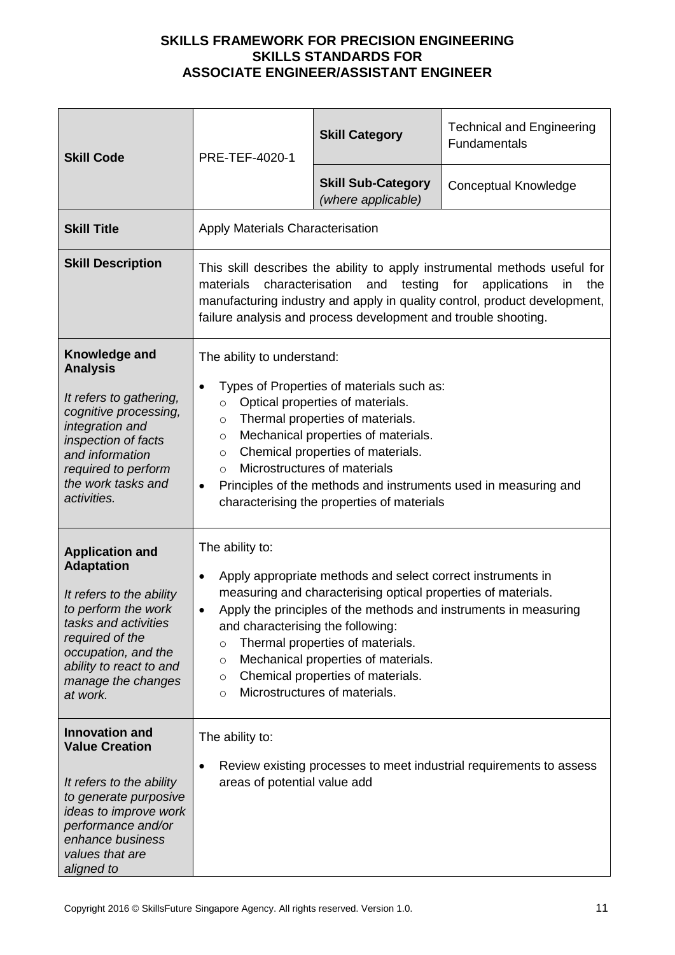| <b>Skill Code</b>                                                                                                                                                                                                             | PRE-TEF-4020-1                                                                                                                                                                                                                                                                                               | <b>Skill Category</b>                                                                                                                                                                                                                                                         | <b>Technical and Engineering</b><br>Fundamentals                    |
|-------------------------------------------------------------------------------------------------------------------------------------------------------------------------------------------------------------------------------|--------------------------------------------------------------------------------------------------------------------------------------------------------------------------------------------------------------------------------------------------------------------------------------------------------------|-------------------------------------------------------------------------------------------------------------------------------------------------------------------------------------------------------------------------------------------------------------------------------|---------------------------------------------------------------------|
|                                                                                                                                                                                                                               |                                                                                                                                                                                                                                                                                                              | <b>Skill Sub-Category</b><br>(where applicable)                                                                                                                                                                                                                               | <b>Conceptual Knowledge</b>                                         |
| <b>Skill Title</b>                                                                                                                                                                                                            | <b>Apply Materials Characterisation</b>                                                                                                                                                                                                                                                                      |                                                                                                                                                                                                                                                                               |                                                                     |
| <b>Skill Description</b>                                                                                                                                                                                                      | This skill describes the ability to apply instrumental methods useful for<br>testing for<br>characterisation<br>and<br>applications<br>the<br>materials<br>in<br>manufacturing industry and apply in quality control, product development,<br>failure analysis and process development and trouble shooting. |                                                                                                                                                                                                                                                                               |                                                                     |
| <b>Knowledge and</b><br><b>Analysis</b><br>It refers to gathering,<br>cognitive processing,<br>integration and<br>inspection of facts<br>and information<br>required to perform<br>the work tasks and<br>activities.          | The ability to understand:<br>$\bullet$<br>$\circ$<br>$\circ$<br>$\circ$<br>$\circ$<br>$\circ$<br>$\bullet$                                                                                                                                                                                                  | Types of Properties of materials such as:<br>Optical properties of materials.<br>Thermal properties of materials.<br>Mechanical properties of materials.<br>Chemical properties of materials.<br>Microstructures of materials<br>characterising the properties of materials   | Principles of the methods and instruments used in measuring and     |
| <b>Application and</b><br><b>Adaptation</b><br>It refers to the ability<br>to perform the work<br>tasks and activities<br>required of the<br>occupation, and the<br>ability to react to and<br>manage the changes<br>at work. | The ability to:<br>٠<br>and characterising the following:<br>$\circ$<br>$\circ$<br>$\circ$<br>$\circ$                                                                                                                                                                                                        | Apply appropriate methods and select correct instruments in<br>measuring and characterising optical properties of materials.<br>Thermal properties of materials.<br>Mechanical properties of materials.<br>Chemical properties of materials.<br>Microstructures of materials. | Apply the principles of the methods and instruments in measuring    |
| <b>Innovation and</b><br><b>Value Creation</b><br>It refers to the ability<br>to generate purposive<br>ideas to improve work<br>performance and/or<br>enhance business<br>values that are<br>aligned to                       | The ability to:<br>areas of potential value add                                                                                                                                                                                                                                                              |                                                                                                                                                                                                                                                                               | Review existing processes to meet industrial requirements to assess |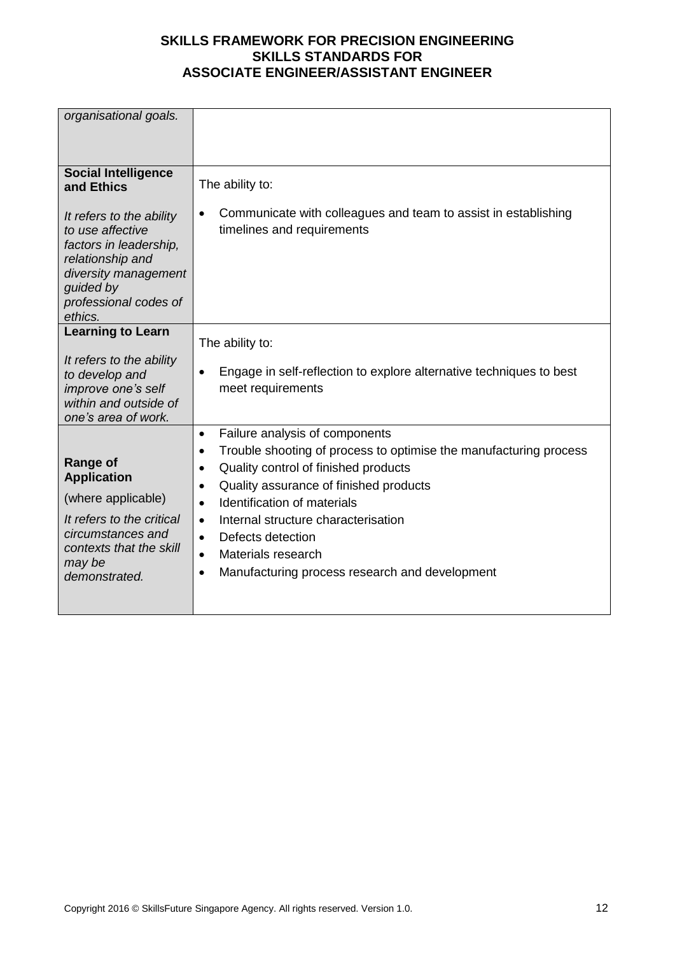| organisational goals.                                                                                                                                               |                                                                                                                                                                                                                                                                                                                                                                                                                                                                               |
|---------------------------------------------------------------------------------------------------------------------------------------------------------------------|-------------------------------------------------------------------------------------------------------------------------------------------------------------------------------------------------------------------------------------------------------------------------------------------------------------------------------------------------------------------------------------------------------------------------------------------------------------------------------|
|                                                                                                                                                                     |                                                                                                                                                                                                                                                                                                                                                                                                                                                                               |
| <b>Social Intelligence</b><br>and Ethics                                                                                                                            | The ability to:                                                                                                                                                                                                                                                                                                                                                                                                                                                               |
| It refers to the ability<br>to use affective<br>factors in leadership,<br>relationship and<br>diversity management<br>guided by<br>professional codes of<br>ethics. | Communicate with colleagues and team to assist in establishing<br>$\bullet$<br>timelines and requirements                                                                                                                                                                                                                                                                                                                                                                     |
| <b>Learning to Learn</b>                                                                                                                                            | The ability to:                                                                                                                                                                                                                                                                                                                                                                                                                                                               |
| It refers to the ability<br>to develop and<br>improve one's self<br>within and outside of<br>one's area of work.                                                    | Engage in self-reflection to explore alternative techniques to best<br>$\bullet$<br>meet requirements                                                                                                                                                                                                                                                                                                                                                                         |
| <b>Range of</b><br><b>Application</b><br>(where applicable)<br>It refers to the critical<br>circumstances and<br>contexts that the skill<br>may be<br>demonstrated. | Failure analysis of components<br>$\bullet$<br>Trouble shooting of process to optimise the manufacturing process<br>$\bullet$<br>Quality control of finished products<br>$\bullet$<br>Quality assurance of finished products<br>$\bullet$<br>Identification of materials<br>$\bullet$<br>Internal structure characterisation<br>$\bullet$<br>Defects detection<br>$\bullet$<br>Materials research<br>$\bullet$<br>Manufacturing process research and development<br>$\bullet$ |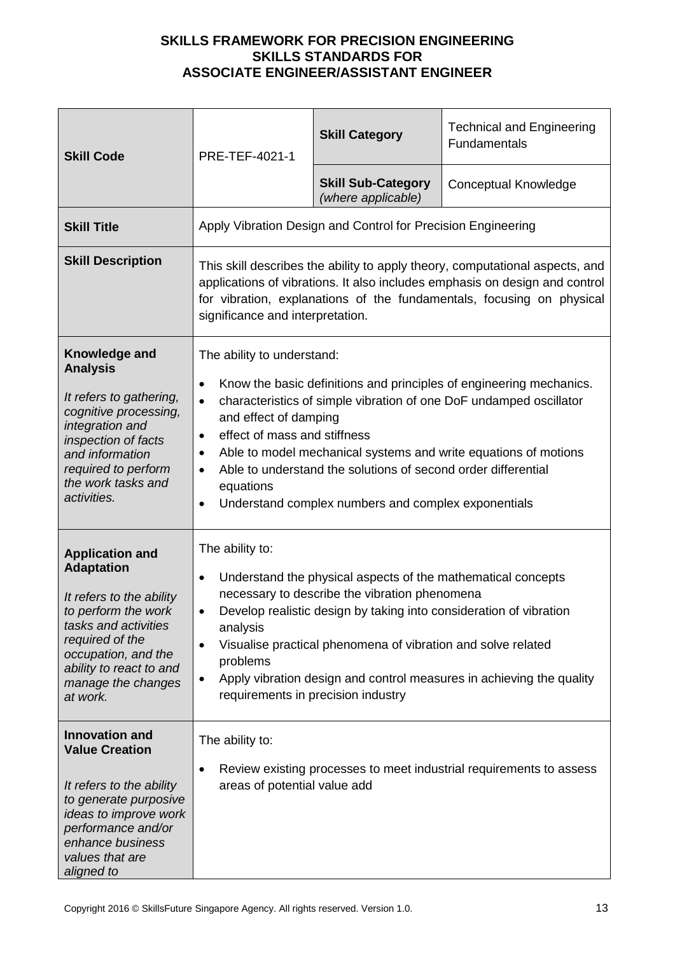| <b>Skill Code</b>                                                                                                                                                                                                             | PRE-TEF-4021-1                                                                                                                                                                                                                                                           | <b>Skill Category</b>                                                                                                                                                                                                                               | <b>Technical and Engineering</b><br>Fundamentals                                                                                                                                                             |
|-------------------------------------------------------------------------------------------------------------------------------------------------------------------------------------------------------------------------------|--------------------------------------------------------------------------------------------------------------------------------------------------------------------------------------------------------------------------------------------------------------------------|-----------------------------------------------------------------------------------------------------------------------------------------------------------------------------------------------------------------------------------------------------|--------------------------------------------------------------------------------------------------------------------------------------------------------------------------------------------------------------|
|                                                                                                                                                                                                                               |                                                                                                                                                                                                                                                                          | <b>Skill Sub-Category</b><br>(where applicable)                                                                                                                                                                                                     | <b>Conceptual Knowledge</b>                                                                                                                                                                                  |
| <b>Skill Title</b>                                                                                                                                                                                                            |                                                                                                                                                                                                                                                                          | Apply Vibration Design and Control for Precision Engineering                                                                                                                                                                                        |                                                                                                                                                                                                              |
| <b>Skill Description</b>                                                                                                                                                                                                      | This skill describes the ability to apply theory, computational aspects, and<br>applications of vibrations. It also includes emphasis on design and control<br>for vibration, explanations of the fundamentals, focusing on physical<br>significance and interpretation. |                                                                                                                                                                                                                                                     |                                                                                                                                                                                                              |
| Knowledge and<br><b>Analysis</b><br>It refers to gathering,<br>cognitive processing,<br>integration and<br>inspection of facts<br>and information<br>required to perform<br>the work tasks and<br>activities.                 | The ability to understand:<br>$\bullet$<br>$\bullet$<br>and effect of damping<br>effect of mass and stiffness<br>٠<br>٠<br>$\bullet$<br>equations                                                                                                                        | Able to understand the solutions of second order differential<br>Understand complex numbers and complex exponentials                                                                                                                                | Know the basic definitions and principles of engineering mechanics.<br>characteristics of simple vibration of one DoF undamped oscillator<br>Able to model mechanical systems and write equations of motions |
| <b>Application and</b><br><b>Adaptation</b><br>It refers to the ability<br>to perform the work<br>tasks and activities<br>required of the<br>occupation, and the<br>ability to react to and<br>manage the changes<br>at work. | The ability to:<br>$\bullet$<br>analysis<br>problems<br>requirements in precision industry                                                                                                                                                                               | Understand the physical aspects of the mathematical concepts<br>necessary to describe the vibration phenomena<br>Develop realistic design by taking into consideration of vibration<br>Visualise practical phenomena of vibration and solve related | Apply vibration design and control measures in achieving the quality                                                                                                                                         |
| <b>Innovation and</b><br><b>Value Creation</b><br>It refers to the ability<br>to generate purposive<br>ideas to improve work<br>performance and/or<br>enhance business<br>values that are<br>aligned to                       | The ability to:<br>areas of potential value add                                                                                                                                                                                                                          |                                                                                                                                                                                                                                                     | Review existing processes to meet industrial requirements to assess                                                                                                                                          |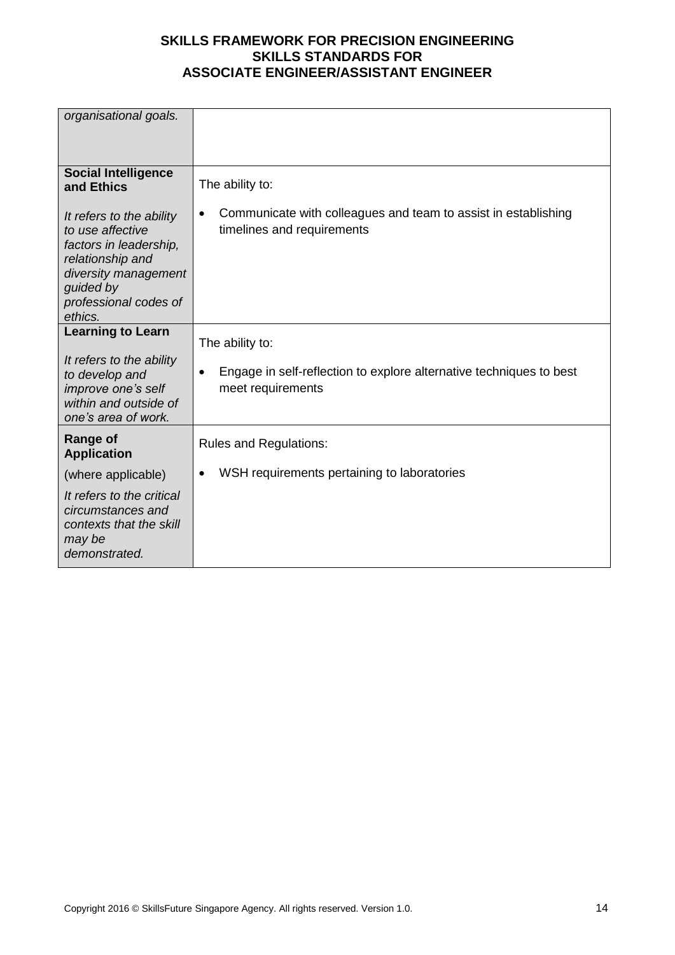| organisational goals.                                                                                                                                               |                                                                                                           |
|---------------------------------------------------------------------------------------------------------------------------------------------------------------------|-----------------------------------------------------------------------------------------------------------|
| <b>Social Intelligence</b><br>and Ethics                                                                                                                            | The ability to:                                                                                           |
| It refers to the ability<br>to use affective<br>factors in leadership,<br>relationship and<br>diversity management<br>guided by<br>professional codes of<br>ethics. | Communicate with colleagues and team to assist in establishing<br>$\bullet$<br>timelines and requirements |
| <b>Learning to Learn</b>                                                                                                                                            | The ability to:                                                                                           |
| It refers to the ability<br>to develop and<br>improve one's self<br>within and outside of<br>one's area of work.                                                    | Engage in self-reflection to explore alternative techniques to best<br>$\bullet$<br>meet requirements     |
| <b>Range of</b><br><b>Application</b>                                                                                                                               | <b>Rules and Regulations:</b>                                                                             |
| (where applicable)                                                                                                                                                  | WSH requirements pertaining to laboratories                                                               |
| It refers to the critical<br>circumstances and<br>contexts that the skill<br>may be<br>demonstrated.                                                                |                                                                                                           |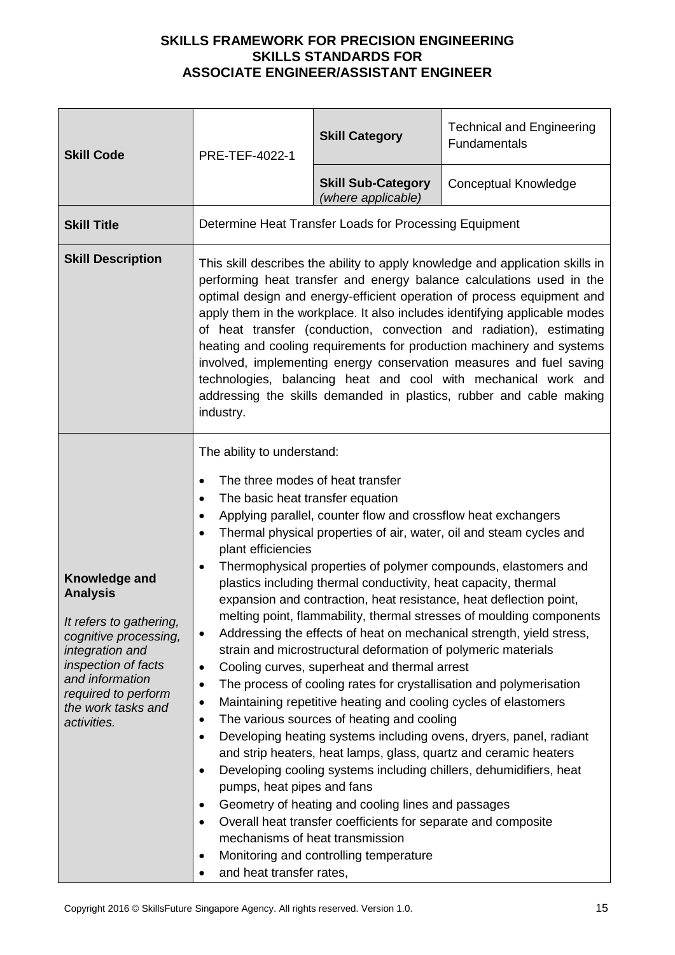| <b>Skill Code</b>                                                                                                                                                                                             | PRE-TEF-4022-1                                                                                                                                                                                                                                                                                                                                                                                                                                                                                                                                                                                                                                                                                                                                                                                                                                                                                                                                                                                                                                                                                                                                                                                                                                                                                                                                                                                                                                                                                                           | <b>Skill Category</b>                                  | <b>Technical and Engineering</b><br><b>Fundamentals</b> |
|---------------------------------------------------------------------------------------------------------------------------------------------------------------------------------------------------------------|--------------------------------------------------------------------------------------------------------------------------------------------------------------------------------------------------------------------------------------------------------------------------------------------------------------------------------------------------------------------------------------------------------------------------------------------------------------------------------------------------------------------------------------------------------------------------------------------------------------------------------------------------------------------------------------------------------------------------------------------------------------------------------------------------------------------------------------------------------------------------------------------------------------------------------------------------------------------------------------------------------------------------------------------------------------------------------------------------------------------------------------------------------------------------------------------------------------------------------------------------------------------------------------------------------------------------------------------------------------------------------------------------------------------------------------------------------------------------------------------------------------------------|--------------------------------------------------------|---------------------------------------------------------|
|                                                                                                                                                                                                               |                                                                                                                                                                                                                                                                                                                                                                                                                                                                                                                                                                                                                                                                                                                                                                                                                                                                                                                                                                                                                                                                                                                                                                                                                                                                                                                                                                                                                                                                                                                          | <b>Skill Sub-Category</b><br>(where applicable)        | <b>Conceptual Knowledge</b>                             |
| <b>Skill Title</b>                                                                                                                                                                                            |                                                                                                                                                                                                                                                                                                                                                                                                                                                                                                                                                                                                                                                                                                                                                                                                                                                                                                                                                                                                                                                                                                                                                                                                                                                                                                                                                                                                                                                                                                                          | Determine Heat Transfer Loads for Processing Equipment |                                                         |
| <b>Skill Description</b>                                                                                                                                                                                      | This skill describes the ability to apply knowledge and application skills in<br>performing heat transfer and energy balance calculations used in the<br>optimal design and energy-efficient operation of process equipment and<br>apply them in the workplace. It also includes identifying applicable modes<br>of heat transfer (conduction, convection and radiation), estimating<br>heating and cooling requirements for production machinery and systems<br>involved, implementing energy conservation measures and fuel saving<br>technologies, balancing heat and cool with mechanical work and<br>addressing the skills demanded in plastics, rubber and cable making<br>industry.                                                                                                                                                                                                                                                                                                                                                                                                                                                                                                                                                                                                                                                                                                                                                                                                                               |                                                        |                                                         |
| Knowledge and<br><b>Analysis</b><br>It refers to gathering,<br>cognitive processing,<br>integration and<br>inspection of facts<br>and information<br>required to perform<br>the work tasks and<br>activities. | The ability to understand:<br>The three modes of heat transfer<br>٠<br>The basic heat transfer equation<br>$\bullet$<br>Applying parallel, counter flow and crossflow heat exchangers<br>٠<br>Thermal physical properties of air, water, oil and steam cycles and<br>٠<br>plant efficiencies<br>Thermophysical properties of polymer compounds, elastomers and<br>٠<br>plastics including thermal conductivity, heat capacity, thermal<br>expansion and contraction, heat resistance, heat deflection point,<br>melting point, flammability, thermal stresses of moulding components<br>Addressing the effects of heat on mechanical strength, yield stress,<br>٠<br>strain and microstructural deformation of polymeric materials<br>Cooling curves, superheat and thermal arrest<br>$\bullet$<br>The process of cooling rates for crystallisation and polymerisation<br>٠<br>Maintaining repetitive heating and cooling cycles of elastomers<br>٠<br>The various sources of heating and cooling<br>٠<br>Developing heating systems including ovens, dryers, panel, radiant<br>٠<br>and strip heaters, heat lamps, glass, quartz and ceramic heaters<br>Developing cooling systems including chillers, dehumidifiers, heat<br>$\bullet$<br>pumps, heat pipes and fans<br>Geometry of heating and cooling lines and passages<br>$\bullet$<br>Overall heat transfer coefficients for separate and composite<br>٠<br>mechanisms of heat transmission<br>Monitoring and controlling temperature<br>and heat transfer rates, |                                                        |                                                         |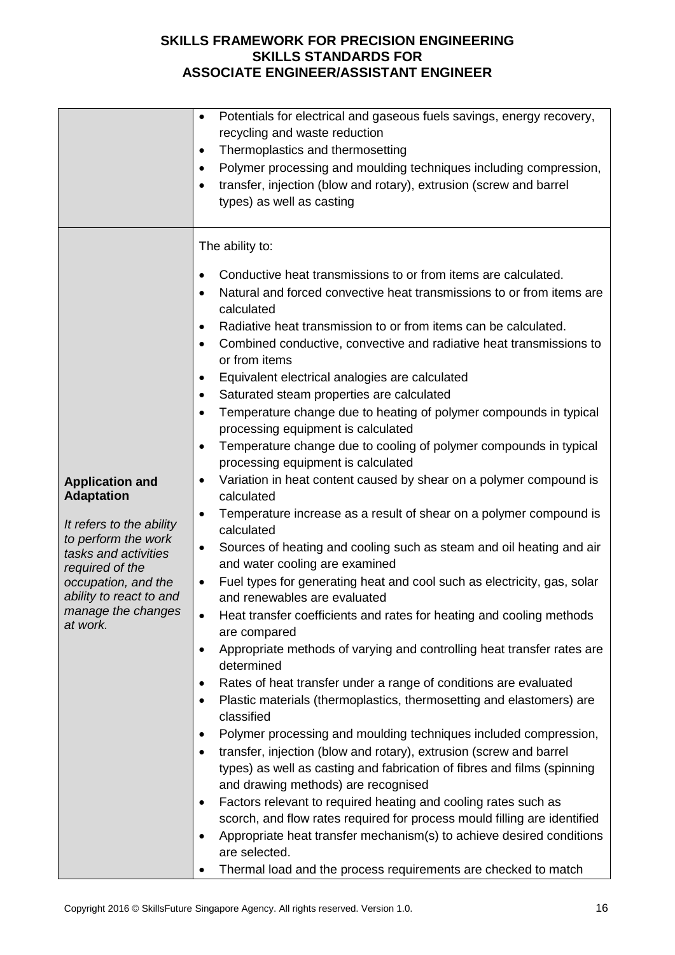|                                                                                                                                                                                                                               | Potentials for electrical and gaseous fuels savings, energy recovery,<br>$\bullet$<br>recycling and waste reduction<br>Thermoplastics and thermosetting<br>$\bullet$<br>Polymer processing and moulding techniques including compression,<br>٠<br>transfer, injection (blow and rotary), extrusion (screw and barrel<br>types) as well as casting                                                                                                                                                                                                                                                                                                                                                                                                                                                                                                                                                                                                                                                                                                                                                                                                                                                                                                                                                                                                                                                                                                                                                                                                                                                                                                                                                                                                                                                                                                                                                                                                                                                                                                                                                                                                                                |
|-------------------------------------------------------------------------------------------------------------------------------------------------------------------------------------------------------------------------------|----------------------------------------------------------------------------------------------------------------------------------------------------------------------------------------------------------------------------------------------------------------------------------------------------------------------------------------------------------------------------------------------------------------------------------------------------------------------------------------------------------------------------------------------------------------------------------------------------------------------------------------------------------------------------------------------------------------------------------------------------------------------------------------------------------------------------------------------------------------------------------------------------------------------------------------------------------------------------------------------------------------------------------------------------------------------------------------------------------------------------------------------------------------------------------------------------------------------------------------------------------------------------------------------------------------------------------------------------------------------------------------------------------------------------------------------------------------------------------------------------------------------------------------------------------------------------------------------------------------------------------------------------------------------------------------------------------------------------------------------------------------------------------------------------------------------------------------------------------------------------------------------------------------------------------------------------------------------------------------------------------------------------------------------------------------------------------------------------------------------------------------------------------------------------------|
| <b>Application and</b><br><b>Adaptation</b><br>It refers to the ability<br>to perform the work<br>tasks and activities<br>required of the<br>occupation, and the<br>ability to react to and<br>manage the changes<br>at work. | The ability to:<br>Conductive heat transmissions to or from items are calculated.<br>٠<br>Natural and forced convective heat transmissions to or from items are<br>$\bullet$<br>calculated<br>Radiative heat transmission to or from items can be calculated.<br>Combined conductive, convective and radiative heat transmissions to<br>$\bullet$<br>or from items<br>Equivalent electrical analogies are calculated<br>٠<br>Saturated steam properties are calculated<br>٠<br>Temperature change due to heating of polymer compounds in typical<br>٠<br>processing equipment is calculated<br>Temperature change due to cooling of polymer compounds in typical<br>$\bullet$<br>processing equipment is calculated<br>Variation in heat content caused by shear on a polymer compound is<br>$\bullet$<br>calculated<br>Temperature increase as a result of shear on a polymer compound is<br>$\bullet$<br>calculated<br>Sources of heating and cooling such as steam and oil heating and air<br>$\bullet$<br>and water cooling are examined<br>Fuel types for generating heat and cool such as electricity, gas, solar<br>$\bullet$<br>and renewables are evaluated<br>Heat transfer coefficients and rates for heating and cooling methods<br>$\bullet$<br>are compared<br>Appropriate methods of varying and controlling heat transfer rates are<br>$\bullet$<br>determined<br>Rates of heat transfer under a range of conditions are evaluated<br>$\bullet$<br>Plastic materials (thermoplastics, thermosetting and elastomers) are<br>$\bullet$<br>classified<br>Polymer processing and moulding techniques included compression,<br>٠<br>transfer, injection (blow and rotary), extrusion (screw and barrel<br>$\bullet$<br>types) as well as casting and fabrication of fibres and films (spinning<br>and drawing methods) are recognised<br>Factors relevant to required heating and cooling rates such as<br>٠<br>scorch, and flow rates required for process mould filling are identified<br>Appropriate heat transfer mechanism(s) to achieve desired conditions<br>$\bullet$<br>are selected.<br>Thermal load and the process requirements are checked to match<br>٠ |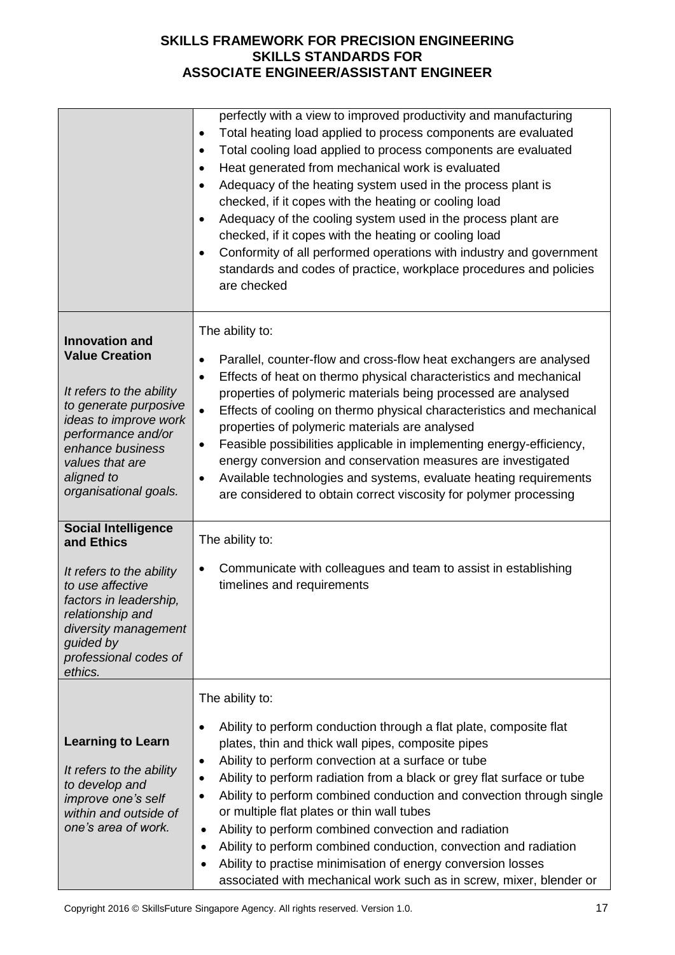|                                                                                                                                                                                                                                  | perfectly with a view to improved productivity and manufacturing<br>Total heating load applied to process components are evaluated<br>٠<br>Total cooling load applied to process components are evaluated<br>$\bullet$<br>Heat generated from mechanical work is evaluated<br>$\bullet$<br>Adequacy of the heating system used in the process plant is<br>$\bullet$<br>checked, if it copes with the heating or cooling load<br>Adequacy of the cooling system used in the process plant are<br>$\bullet$<br>checked, if it copes with the heating or cooling load<br>Conformity of all performed operations with industry and government<br>$\bullet$<br>standards and codes of practice, workplace procedures and policies<br>are checked             |
|----------------------------------------------------------------------------------------------------------------------------------------------------------------------------------------------------------------------------------|---------------------------------------------------------------------------------------------------------------------------------------------------------------------------------------------------------------------------------------------------------------------------------------------------------------------------------------------------------------------------------------------------------------------------------------------------------------------------------------------------------------------------------------------------------------------------------------------------------------------------------------------------------------------------------------------------------------------------------------------------------|
| <b>Innovation and</b><br><b>Value Creation</b><br>It refers to the ability<br>to generate purposive<br>ideas to improve work<br>performance and/or<br>enhance business<br>values that are<br>aligned to<br>organisational goals. | The ability to:<br>Parallel, counter-flow and cross-flow heat exchangers are analysed<br>$\bullet$<br>Effects of heat on thermo physical characteristics and mechanical<br>$\bullet$<br>properties of polymeric materials being processed are analysed<br>Effects of cooling on thermo physical characteristics and mechanical<br>$\bullet$<br>properties of polymeric materials are analysed<br>Feasible possibilities applicable in implementing energy-efficiency,<br>٠<br>energy conversion and conservation measures are investigated<br>Available technologies and systems, evaluate heating requirements<br>٠<br>are considered to obtain correct viscosity for polymer processing                                                               |
| <b>Social Intelligence</b><br>and Ethics<br>It refers to the ability<br>to use affective<br>factors in leadership,<br>relationship and<br>diversity management<br>guided by<br>professional codes of<br>ethics.                  | The ability to:<br>Communicate with colleagues and team to assist in establishing<br>$\bullet$<br>timelines and requirements                                                                                                                                                                                                                                                                                                                                                                                                                                                                                                                                                                                                                            |
| <b>Learning to Learn</b><br>It refers to the ability<br>to develop and<br>improve one's self<br>within and outside of<br>one's area of work.                                                                                     | The ability to:<br>Ability to perform conduction through a flat plate, composite flat<br>$\bullet$<br>plates, thin and thick wall pipes, composite pipes<br>Ability to perform convection at a surface or tube<br>٠<br>Ability to perform radiation from a black or grey flat surface or tube<br>$\bullet$<br>Ability to perform combined conduction and convection through single<br>$\bullet$<br>or multiple flat plates or thin wall tubes<br>Ability to perform combined convection and radiation<br>$\bullet$<br>Ability to perform combined conduction, convection and radiation<br>$\bullet$<br>Ability to practise minimisation of energy conversion losses<br>$\bullet$<br>associated with mechanical work such as in screw, mixer, blender or |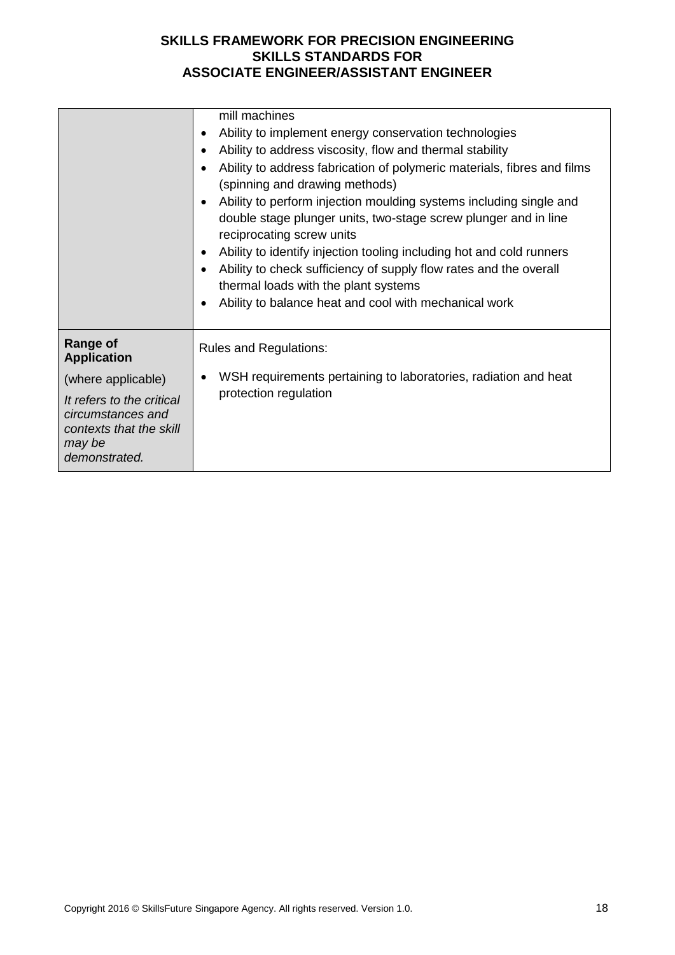|                                                                                                      | mill machines<br>Ability to implement energy conservation technologies<br>٠<br>Ability to address viscosity, flow and thermal stability<br>$\bullet$<br>Ability to address fabrication of polymeric materials, fibres and films<br>$\bullet$<br>(spinning and drawing methods)<br>Ability to perform injection moulding systems including single and<br>$\bullet$<br>double stage plunger units, two-stage screw plunger and in line<br>reciprocating screw units<br>Ability to identify injection tooling including hot and cold runners<br>$\bullet$<br>Ability to check sufficiency of supply flow rates and the overall<br>$\bullet$<br>thermal loads with the plant systems<br>Ability to balance heat and cool with mechanical work<br>$\bullet$ |
|------------------------------------------------------------------------------------------------------|--------------------------------------------------------------------------------------------------------------------------------------------------------------------------------------------------------------------------------------------------------------------------------------------------------------------------------------------------------------------------------------------------------------------------------------------------------------------------------------------------------------------------------------------------------------------------------------------------------------------------------------------------------------------------------------------------------------------------------------------------------|
| <b>Range of</b><br><b>Application</b>                                                                | <b>Rules and Regulations:</b>                                                                                                                                                                                                                                                                                                                                                                                                                                                                                                                                                                                                                                                                                                                          |
| (where applicable)                                                                                   | WSH requirements pertaining to laboratories, radiation and heat<br>$\bullet$                                                                                                                                                                                                                                                                                                                                                                                                                                                                                                                                                                                                                                                                           |
| It refers to the critical<br>circumstances and<br>contexts that the skill<br>may be<br>demonstrated. | protection regulation                                                                                                                                                                                                                                                                                                                                                                                                                                                                                                                                                                                                                                                                                                                                  |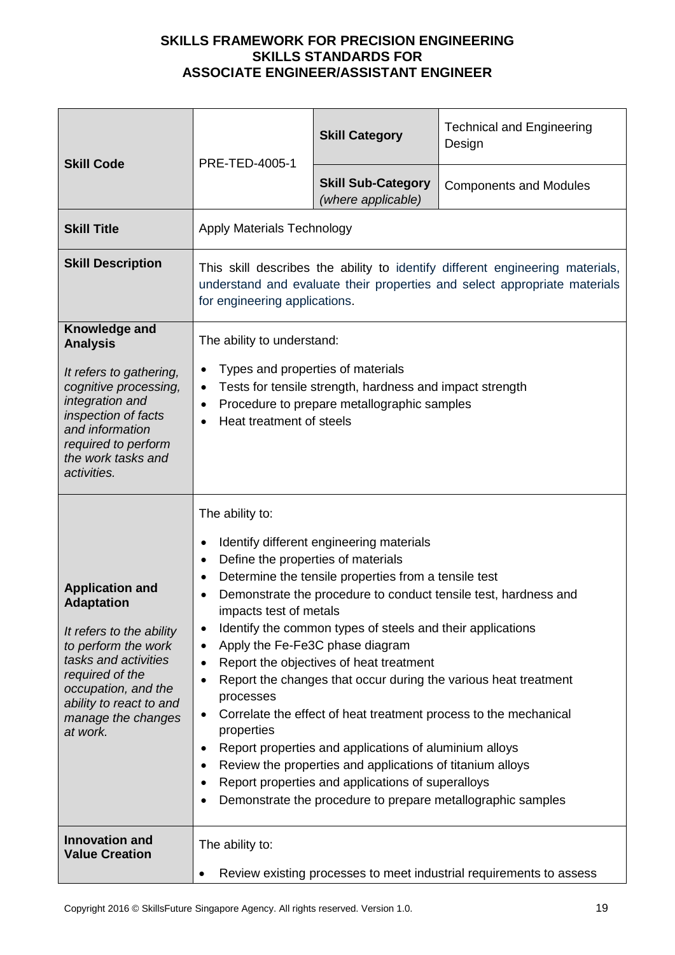| <b>Skill Code</b>                                                                                                                                                                                                             | PRE-TED-4005-1                                                                                                                                                                                                                                                                                                                                                                                                                                                                                                                                                                                                                                                                                                                                                                                                                                                                | <b>Skill Category</b>                           | <b>Technical and Engineering</b><br>Design |
|-------------------------------------------------------------------------------------------------------------------------------------------------------------------------------------------------------------------------------|-------------------------------------------------------------------------------------------------------------------------------------------------------------------------------------------------------------------------------------------------------------------------------------------------------------------------------------------------------------------------------------------------------------------------------------------------------------------------------------------------------------------------------------------------------------------------------------------------------------------------------------------------------------------------------------------------------------------------------------------------------------------------------------------------------------------------------------------------------------------------------|-------------------------------------------------|--------------------------------------------|
|                                                                                                                                                                                                                               |                                                                                                                                                                                                                                                                                                                                                                                                                                                                                                                                                                                                                                                                                                                                                                                                                                                                               | <b>Skill Sub-Category</b><br>(where applicable) | <b>Components and Modules</b>              |
| <b>Skill Title</b>                                                                                                                                                                                                            | <b>Apply Materials Technology</b>                                                                                                                                                                                                                                                                                                                                                                                                                                                                                                                                                                                                                                                                                                                                                                                                                                             |                                                 |                                            |
| <b>Skill Description</b>                                                                                                                                                                                                      | This skill describes the ability to identify different engineering materials,<br>understand and evaluate their properties and select appropriate materials<br>for engineering applications.                                                                                                                                                                                                                                                                                                                                                                                                                                                                                                                                                                                                                                                                                   |                                                 |                                            |
| Knowledge and<br><b>Analysis</b>                                                                                                                                                                                              | The ability to understand:                                                                                                                                                                                                                                                                                                                                                                                                                                                                                                                                                                                                                                                                                                                                                                                                                                                    |                                                 |                                            |
| It refers to gathering,<br>cognitive processing,<br>integration and<br>inspection of facts<br>and information<br>required to perform<br>the work tasks and<br>activities.                                                     | Types and properties of materials<br>Tests for tensile strength, hardness and impact strength<br>$\bullet$<br>Procedure to prepare metallographic samples<br>$\bullet$<br>Heat treatment of steels                                                                                                                                                                                                                                                                                                                                                                                                                                                                                                                                                                                                                                                                            |                                                 |                                            |
| <b>Application and</b><br><b>Adaptation</b><br>It refers to the ability<br>to perform the work<br>tasks and activities<br>required of the<br>occupation, and the<br>ability to react to and<br>manage the changes<br>at work. | The ability to:<br>Identify different engineering materials<br>$\bullet$<br>Define the properties of materials<br>$\bullet$<br>Determine the tensile properties from a tensile test<br>$\bullet$<br>Demonstrate the procedure to conduct tensile test, hardness and<br>impacts test of metals<br>Identify the common types of steels and their applications<br>٠<br>Apply the Fe-Fe3C phase diagram<br>$\bullet$<br>Report the objectives of heat treatment<br>Report the changes that occur during the various heat treatment<br>processes<br>Correlate the effect of heat treatment process to the mechanical<br>properties<br>Report properties and applications of aluminium alloys<br>Review the properties and applications of titanium alloys<br>Report properties and applications of superalloys<br>Demonstrate the procedure to prepare metallographic samples<br>٠ |                                                 |                                            |
| <b>Innovation and</b><br><b>Value Creation</b>                                                                                                                                                                                | The ability to:<br>Review existing processes to meet industrial requirements to assess                                                                                                                                                                                                                                                                                                                                                                                                                                                                                                                                                                                                                                                                                                                                                                                        |                                                 |                                            |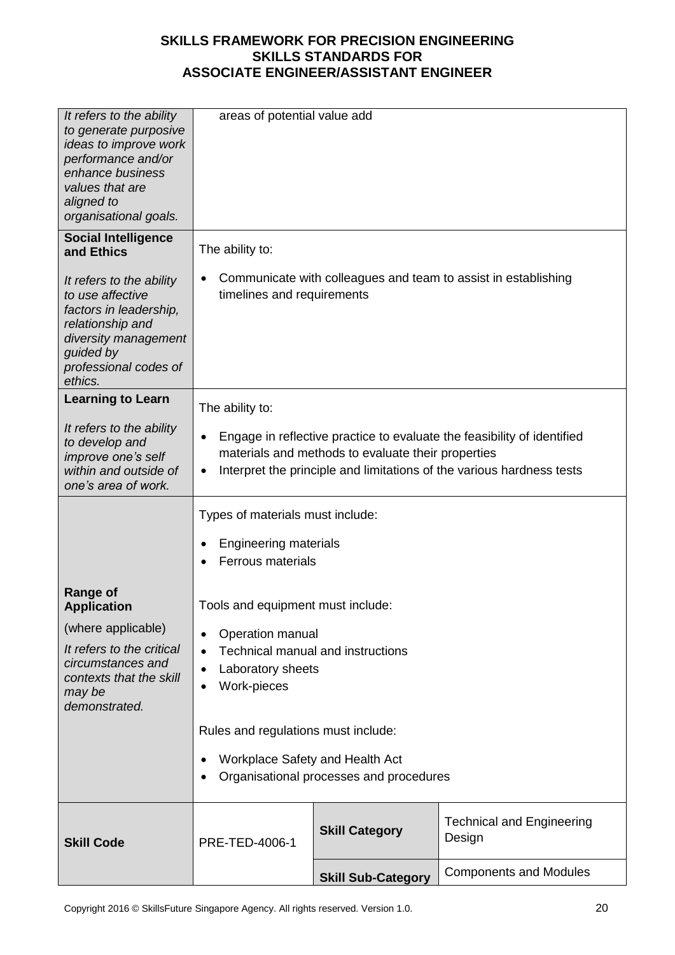| It refers to the ability<br>to generate purposive<br>ideas to improve work<br>performance and/or<br>enhance business<br>values that are<br>aligned to<br>organisational goals. | areas of potential value add                                                                                                                                                                                             |                                         |                                            |
|--------------------------------------------------------------------------------------------------------------------------------------------------------------------------------|--------------------------------------------------------------------------------------------------------------------------------------------------------------------------------------------------------------------------|-----------------------------------------|--------------------------------------------|
| <b>Social Intelligence</b><br>and Ethics                                                                                                                                       | The ability to:                                                                                                                                                                                                          |                                         |                                            |
| It refers to the ability<br>to use affective<br>factors in leadership,<br>relationship and<br>diversity management<br>guided by<br>professional codes of<br>ethics.            | Communicate with colleagues and team to assist in establishing<br>timelines and requirements                                                                                                                             |                                         |                                            |
| <b>Learning to Learn</b>                                                                                                                                                       | The ability to:                                                                                                                                                                                                          |                                         |                                            |
| It refers to the ability<br>to develop and<br>improve one's self<br>within and outside of<br>one's area of work.                                                               | Engage in reflective practice to evaluate the feasibility of identified<br>$\bullet$<br>materials and methods to evaluate their properties<br>Interpret the principle and limitations of the various hardness tests<br>٠ |                                         |                                            |
|                                                                                                                                                                                | Types of materials must include:                                                                                                                                                                                         |                                         |                                            |
|                                                                                                                                                                                | Engineering materials<br><b>Ferrous materials</b>                                                                                                                                                                        |                                         |                                            |
| Range of<br><b>Application</b>                                                                                                                                                 | Tools and equipment must include:                                                                                                                                                                                        |                                         |                                            |
| (where applicable)                                                                                                                                                             | Operation manual                                                                                                                                                                                                         |                                         |                                            |
| It refers to the critical<br>circumstances and<br>contexts that the skill<br>may be<br>demonstrated.                                                                           | <b>Technical manual and instructions</b><br>Laboratory sheets<br>$\bullet$<br>Work-pieces<br>٠                                                                                                                           |                                         |                                            |
|                                                                                                                                                                                | Rules and regulations must include:                                                                                                                                                                                      |                                         |                                            |
|                                                                                                                                                                                | Workplace Safety and Health Act                                                                                                                                                                                          | Organisational processes and procedures |                                            |
| <b>Skill Code</b>                                                                                                                                                              | PRE-TED-4006-1                                                                                                                                                                                                           | <b>Skill Category</b>                   | <b>Technical and Engineering</b><br>Design |
|                                                                                                                                                                                |                                                                                                                                                                                                                          | <b>Skill Sub-Category</b>               | <b>Components and Modules</b>              |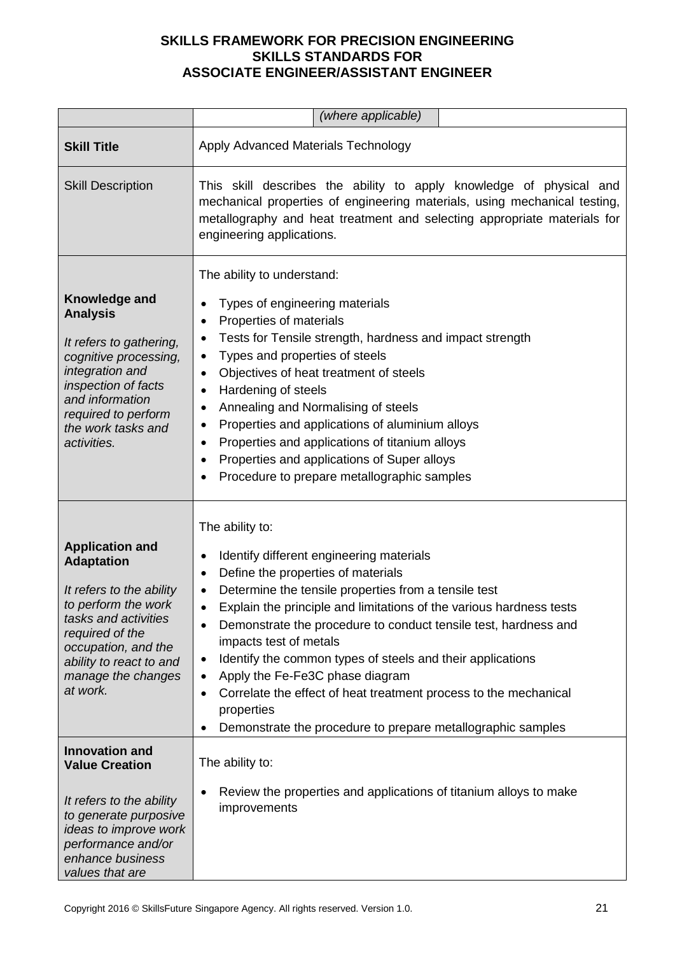|                                                                                                                                                                                                                               | (where applicable)                                                                                                                                                                                                                                                                                                                                                                                                                                                                                                                                                                                                               |  |  |
|-------------------------------------------------------------------------------------------------------------------------------------------------------------------------------------------------------------------------------|----------------------------------------------------------------------------------------------------------------------------------------------------------------------------------------------------------------------------------------------------------------------------------------------------------------------------------------------------------------------------------------------------------------------------------------------------------------------------------------------------------------------------------------------------------------------------------------------------------------------------------|--|--|
| <b>Skill Title</b>                                                                                                                                                                                                            | Apply Advanced Materials Technology                                                                                                                                                                                                                                                                                                                                                                                                                                                                                                                                                                                              |  |  |
| <b>Skill Description</b>                                                                                                                                                                                                      | This skill describes the ability to apply knowledge of physical and<br>mechanical properties of engineering materials, using mechanical testing,<br>metallography and heat treatment and selecting appropriate materials for<br>engineering applications.                                                                                                                                                                                                                                                                                                                                                                        |  |  |
| Knowledge and<br><b>Analysis</b><br>It refers to gathering,<br>cognitive processing,<br>integration and<br>inspection of facts<br>and information<br>required to perform<br>the work tasks and<br>activities.                 | The ability to understand:<br>Types of engineering materials<br>Properties of materials<br>$\bullet$<br>Tests for Tensile strength, hardness and impact strength<br>Types and properties of steels<br>$\bullet$<br>Objectives of heat treatment of steels<br>$\bullet$<br>Hardening of steels<br>$\bullet$<br>Annealing and Normalising of steels<br>٠<br>Properties and applications of aluminium alloys<br>٠<br>Properties and applications of titanium alloys<br>$\bullet$<br>Properties and applications of Super alloys<br>$\bullet$<br>Procedure to prepare metallographic samples<br>$\bullet$                            |  |  |
| <b>Application and</b><br><b>Adaptation</b><br>It refers to the ability<br>to perform the work<br>tasks and activities<br>required of the<br>occupation, and the<br>ability to react to and<br>manage the changes<br>at work. | The ability to:<br>Identify different engineering materials<br>٠<br>Define the properties of materials<br>$\bullet$<br>Determine the tensile properties from a tensile test<br>Explain the principle and limitations of the various hardness tests<br>$\bullet$<br>Demonstrate the procedure to conduct tensile test, hardness and<br>impacts test of metals<br>Identify the common types of steels and their applications<br>٠<br>Apply the Fe-Fe3C phase diagram<br>Correlate the effect of heat treatment process to the mechanical<br>properties<br>Demonstrate the procedure to prepare metallographic samples<br>$\bullet$ |  |  |
| <b>Innovation and</b><br><b>Value Creation</b><br>It refers to the ability<br>to generate purposive<br>ideas to improve work<br>performance and/or<br>enhance business<br>values that are                                     | The ability to:<br>Review the properties and applications of titanium alloys to make<br>improvements                                                                                                                                                                                                                                                                                                                                                                                                                                                                                                                             |  |  |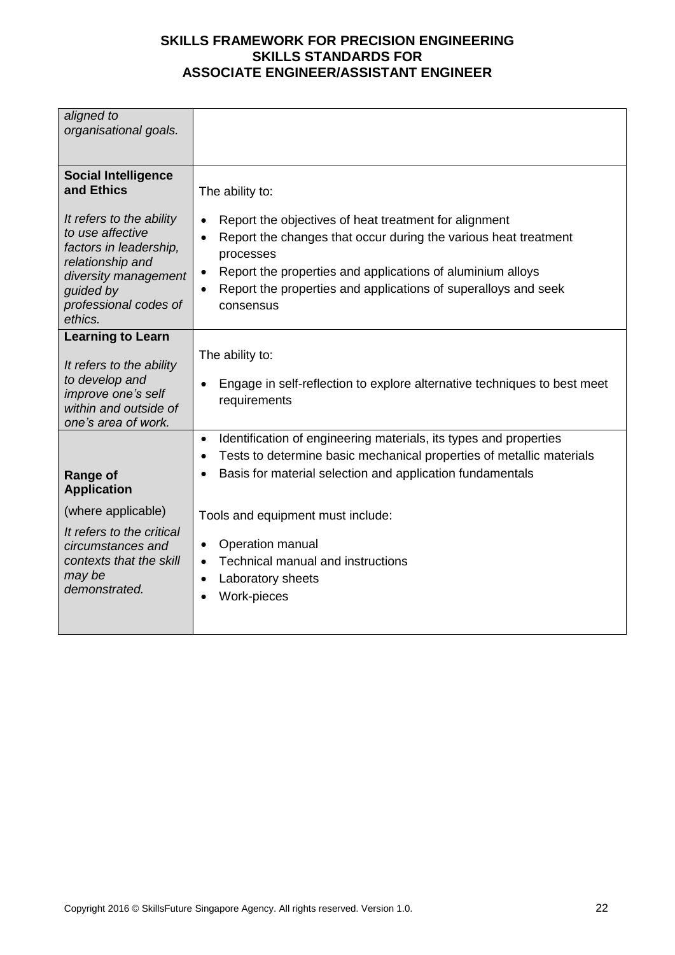| aligned to<br>organisational goals.                                                                              |  |
|------------------------------------------------------------------------------------------------------------------|--|
|                                                                                                                  |  |
|                                                                                                                  |  |
|                                                                                                                  |  |
|                                                                                                                  |  |
| <b>Social Intelligence</b>                                                                                       |  |
| and Ethics<br>The ability to:                                                                                    |  |
|                                                                                                                  |  |
| It refers to the ability<br>Report the objectives of heat treatment for alignment                                |  |
| to use affective<br>Report the changes that occur during the various heat treatment                              |  |
| factors in leadership,<br>processes                                                                              |  |
| relationship and<br>Report the properties and applications of aluminium alloys                                   |  |
| diversity management<br>Report the properties and applications of superalloys and seek<br>guided by<br>$\bullet$ |  |
| professional codes of<br>consensus                                                                               |  |
| ethics.                                                                                                          |  |
|                                                                                                                  |  |
| <b>Learning to Learn</b>                                                                                         |  |
| The ability to:<br>It refers to the ability                                                                      |  |
| to develop and                                                                                                   |  |
| Engage in self-reflection to explore alternative techniques to best meet<br>improve one's self                   |  |
| requirements<br>within and outside of                                                                            |  |
| one's area of work.                                                                                              |  |
| Identification of engineering materials, its types and properties<br>$\bullet$                                   |  |
| Tests to determine basic mechanical properties of metallic materials<br>$\bullet$                                |  |
| Basis for material selection and application fundamentals                                                        |  |
| <b>Range of</b><br><b>Application</b>                                                                            |  |
|                                                                                                                  |  |
| (where applicable)<br>Tools and equipment must include:                                                          |  |
| It refers to the critical                                                                                        |  |
| Operation manual<br>circumstances and<br>$\bullet$                                                               |  |
| contexts that the skill<br>Technical manual and instructions<br>$\bullet$                                        |  |
| may be<br>Laboratory sheets                                                                                      |  |
| demonstrated.<br><b>Work-pieces</b>                                                                              |  |
|                                                                                                                  |  |
|                                                                                                                  |  |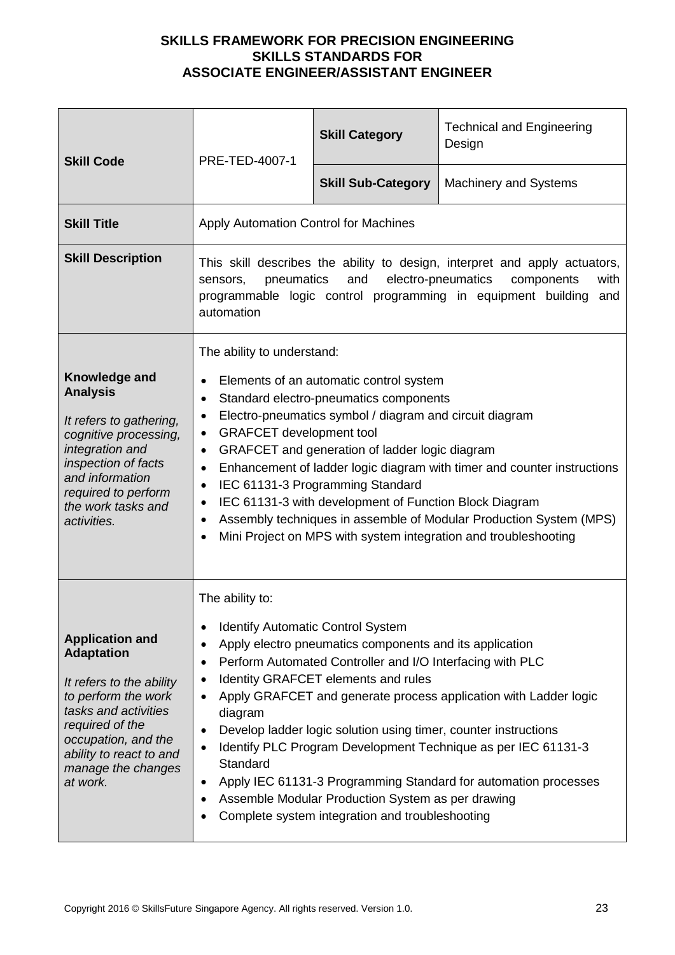| <b>Skill Code</b>                                                                                                                                                                                                             | PRE-TED-4007-1                                                                                                                                                                                                                                                                                                                                                                                                                                                                                                                                                                                                                                                                                | <b>Skill Category</b>     | <b>Technical and Engineering</b><br>Design |
|-------------------------------------------------------------------------------------------------------------------------------------------------------------------------------------------------------------------------------|-----------------------------------------------------------------------------------------------------------------------------------------------------------------------------------------------------------------------------------------------------------------------------------------------------------------------------------------------------------------------------------------------------------------------------------------------------------------------------------------------------------------------------------------------------------------------------------------------------------------------------------------------------------------------------------------------|---------------------------|--------------------------------------------|
|                                                                                                                                                                                                                               |                                                                                                                                                                                                                                                                                                                                                                                                                                                                                                                                                                                                                                                                                               | <b>Skill Sub-Category</b> | <b>Machinery and Systems</b>               |
| <b>Skill Title</b>                                                                                                                                                                                                            | Apply Automation Control for Machines                                                                                                                                                                                                                                                                                                                                                                                                                                                                                                                                                                                                                                                         |                           |                                            |
| <b>Skill Description</b>                                                                                                                                                                                                      | This skill describes the ability to design, interpret and apply actuators,<br>with<br>pneumatics<br>electro-pneumatics<br>and<br>components<br>sensors,<br>programmable logic control programming in equipment building<br>and<br>automation                                                                                                                                                                                                                                                                                                                                                                                                                                                  |                           |                                            |
| Knowledge and<br><b>Analysis</b><br>It refers to gathering,<br>cognitive processing,<br>integration and<br>inspection of facts<br>and information<br>required to perform<br>the work tasks and<br>activities.                 | The ability to understand:<br>Elements of an automatic control system<br>Standard electro-pneumatics components<br>$\bullet$<br>Electro-pneumatics symbol / diagram and circuit diagram<br>$\bullet$<br><b>GRAFCET</b> development tool<br>$\bullet$<br>GRAFCET and generation of ladder logic diagram<br>$\bullet$<br>Enhancement of ladder logic diagram with timer and counter instructions<br>$\bullet$<br>IEC 61131-3 Programming Standard<br>$\bullet$<br>IEC 61131-3 with development of Function Block Diagram<br>$\bullet$<br>Assembly techniques in assemble of Modular Production System (MPS)<br>$\bullet$<br>Mini Project on MPS with system integration and troubleshooting     |                           |                                            |
| <b>Application and</b><br><b>Adaptation</b><br>It refers to the ability<br>to perform the work<br>tasks and activities<br>required of the<br>occupation, and the<br>ability to react to and<br>manage the changes<br>at work. | The ability to:<br><b>Identify Automatic Control System</b><br>Apply electro pneumatics components and its application<br>Perform Automated Controller and I/O Interfacing with PLC<br>$\bullet$<br>Identity GRAFCET elements and rules<br>Apply GRAFCET and generate process application with Ladder logic<br>$\bullet$<br>diagram<br>Develop ladder logic solution using timer, counter instructions<br>$\bullet$<br>Identify PLC Program Development Technique as per IEC 61131-3<br>Standard<br>Apply IEC 61131-3 Programming Standard for automation processes<br>$\bullet$<br>Assemble Modular Production System as per drawing<br>٠<br>Complete system integration and troubleshooting |                           |                                            |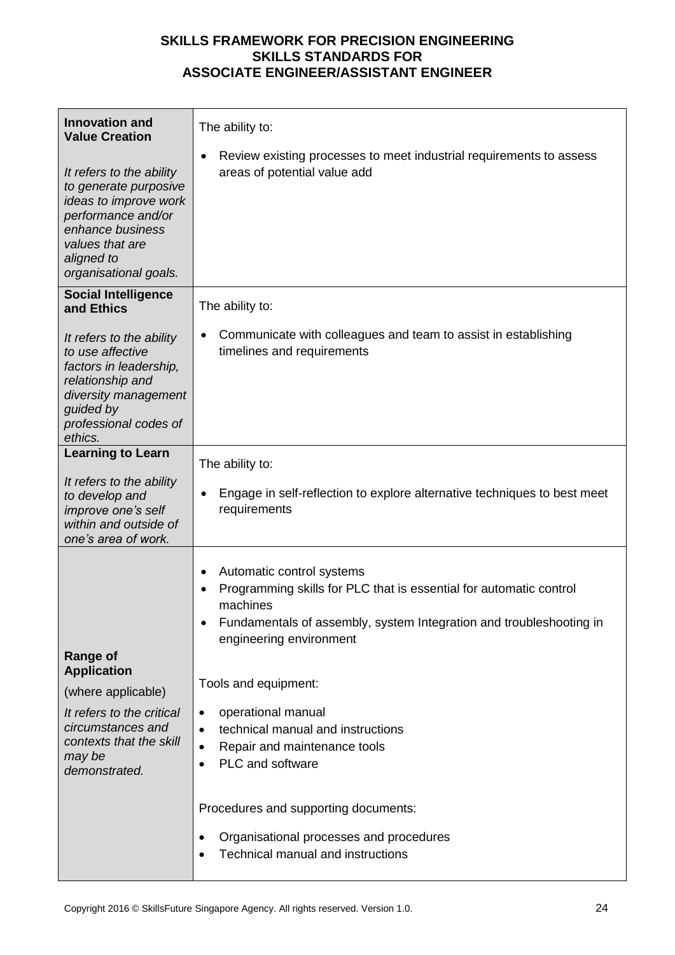| <b>Innovation and</b><br><b>Value Creation</b><br>It refers to the ability<br>to generate purposive<br>ideas to improve work<br>performance and/or<br>enhance business<br>values that are<br>aligned to<br>organisational goals. | The ability to:<br>Review existing processes to meet industrial requirements to assess<br>areas of potential value add                                          |
|----------------------------------------------------------------------------------------------------------------------------------------------------------------------------------------------------------------------------------|-----------------------------------------------------------------------------------------------------------------------------------------------------------------|
| <b>Social Intelligence</b><br>and Ethics                                                                                                                                                                                         | The ability to:                                                                                                                                                 |
| It refers to the ability<br>to use affective<br>factors in leadership,<br>relationship and<br>diversity management<br>guided by<br>professional codes of<br>ethics.                                                              | Communicate with colleagues and team to assist in establishing<br>timelines and requirements                                                                    |
| <b>Learning to Learn</b>                                                                                                                                                                                                         | The ability to:                                                                                                                                                 |
| It refers to the ability<br>to develop and<br>improve one's self<br>within and outside of<br>one's area of work.                                                                                                                 | Engage in self-reflection to explore alternative techniques to best meet<br>$\bullet$<br>requirements                                                           |
|                                                                                                                                                                                                                                  | Automatic control systems                                                                                                                                       |
|                                                                                                                                                                                                                                  | Programming skills for PLC that is essential for automatic control<br>machines                                                                                  |
|                                                                                                                                                                                                                                  | Fundamentals of assembly, system Integration and troubleshooting in<br>engineering environment                                                                  |
| <b>Range of</b><br><b>Application</b>                                                                                                                                                                                            |                                                                                                                                                                 |
| (where applicable)                                                                                                                                                                                                               | Tools and equipment:                                                                                                                                            |
| It refers to the critical<br>circumstances and<br>contexts that the skill<br>may be<br>demonstrated.                                                                                                                             | operational manual<br>$\bullet$<br>technical manual and instructions<br>$\bullet$<br>Repair and maintenance tools<br>$\bullet$<br>PLC and software<br>$\bullet$ |
|                                                                                                                                                                                                                                  | Procedures and supporting documents:                                                                                                                            |
|                                                                                                                                                                                                                                  | Organisational processes and procedures<br><b>Technical manual and instructions</b>                                                                             |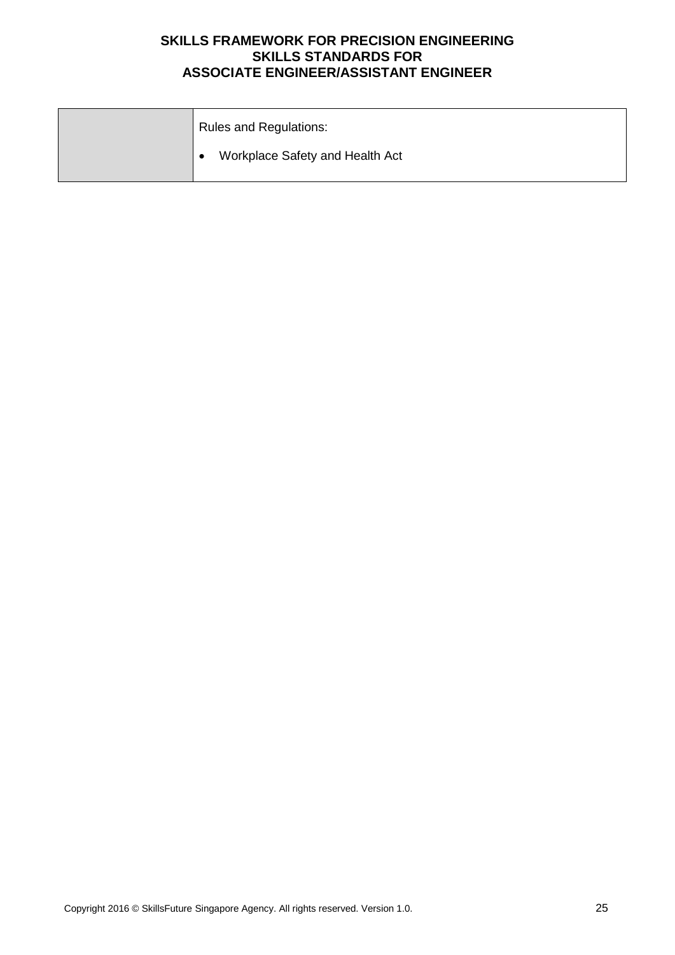| <b>Rules and Regulations:</b>   |
|---------------------------------|
| Workplace Safety and Health Act |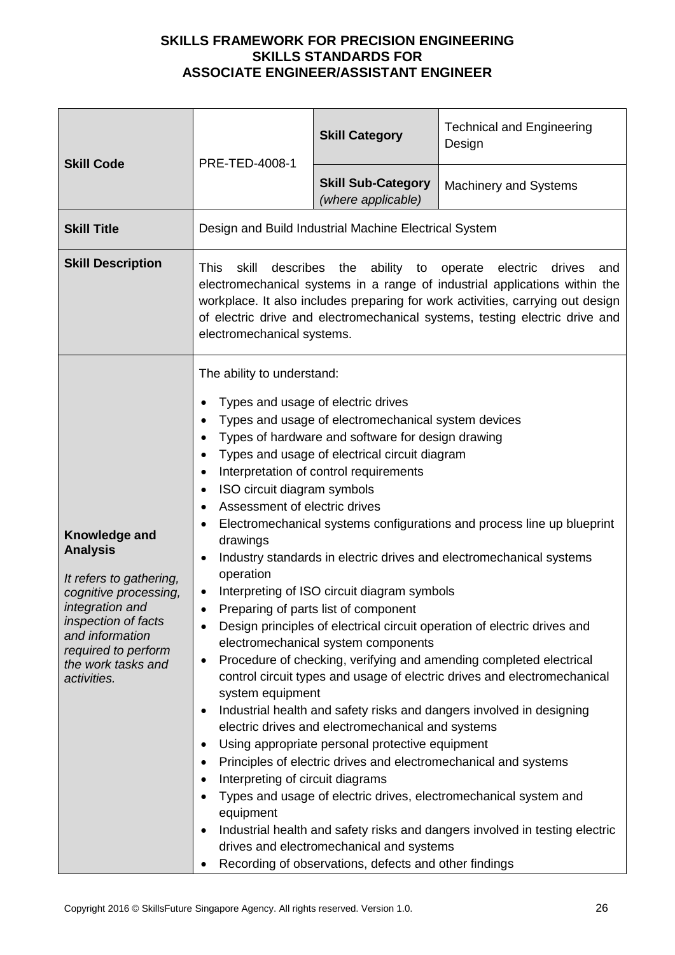| <b>Skill Code</b>                                                                                                                                                                                                    | PRE-TED-4008-1                                                                                                                                                                                                                                                                                                                                                                                                                                                                                                                                                                                                                                                                                                                                                                                                                                                                                                                                                                                                                                                                                                                                                                                                                                                                                                                                                                                  | <b>Skill Category</b>                           | <b>Technical and Engineering</b><br>Design                                                        |
|----------------------------------------------------------------------------------------------------------------------------------------------------------------------------------------------------------------------|-------------------------------------------------------------------------------------------------------------------------------------------------------------------------------------------------------------------------------------------------------------------------------------------------------------------------------------------------------------------------------------------------------------------------------------------------------------------------------------------------------------------------------------------------------------------------------------------------------------------------------------------------------------------------------------------------------------------------------------------------------------------------------------------------------------------------------------------------------------------------------------------------------------------------------------------------------------------------------------------------------------------------------------------------------------------------------------------------------------------------------------------------------------------------------------------------------------------------------------------------------------------------------------------------------------------------------------------------------------------------------------------------|-------------------------------------------------|---------------------------------------------------------------------------------------------------|
|                                                                                                                                                                                                                      |                                                                                                                                                                                                                                                                                                                                                                                                                                                                                                                                                                                                                                                                                                                                                                                                                                                                                                                                                                                                                                                                                                                                                                                                                                                                                                                                                                                                 | <b>Skill Sub-Category</b><br>(where applicable) | <b>Machinery and Systems</b>                                                                      |
| <b>Skill Title</b>                                                                                                                                                                                                   | Design and Build Industrial Machine Electrical System                                                                                                                                                                                                                                                                                                                                                                                                                                                                                                                                                                                                                                                                                                                                                                                                                                                                                                                                                                                                                                                                                                                                                                                                                                                                                                                                           |                                                 |                                                                                                   |
| <b>Skill Description</b>                                                                                                                                                                                             | describes<br>the ability to operate electric<br><b>This</b><br>skill<br>drives<br>and<br>electromechanical systems in a range of industrial applications within the<br>workplace. It also includes preparing for work activities, carrying out design<br>of electric drive and electromechanical systems, testing electric drive and<br>electromechanical systems.                                                                                                                                                                                                                                                                                                                                                                                                                                                                                                                                                                                                                                                                                                                                                                                                                                                                                                                                                                                                                              |                                                 |                                                                                                   |
| Knowledge and<br><b>Analysis</b><br>It refers to gathering,<br>cognitive processing,<br>integration and<br><i>inspection of facts</i><br>and information<br>required to perform<br>the work tasks and<br>activities. | The ability to understand:<br>Types and usage of electric drives<br>Types and usage of electromechanical system devices<br>Types of hardware and software for design drawing<br>$\bullet$<br>Types and usage of electrical circuit diagram<br>Interpretation of control requirements<br>ISO circuit diagram symbols<br>Assessment of electric drives<br>Electromechanical systems configurations and process line up blueprint<br>drawings<br>Industry standards in electric drives and electromechanical systems<br>$\bullet$<br>operation<br>Interpreting of ISO circuit diagram symbols<br>Preparing of parts list of component<br>Design principles of electrical circuit operation of electric drives and<br>electromechanical system components<br>Procedure of checking, verifying and amending completed electrical<br>$\bullet$<br>control circuit types and usage of electric drives and electromechanical<br>system equipment<br>Industrial health and safety risks and dangers involved in designing<br>electric drives and electromechanical and systems<br>Using appropriate personal protective equipment<br>Principles of electric drives and electromechanical and systems<br>Interpreting of circuit diagrams<br>Types and usage of electric drives, electromechanical system and<br>equipment<br>Industrial health and safety risks and dangers involved in testing electric |                                                 | drives and electromechanical and systems<br>Recording of observations, defects and other findings |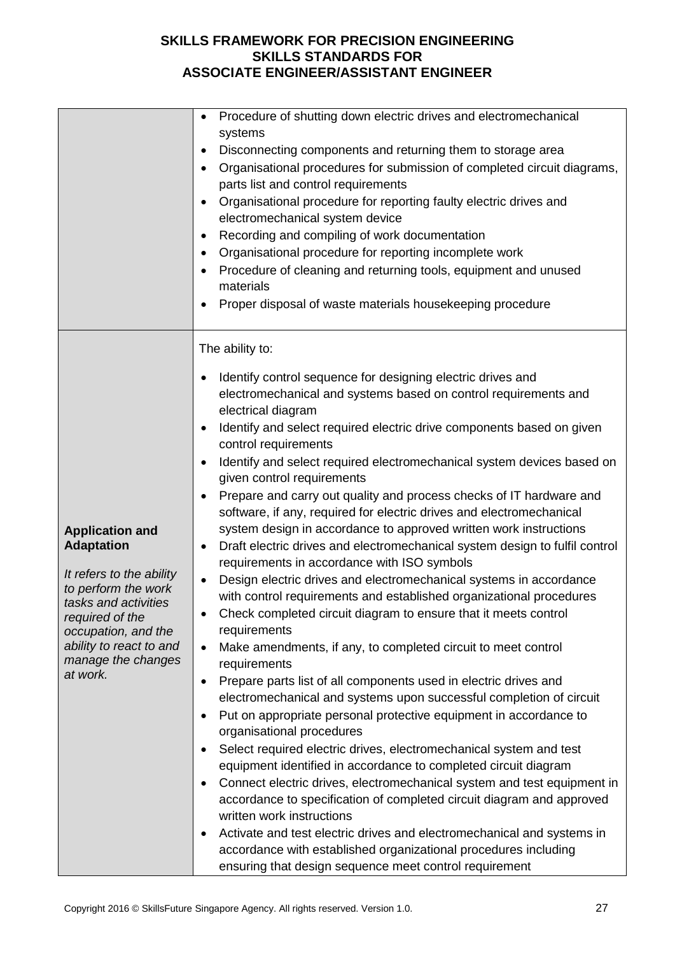|                                                                                                                                                                                                                               | Procedure of shutting down electric drives and electromechanical<br>$\bullet$<br>systems<br>Disconnecting components and returning them to storage area<br>Organisational procedures for submission of completed circuit diagrams,<br>parts list and control requirements<br>Organisational procedure for reporting faulty electric drives and<br>$\bullet$<br>electromechanical system device<br>Recording and compiling of work documentation<br>Organisational procedure for reporting incomplete work<br>Procedure of cleaning and returning tools, equipment and unused<br>materials<br>Proper disposal of waste materials housekeeping procedure                                                                                                                                                                                                                                                                                                                                                                                                                                                                                                                                                                                                                                                                                                                                                                                                                                                                                                                                                                                                                                                                                                                                                                                                                                                                    |
|-------------------------------------------------------------------------------------------------------------------------------------------------------------------------------------------------------------------------------|---------------------------------------------------------------------------------------------------------------------------------------------------------------------------------------------------------------------------------------------------------------------------------------------------------------------------------------------------------------------------------------------------------------------------------------------------------------------------------------------------------------------------------------------------------------------------------------------------------------------------------------------------------------------------------------------------------------------------------------------------------------------------------------------------------------------------------------------------------------------------------------------------------------------------------------------------------------------------------------------------------------------------------------------------------------------------------------------------------------------------------------------------------------------------------------------------------------------------------------------------------------------------------------------------------------------------------------------------------------------------------------------------------------------------------------------------------------------------------------------------------------------------------------------------------------------------------------------------------------------------------------------------------------------------------------------------------------------------------------------------------------------------------------------------------------------------------------------------------------------------------------------------------------------------|
| <b>Application and</b><br><b>Adaptation</b><br>It refers to the ability<br>to perform the work<br>tasks and activities<br>required of the<br>occupation, and the<br>ability to react to and<br>manage the changes<br>at work. | The ability to:<br>Identify control sequence for designing electric drives and<br>electromechanical and systems based on control requirements and<br>electrical diagram<br>Identify and select required electric drive components based on given<br>control requirements<br>Identify and select required electromechanical system devices based on<br>given control requirements<br>Prepare and carry out quality and process checks of IT hardware and<br>٠<br>software, if any, required for electric drives and electromechanical<br>system design in accordance to approved written work instructions<br>Draft electric drives and electromechanical system design to fulfil control<br>٠<br>requirements in accordance with ISO symbols<br>Design electric drives and electromechanical systems in accordance<br>$\bullet$<br>with control requirements and established organizational procedures<br>Check completed circuit diagram to ensure that it meets control<br>requirements<br>Make amendments, if any, to completed circuit to meet control<br>$\bullet$<br>requirements<br>Prepare parts list of all components used in electric drives and<br>$\bullet$<br>electromechanical and systems upon successful completion of circuit<br>Put on appropriate personal protective equipment in accordance to<br>organisational procedures<br>Select required electric drives, electromechanical system and test<br>$\bullet$<br>equipment identified in accordance to completed circuit diagram<br>Connect electric drives, electromechanical system and test equipment in<br>$\bullet$<br>accordance to specification of completed circuit diagram and approved<br>written work instructions<br>Activate and test electric drives and electromechanical and systems in<br>$\bullet$<br>accordance with established organizational procedures including<br>ensuring that design sequence meet control requirement |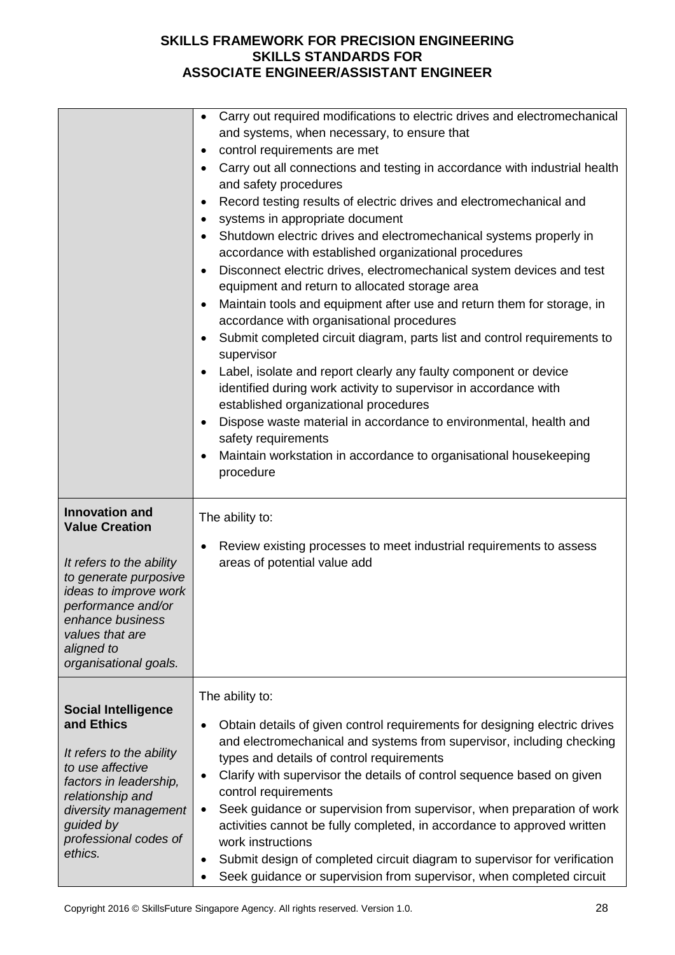|                                                   | Carry out required modifications to electric drives and electromechanical<br>and systems, when necessary, to ensure that                               |
|---------------------------------------------------|--------------------------------------------------------------------------------------------------------------------------------------------------------|
|                                                   | control requirements are met                                                                                                                           |
|                                                   | Carry out all connections and testing in accordance with industrial health                                                                             |
|                                                   | and safety procedures                                                                                                                                  |
|                                                   | Record testing results of electric drives and electromechanical and                                                                                    |
|                                                   | systems in appropriate document                                                                                                                        |
|                                                   | Shutdown electric drives and electromechanical systems properly in                                                                                     |
|                                                   | accordance with established organizational procedures                                                                                                  |
|                                                   | Disconnect electric drives, electromechanical system devices and test                                                                                  |
|                                                   | equipment and return to allocated storage area                                                                                                         |
|                                                   | Maintain tools and equipment after use and return them for storage, in<br>٠<br>accordance with organisational procedures                               |
|                                                   | Submit completed circuit diagram, parts list and control requirements to                                                                               |
|                                                   | supervisor                                                                                                                                             |
|                                                   | Label, isolate and report clearly any faulty component or device                                                                                       |
|                                                   | identified during work activity to supervisor in accordance with                                                                                       |
|                                                   | established organizational procedures                                                                                                                  |
|                                                   | Dispose waste material in accordance to environmental, health and                                                                                      |
|                                                   | safety requirements                                                                                                                                    |
|                                                   | Maintain workstation in accordance to organisational housekeeping<br>procedure                                                                         |
|                                                   |                                                                                                                                                        |
|                                                   |                                                                                                                                                        |
| <b>Innovation and</b>                             | The ability to:                                                                                                                                        |
| <b>Value Creation</b>                             |                                                                                                                                                        |
|                                                   | Review existing processes to meet industrial requirements to assess                                                                                    |
| It refers to the ability<br>to generate purposive | areas of potential value add                                                                                                                           |
| ideas to improve work                             |                                                                                                                                                        |
| performance and/or                                |                                                                                                                                                        |
| enhance business<br>values that are               |                                                                                                                                                        |
| aligned to                                        |                                                                                                                                                        |
| organisational goals.                             |                                                                                                                                                        |
|                                                   | The ability to:                                                                                                                                        |
| <b>Social Intelligence</b>                        |                                                                                                                                                        |
| and Ethics                                        | Obtain details of given control requirements for designing electric drives                                                                             |
| It refers to the ability                          | and electromechanical and systems from supervisor, including checking                                                                                  |
| to use affective                                  | types and details of control requirements                                                                                                              |
| factors in leadership,                            | Clarify with supervisor the details of control sequence based on given<br>٠                                                                            |
| relationship and                                  | control requirements<br>Seek guidance or supervision from supervisor, when preparation of work<br>٠                                                    |
| diversity management<br>guided by                 | activities cannot be fully completed, in accordance to approved written                                                                                |
| professional codes of                             | work instructions                                                                                                                                      |
| ethics.                                           | Submit design of completed circuit diagram to supervisor for verification<br>٠<br>Seek guidance or supervision from supervisor, when completed circuit |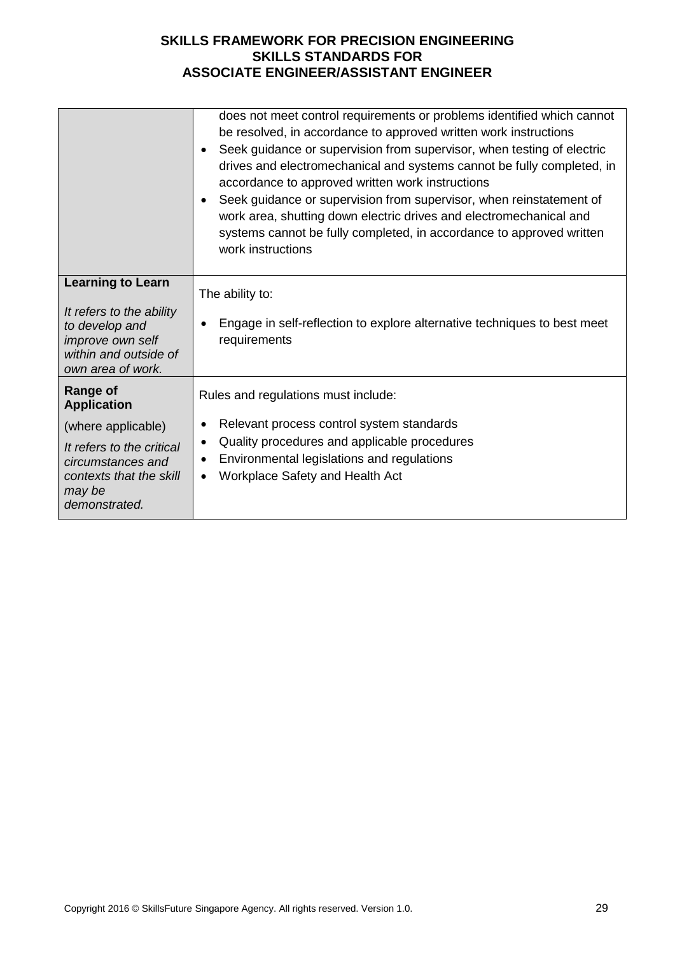|                                                                                                                                                                     | does not meet control requirements or problems identified which cannot<br>be resolved, in accordance to approved written work instructions<br>Seek guidance or supervision from supervisor, when testing of electric<br>drives and electromechanical and systems cannot be fully completed, in<br>accordance to approved written work instructions<br>Seek guidance or supervision from supervisor, when reinstatement of<br>work area, shutting down electric drives and electromechanical and<br>systems cannot be fully completed, in accordance to approved written<br>work instructions |
|---------------------------------------------------------------------------------------------------------------------------------------------------------------------|----------------------------------------------------------------------------------------------------------------------------------------------------------------------------------------------------------------------------------------------------------------------------------------------------------------------------------------------------------------------------------------------------------------------------------------------------------------------------------------------------------------------------------------------------------------------------------------------|
| <b>Learning to Learn</b><br>It refers to the ability<br>to develop and<br>improve own self<br>within and outside of<br>own area of work.                            | The ability to:<br>Engage in self-reflection to explore alternative techniques to best meet<br>requirements                                                                                                                                                                                                                                                                                                                                                                                                                                                                                  |
| <b>Range of</b><br><b>Application</b><br>(where applicable)<br>It refers to the critical<br>circumstances and<br>contexts that the skill<br>may be<br>demonstrated. | Rules and regulations must include:<br>Relevant process control system standards<br>Quality procedures and applicable procedures<br>٠<br>Environmental legislations and regulations<br>٠<br>Workplace Safety and Health Act<br>$\bullet$                                                                                                                                                                                                                                                                                                                                                     |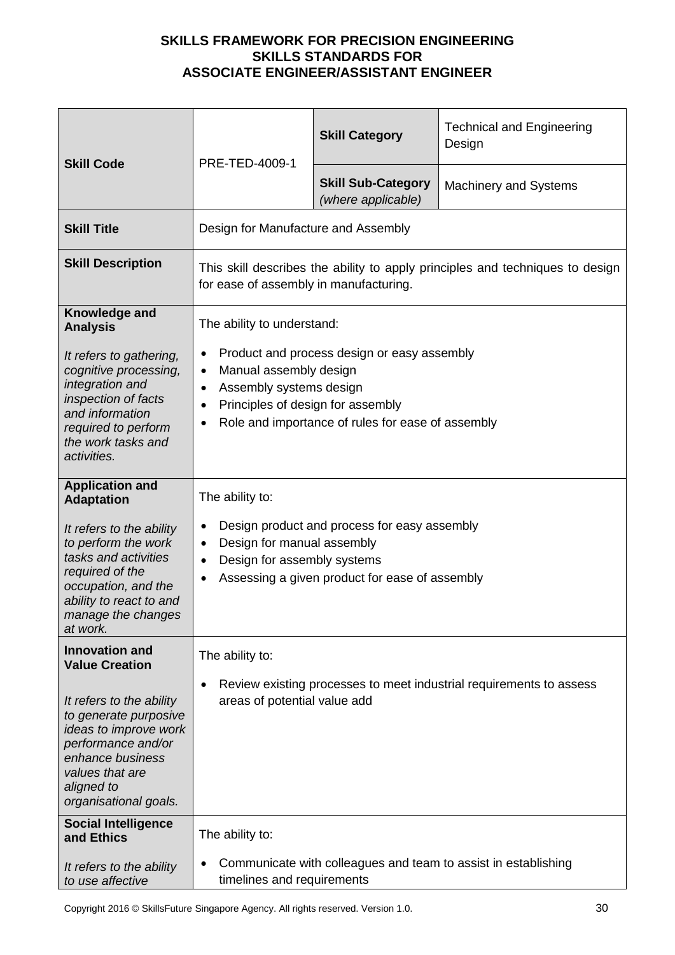| <b>Skill Code</b>                                                                                                                                                              | PRE-TED-4009-1                                                                                                                                                                                                                    | <b>Skill Category</b>                           | <b>Technical and Engineering</b><br>Design |
|--------------------------------------------------------------------------------------------------------------------------------------------------------------------------------|-----------------------------------------------------------------------------------------------------------------------------------------------------------------------------------------------------------------------------------|-------------------------------------------------|--------------------------------------------|
|                                                                                                                                                                                |                                                                                                                                                                                                                                   | <b>Skill Sub-Category</b><br>(where applicable) | <b>Machinery and Systems</b>               |
| <b>Skill Title</b>                                                                                                                                                             | Design for Manufacture and Assembly                                                                                                                                                                                               |                                                 |                                            |
| <b>Skill Description</b>                                                                                                                                                       | This skill describes the ability to apply principles and techniques to design<br>for ease of assembly in manufacturing.                                                                                                           |                                                 |                                            |
| Knowledge and<br><b>Analysis</b>                                                                                                                                               | The ability to understand:                                                                                                                                                                                                        |                                                 |                                            |
| It refers to gathering,<br>cognitive processing,<br>integration and<br>inspection of facts<br>and information<br>required to perform<br>the work tasks and<br>activities.      | Product and process design or easy assembly<br>Manual assembly design<br>$\bullet$<br>Assembly systems design<br>$\bullet$<br>Principles of design for assembly<br>$\bullet$<br>Role and importance of rules for ease of assembly |                                                 |                                            |
| <b>Application and</b><br><b>Adaptation</b>                                                                                                                                    | The ability to:                                                                                                                                                                                                                   |                                                 |                                            |
| It refers to the ability<br>to perform the work<br>tasks and activities<br>required of the<br>occupation, and the<br>ability to react to and<br>manage the changes<br>at work. | Design product and process for easy assembly<br>$\bullet$<br>Design for manual assembly<br>$\bullet$<br>Design for assembly systems<br>$\bullet$<br>Assessing a given product for ease of assembly                                |                                                 |                                            |
| <b>Innovation and</b><br><b>Value Creation</b>                                                                                                                                 | The ability to:                                                                                                                                                                                                                   |                                                 |                                            |
| It refers to the ability<br>to generate purposive<br>ideas to improve work<br>performance and/or<br>enhance business<br>values that are<br>aligned to<br>organisational goals. | Review existing processes to meet industrial requirements to assess<br>٠<br>areas of potential value add                                                                                                                          |                                                 |                                            |
| <b>Social Intelligence</b><br>and Ethics                                                                                                                                       | The ability to:                                                                                                                                                                                                                   |                                                 |                                            |
| It refers to the ability<br>to use affective                                                                                                                                   | Communicate with colleagues and team to assist in establishing<br>timelines and requirements                                                                                                                                      |                                                 |                                            |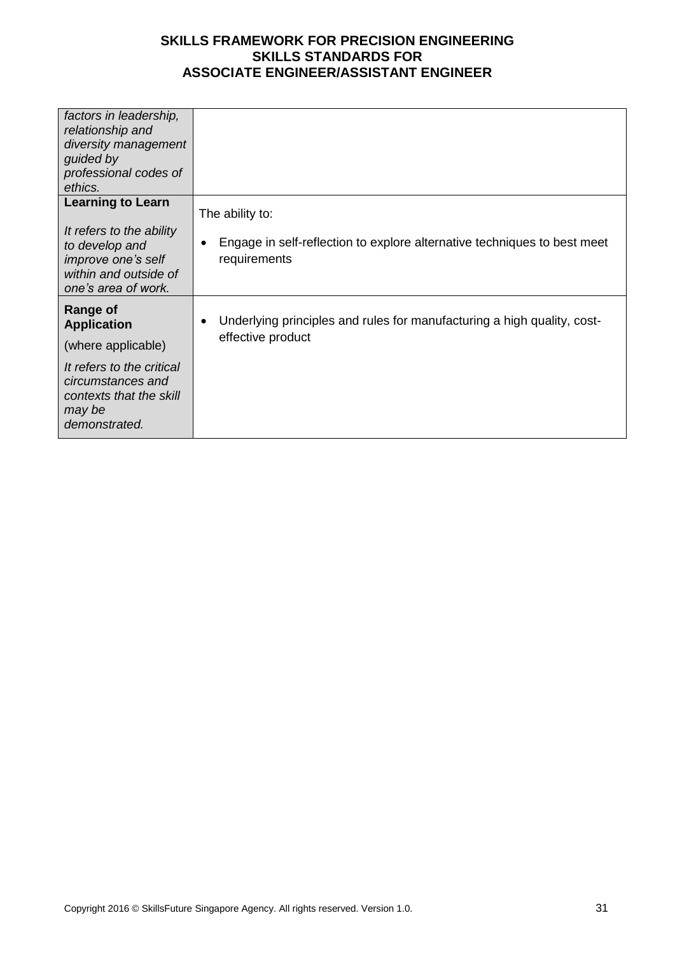| factors in leadership,<br>relationship and                                                                       |                                                                                          |
|------------------------------------------------------------------------------------------------------------------|------------------------------------------------------------------------------------------|
| diversity management                                                                                             |                                                                                          |
| guided by                                                                                                        |                                                                                          |
| professional codes of                                                                                            |                                                                                          |
| ethics.                                                                                                          |                                                                                          |
| <b>Learning to Learn</b>                                                                                         | The ability to:                                                                          |
| It refers to the ability<br>to develop and<br>improve one's self<br>within and outside of<br>one's area of work. | Engage in self-reflection to explore alternative techniques to best meet<br>requirements |
| <b>Range of</b><br><b>Application</b>                                                                            | Underlying principles and rules for manufacturing a high quality, cost-<br>٠             |
| (where applicable)                                                                                               | effective product                                                                        |
| It refers to the critical<br>circumstances and<br>contexts that the skill<br>may be<br>demonstrated.             |                                                                                          |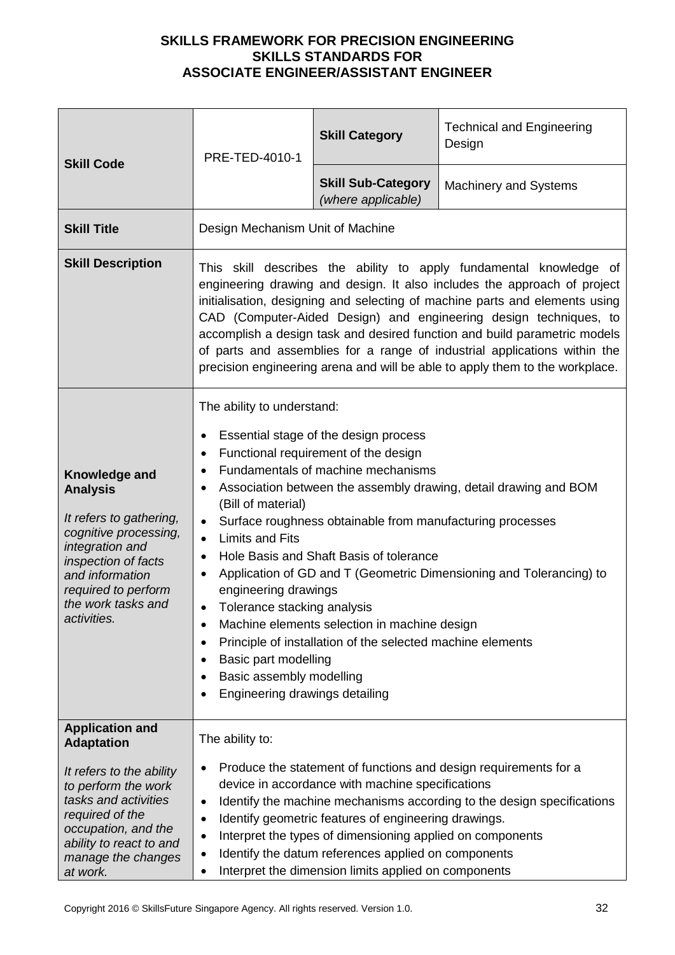| <b>Skill Code</b>                                                                                                                                                                                             | PRE-TED-4010-1                                                                                                                                                                                                                                                                                                                                                                                                                                                                                                                                                                                                                                                                                                                                                        | <b>Skill Category</b>                           | <b>Technical and Engineering</b><br>Design |
|---------------------------------------------------------------------------------------------------------------------------------------------------------------------------------------------------------------|-----------------------------------------------------------------------------------------------------------------------------------------------------------------------------------------------------------------------------------------------------------------------------------------------------------------------------------------------------------------------------------------------------------------------------------------------------------------------------------------------------------------------------------------------------------------------------------------------------------------------------------------------------------------------------------------------------------------------------------------------------------------------|-------------------------------------------------|--------------------------------------------|
|                                                                                                                                                                                                               |                                                                                                                                                                                                                                                                                                                                                                                                                                                                                                                                                                                                                                                                                                                                                                       | <b>Skill Sub-Category</b><br>(where applicable) | <b>Machinery and Systems</b>               |
| <b>Skill Title</b>                                                                                                                                                                                            | Design Mechanism Unit of Machine                                                                                                                                                                                                                                                                                                                                                                                                                                                                                                                                                                                                                                                                                                                                      |                                                 |                                            |
| <b>Skill Description</b>                                                                                                                                                                                      | This skill describes the ability to apply fundamental knowledge of<br>engineering drawing and design. It also includes the approach of project<br>initialisation, designing and selecting of machine parts and elements using<br>CAD (Computer-Aided Design) and engineering design techniques, to<br>accomplish a design task and desired function and build parametric models<br>of parts and assemblies for a range of industrial applications within the<br>precision engineering arena and will be able to apply them to the workplace.                                                                                                                                                                                                                          |                                                 |                                            |
| Knowledge and<br><b>Analysis</b><br>It refers to gathering,<br>cognitive processing,<br>integration and<br>inspection of facts<br>and information<br>required to perform<br>the work tasks and<br>activities. | The ability to understand:<br>Essential stage of the design process<br>Functional requirement of the design<br>٠<br>Fundamentals of machine mechanisms<br>Association between the assembly drawing, detail drawing and BOM<br>(Bill of material)<br>Surface roughness obtainable from manufacturing processes<br><b>Limits and Fits</b><br>$\bullet$<br>Hole Basis and Shaft Basis of tolerance<br>$\bullet$<br>Application of GD and T (Geometric Dimensioning and Tolerancing) to<br>٠<br>engineering drawings<br>Tolerance stacking analysis<br>$\bullet$<br>Machine elements selection in machine design<br>Principle of installation of the selected machine elements<br>Basic part modelling<br>Basic assembly modelling<br>٠<br>Engineering drawings detailing |                                                 |                                            |
| <b>Application and</b><br><b>Adaptation</b>                                                                                                                                                                   | The ability to:                                                                                                                                                                                                                                                                                                                                                                                                                                                                                                                                                                                                                                                                                                                                                       |                                                 |                                            |
| It refers to the ability<br>to perform the work<br>tasks and activities<br>required of the<br>occupation, and the<br>ability to react to and<br>manage the changes<br>at work.                                | Produce the statement of functions and design requirements for a<br>device in accordance with machine specifications<br>Identify the machine mechanisms according to the design specifications<br>$\bullet$<br>Identify geometric features of engineering drawings.<br>$\bullet$<br>Interpret the types of dimensioning applied on components<br>$\bullet$<br>Identify the datum references applied on components<br>٠<br>Interpret the dimension limits applied on components<br>$\bullet$                                                                                                                                                                                                                                                                           |                                                 |                                            |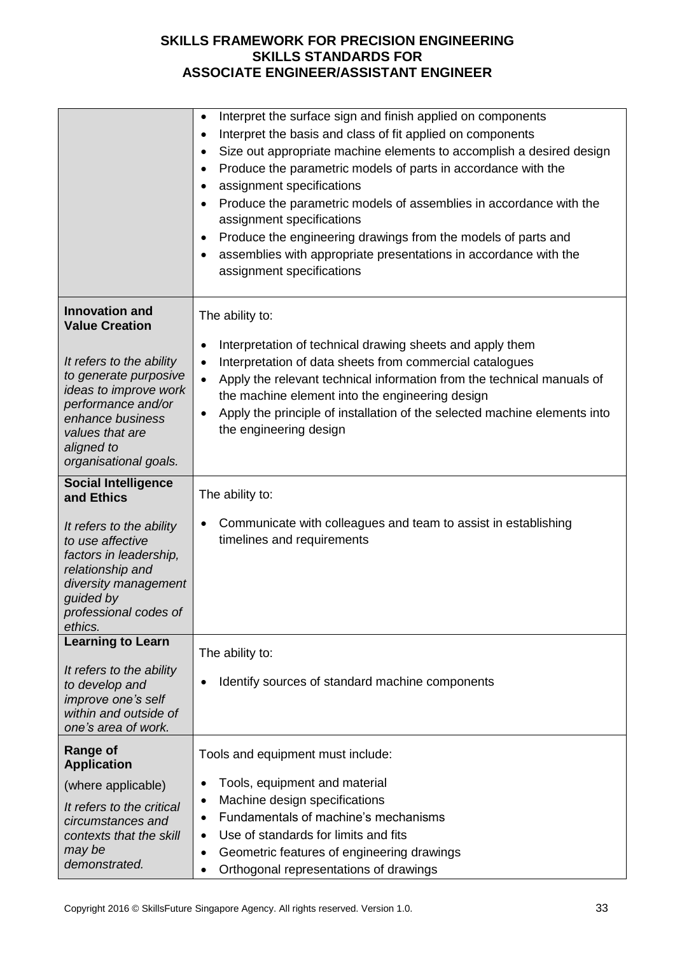|                                                                                                                                                                                                                                                                | Interpret the surface sign and finish applied on components<br>$\bullet$<br>Interpret the basis and class of fit applied on components<br>Size out appropriate machine elements to accomplish a desired design<br>Produce the parametric models of parts in accordance with the<br>assignment specifications<br>Produce the parametric models of assemblies in accordance with the<br>$\bullet$<br>assignment specifications<br>Produce the engineering drawings from the models of parts and<br>$\bullet$<br>assemblies with appropriate presentations in accordance with the<br>assignment specifications |
|----------------------------------------------------------------------------------------------------------------------------------------------------------------------------------------------------------------------------------------------------------------|-------------------------------------------------------------------------------------------------------------------------------------------------------------------------------------------------------------------------------------------------------------------------------------------------------------------------------------------------------------------------------------------------------------------------------------------------------------------------------------------------------------------------------------------------------------------------------------------------------------|
| <b>Innovation and</b><br><b>Value Creation</b><br>It refers to the ability<br>to generate purposive<br>ideas to improve work<br>performance and/or<br>enhance business<br>values that are<br>aligned to<br>organisational goals.<br><b>Social Intelligence</b> | The ability to:<br>Interpretation of technical drawing sheets and apply them<br>$\bullet$<br>Interpretation of data sheets from commercial catalogues<br>$\bullet$<br>Apply the relevant technical information from the technical manuals of<br>$\bullet$<br>the machine element into the engineering design<br>Apply the principle of installation of the selected machine elements into<br>$\bullet$<br>the engineering design                                                                                                                                                                            |
| and Ethics<br>It refers to the ability<br>to use affective<br>factors in leadership,<br>relationship and<br>diversity management<br>guided by<br>professional codes of<br>ethics.                                                                              | The ability to:<br>Communicate with colleagues and team to assist in establishing<br>timelines and requirements                                                                                                                                                                                                                                                                                                                                                                                                                                                                                             |
| <b>Learning to Learn</b><br>It refers to the ability<br>to develop and<br>improve one's self<br>within and outside of<br>one's area of work.                                                                                                                   | The ability to:<br>Identify sources of standard machine components                                                                                                                                                                                                                                                                                                                                                                                                                                                                                                                                          |
| <b>Range of</b><br><b>Application</b><br>(where applicable)<br>It refers to the critical<br>circumstances and<br>contexts that the skill<br>may be<br>demonstrated.                                                                                            | Tools and equipment must include:<br>Tools, equipment and material<br>٠<br>Machine design specifications<br>$\bullet$<br>Fundamentals of machine's mechanisms<br>٠<br>Use of standards for limits and fits<br>Geometric features of engineering drawings<br>٠<br>Orthogonal representations of drawings<br>٠                                                                                                                                                                                                                                                                                                |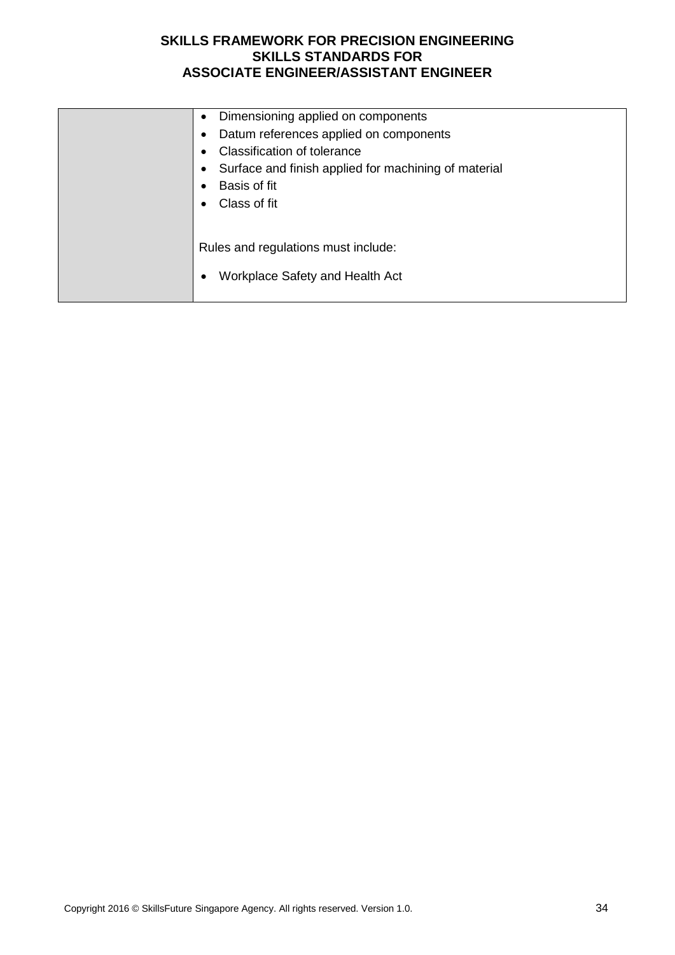| Dimensioning applied on components<br>$\bullet$      |
|------------------------------------------------------|
| Datum references applied on components               |
| <b>Classification of tolerance</b>                   |
| Surface and finish applied for machining of material |
| Basis of fit                                         |
| Class of fit                                         |
|                                                      |
|                                                      |
| Rules and regulations must include:                  |
| Workplace Safety and Health Act                      |
|                                                      |
|                                                      |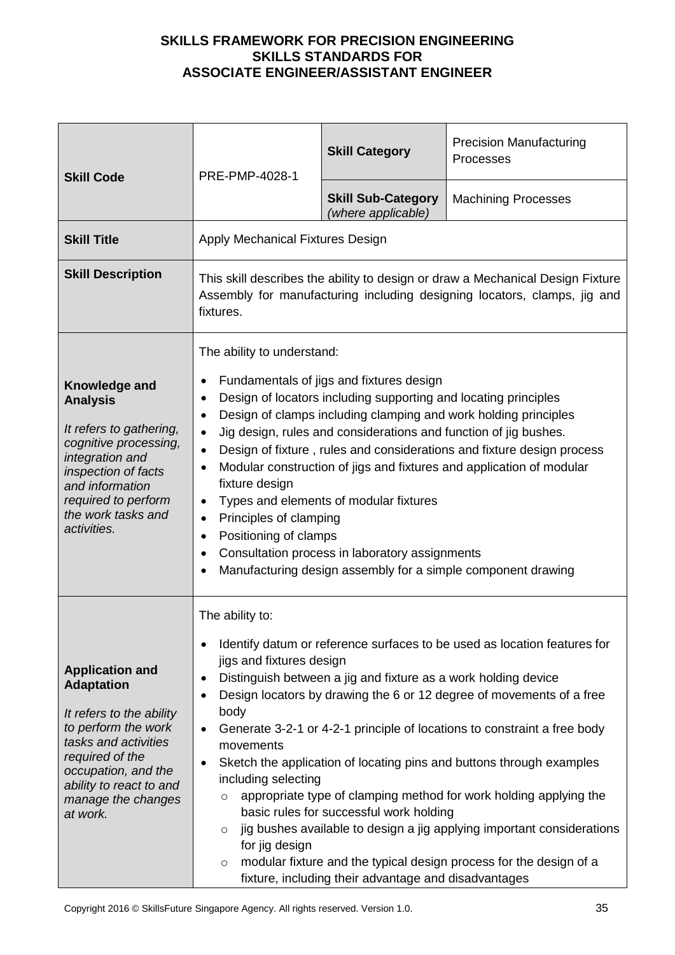| <b>Skill Code</b>                                                                                                                                                                                                             | PRE-PMP-4028-1                                                                                                                                                                                                                                                                                                                                                                                                                                                                                                                                                                                                                                                                                                                       | <b>Skill Category</b>                                                                                                                                             | <b>Precision Manufacturing</b><br>Processes                                                                                                                                                                                                                                                                                                                                                                                                                                                                               |
|-------------------------------------------------------------------------------------------------------------------------------------------------------------------------------------------------------------------------------|--------------------------------------------------------------------------------------------------------------------------------------------------------------------------------------------------------------------------------------------------------------------------------------------------------------------------------------------------------------------------------------------------------------------------------------------------------------------------------------------------------------------------------------------------------------------------------------------------------------------------------------------------------------------------------------------------------------------------------------|-------------------------------------------------------------------------------------------------------------------------------------------------------------------|---------------------------------------------------------------------------------------------------------------------------------------------------------------------------------------------------------------------------------------------------------------------------------------------------------------------------------------------------------------------------------------------------------------------------------------------------------------------------------------------------------------------------|
|                                                                                                                                                                                                                               |                                                                                                                                                                                                                                                                                                                                                                                                                                                                                                                                                                                                                                                                                                                                      | <b>Skill Sub-Category</b><br>(where applicable)                                                                                                                   | <b>Machining Processes</b>                                                                                                                                                                                                                                                                                                                                                                                                                                                                                                |
| <b>Skill Title</b>                                                                                                                                                                                                            | Apply Mechanical Fixtures Design                                                                                                                                                                                                                                                                                                                                                                                                                                                                                                                                                                                                                                                                                                     |                                                                                                                                                                   |                                                                                                                                                                                                                                                                                                                                                                                                                                                                                                                           |
| <b>Skill Description</b>                                                                                                                                                                                                      | This skill describes the ability to design or draw a Mechanical Design Fixture<br>Assembly for manufacturing including designing locators, clamps, jig and<br>fixtures.                                                                                                                                                                                                                                                                                                                                                                                                                                                                                                                                                              |                                                                                                                                                                   |                                                                                                                                                                                                                                                                                                                                                                                                                                                                                                                           |
| Knowledge and<br><b>Analysis</b><br>It refers to gathering,<br>cognitive processing,<br>integration and<br>inspection of facts<br>and information<br>required to perform<br>the work tasks and<br>activities.                 | The ability to understand:<br>Fundamentals of jigs and fixtures design<br>Design of locators including supporting and locating principles<br>Design of clamps including clamping and work holding principles<br>$\bullet$<br>Jig design, rules and considerations and function of jig bushes.<br>$\bullet$<br>Design of fixture, rules and considerations and fixture design process<br>$\bullet$<br>Modular construction of jigs and fixtures and application of modular<br>fixture design<br>Types and elements of modular fixtures<br>Principles of clamping<br>$\bullet$<br>Positioning of clamps<br>Consultation process in laboratory assignments<br>$\bullet$<br>Manufacturing design assembly for a simple component drawing |                                                                                                                                                                   |                                                                                                                                                                                                                                                                                                                                                                                                                                                                                                                           |
| <b>Application and</b><br><b>Adaptation</b><br>It refers to the ability<br>to perform the work<br>tasks and activities<br>required of the<br>occupation, and the<br>ability to react to and<br>manage the changes<br>at work. | The ability to:<br>jigs and fixtures design<br>$\bullet$<br>body<br>$\bullet$<br>movements<br>$\bullet$<br>including selecting<br>$\circ$<br>$\circ$<br>for jig design<br>$\circ$                                                                                                                                                                                                                                                                                                                                                                                                                                                                                                                                                    | Distinguish between a jig and fixture as a work holding device<br>basic rules for successful work holding<br>fixture, including their advantage and disadvantages | Identify datum or reference surfaces to be used as location features for<br>Design locators by drawing the 6 or 12 degree of movements of a free<br>Generate 3-2-1 or 4-2-1 principle of locations to constraint a free body<br>Sketch the application of locating pins and buttons through examples<br>appropriate type of clamping method for work holding applying the<br>jig bushes available to design a jig applying important considerations<br>modular fixture and the typical design process for the design of a |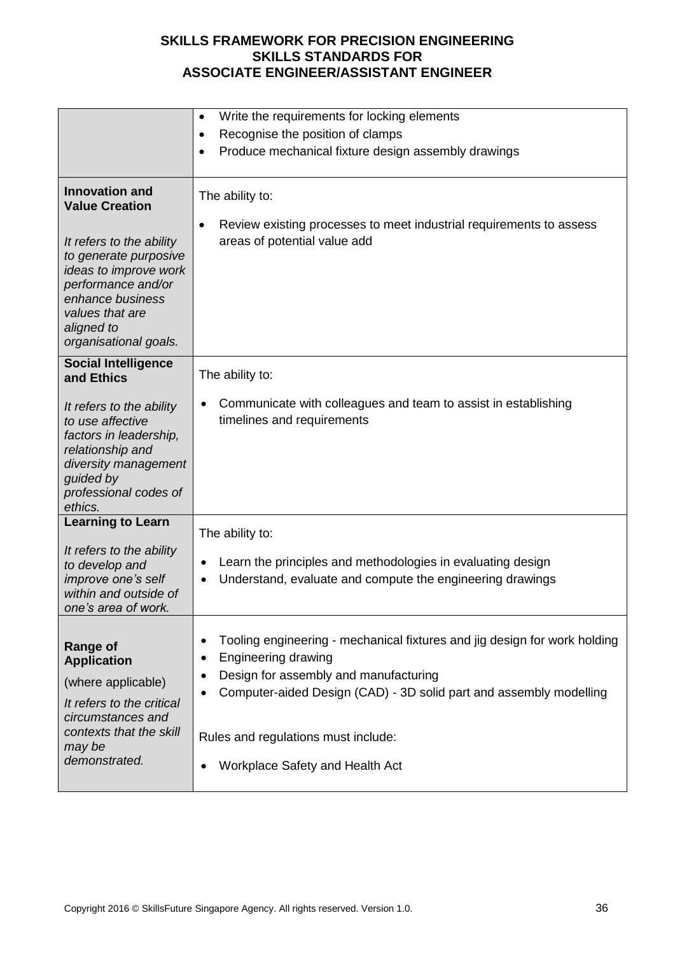|                                                                                                                                                                                | Write the requirements for locking elements<br>٠                                                                                                                                                                            |  |  |
|--------------------------------------------------------------------------------------------------------------------------------------------------------------------------------|-----------------------------------------------------------------------------------------------------------------------------------------------------------------------------------------------------------------------------|--|--|
|                                                                                                                                                                                |                                                                                                                                                                                                                             |  |  |
|                                                                                                                                                                                | Recognise the position of clamps<br>$\bullet$                                                                                                                                                                               |  |  |
|                                                                                                                                                                                | Produce mechanical fixture design assembly drawings                                                                                                                                                                         |  |  |
| <b>Innovation and</b><br><b>Value Creation</b>                                                                                                                                 | The ability to:<br>Review existing processes to meet industrial requirements to assess                                                                                                                                      |  |  |
| It refers to the ability<br>to generate purposive<br>ideas to improve work<br>performance and/or<br>enhance business<br>values that are<br>aligned to<br>organisational goals. | areas of potential value add                                                                                                                                                                                                |  |  |
| <b>Social Intelligence</b><br>and Ethics                                                                                                                                       | The ability to:                                                                                                                                                                                                             |  |  |
| It refers to the ability<br>to use affective<br>factors in leadership,<br>relationship and<br>diversity management<br>guided by<br>professional codes of<br>ethics.            | Communicate with colleagues and team to assist in establishing<br>timelines and requirements                                                                                                                                |  |  |
| <b>Learning to Learn</b>                                                                                                                                                       | The ability to:                                                                                                                                                                                                             |  |  |
| It refers to the ability<br>to develop and<br>improve one's self<br>within and outside of<br>one's area of work.                                                               | Learn the principles and methodologies in evaluating design<br>٠<br>Understand, evaluate and compute the engineering drawings                                                                                               |  |  |
| <b>Range of</b><br><b>Application</b><br>(where applicable)<br>It refers to the critical<br>circumstances and                                                                  | Tooling engineering - mechanical fixtures and jig design for work holding<br><b>Engineering drawing</b><br>٠<br>Design for assembly and manufacturing<br>Computer-aided Design (CAD) - 3D solid part and assembly modelling |  |  |
| contexts that the skill<br>may be                                                                                                                                              | Rules and regulations must include:                                                                                                                                                                                         |  |  |
| demonstrated.                                                                                                                                                                  | <b>Workplace Safety and Health Act</b>                                                                                                                                                                                      |  |  |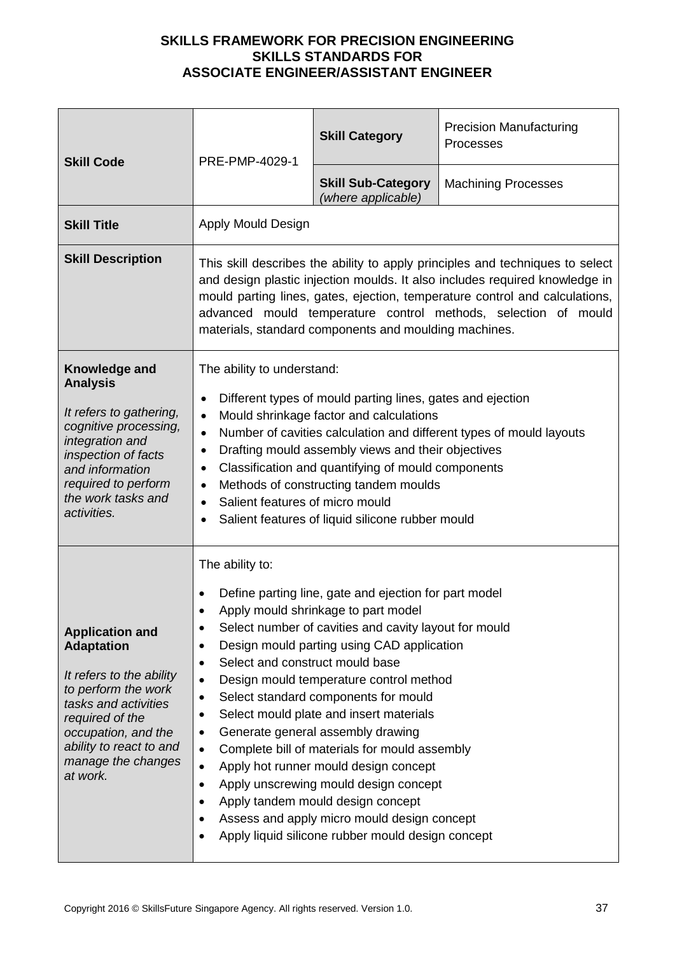| <b>Skill Code</b>                                                                                                                                                                                                             | PRE-PMP-4029-1                                                                                                                                                                                                                                                                                                                                                                                                                                                                                                                                                                                                                                                                                                                                                                                                             | <b>Skill Category</b>                           | <b>Precision Manufacturing</b><br>Processes |
|-------------------------------------------------------------------------------------------------------------------------------------------------------------------------------------------------------------------------------|----------------------------------------------------------------------------------------------------------------------------------------------------------------------------------------------------------------------------------------------------------------------------------------------------------------------------------------------------------------------------------------------------------------------------------------------------------------------------------------------------------------------------------------------------------------------------------------------------------------------------------------------------------------------------------------------------------------------------------------------------------------------------------------------------------------------------|-------------------------------------------------|---------------------------------------------|
|                                                                                                                                                                                                                               |                                                                                                                                                                                                                                                                                                                                                                                                                                                                                                                                                                                                                                                                                                                                                                                                                            | <b>Skill Sub-Category</b><br>(where applicable) | <b>Machining Processes</b>                  |
| <b>Skill Title</b>                                                                                                                                                                                                            | Apply Mould Design                                                                                                                                                                                                                                                                                                                                                                                                                                                                                                                                                                                                                                                                                                                                                                                                         |                                                 |                                             |
| <b>Skill Description</b>                                                                                                                                                                                                      | This skill describes the ability to apply principles and techniques to select<br>and design plastic injection moulds. It also includes required knowledge in<br>mould parting lines, gates, ejection, temperature control and calculations,<br>advanced mould temperature control methods, selection of mould<br>materials, standard components and moulding machines.                                                                                                                                                                                                                                                                                                                                                                                                                                                     |                                                 |                                             |
| Knowledge and<br><b>Analysis</b><br>It refers to gathering,<br>cognitive processing,<br>integration and<br>inspection of facts<br>and information<br>required to perform<br>the work tasks and<br>activities.                 | The ability to understand:<br>Different types of mould parting lines, gates and ejection<br>٠<br>Mould shrinkage factor and calculations<br>$\bullet$<br>Number of cavities calculation and different types of mould layouts<br>$\bullet$<br>Drafting mould assembly views and their objectives<br>٠<br>Classification and quantifying of mould components<br>$\bullet$<br>Methods of constructing tandem moulds<br>$\bullet$<br>Salient features of micro mould<br>$\bullet$<br>Salient features of liquid silicone rubber mould                                                                                                                                                                                                                                                                                          |                                                 |                                             |
| <b>Application and</b><br><b>Adaptation</b><br>It refers to the ability<br>to perform the work<br>tasks and activities<br>required of the<br>occupation, and the<br>ability to react to and<br>manage the changes<br>at work. | The ability to:<br>Define parting line, gate and ejection for part model<br>Apply mould shrinkage to part model<br>Select number of cavities and cavity layout for mould<br>٠<br>Design mould parting using CAD application<br>$\bullet$<br>Select and construct mould base<br>$\bullet$<br>Design mould temperature control method<br>$\bullet$<br>Select standard components for mould<br>$\bullet$<br>Select mould plate and insert materials<br>$\bullet$<br>Generate general assembly drawing<br>٠<br>Complete bill of materials for mould assembly<br>$\bullet$<br>Apply hot runner mould design concept<br>$\bullet$<br>Apply unscrewing mould design concept<br>$\bullet$<br>Apply tandem mould design concept<br>Assess and apply micro mould design concept<br>Apply liquid silicone rubber mould design concept |                                                 |                                             |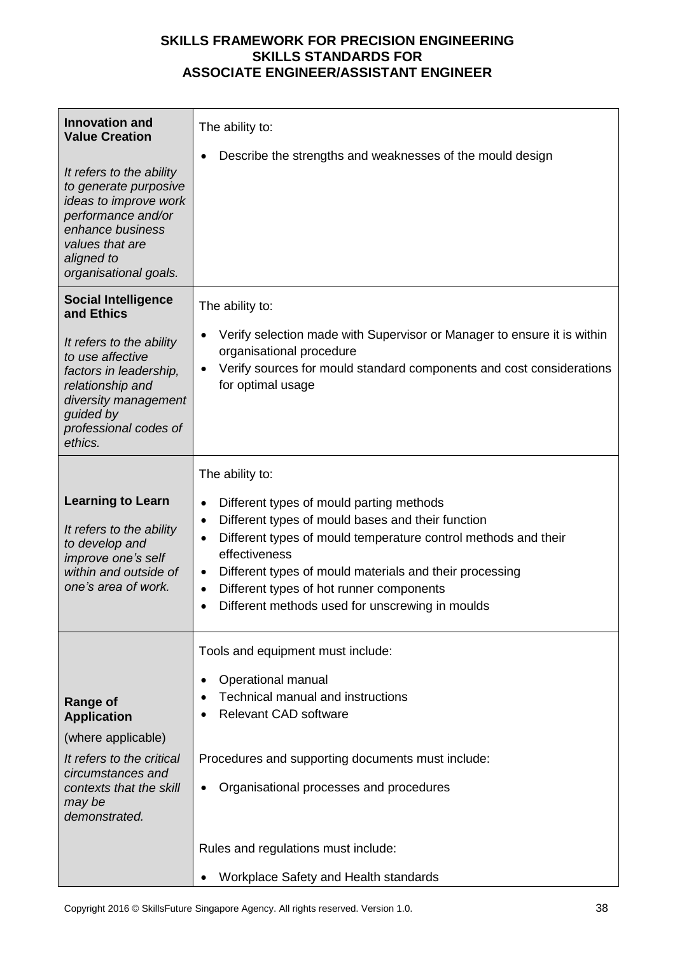| <b>Innovation and</b><br><b>Value Creation</b><br>It refers to the ability<br>to generate purposive<br>ideas to improve work<br>performance and/or<br>enhance business<br>values that are<br>aligned to<br>organisational goals. | The ability to:<br>Describe the strengths and weaknesses of the mould design                                                                                                                                                                                                                                                                                                                                                        |
|----------------------------------------------------------------------------------------------------------------------------------------------------------------------------------------------------------------------------------|-------------------------------------------------------------------------------------------------------------------------------------------------------------------------------------------------------------------------------------------------------------------------------------------------------------------------------------------------------------------------------------------------------------------------------------|
| <b>Social Intelligence</b><br>and Ethics<br>It refers to the ability<br>to use affective<br>factors in leadership,<br>relationship and<br>diversity management<br>guided by<br>professional codes of                             | The ability to:<br>Verify selection made with Supervisor or Manager to ensure it is within<br>organisational procedure<br>Verify sources for mould standard components and cost considerations<br>for optimal usage                                                                                                                                                                                                                 |
| ethics.<br><b>Learning to Learn</b><br>It refers to the ability<br>to develop and<br>improve one's self<br>within and outside of<br>one's area of work.                                                                          | The ability to:<br>Different types of mould parting methods<br>$\bullet$<br>Different types of mould bases and their function<br>$\bullet$<br>Different types of mould temperature control methods and their<br>$\bullet$<br>effectiveness<br>Different types of mould materials and their processing<br>٠<br>Different types of hot runner components<br>$\bullet$<br>Different methods used for unscrewing in moulds<br>$\bullet$ |
| <b>Range of</b><br><b>Application</b><br>(where applicable)<br>It refers to the critical<br>circumstances and<br>contexts that the skill<br>may be<br>demonstrated.                                                              | Tools and equipment must include:<br>Operational manual<br><b>Technical manual and instructions</b><br><b>Relevant CAD software</b><br>Procedures and supporting documents must include:<br>Organisational processes and procedures                                                                                                                                                                                                 |
|                                                                                                                                                                                                                                  | Rules and regulations must include:<br>Workplace Safety and Health standards                                                                                                                                                                                                                                                                                                                                                        |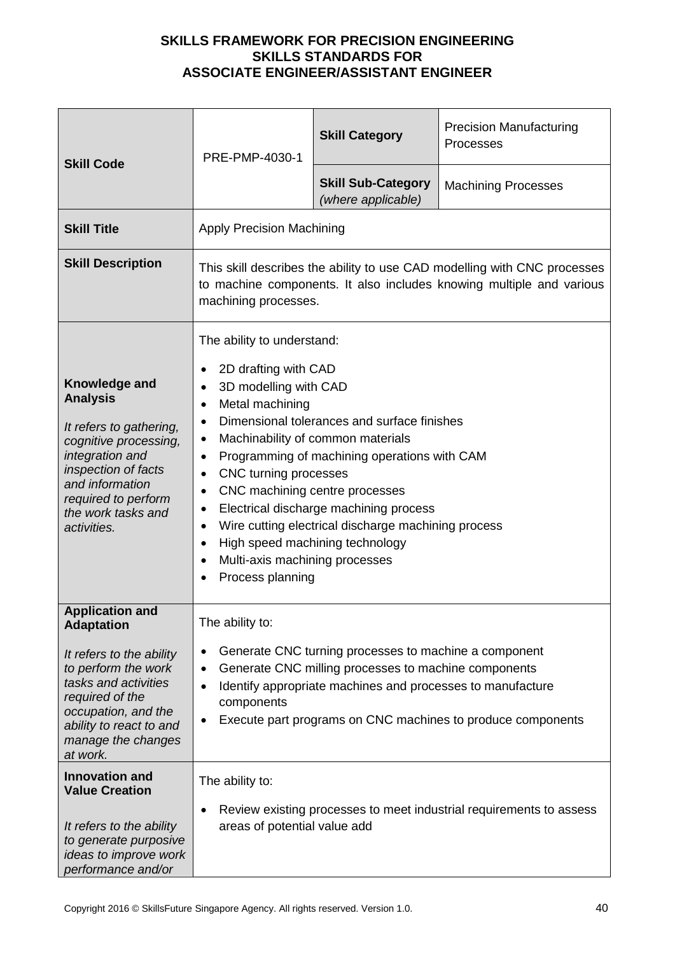| <b>Skill Code</b>                                                                                                                                                                                             | PRE-PMP-4030-1                                                                                                                                                                                                                                                                                                                                                                                                                                                                                                                                                                                                                                      | <b>Skill Category</b>                           | <b>Precision Manufacturing</b><br>Processes |
|---------------------------------------------------------------------------------------------------------------------------------------------------------------------------------------------------------------|-----------------------------------------------------------------------------------------------------------------------------------------------------------------------------------------------------------------------------------------------------------------------------------------------------------------------------------------------------------------------------------------------------------------------------------------------------------------------------------------------------------------------------------------------------------------------------------------------------------------------------------------------------|-------------------------------------------------|---------------------------------------------|
|                                                                                                                                                                                                               |                                                                                                                                                                                                                                                                                                                                                                                                                                                                                                                                                                                                                                                     | <b>Skill Sub-Category</b><br>(where applicable) | <b>Machining Processes</b>                  |
| <b>Skill Title</b>                                                                                                                                                                                            | <b>Apply Precision Machining</b>                                                                                                                                                                                                                                                                                                                                                                                                                                                                                                                                                                                                                    |                                                 |                                             |
| <b>Skill Description</b>                                                                                                                                                                                      | This skill describes the ability to use CAD modelling with CNC processes<br>to machine components. It also includes knowing multiple and various<br>machining processes.                                                                                                                                                                                                                                                                                                                                                                                                                                                                            |                                                 |                                             |
| Knowledge and<br><b>Analysis</b><br>It refers to gathering,<br>cognitive processing,<br>integration and<br>inspection of facts<br>and information<br>required to perform<br>the work tasks and<br>activities. | The ability to understand:<br>2D drafting with CAD<br>$\bullet$<br>3D modelling with CAD<br>$\bullet$<br>Metal machining<br>$\bullet$<br>Dimensional tolerances and surface finishes<br>$\bullet$<br>Machinability of common materials<br>$\bullet$<br>Programming of machining operations with CAM<br>$\bullet$<br>CNC turning processes<br>$\bullet$<br>CNC machining centre processes<br>$\bullet$<br>Electrical discharge machining process<br>$\bullet$<br>Wire cutting electrical discharge machining process<br>$\bullet$<br>High speed machining technology<br>$\bullet$<br>Multi-axis machining processes<br>$\bullet$<br>Process planning |                                                 |                                             |
| <b>Application and</b><br><b>Adaptation</b>                                                                                                                                                                   | The ability to:                                                                                                                                                                                                                                                                                                                                                                                                                                                                                                                                                                                                                                     |                                                 |                                             |
| It refers to the ability<br>to perform the work<br>tasks and activities<br>required of the<br>occupation, and the<br>ability to react to and<br>manage the changes<br>at work.                                | Generate CNC turning processes to machine a component<br>$\bullet$<br>Generate CNC milling processes to machine components<br>$\bullet$<br>Identify appropriate machines and processes to manufacture<br>$\bullet$<br>components<br>Execute part programs on CNC machines to produce components<br>$\bullet$                                                                                                                                                                                                                                                                                                                                        |                                                 |                                             |
| <b>Innovation and</b><br><b>Value Creation</b><br>It refers to the ability<br>to generate purposive<br>ideas to improve work<br>performance and/or                                                            | The ability to:<br>Review existing processes to meet industrial requirements to assess<br>٠<br>areas of potential value add                                                                                                                                                                                                                                                                                                                                                                                                                                                                                                                         |                                                 |                                             |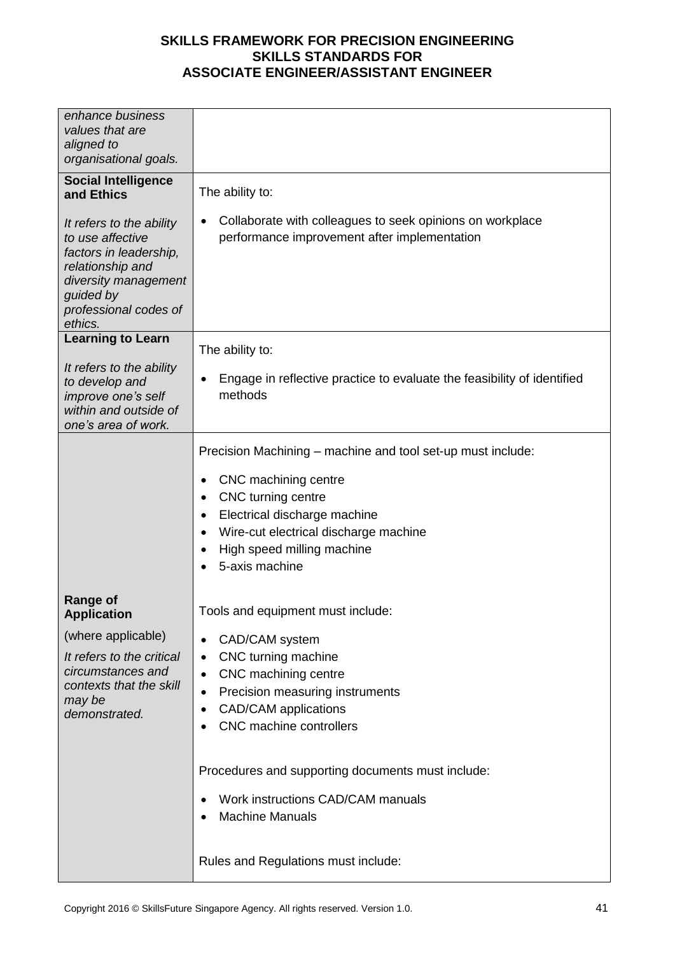| enhance business<br>values that are<br>aligned to<br>organisational goals.                                                                                          |                                                                                                                |
|---------------------------------------------------------------------------------------------------------------------------------------------------------------------|----------------------------------------------------------------------------------------------------------------|
| <b>Social Intelligence</b><br>and Ethics                                                                                                                            | The ability to:                                                                                                |
| It refers to the ability<br>to use affective<br>factors in leadership,<br>relationship and<br>diversity management<br>guided by<br>professional codes of<br>ethics. | Collaborate with colleagues to seek opinions on workplace<br>٠<br>performance improvement after implementation |
| <b>Learning to Learn</b>                                                                                                                                            | The ability to:                                                                                                |
| It refers to the ability<br>to develop and<br>improve one's self<br>within and outside of<br>one's area of work.                                                    | Engage in reflective practice to evaluate the feasibility of identified<br>٠<br>methods                        |
|                                                                                                                                                                     | Precision Machining – machine and tool set-up must include:<br>CNC machining centre                            |
|                                                                                                                                                                     | CNC turning centre<br>٠<br>Electrical discharge machine<br>٠                                                   |
|                                                                                                                                                                     | Wire-cut electrical discharge machine                                                                          |
|                                                                                                                                                                     | High speed milling machine<br>$\bullet$<br>5-axis machine                                                      |
| <b>Range of</b><br><b>Application</b>                                                                                                                               | Tools and equipment must include:                                                                              |
| (where applicable)                                                                                                                                                  | CAD/CAM system<br>$\bullet$                                                                                    |
| It refers to the critical<br>circumstances and                                                                                                                      | CNC turning machine<br>$\bullet$                                                                               |
| contexts that the skill                                                                                                                                             | CNC machining centre<br>٠<br>Precision measuring instruments<br>$\bullet$                                      |
| may be<br>demonstrated.                                                                                                                                             | <b>CAD/CAM</b> applications<br>$\bullet$                                                                       |
|                                                                                                                                                                     | <b>CNC</b> machine controllers<br>$\bullet$                                                                    |
|                                                                                                                                                                     | Procedures and supporting documents must include:                                                              |
|                                                                                                                                                                     | Work instructions CAD/CAM manuals<br>$\bullet$<br><b>Machine Manuals</b>                                       |
|                                                                                                                                                                     | Rules and Regulations must include:                                                                            |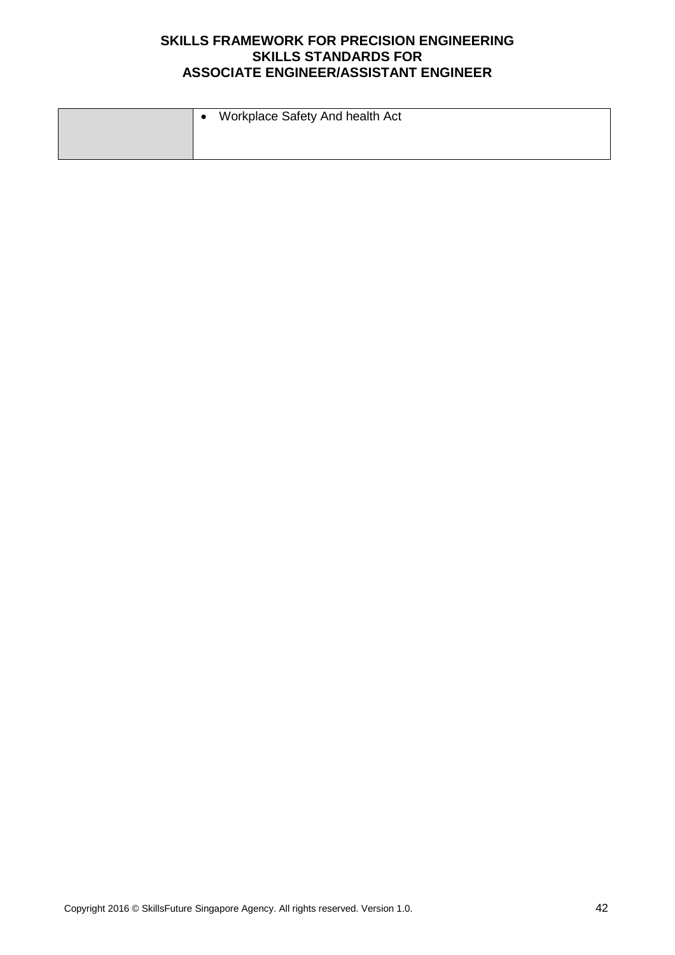| Workplace Safety And health Act |
|---------------------------------|
|                                 |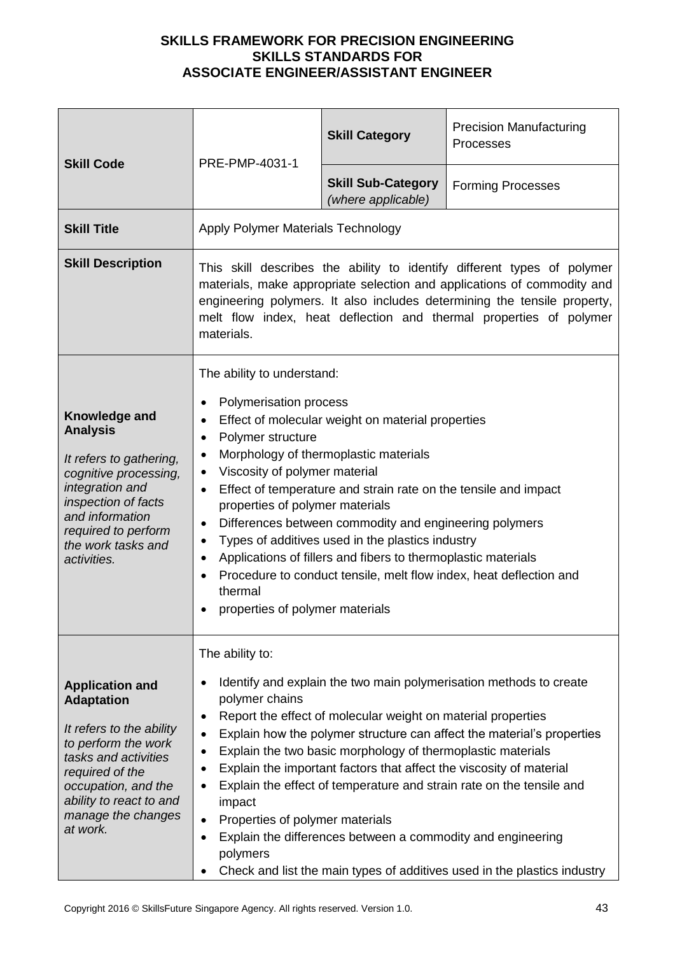| <b>Skill Code</b>                                                                                                                                                                                                             | PRE-PMP-4031-1                                                                                                                                                                                                                                                                                                                                                                                                                                                                                                                                                                                                                                                                                                                      | <b>Skill Category</b>                           | <b>Precision Manufacturing</b><br>Processes |
|-------------------------------------------------------------------------------------------------------------------------------------------------------------------------------------------------------------------------------|-------------------------------------------------------------------------------------------------------------------------------------------------------------------------------------------------------------------------------------------------------------------------------------------------------------------------------------------------------------------------------------------------------------------------------------------------------------------------------------------------------------------------------------------------------------------------------------------------------------------------------------------------------------------------------------------------------------------------------------|-------------------------------------------------|---------------------------------------------|
|                                                                                                                                                                                                                               |                                                                                                                                                                                                                                                                                                                                                                                                                                                                                                                                                                                                                                                                                                                                     | <b>Skill Sub-Category</b><br>(where applicable) | <b>Forming Processes</b>                    |
| <b>Skill Title</b>                                                                                                                                                                                                            | Apply Polymer Materials Technology                                                                                                                                                                                                                                                                                                                                                                                                                                                                                                                                                                                                                                                                                                  |                                                 |                                             |
| <b>Skill Description</b>                                                                                                                                                                                                      | This skill describes the ability to identify different types of polymer<br>materials, make appropriate selection and applications of commodity and<br>engineering polymers. It also includes determining the tensile property,<br>melt flow index, heat deflection and thermal properties of polymer<br>materials.                                                                                                                                                                                                                                                                                                                                                                                                                  |                                                 |                                             |
| Knowledge and<br><b>Analysis</b><br>It refers to gathering,<br>cognitive processing,<br>integration and<br>inspection of facts<br>and information<br>required to perform<br>the work tasks and<br>activities.                 | The ability to understand:<br>Polymerisation process<br>٠<br>Effect of molecular weight on material properties<br>$\bullet$<br>Polymer structure<br>$\bullet$<br>Morphology of thermoplastic materials<br>$\bullet$<br>Viscosity of polymer material<br>$\bullet$<br>Effect of temperature and strain rate on the tensile and impact<br>$\bullet$<br>properties of polymer materials<br>Differences between commodity and engineering polymers<br>٠<br>Types of additives used in the plastics industry<br>$\bullet$<br>Applications of fillers and fibers to thermoplastic materials<br>$\bullet$<br>Procedure to conduct tensile, melt flow index, heat deflection and<br>$\bullet$<br>thermal<br>properties of polymer materials |                                                 |                                             |
| <b>Application and</b><br><b>Adaptation</b><br>It refers to the ability<br>to perform the work<br>tasks and activities<br>required of the<br>occupation, and the<br>ability to react to and<br>manage the changes<br>at work. | The ability to:<br>Identify and explain the two main polymerisation methods to create<br>$\bullet$<br>polymer chains<br>Report the effect of molecular weight on material properties<br>٠<br>Explain how the polymer structure can affect the material's properties<br>$\bullet$<br>Explain the two basic morphology of thermoplastic materials<br>٠<br>Explain the important factors that affect the viscosity of material<br>٠<br>Explain the effect of temperature and strain rate on the tensile and<br>٠<br>impact<br>Properties of polymer materials<br>Explain the differences between a commodity and engineering<br>$\bullet$<br>polymers<br>Check and list the main types of additives used in the plastics industry<br>٠ |                                                 |                                             |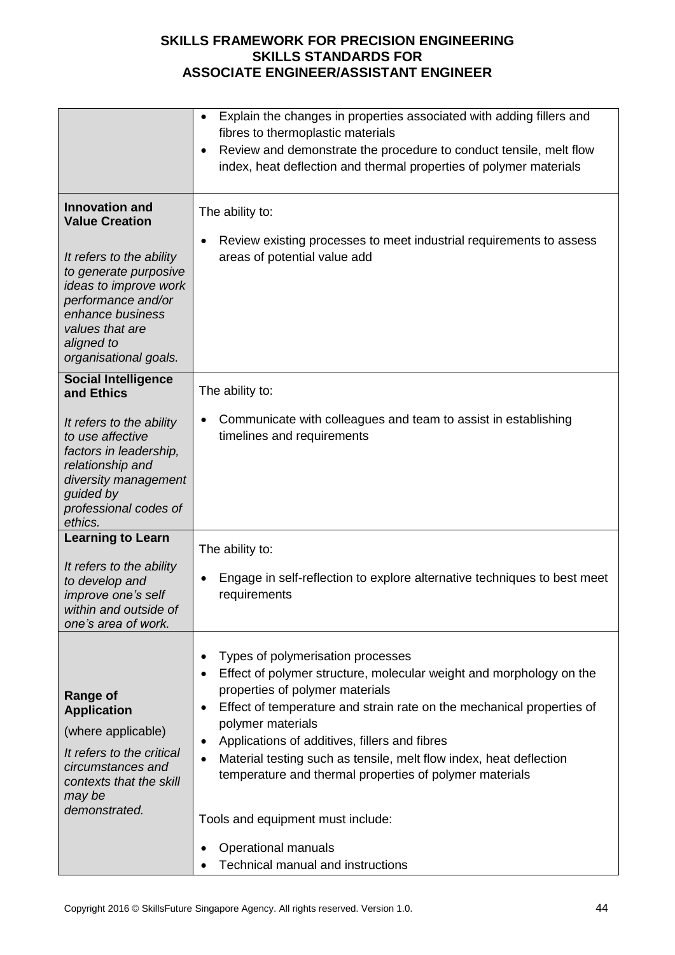|                                                                                                                                                                                                                                  | Explain the changes in properties associated with adding fillers and<br>$\bullet$<br>fibres to thermoplastic materials<br>Review and demonstrate the procedure to conduct tensile, melt flow<br>$\bullet$<br>index, heat deflection and thermal properties of polymer materials                                                                                                                                                                                                                      |
|----------------------------------------------------------------------------------------------------------------------------------------------------------------------------------------------------------------------------------|------------------------------------------------------------------------------------------------------------------------------------------------------------------------------------------------------------------------------------------------------------------------------------------------------------------------------------------------------------------------------------------------------------------------------------------------------------------------------------------------------|
| <b>Innovation and</b><br><b>Value Creation</b><br>It refers to the ability<br>to generate purposive<br>ideas to improve work<br>performance and/or<br>enhance business<br>values that are<br>aligned to<br>organisational goals. | The ability to:<br>Review existing processes to meet industrial requirements to assess<br>$\bullet$<br>areas of potential value add                                                                                                                                                                                                                                                                                                                                                                  |
| <b>Social Intelligence</b><br>and Ethics                                                                                                                                                                                         | The ability to:                                                                                                                                                                                                                                                                                                                                                                                                                                                                                      |
| It refers to the ability<br>to use affective<br>factors in leadership,<br>relationship and<br>diversity management<br>guided by<br>professional codes of<br>ethics.                                                              | Communicate with colleagues and team to assist in establishing<br>٠<br>timelines and requirements                                                                                                                                                                                                                                                                                                                                                                                                    |
| <b>Learning to Learn</b>                                                                                                                                                                                                         | The ability to:                                                                                                                                                                                                                                                                                                                                                                                                                                                                                      |
| It refers to the ability<br>to develop and<br>improve one's self<br>within and outside of<br>one's area of work.                                                                                                                 | Engage in self-reflection to explore alternative techniques to best meet<br>requirements                                                                                                                                                                                                                                                                                                                                                                                                             |
| <b>Range of</b><br><b>Application</b><br>(where applicable)<br>It refers to the critical<br>circumstances and<br>contexts that the skill<br>may be<br>demonstrated.                                                              | Types of polymerisation processes<br>Effect of polymer structure, molecular weight and morphology on the<br>properties of polymer materials<br>Effect of temperature and strain rate on the mechanical properties of<br>$\bullet$<br>polymer materials<br>Applications of additives, fillers and fibres<br>Material testing such as tensile, melt flow index, heat deflection<br>temperature and thermal properties of polymer materials<br>Tools and equipment must include:<br>Operational manuals |
|                                                                                                                                                                                                                                  | <b>Technical manual and instructions</b>                                                                                                                                                                                                                                                                                                                                                                                                                                                             |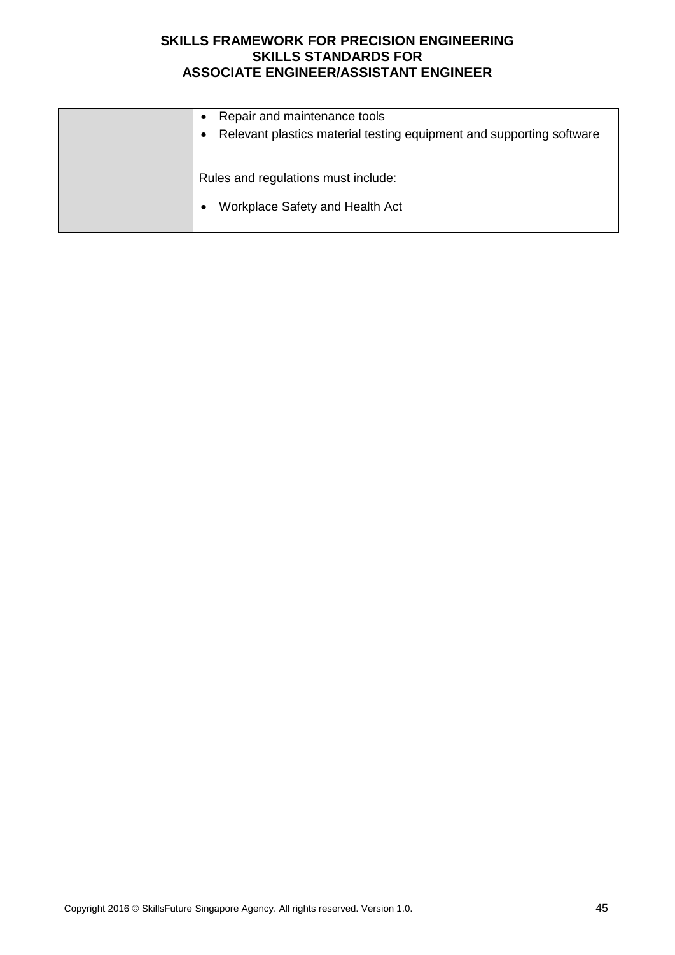| Repair and maintenance tools<br>Relevant plastics material testing equipment and supporting software<br>٠ |
|-----------------------------------------------------------------------------------------------------------|
| Rules and regulations must include:<br>Workplace Safety and Health Act                                    |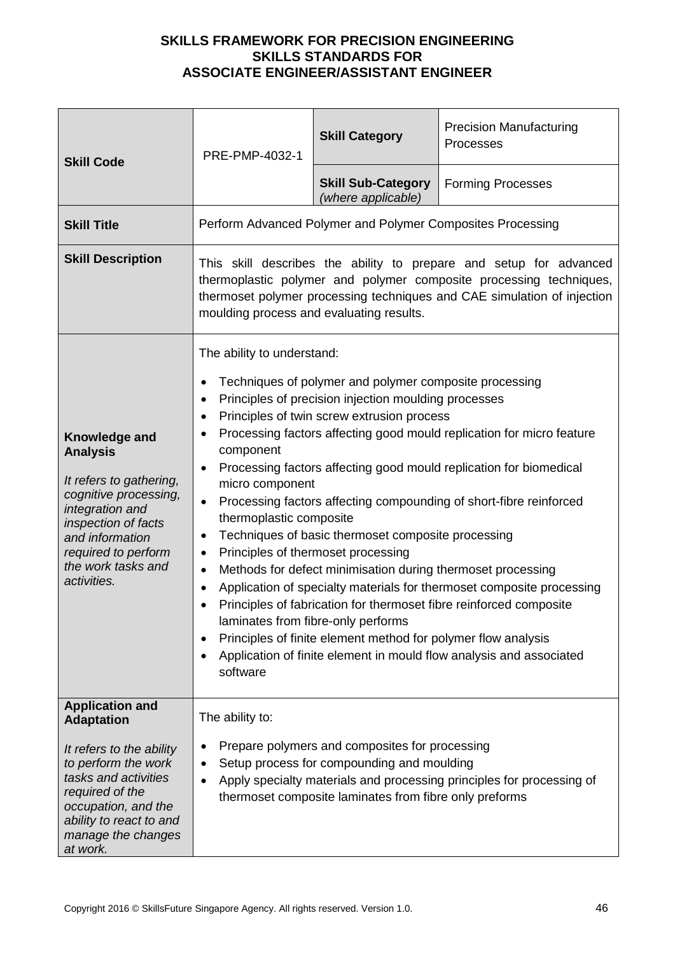| PRE-PMP-4032-1                                                                                                                                                                                                                                                                                                                                                                                                                                                                                                                                                                                                                                                                                                                                                                                                                                                                                                                                                                                                                                                                                        | <b>Skill Category</b>                           | <b>Precision Manufacturing</b><br>Processes                |
|-------------------------------------------------------------------------------------------------------------------------------------------------------------------------------------------------------------------------------------------------------------------------------------------------------------------------------------------------------------------------------------------------------------------------------------------------------------------------------------------------------------------------------------------------------------------------------------------------------------------------------------------------------------------------------------------------------------------------------------------------------------------------------------------------------------------------------------------------------------------------------------------------------------------------------------------------------------------------------------------------------------------------------------------------------------------------------------------------------|-------------------------------------------------|------------------------------------------------------------|
|                                                                                                                                                                                                                                                                                                                                                                                                                                                                                                                                                                                                                                                                                                                                                                                                                                                                                                                                                                                                                                                                                                       | <b>Skill Sub-Category</b><br>(where applicable) | <b>Forming Processes</b>                                   |
|                                                                                                                                                                                                                                                                                                                                                                                                                                                                                                                                                                                                                                                                                                                                                                                                                                                                                                                                                                                                                                                                                                       |                                                 |                                                            |
| This skill describes the ability to prepare and setup for advanced<br>thermoplastic polymer and polymer composite processing techniques,<br>thermoset polymer processing techniques and CAE simulation of injection<br>moulding process and evaluating results.                                                                                                                                                                                                                                                                                                                                                                                                                                                                                                                                                                                                                                                                                                                                                                                                                                       |                                                 |                                                            |
| The ability to understand:<br>Techniques of polymer and polymer composite processing<br>٠<br>Principles of precision injection moulding processes<br>$\bullet$<br>Principles of twin screw extrusion process<br>$\bullet$<br>Processing factors affecting good mould replication for micro feature<br>$\bullet$<br>component<br>Processing factors affecting good mould replication for biomedical<br>$\bullet$<br>micro component<br>Processing factors affecting compounding of short-fibre reinforced<br>$\bullet$<br>thermoplastic composite<br>Techniques of basic thermoset composite processing<br>٠<br>Principles of thermoset processing<br>٠<br>Methods for defect minimisation during thermoset processing<br>$\bullet$<br>Application of specialty materials for thermoset composite processing<br>$\bullet$<br>Principles of fabrication for thermoset fibre reinforced composite<br>laminates from fibre-only performs<br>Principles of finite element method for polymer flow analysis<br>$\bullet$<br>Application of finite element in mould flow analysis and associated<br>software |                                                 |                                                            |
| The ability to:<br>Prepare polymers and composites for processing<br>Setup process for compounding and moulding<br>٠<br>Apply specialty materials and processing principles for processing of<br>$\bullet$<br>thermoset composite laminates from fibre only preforms                                                                                                                                                                                                                                                                                                                                                                                                                                                                                                                                                                                                                                                                                                                                                                                                                                  |                                                 |                                                            |
|                                                                                                                                                                                                                                                                                                                                                                                                                                                                                                                                                                                                                                                                                                                                                                                                                                                                                                                                                                                                                                                                                                       |                                                 | Perform Advanced Polymer and Polymer Composites Processing |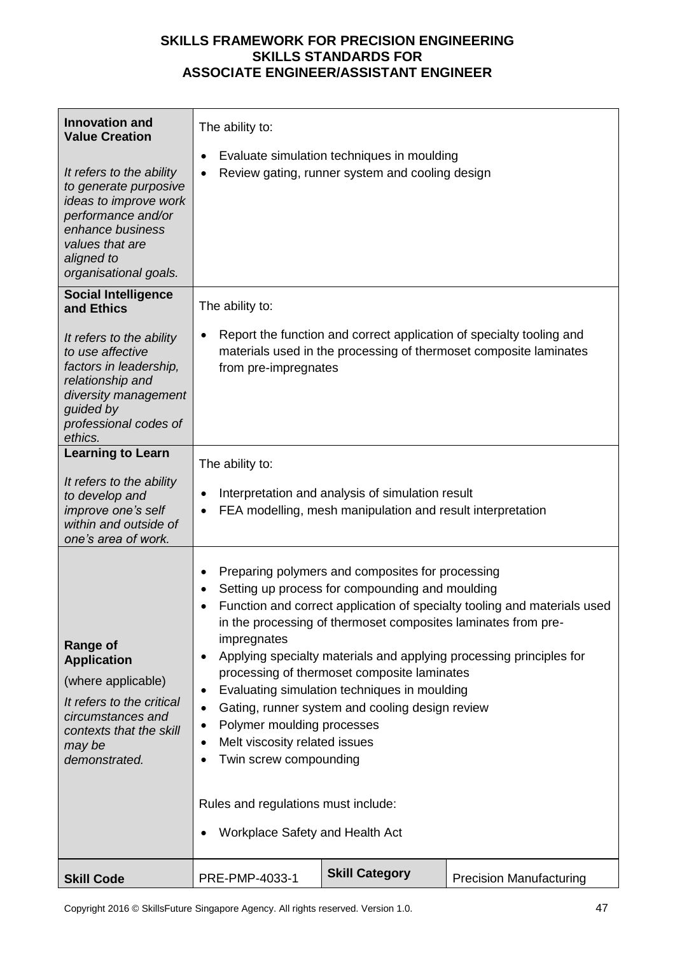| <b>Innovation and</b><br><b>Value Creation</b>                                                                                                                                 | The ability to:                                                                                                                                                                                                                                                                                                                                                                                                                                                                                                                                                                                                                                                            |                                                                                               |                                                                                                                                           |  |
|--------------------------------------------------------------------------------------------------------------------------------------------------------------------------------|----------------------------------------------------------------------------------------------------------------------------------------------------------------------------------------------------------------------------------------------------------------------------------------------------------------------------------------------------------------------------------------------------------------------------------------------------------------------------------------------------------------------------------------------------------------------------------------------------------------------------------------------------------------------------|-----------------------------------------------------------------------------------------------|-------------------------------------------------------------------------------------------------------------------------------------------|--|
| It refers to the ability<br>to generate purposive<br>ideas to improve work<br>performance and/or<br>enhance business<br>values that are<br>aligned to<br>organisational goals. |                                                                                                                                                                                                                                                                                                                                                                                                                                                                                                                                                                                                                                                                            | Evaluate simulation techniques in moulding<br>Review gating, runner system and cooling design |                                                                                                                                           |  |
| <b>Social Intelligence</b><br>and Ethics                                                                                                                                       | The ability to:                                                                                                                                                                                                                                                                                                                                                                                                                                                                                                                                                                                                                                                            |                                                                                               |                                                                                                                                           |  |
| It refers to the ability<br>to use affective<br>factors in leadership,<br>relationship and<br>diversity management<br>guided by<br>professional codes of<br>ethics.            | from pre-impregnates                                                                                                                                                                                                                                                                                                                                                                                                                                                                                                                                                                                                                                                       |                                                                                               | Report the function and correct application of specialty tooling and<br>materials used in the processing of thermoset composite laminates |  |
| <b>Learning to Learn</b>                                                                                                                                                       | The ability to:                                                                                                                                                                                                                                                                                                                                                                                                                                                                                                                                                                                                                                                            |                                                                                               |                                                                                                                                           |  |
| It refers to the ability<br>to develop and<br>improve one's self<br>within and outside of<br>one's area of work.                                                               | Interpretation and analysis of simulation result<br>٠<br>FEA modelling, mesh manipulation and result interpretation                                                                                                                                                                                                                                                                                                                                                                                                                                                                                                                                                        |                                                                                               |                                                                                                                                           |  |
| <b>Range of</b><br><b>Application</b><br>(where applicable)<br>It refers to the critical<br>circumstances and<br>contexts that the skill<br>may be<br>demonstrated.            | Preparing polymers and composites for processing<br>٠<br>Setting up process for compounding and moulding<br>Function and correct application of specialty tooling and materials used<br>in the processing of thermoset composites laminates from pre-<br>impregnates<br>Applying specialty materials and applying processing principles for<br>processing of thermoset composite laminates<br>Evaluating simulation techniques in moulding<br>٠<br>Gating, runner system and cooling design review<br>Polymer moulding processes<br>٠<br>Melt viscosity related issues<br>Twin screw compounding<br>Rules and regulations must include:<br>Workplace Safety and Health Act |                                                                                               |                                                                                                                                           |  |
| <b>Skill Code</b>                                                                                                                                                              | PRE-PMP-4033-1                                                                                                                                                                                                                                                                                                                                                                                                                                                                                                                                                                                                                                                             | <b>Skill Category</b>                                                                         | <b>Precision Manufacturing</b>                                                                                                            |  |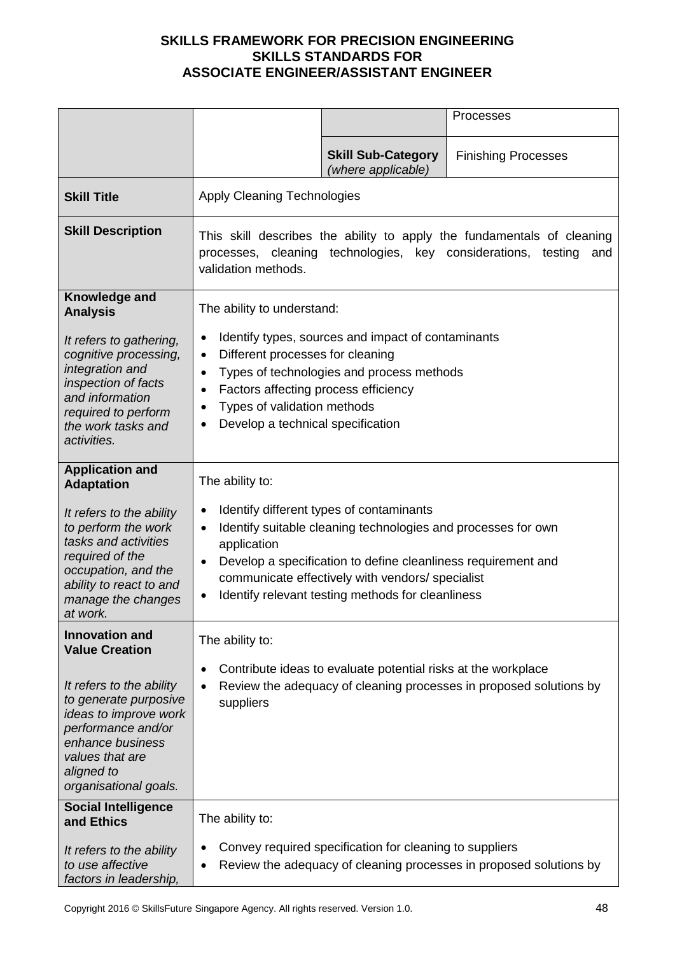|                                                                                                                                                                                |                                                                                                                                                                                                       |                                                                                                                                                                                                                                                                                     | Processes                                                          |
|--------------------------------------------------------------------------------------------------------------------------------------------------------------------------------|-------------------------------------------------------------------------------------------------------------------------------------------------------------------------------------------------------|-------------------------------------------------------------------------------------------------------------------------------------------------------------------------------------------------------------------------------------------------------------------------------------|--------------------------------------------------------------------|
|                                                                                                                                                                                |                                                                                                                                                                                                       | <b>Skill Sub-Category</b><br>(where applicable)                                                                                                                                                                                                                                     | <b>Finishing Processes</b>                                         |
| <b>Skill Title</b>                                                                                                                                                             | <b>Apply Cleaning Technologies</b>                                                                                                                                                                    |                                                                                                                                                                                                                                                                                     |                                                                    |
| <b>Skill Description</b>                                                                                                                                                       | This skill describes the ability to apply the fundamentals of cleaning<br>processes, cleaning technologies, key considerations, testing<br>and<br>validation methods.                                 |                                                                                                                                                                                                                                                                                     |                                                                    |
| Knowledge and<br><b>Analysis</b>                                                                                                                                               | The ability to understand:                                                                                                                                                                            |                                                                                                                                                                                                                                                                                     |                                                                    |
| It refers to gathering,<br>cognitive processing,<br>integration and<br>inspection of facts<br>and information<br>required to perform<br>the work tasks and<br>activities.      | ٠<br>Different processes for cleaning<br>$\bullet$<br>$\bullet$<br>Factors affecting process efficiency<br>$\bullet$<br>Types of validation methods<br>$\bullet$<br>Develop a technical specification | Identify types, sources and impact of contaminants<br>Types of technologies and process methods                                                                                                                                                                                     |                                                                    |
| <b>Application and</b><br><b>Adaptation</b>                                                                                                                                    | The ability to:                                                                                                                                                                                       |                                                                                                                                                                                                                                                                                     |                                                                    |
| It refers to the ability<br>to perform the work<br>tasks and activities<br>required of the<br>occupation, and the<br>ability to react to and<br>manage the changes<br>at work. | $\bullet$<br>$\bullet$<br>application<br>$\bullet$<br>$\bullet$                                                                                                                                       | Identify different types of contaminants<br>Identify suitable cleaning technologies and processes for own<br>Develop a specification to define cleanliness requirement and<br>communicate effectively with vendors/ specialist<br>Identify relevant testing methods for cleanliness |                                                                    |
| <b>Innovation and</b><br><b>Value Creation</b>                                                                                                                                 | The ability to:                                                                                                                                                                                       |                                                                                                                                                                                                                                                                                     |                                                                    |
| It refers to the ability<br>to generate purposive<br>ideas to improve work<br>performance and/or<br>enhance business<br>values that are<br>aligned to<br>organisational goals. | $\bullet$<br>$\bullet$<br>suppliers                                                                                                                                                                   | Contribute ideas to evaluate potential risks at the workplace                                                                                                                                                                                                                       | Review the adequacy of cleaning processes in proposed solutions by |
| <b>Social Intelligence</b><br>and Ethics                                                                                                                                       | The ability to:                                                                                                                                                                                       |                                                                                                                                                                                                                                                                                     |                                                                    |
| It refers to the ability<br>to use affective<br>factors in leadership,                                                                                                         |                                                                                                                                                                                                       | Convey required specification for cleaning to suppliers                                                                                                                                                                                                                             | Review the adequacy of cleaning processes in proposed solutions by |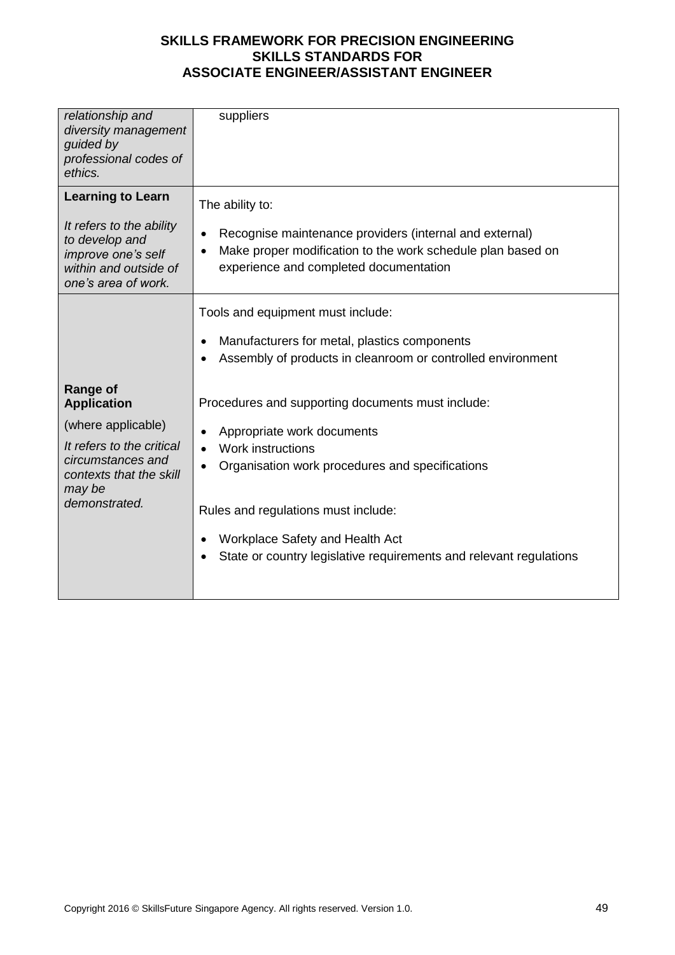| relationship and<br>diversity management<br>guided by<br>professional codes of<br>ethics.                                                                           | suppliers                                                                                                                                                                                                                                                                                                                                                                                                                                                                                    |
|---------------------------------------------------------------------------------------------------------------------------------------------------------------------|----------------------------------------------------------------------------------------------------------------------------------------------------------------------------------------------------------------------------------------------------------------------------------------------------------------------------------------------------------------------------------------------------------------------------------------------------------------------------------------------|
| <b>Learning to Learn</b><br>It refers to the ability<br>to develop and<br>improve one's self<br>within and outside of<br>one's area of work.                        | The ability to:<br>Recognise maintenance providers (internal and external)<br>٠<br>Make proper modification to the work schedule plan based on<br>$\bullet$<br>experience and completed documentation                                                                                                                                                                                                                                                                                        |
| <b>Range of</b><br><b>Application</b><br>(where applicable)<br>It refers to the critical<br>circumstances and<br>contexts that the skill<br>may be<br>demonstrated. | Tools and equipment must include:<br>Manufacturers for metal, plastics components<br>$\bullet$<br>Assembly of products in cleanroom or controlled environment<br>$\bullet$<br>Procedures and supporting documents must include:<br>Appropriate work documents<br><b>Work instructions</b><br>Organisation work procedures and specifications<br>Rules and regulations must include:<br>Workplace Safety and Health Act<br>State or country legislative requirements and relevant regulations |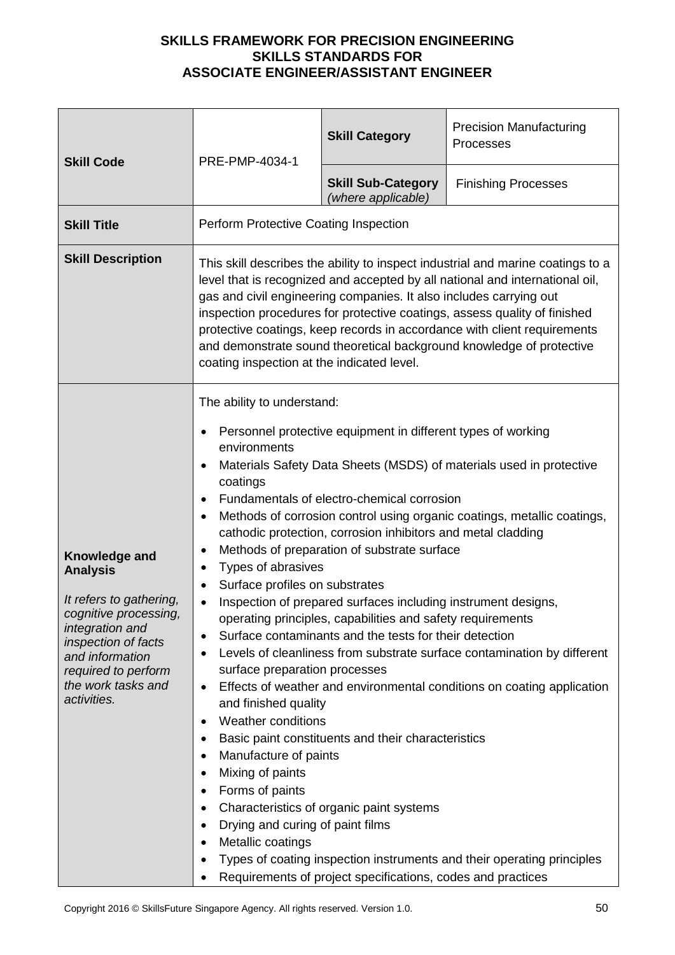| <b>Skill Code</b>                                                                                                                                                                                             | PRE-PMP-4034-1                                                                                                                                                                                                                                                                                                                                                                                                                                                                                                                                                                                                                                                                                                                                                                                                                                                                                                                                                                                                                                                                                                                                                                                                                                                                                        | <b>Skill Category</b>                           | <b>Precision Manufacturing</b><br>Processes                                                                                           |
|---------------------------------------------------------------------------------------------------------------------------------------------------------------------------------------------------------------|-------------------------------------------------------------------------------------------------------------------------------------------------------------------------------------------------------------------------------------------------------------------------------------------------------------------------------------------------------------------------------------------------------------------------------------------------------------------------------------------------------------------------------------------------------------------------------------------------------------------------------------------------------------------------------------------------------------------------------------------------------------------------------------------------------------------------------------------------------------------------------------------------------------------------------------------------------------------------------------------------------------------------------------------------------------------------------------------------------------------------------------------------------------------------------------------------------------------------------------------------------------------------------------------------------|-------------------------------------------------|---------------------------------------------------------------------------------------------------------------------------------------|
|                                                                                                                                                                                                               |                                                                                                                                                                                                                                                                                                                                                                                                                                                                                                                                                                                                                                                                                                                                                                                                                                                                                                                                                                                                                                                                                                                                                                                                                                                                                                       | <b>Skill Sub-Category</b><br>(where applicable) | <b>Finishing Processes</b>                                                                                                            |
| <b>Skill Title</b>                                                                                                                                                                                            | Perform Protective Coating Inspection                                                                                                                                                                                                                                                                                                                                                                                                                                                                                                                                                                                                                                                                                                                                                                                                                                                                                                                                                                                                                                                                                                                                                                                                                                                                 |                                                 |                                                                                                                                       |
| <b>Skill Description</b>                                                                                                                                                                                      | This skill describes the ability to inspect industrial and marine coatings to a<br>level that is recognized and accepted by all national and international oil,<br>gas and civil engineering companies. It also includes carrying out<br>inspection procedures for protective coatings, assess quality of finished<br>protective coatings, keep records in accordance with client requirements<br>and demonstrate sound theoretical background knowledge of protective<br>coating inspection at the indicated level.                                                                                                                                                                                                                                                                                                                                                                                                                                                                                                                                                                                                                                                                                                                                                                                  |                                                 |                                                                                                                                       |
| Knowledge and<br><b>Analysis</b><br>It refers to gathering,<br>cognitive processing,<br>integration and<br>inspection of facts<br>and information<br>required to perform<br>the work tasks and<br>activities. | The ability to understand:<br>Personnel protective equipment in different types of working<br>٠<br>environments<br>Materials Safety Data Sheets (MSDS) of materials used in protective<br>٠<br>coatings<br>Fundamentals of electro-chemical corrosion<br>$\bullet$<br>Methods of corrosion control using organic coatings, metallic coatings,<br>٠<br>cathodic protection, corrosion inhibitors and metal cladding<br>Methods of preparation of substrate surface<br>$\bullet$<br>Types of abrasives<br>$\bullet$<br>Surface profiles on substrates<br>$\bullet$<br>Inspection of prepared surfaces including instrument designs,<br>operating principles, capabilities and safety requirements<br>Surface contaminants and the tests for their detection<br>Levels of cleanliness from substrate surface contamination by different<br>surface preparation processes<br>Effects of weather and environmental conditions on coating application<br>$\bullet$<br>and finished quality<br><b>Weather conditions</b><br>$\bullet$<br>Basic paint constituents and their characteristics<br>٠<br>Manufacture of paints<br>Mixing of paints<br>Forms of paints<br>$\bullet$<br>Characteristics of organic paint systems<br>$\bullet$<br>Drying and curing of paint films<br>$\bullet$<br>Metallic coatings |                                                 | Types of coating inspection instruments and their operating principles<br>Requirements of project specifications, codes and practices |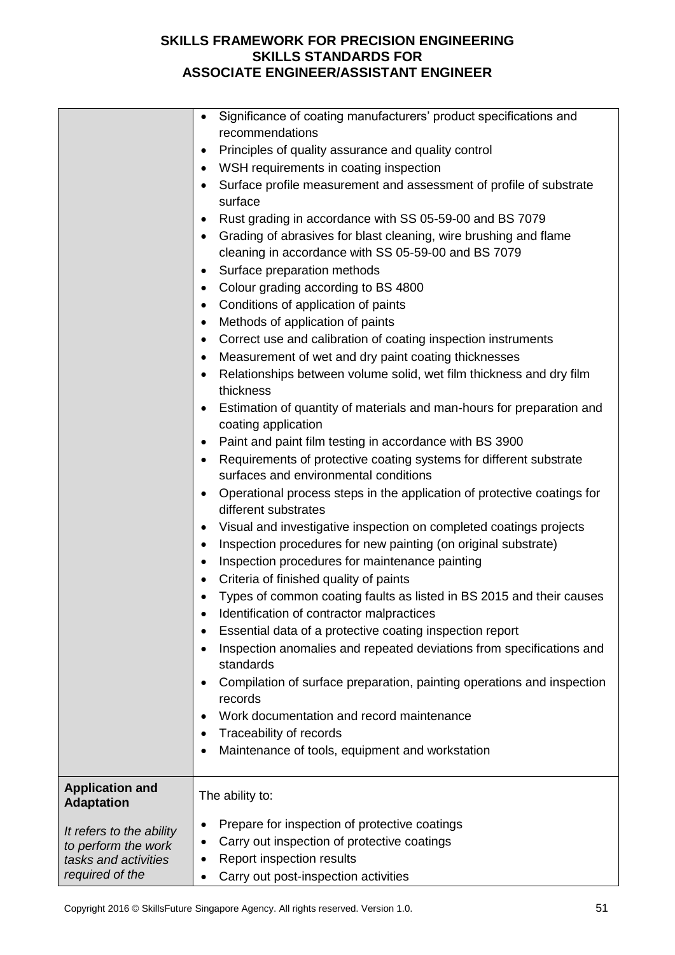|                                                                                            | Significance of coating manufacturers' product specifications and<br>$\bullet$<br>recommendations<br>Principles of quality assurance and quality control<br>٠<br>WSH requirements in coating inspection<br>Surface profile measurement and assessment of profile of substrate<br>surface<br>Rust grading in accordance with SS 05-59-00 and BS 7079<br>٠<br>Grading of abrasives for blast cleaning, wire brushing and flame<br>cleaning in accordance with SS 05-59-00 and BS 7079<br>Surface preparation methods<br>Colour grading according to BS 4800<br>٠<br>Conditions of application of paints<br>٠<br>Methods of application of paints<br>٠<br>Correct use and calibration of coating inspection instruments<br>٠<br>Measurement of wet and dry paint coating thicknesses<br>٠<br>Relationships between volume solid, wet film thickness and dry film<br>thickness<br>Estimation of quantity of materials and man-hours for preparation and<br>coating application<br>Paint and paint film testing in accordance with BS 3900<br>Requirements of protective coating systems for different substrate<br>surfaces and environmental conditions<br>Operational process steps in the application of protective coatings for<br>different substrates<br>Visual and investigative inspection on completed coatings projects<br>٠<br>Inspection procedures for new painting (on original substrate)<br>٠<br>Inspection procedures for maintenance painting<br>٠<br>Criteria of finished quality of paints<br>٠<br>Types of common coating faults as listed in BS 2015 and their causes<br>Identification of contractor malpractices<br>٠<br>Essential data of a protective coating inspection report<br>Inspection anomalies and repeated deviations from specifications and<br>standards<br>Compilation of surface preparation, painting operations and inspection<br>records |
|--------------------------------------------------------------------------------------------|---------------------------------------------------------------------------------------------------------------------------------------------------------------------------------------------------------------------------------------------------------------------------------------------------------------------------------------------------------------------------------------------------------------------------------------------------------------------------------------------------------------------------------------------------------------------------------------------------------------------------------------------------------------------------------------------------------------------------------------------------------------------------------------------------------------------------------------------------------------------------------------------------------------------------------------------------------------------------------------------------------------------------------------------------------------------------------------------------------------------------------------------------------------------------------------------------------------------------------------------------------------------------------------------------------------------------------------------------------------------------------------------------------------------------------------------------------------------------------------------------------------------------------------------------------------------------------------------------------------------------------------------------------------------------------------------------------------------------------------------------------------------------------------------------------------------------------------------------------------------------------|
|                                                                                            | Work documentation and record maintenance                                                                                                                                                                                                                                                                                                                                                                                                                                                                                                                                                                                                                                                                                                                                                                                                                                                                                                                                                                                                                                                                                                                                                                                                                                                                                                                                                                                                                                                                                                                                                                                                                                                                                                                                                                                                                                       |
|                                                                                            | Traceability of records<br>٠                                                                                                                                                                                                                                                                                                                                                                                                                                                                                                                                                                                                                                                                                                                                                                                                                                                                                                                                                                                                                                                                                                                                                                                                                                                                                                                                                                                                                                                                                                                                                                                                                                                                                                                                                                                                                                                    |
|                                                                                            | Maintenance of tools, equipment and workstation                                                                                                                                                                                                                                                                                                                                                                                                                                                                                                                                                                                                                                                                                                                                                                                                                                                                                                                                                                                                                                                                                                                                                                                                                                                                                                                                                                                                                                                                                                                                                                                                                                                                                                                                                                                                                                 |
| <b>Application and</b><br><b>Adaptation</b>                                                | The ability to:                                                                                                                                                                                                                                                                                                                                                                                                                                                                                                                                                                                                                                                                                                                                                                                                                                                                                                                                                                                                                                                                                                                                                                                                                                                                                                                                                                                                                                                                                                                                                                                                                                                                                                                                                                                                                                                                 |
| It refers to the ability<br>to perform the work<br>tasks and activities<br>required of the | Prepare for inspection of protective coatings<br>٠<br>Carry out inspection of protective coatings<br>Report inspection results<br>Carry out post-inspection activities                                                                                                                                                                                                                                                                                                                                                                                                                                                                                                                                                                                                                                                                                                                                                                                                                                                                                                                                                                                                                                                                                                                                                                                                                                                                                                                                                                                                                                                                                                                                                                                                                                                                                                          |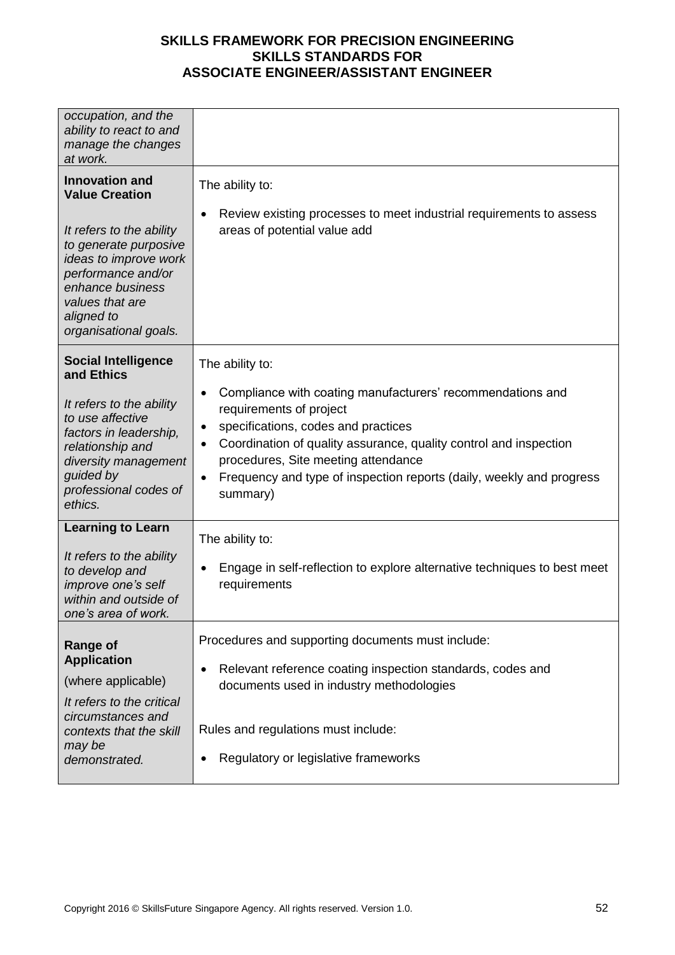| occupation, and the<br>ability to react to and<br>manage the changes<br>at work.                                                                                                                                                 |                                                                                                                                                                                                                                                                                                                                                                                     |
|----------------------------------------------------------------------------------------------------------------------------------------------------------------------------------------------------------------------------------|-------------------------------------------------------------------------------------------------------------------------------------------------------------------------------------------------------------------------------------------------------------------------------------------------------------------------------------------------------------------------------------|
| <b>Innovation and</b><br><b>Value Creation</b><br>It refers to the ability<br>to generate purposive<br>ideas to improve work<br>performance and/or<br>enhance business<br>values that are<br>aligned to<br>organisational goals. | The ability to:<br>Review existing processes to meet industrial requirements to assess<br>٠<br>areas of potential value add                                                                                                                                                                                                                                                         |
| <b>Social Intelligence</b><br>and Ethics<br>It refers to the ability<br>to use affective<br>factors in leadership,<br>relationship and<br>diversity management<br>guided by<br>professional codes of<br>ethics.                  | The ability to:<br>Compliance with coating manufacturers' recommendations and<br>٠<br>requirements of project<br>specifications, codes and practices<br>٠<br>Coordination of quality assurance, quality control and inspection<br>$\bullet$<br>procedures, Site meeting attendance<br>Frequency and type of inspection reports (daily, weekly and progress<br>$\bullet$<br>summary) |
| <b>Learning to Learn</b><br>It refers to the ability<br>to develop and<br>improve one's self<br>within and outside of<br>one's area of work.                                                                                     | The ability to:<br>Engage in self-reflection to explore alternative techniques to best meet<br>٠<br>requirements                                                                                                                                                                                                                                                                    |
| <b>Range of</b><br><b>Application</b><br>(where applicable)<br>It refers to the critical<br>circumstances and<br>contexts that the skill<br>may be<br>demonstrated.                                                              | Procedures and supporting documents must include:<br>Relevant reference coating inspection standards, codes and<br>$\bullet$<br>documents used in industry methodologies<br>Rules and regulations must include:<br>Regulatory or legislative frameworks<br>$\bullet$                                                                                                                |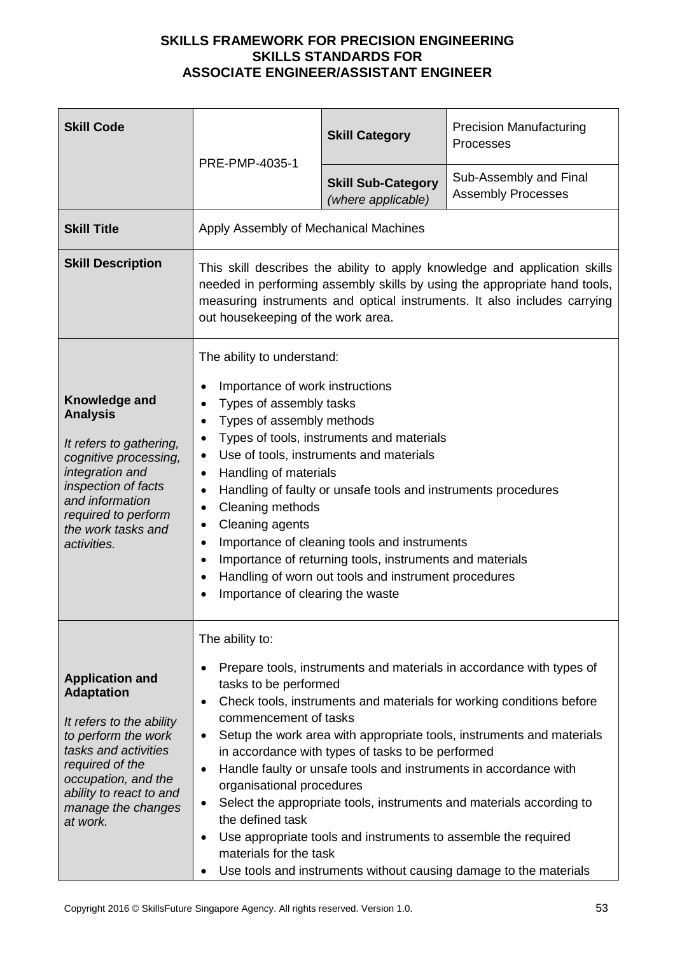| <b>Skill Code</b>                                                                                                                                                                                                             | PRE-PMP-4035-1                                                                                                                                                                                                                                                                                                                                                                                                                                                                                                                                                                                                                                                                                                                                                         | <b>Skill Category</b>                           | <b>Precision Manufacturing</b><br>Processes         |
|-------------------------------------------------------------------------------------------------------------------------------------------------------------------------------------------------------------------------------|------------------------------------------------------------------------------------------------------------------------------------------------------------------------------------------------------------------------------------------------------------------------------------------------------------------------------------------------------------------------------------------------------------------------------------------------------------------------------------------------------------------------------------------------------------------------------------------------------------------------------------------------------------------------------------------------------------------------------------------------------------------------|-------------------------------------------------|-----------------------------------------------------|
|                                                                                                                                                                                                                               |                                                                                                                                                                                                                                                                                                                                                                                                                                                                                                                                                                                                                                                                                                                                                                        | <b>Skill Sub-Category</b><br>(where applicable) | Sub-Assembly and Final<br><b>Assembly Processes</b> |
| <b>Skill Title</b>                                                                                                                                                                                                            | Apply Assembly of Mechanical Machines                                                                                                                                                                                                                                                                                                                                                                                                                                                                                                                                                                                                                                                                                                                                  |                                                 |                                                     |
| <b>Skill Description</b>                                                                                                                                                                                                      | This skill describes the ability to apply knowledge and application skills<br>needed in performing assembly skills by using the appropriate hand tools,<br>measuring instruments and optical instruments. It also includes carrying<br>out housekeeping of the work area.                                                                                                                                                                                                                                                                                                                                                                                                                                                                                              |                                                 |                                                     |
| Knowledge and<br><b>Analysis</b><br>It refers to gathering,<br>cognitive processing,<br>integration and<br>inspection of facts<br>and information<br>required to perform<br>the work tasks and<br>activities.                 | The ability to understand:<br>Importance of work instructions<br>٠<br>Types of assembly tasks<br>Types of assembly methods<br>$\bullet$<br>Types of tools, instruments and materials<br>٠<br>Use of tools, instruments and materials<br>$\bullet$<br>Handling of materials<br>$\bullet$<br>Handling of faulty or unsafe tools and instruments procedures<br>$\bullet$<br>Cleaning methods<br>٠<br>Cleaning agents<br>Importance of cleaning tools and instruments<br>Importance of returning tools, instruments and materials<br>$\bullet$<br>Handling of worn out tools and instrument procedures<br>$\bullet$<br>Importance of clearing the waste                                                                                                                    |                                                 |                                                     |
| <b>Application and</b><br><b>Adaptation</b><br>It refers to the ability<br>to perform the work<br>tasks and activities<br>required of the<br>occupation, and the<br>ability to react to and<br>manage the changes<br>at work. | The ability to:<br>Prepare tools, instruments and materials in accordance with types of<br>tasks to be performed<br>Check tools, instruments and materials for working conditions before<br>$\bullet$<br>commencement of tasks<br>Setup the work area with appropriate tools, instruments and materials<br>٠<br>in accordance with types of tasks to be performed<br>Handle faulty or unsafe tools and instruments in accordance with<br>$\bullet$<br>organisational procedures<br>Select the appropriate tools, instruments and materials according to<br>$\bullet$<br>the defined task<br>Use appropriate tools and instruments to assemble the required<br>$\bullet$<br>materials for the task<br>Use tools and instruments without causing damage to the materials |                                                 |                                                     |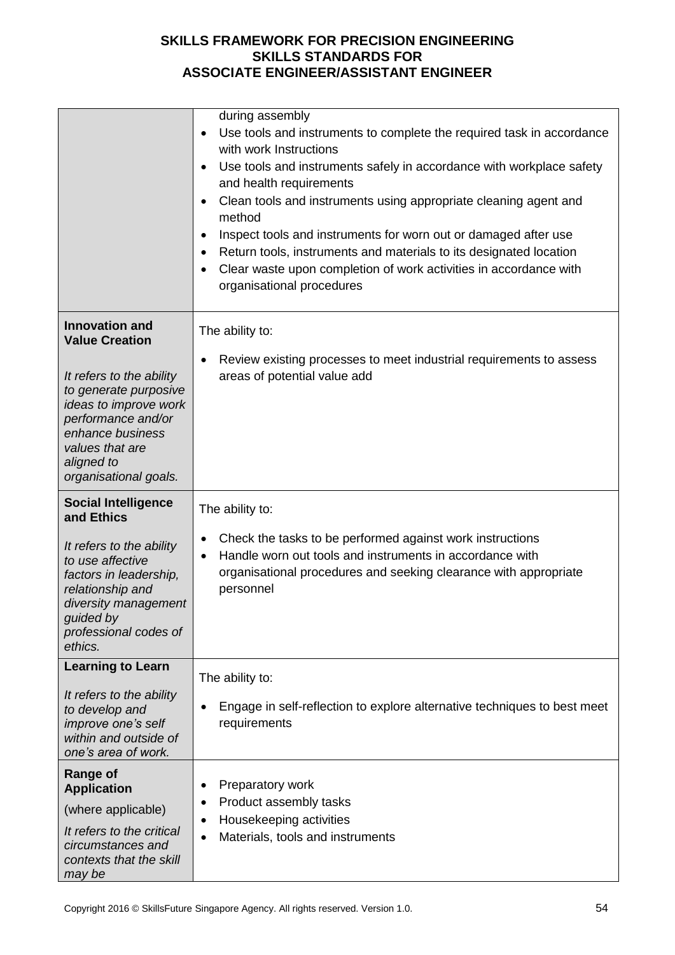|                                                                                                                                                                                | during assembly<br>Use tools and instruments to complete the required task in accordance<br>$\bullet$<br>with work Instructions<br>Use tools and instruments safely in accordance with workplace safety<br>and health requirements<br>Clean tools and instruments using appropriate cleaning agent and<br>method<br>Inspect tools and instruments for worn out or damaged after use<br>Return tools, instruments and materials to its designated location<br>Clear waste upon completion of work activities in accordance with<br>organisational procedures |
|--------------------------------------------------------------------------------------------------------------------------------------------------------------------------------|-------------------------------------------------------------------------------------------------------------------------------------------------------------------------------------------------------------------------------------------------------------------------------------------------------------------------------------------------------------------------------------------------------------------------------------------------------------------------------------------------------------------------------------------------------------|
| <b>Innovation and</b><br><b>Value Creation</b>                                                                                                                                 | The ability to:                                                                                                                                                                                                                                                                                                                                                                                                                                                                                                                                             |
| It refers to the ability<br>to generate purposive<br>ideas to improve work<br>performance and/or<br>enhance business<br>values that are<br>aligned to<br>organisational goals. | Review existing processes to meet industrial requirements to assess<br>areas of potential value add                                                                                                                                                                                                                                                                                                                                                                                                                                                         |
| <b>Social Intelligence</b><br>and Ethics                                                                                                                                       | The ability to:                                                                                                                                                                                                                                                                                                                                                                                                                                                                                                                                             |
| It refers to the ability<br>to use affective<br>factors in leadership,<br>relationship and<br>diversity management<br>guided by<br>professional codes of<br>ethics.            | Check the tasks to be performed against work instructions<br>Handle worn out tools and instruments in accordance with<br>$\bullet$<br>organisational procedures and seeking clearance with appropriate<br>personnel                                                                                                                                                                                                                                                                                                                                         |
| <b>Learning to Learn</b>                                                                                                                                                       | The ability to:                                                                                                                                                                                                                                                                                                                                                                                                                                                                                                                                             |
| It refers to the ability<br>to develop and<br>improve one's self<br>within and outside of<br>one's area of work.                                                               | Engage in self-reflection to explore alternative techniques to best meet<br>requirements                                                                                                                                                                                                                                                                                                                                                                                                                                                                    |
| <b>Range of</b><br><b>Application</b>                                                                                                                                          | Preparatory work                                                                                                                                                                                                                                                                                                                                                                                                                                                                                                                                            |
| (where applicable)                                                                                                                                                             | Product assembly tasks                                                                                                                                                                                                                                                                                                                                                                                                                                                                                                                                      |
| It refers to the critical                                                                                                                                                      | Housekeeping activities                                                                                                                                                                                                                                                                                                                                                                                                                                                                                                                                     |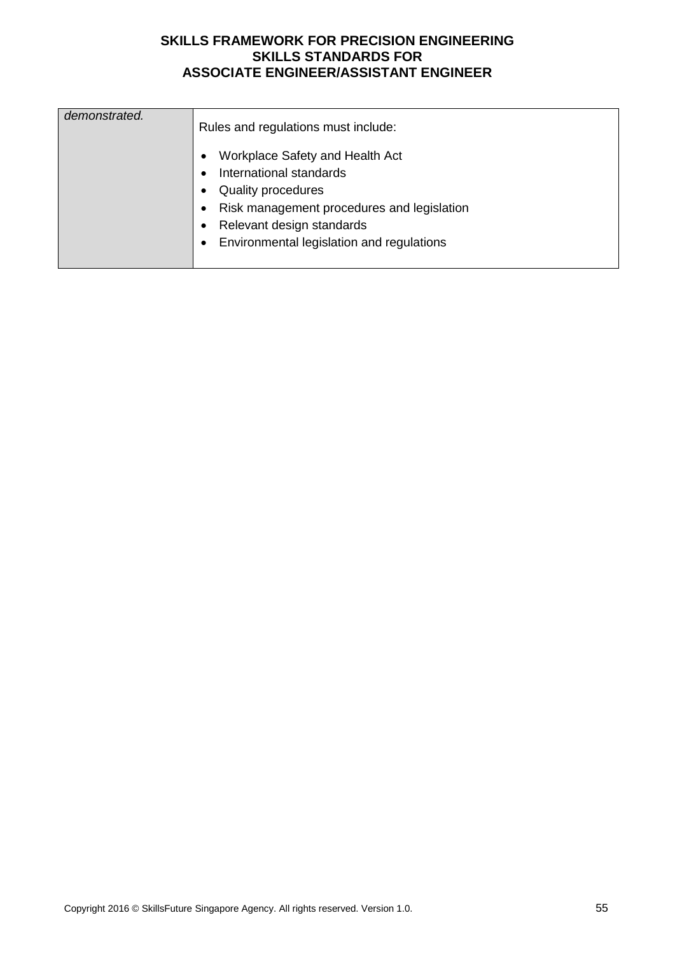| demonstrated. | Rules and regulations must include:        |  |  |  |
|---------------|--------------------------------------------|--|--|--|
|               | Workplace Safety and Health Act            |  |  |  |
|               | International standards                    |  |  |  |
|               | <b>Quality procedures</b>                  |  |  |  |
|               | Risk management procedures and legislation |  |  |  |
|               | Relevant design standards                  |  |  |  |
|               | Environmental legislation and regulations  |  |  |  |
|               |                                            |  |  |  |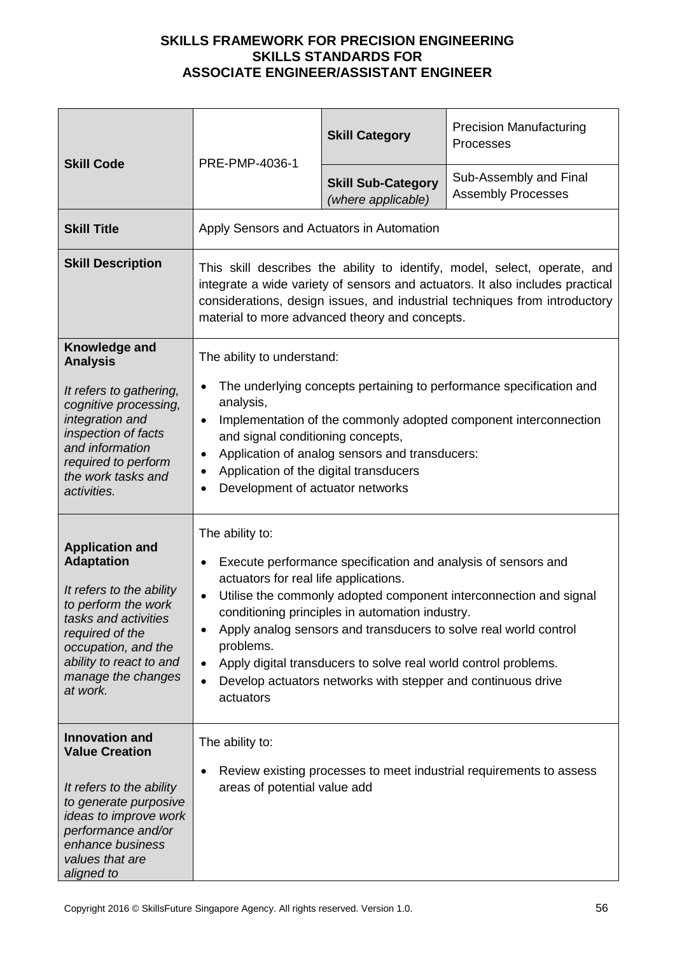| <b>Skill Code</b>                                                                                                                                                                                                             | PRE-PMP-4036-1                                                                                                                                                                                                                                                                                                                                                                                                                                                                                                            | <b>Skill Category</b>                           | <b>Precision Manufacturing</b><br>Processes         |
|-------------------------------------------------------------------------------------------------------------------------------------------------------------------------------------------------------------------------------|---------------------------------------------------------------------------------------------------------------------------------------------------------------------------------------------------------------------------------------------------------------------------------------------------------------------------------------------------------------------------------------------------------------------------------------------------------------------------------------------------------------------------|-------------------------------------------------|-----------------------------------------------------|
|                                                                                                                                                                                                                               |                                                                                                                                                                                                                                                                                                                                                                                                                                                                                                                           | <b>Skill Sub-Category</b><br>(where applicable) | Sub-Assembly and Final<br><b>Assembly Processes</b> |
| <b>Skill Title</b>                                                                                                                                                                                                            | Apply Sensors and Actuators in Automation                                                                                                                                                                                                                                                                                                                                                                                                                                                                                 |                                                 |                                                     |
| <b>Skill Description</b>                                                                                                                                                                                                      | This skill describes the ability to identify, model, select, operate, and<br>integrate a wide variety of sensors and actuators. It also includes practical<br>considerations, design issues, and industrial techniques from introductory<br>material to more advanced theory and concepts.                                                                                                                                                                                                                                |                                                 |                                                     |
| Knowledge and<br><b>Analysis</b>                                                                                                                                                                                              | The ability to understand:                                                                                                                                                                                                                                                                                                                                                                                                                                                                                                |                                                 |                                                     |
| It refers to gathering,<br>cognitive processing,<br>integration and<br>inspection of facts<br>and information<br>required to perform<br>the work tasks and<br>activities.                                                     | The underlying concepts pertaining to performance specification and<br>$\bullet$<br>analysis,<br>Implementation of the commonly adopted component interconnection<br>$\bullet$<br>and signal conditioning concepts,<br>Application of analog sensors and transducers:<br>Application of the digital transducers<br>Development of actuator networks<br>$\bullet$                                                                                                                                                          |                                                 |                                                     |
| <b>Application and</b><br><b>Adaptation</b><br>It refers to the ability<br>to perform the work<br>tasks and activities<br>required of the<br>occupation, and the<br>ability to react to and<br>manage the changes<br>at work. | The ability to:<br>Execute performance specification and analysis of sensors and<br>actuators for real life applications.<br>Utilise the commonly adopted component interconnection and signal<br>$\bullet$<br>conditioning principles in automation industry.<br>Apply analog sensors and transducers to solve real world control<br>problems.<br>Apply digital transducers to solve real world control problems.<br>$\bullet$<br>Develop actuators networks with stepper and continuous drive<br>$\bullet$<br>actuators |                                                 |                                                     |
| <b>Innovation and</b><br><b>Value Creation</b><br>It refers to the ability<br>to generate purposive<br>ideas to improve work<br>performance and/or<br>enhance business<br>values that are<br>aligned to                       | The ability to:<br>Review existing processes to meet industrial requirements to assess<br>$\bullet$<br>areas of potential value add                                                                                                                                                                                                                                                                                                                                                                                       |                                                 |                                                     |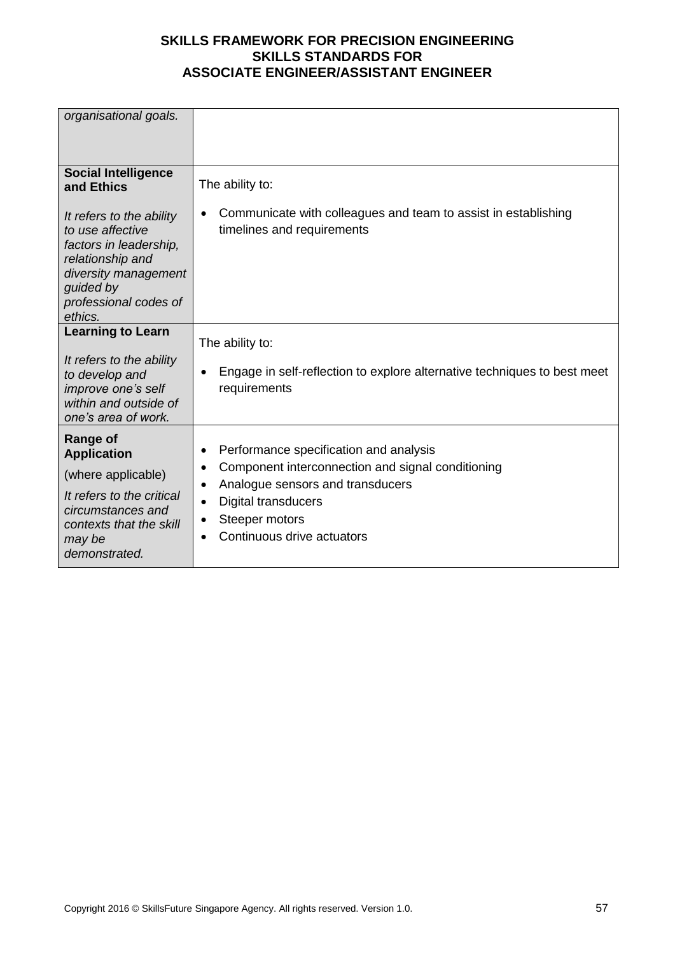| organisational goals.                                                                                                                                               |                                                                                                                             |
|---------------------------------------------------------------------------------------------------------------------------------------------------------------------|-----------------------------------------------------------------------------------------------------------------------------|
|                                                                                                                                                                     |                                                                                                                             |
|                                                                                                                                                                     |                                                                                                                             |
|                                                                                                                                                                     |                                                                                                                             |
| <b>Social Intelligence</b><br>and Ethics                                                                                                                            | The ability to:                                                                                                             |
| It refers to the ability<br>to use affective<br>factors in leadership,<br>relationship and<br>diversity management<br>guided by<br>professional codes of<br>ethics. | Communicate with colleagues and team to assist in establishing<br>timelines and requirements                                |
| <b>Learning to Learn</b>                                                                                                                                            | The ability to:                                                                                                             |
| It refers to the ability<br>to develop and<br>improve one's self<br>within and outside of<br>one's area of work.                                                    | Engage in self-reflection to explore alternative techniques to best meet<br>requirements                                    |
| <b>Range of</b><br><b>Application</b>                                                                                                                               | Performance specification and analysis<br>٠                                                                                 |
| (where applicable)                                                                                                                                                  | Component interconnection and signal conditioning<br>٠                                                                      |
| It refers to the critical<br>circumstances and<br>contexts that the skill<br>may be<br>demonstrated.                                                                | Analogue sensors and transducers<br>$\bullet$<br><b>Digital transducers</b><br>Steeper motors<br>Continuous drive actuators |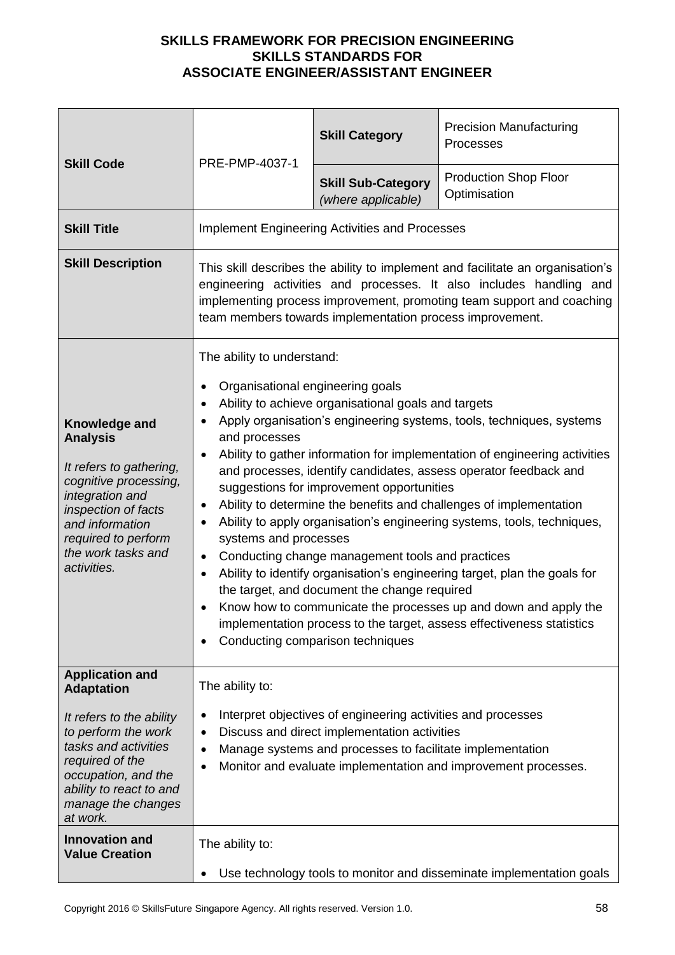| <b>Skill Code</b>                                                                                                                                                                                                             | PRE-PMP-4037-1                                                                                                                                                                                                                                                                                                                                                                                                                                                                                                                                                                                                                                                                                                                                                                                                                                                                                                                                                                                    | <b>Skill Category</b>                                 | <b>Precision Manufacturing</b><br>Processes  |
|-------------------------------------------------------------------------------------------------------------------------------------------------------------------------------------------------------------------------------|---------------------------------------------------------------------------------------------------------------------------------------------------------------------------------------------------------------------------------------------------------------------------------------------------------------------------------------------------------------------------------------------------------------------------------------------------------------------------------------------------------------------------------------------------------------------------------------------------------------------------------------------------------------------------------------------------------------------------------------------------------------------------------------------------------------------------------------------------------------------------------------------------------------------------------------------------------------------------------------------------|-------------------------------------------------------|----------------------------------------------|
|                                                                                                                                                                                                                               |                                                                                                                                                                                                                                                                                                                                                                                                                                                                                                                                                                                                                                                                                                                                                                                                                                                                                                                                                                                                   | <b>Skill Sub-Category</b><br>(where applicable)       | <b>Production Shop Floor</b><br>Optimisation |
| <b>Skill Title</b>                                                                                                                                                                                                            |                                                                                                                                                                                                                                                                                                                                                                                                                                                                                                                                                                                                                                                                                                                                                                                                                                                                                                                                                                                                   | <b>Implement Engineering Activities and Processes</b> |                                              |
| <b>Skill Description</b>                                                                                                                                                                                                      | This skill describes the ability to implement and facilitate an organisation's<br>engineering activities and processes. It also includes handling and<br>implementing process improvement, promoting team support and coaching<br>team members towards implementation process improvement.                                                                                                                                                                                                                                                                                                                                                                                                                                                                                                                                                                                                                                                                                                        |                                                       |                                              |
| Knowledge and<br><b>Analysis</b><br>It refers to gathering,<br>cognitive processing,<br>integration and<br>inspection of facts<br>and information<br>required to perform<br>the work tasks and<br>activities.                 | The ability to understand:<br>Organisational engineering goals<br>Ability to achieve organisational goals and targets<br>$\bullet$<br>Apply organisation's engineering systems, tools, techniques, systems<br>and processes<br>Ability to gather information for implementation of engineering activities<br>and processes, identify candidates, assess operator feedback and<br>suggestions for improvement opportunities<br>Ability to determine the benefits and challenges of implementation<br>٠<br>Ability to apply organisation's engineering systems, tools, techniques,<br>systems and processes<br>Conducting change management tools and practices<br>Ability to identify organisation's engineering target, plan the goals for<br>٠<br>the target, and document the change required<br>Know how to communicate the processes up and down and apply the<br>$\bullet$<br>implementation process to the target, assess effectiveness statistics<br>Conducting comparison techniques<br>٠ |                                                       |                                              |
| <b>Application and</b><br><b>Adaptation</b><br>It refers to the ability<br>to perform the work<br>tasks and activities<br>required of the<br>occupation, and the<br>ability to react to and<br>manage the changes<br>at work. | The ability to:<br>Interpret objectives of engineering activities and processes<br>٠<br>Discuss and direct implementation activities<br>$\bullet$<br>Manage systems and processes to facilitate implementation<br>$\bullet$<br>Monitor and evaluate implementation and improvement processes.                                                                                                                                                                                                                                                                                                                                                                                                                                                                                                                                                                                                                                                                                                     |                                                       |                                              |
| <b>Innovation and</b><br><b>Value Creation</b>                                                                                                                                                                                | The ability to:<br>Use technology tools to monitor and disseminate implementation goals<br>٠                                                                                                                                                                                                                                                                                                                                                                                                                                                                                                                                                                                                                                                                                                                                                                                                                                                                                                      |                                                       |                                              |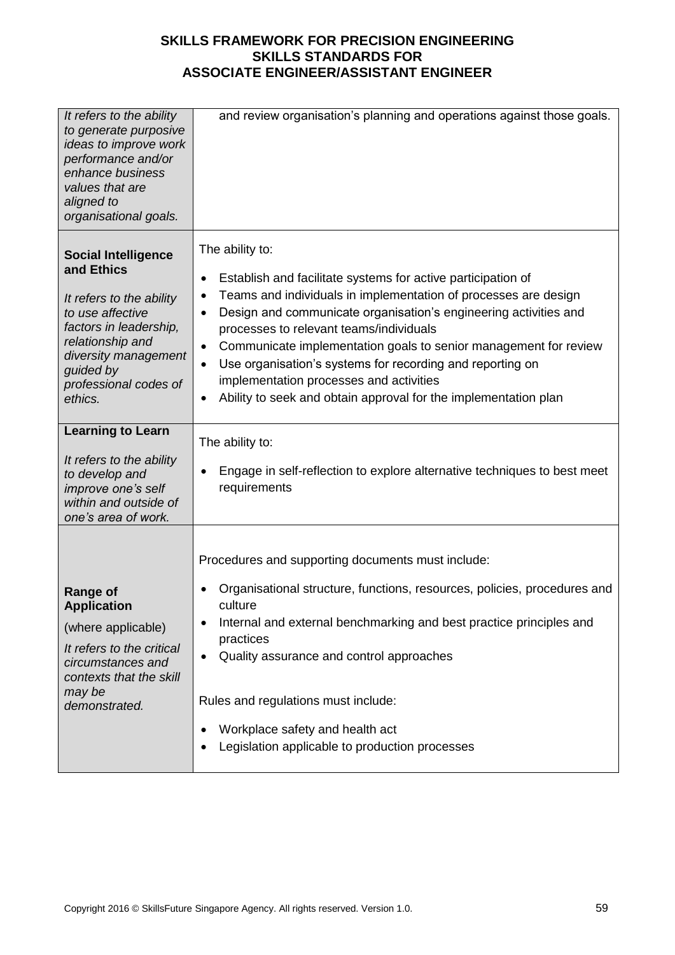| It refers to the ability<br>to generate purposive<br>ideas to improve work<br>performance and/or<br>enhance business<br>values that are<br>aligned to<br>organisational goals.                                  | and review organisation's planning and operations against those goals.                                                                                                                                                                                                                                                                                                                                                                                                                                                                               |
|-----------------------------------------------------------------------------------------------------------------------------------------------------------------------------------------------------------------|------------------------------------------------------------------------------------------------------------------------------------------------------------------------------------------------------------------------------------------------------------------------------------------------------------------------------------------------------------------------------------------------------------------------------------------------------------------------------------------------------------------------------------------------------|
| <b>Social Intelligence</b><br>and Ethics<br>It refers to the ability<br>to use affective<br>factors in leadership,<br>relationship and<br>diversity management<br>guided by<br>professional codes of<br>ethics. | The ability to:<br>Establish and facilitate systems for active participation of<br>٠<br>Teams and individuals in implementation of processes are design<br>$\bullet$<br>Design and communicate organisation's engineering activities and<br>٠<br>processes to relevant teams/individuals<br>Communicate implementation goals to senior management for review<br>$\bullet$<br>Use organisation's systems for recording and reporting on<br>implementation processes and activities<br>Ability to seek and obtain approval for the implementation plan |
| <b>Learning to Learn</b><br>It refers to the ability<br>to develop and<br>improve one's self<br>within and outside of<br>one's area of work.                                                                    | The ability to:<br>Engage in self-reflection to explore alternative techniques to best meet<br>requirements                                                                                                                                                                                                                                                                                                                                                                                                                                          |
| <b>Range of</b><br><b>Application</b><br>(where applicable)<br>It refers to the critical<br>circumstances and<br>contexts that the skill<br>may be<br>demonstrated.                                             | Procedures and supporting documents must include:<br>Organisational structure, functions, resources, policies, procedures and<br>culture<br>Internal and external benchmarking and best practice principles and<br>practices<br>Quality assurance and control approaches<br>Rules and regulations must include:<br>Workplace safety and health act<br>Legislation applicable to production processes                                                                                                                                                 |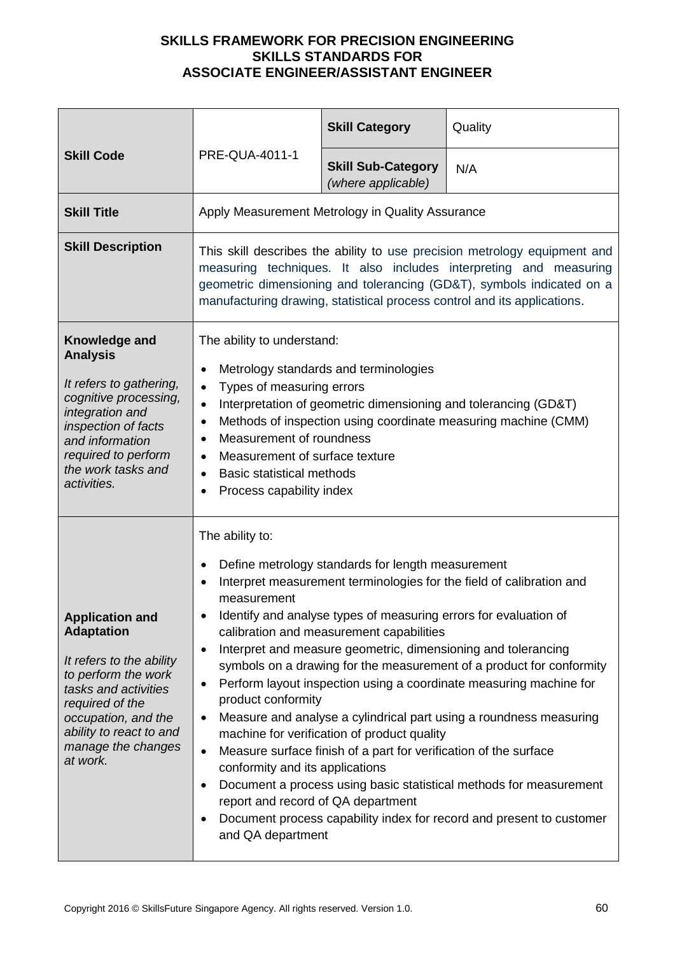| <b>Skill Code</b>                                                                                                                                                                                                             |                                                                                                                                                                                                                                                                                                                                                                                                                                                                                                                                                                                                                                                                                                                                                                                                                                                                                                                                                                                                                  | <b>Skill Category</b>                            | Quality |
|-------------------------------------------------------------------------------------------------------------------------------------------------------------------------------------------------------------------------------|------------------------------------------------------------------------------------------------------------------------------------------------------------------------------------------------------------------------------------------------------------------------------------------------------------------------------------------------------------------------------------------------------------------------------------------------------------------------------------------------------------------------------------------------------------------------------------------------------------------------------------------------------------------------------------------------------------------------------------------------------------------------------------------------------------------------------------------------------------------------------------------------------------------------------------------------------------------------------------------------------------------|--------------------------------------------------|---------|
|                                                                                                                                                                                                                               | PRE-QUA-4011-1                                                                                                                                                                                                                                                                                                                                                                                                                                                                                                                                                                                                                                                                                                                                                                                                                                                                                                                                                                                                   | <b>Skill Sub-Category</b><br>(where applicable)  | N/A     |
| <b>Skill Title</b>                                                                                                                                                                                                            |                                                                                                                                                                                                                                                                                                                                                                                                                                                                                                                                                                                                                                                                                                                                                                                                                                                                                                                                                                                                                  | Apply Measurement Metrology in Quality Assurance |         |
| <b>Skill Description</b>                                                                                                                                                                                                      | This skill describes the ability to use precision metrology equipment and<br>measuring techniques. It also includes interpreting and measuring<br>geometric dimensioning and tolerancing (GD&T), symbols indicated on a<br>manufacturing drawing, statistical process control and its applications.                                                                                                                                                                                                                                                                                                                                                                                                                                                                                                                                                                                                                                                                                                              |                                                  |         |
| Knowledge and<br><b>Analysis</b><br>It refers to gathering,<br>cognitive processing,<br>integration and<br>inspection of facts<br>and information<br>required to perform<br>the work tasks and<br>activities.                 | The ability to understand:<br>Metrology standards and terminologies<br>٠<br>Types of measuring errors<br>Interpretation of geometric dimensioning and tolerancing (GD&T)<br>$\bullet$<br>Methods of inspection using coordinate measuring machine (CMM)<br>$\bullet$<br>Measurement of roundness<br>$\bullet$<br>Measurement of surface texture<br>$\bullet$<br><b>Basic statistical methods</b><br>$\bullet$<br>Process capability index                                                                                                                                                                                                                                                                                                                                                                                                                                                                                                                                                                        |                                                  |         |
| <b>Application and</b><br><b>Adaptation</b><br>It refers to the ability<br>to perform the work<br>tasks and activities<br>required of the<br>occupation, and the<br>ability to react to and<br>manage the changes<br>at work. | The ability to:<br>Define metrology standards for length measurement<br>Interpret measurement terminologies for the field of calibration and<br>$\bullet$<br>measurement<br>Identify and analyse types of measuring errors for evaluation of<br>calibration and measurement capabilities<br>Interpret and measure geometric, dimensioning and tolerancing<br>٠<br>symbols on a drawing for the measurement of a product for conformity<br>Perform layout inspection using a coordinate measuring machine for<br>٠<br>product conformity<br>Measure and analyse a cylindrical part using a roundness measuring<br>٠<br>machine for verification of product quality<br>Measure surface finish of a part for verification of the surface<br>$\bullet$<br>conformity and its applications<br>Document a process using basic statistical methods for measurement<br>٠<br>report and record of QA department<br>Document process capability index for record and present to customer<br>$\bullet$<br>and QA department |                                                  |         |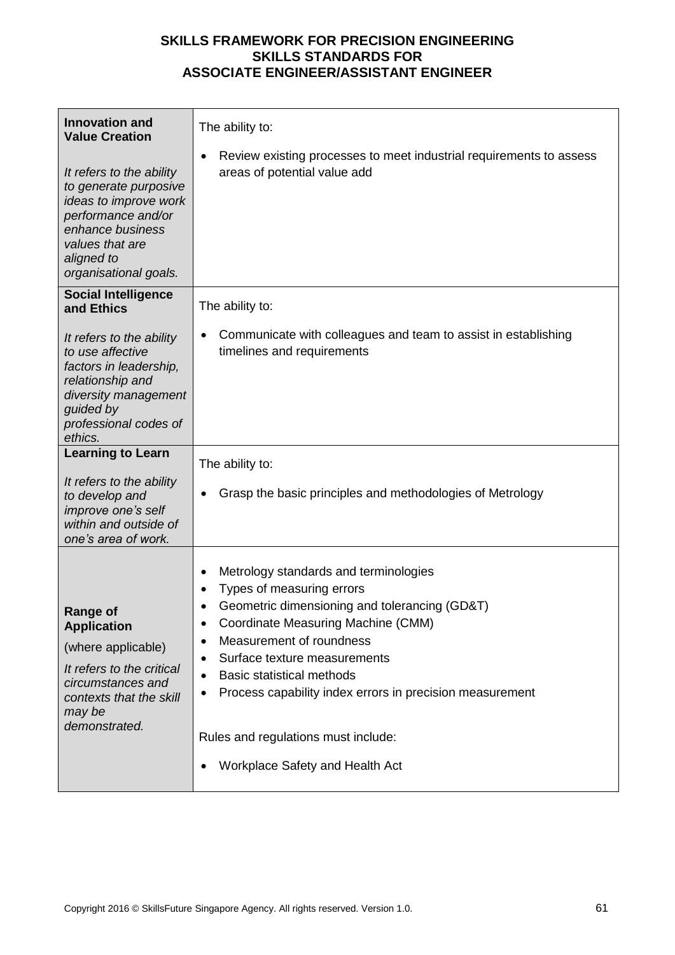| <b>Innovation and</b><br><b>Value Creation</b>                                                                                                                                 | The ability to:                                                                                                                                                                                                                                                                                                                                                                                           |
|--------------------------------------------------------------------------------------------------------------------------------------------------------------------------------|-----------------------------------------------------------------------------------------------------------------------------------------------------------------------------------------------------------------------------------------------------------------------------------------------------------------------------------------------------------------------------------------------------------|
| It refers to the ability<br>to generate purposive<br>ideas to improve work<br>performance and/or<br>enhance business<br>values that are<br>aligned to<br>organisational goals. | Review existing processes to meet industrial requirements to assess<br>areas of potential value add                                                                                                                                                                                                                                                                                                       |
| <b>Social Intelligence</b><br>and Ethics                                                                                                                                       | The ability to:                                                                                                                                                                                                                                                                                                                                                                                           |
| It refers to the ability<br>to use affective<br>factors in leadership,<br>relationship and<br>diversity management<br>guided by<br>professional codes of<br>ethics.            | Communicate with colleagues and team to assist in establishing<br>timelines and requirements                                                                                                                                                                                                                                                                                                              |
| <b>Learning to Learn</b>                                                                                                                                                       | The ability to:                                                                                                                                                                                                                                                                                                                                                                                           |
| It refers to the ability<br>to develop and<br>improve one's self<br>within and outside of<br>one's area of work.                                                               | Grasp the basic principles and methodologies of Metrology                                                                                                                                                                                                                                                                                                                                                 |
| <b>Range of</b><br><b>Application</b><br>(where applicable)<br>It refers to the critical<br>circumstances and<br>contexts that the skill<br>may be<br>demonstrated.            | Metrology standards and terminologies<br>Types of measuring errors<br>٠<br>Geometric dimensioning and tolerancing (GD&T)<br>Coordinate Measuring Machine (CMM)<br>Measurement of roundness<br>Surface texture measurements<br><b>Basic statistical methods</b><br>Process capability index errors in precision measurement<br>Rules and regulations must include:<br>Workplace Safety and Health Act<br>٠ |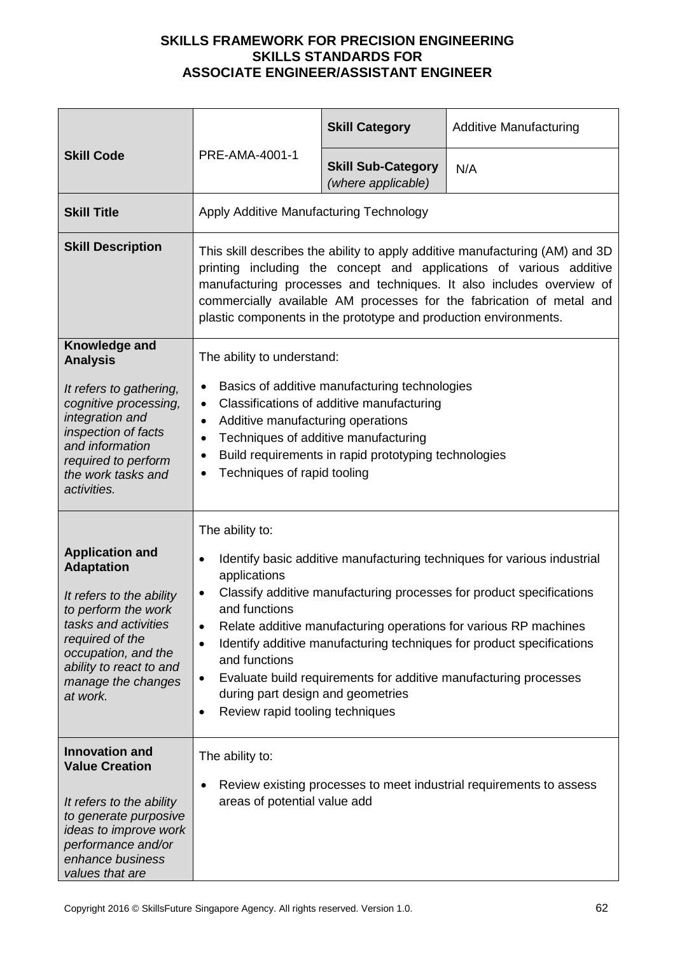|                                                                                                                                                                                                                               |                                                                                                                                                                                                                                                                                                                                                                         | <b>Skill Category</b>                                                                                                                                                                      | <b>Additive Manufacturing</b>                                                                                                                                                                                                                                                                                                                                    |
|-------------------------------------------------------------------------------------------------------------------------------------------------------------------------------------------------------------------------------|-------------------------------------------------------------------------------------------------------------------------------------------------------------------------------------------------------------------------------------------------------------------------------------------------------------------------------------------------------------------------|--------------------------------------------------------------------------------------------------------------------------------------------------------------------------------------------|------------------------------------------------------------------------------------------------------------------------------------------------------------------------------------------------------------------------------------------------------------------------------------------------------------------------------------------------------------------|
| PRE-AMA-4001-1<br><b>Skill Code</b>                                                                                                                                                                                           |                                                                                                                                                                                                                                                                                                                                                                         | <b>Skill Sub-Category</b><br>(where applicable)                                                                                                                                            | N/A                                                                                                                                                                                                                                                                                                                                                              |
| <b>Skill Title</b>                                                                                                                                                                                                            | Apply Additive Manufacturing Technology                                                                                                                                                                                                                                                                                                                                 |                                                                                                                                                                                            |                                                                                                                                                                                                                                                                                                                                                                  |
| <b>Skill Description</b>                                                                                                                                                                                                      | This skill describes the ability to apply additive manufacturing (AM) and 3D<br>printing including the concept and applications of various additive<br>manufacturing processes and techniques. It also includes overview of<br>commercially available AM processes for the fabrication of metal and<br>plastic components in the prototype and production environments. |                                                                                                                                                                                            |                                                                                                                                                                                                                                                                                                                                                                  |
| Knowledge and<br><b>Analysis</b><br>It refers to gathering,<br>cognitive processing,<br>integration and<br>inspection of facts<br>and information<br>required to perform<br>the work tasks and<br>activities.                 | The ability to understand:<br>$\bullet$<br>$\bullet$<br>Additive manufacturing operations<br>$\bullet$<br>$\bullet$<br>Techniques of rapid tooling                                                                                                                                                                                                                      | Basics of additive manufacturing technologies<br>Classifications of additive manufacturing<br>Techniques of additive manufacturing<br>Build requirements in rapid prototyping technologies |                                                                                                                                                                                                                                                                                                                                                                  |
| <b>Application and</b><br><b>Adaptation</b><br>It refers to the ability<br>to perform the work<br>tasks and activities<br>required of the<br>occupation, and the<br>ability to react to and<br>manage the changes<br>at work. | The ability to:<br>٠<br>applications<br>and functions<br>$\bullet$<br>and functions<br>٠<br>during part design and geometries<br>Review rapid tooling techniques<br>$\bullet$                                                                                                                                                                                           |                                                                                                                                                                                            | Identify basic additive manufacturing techniques for various industrial<br>Classify additive manufacturing processes for product specifications<br>Relate additive manufacturing operations for various RP machines<br>Identify additive manufacturing techniques for product specifications<br>Evaluate build requirements for additive manufacturing processes |
| <b>Innovation and</b><br><b>Value Creation</b><br>It refers to the ability<br>to generate purposive<br>ideas to improve work<br>performance and/or<br>enhance business<br>values that are                                     | The ability to:<br>٠<br>areas of potential value add                                                                                                                                                                                                                                                                                                                    |                                                                                                                                                                                            | Review existing processes to meet industrial requirements to assess                                                                                                                                                                                                                                                                                              |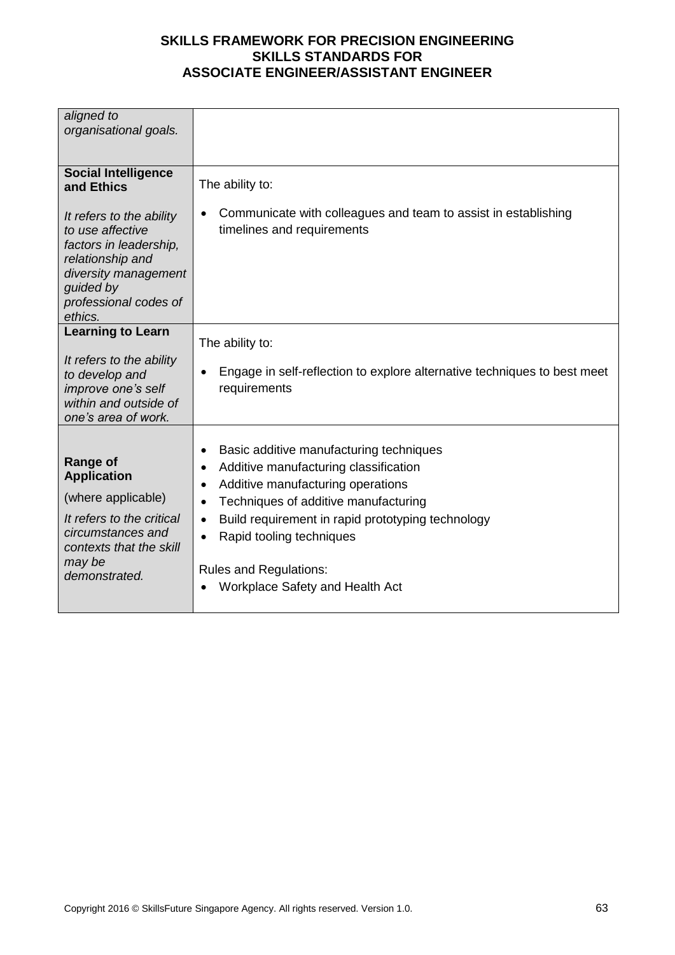| aligned to                                   |                                                                                       |
|----------------------------------------------|---------------------------------------------------------------------------------------|
| organisational goals.                        |                                                                                       |
|                                              |                                                                                       |
|                                              |                                                                                       |
| <b>Social Intelligence</b>                   |                                                                                       |
| and Ethics                                   | The ability to:                                                                       |
|                                              |                                                                                       |
| It refers to the ability                     | Communicate with colleagues and team to assist in establishing<br>$\bullet$           |
| to use affective                             | timelines and requirements                                                            |
| factors in leadership,                       |                                                                                       |
| relationship and                             |                                                                                       |
| diversity management                         |                                                                                       |
| guided by                                    |                                                                                       |
| professional codes of                        |                                                                                       |
| ethics.                                      |                                                                                       |
| <b>Learning to Learn</b>                     |                                                                                       |
|                                              | The ability to:                                                                       |
| It refers to the ability                     |                                                                                       |
| to develop and                               | Engage in self-reflection to explore alternative techniques to best meet<br>$\bullet$ |
| improve one's self                           | requirements                                                                          |
| within and outside of                        |                                                                                       |
| one's area of work.                          |                                                                                       |
|                                              |                                                                                       |
|                                              | Basic additive manufacturing techniques<br>$\bullet$                                  |
| <b>Range of</b>                              | Additive manufacturing classification<br>$\bullet$                                    |
| <b>Application</b>                           | Additive manufacturing operations<br>$\bullet$                                        |
| (where applicable)                           | Techniques of additive manufacturing<br>$\bullet$                                     |
| It refers to the critical                    |                                                                                       |
|                                              | Build requirement in rapid prototyping technology<br>$\bullet$                        |
| circumstances and<br>contexts that the skill | Rapid tooling techniques<br>$\bullet$                                                 |
|                                              |                                                                                       |
| may be<br>demonstrated.                      | <b>Rules and Regulations:</b>                                                         |
|                                              | Workplace Safety and Health Act                                                       |
|                                              |                                                                                       |
|                                              |                                                                                       |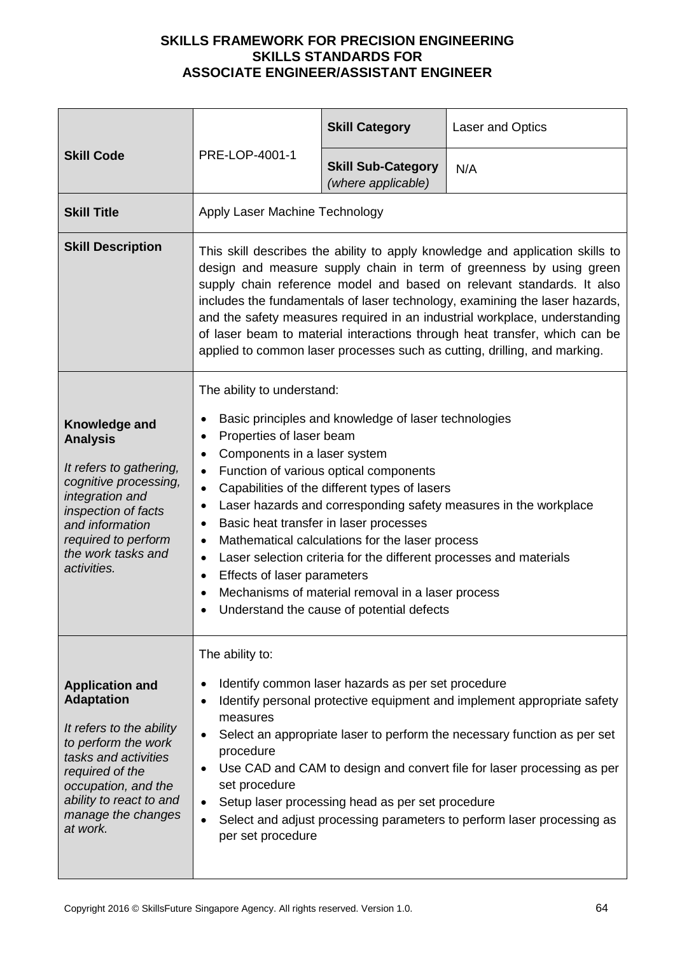|                                                                                                                                                                                                                               |                                                                                                                                                                                                                                                                                                                                                                                                                                                                                                                                                                                                                                                                                      | <b>Skill Category</b>                                                                                  | <b>Laser and Optics</b>                                                                                                                                                                                                                                                                                 |
|-------------------------------------------------------------------------------------------------------------------------------------------------------------------------------------------------------------------------------|--------------------------------------------------------------------------------------------------------------------------------------------------------------------------------------------------------------------------------------------------------------------------------------------------------------------------------------------------------------------------------------------------------------------------------------------------------------------------------------------------------------------------------------------------------------------------------------------------------------------------------------------------------------------------------------|--------------------------------------------------------------------------------------------------------|---------------------------------------------------------------------------------------------------------------------------------------------------------------------------------------------------------------------------------------------------------------------------------------------------------|
| <b>Skill Code</b>                                                                                                                                                                                                             | PRE-LOP-4001-1                                                                                                                                                                                                                                                                                                                                                                                                                                                                                                                                                                                                                                                                       | <b>Skill Sub-Category</b><br>(where applicable)                                                        | N/A                                                                                                                                                                                                                                                                                                     |
| <b>Skill Title</b>                                                                                                                                                                                                            | Apply Laser Machine Technology                                                                                                                                                                                                                                                                                                                                                                                                                                                                                                                                                                                                                                                       |                                                                                                        |                                                                                                                                                                                                                                                                                                         |
| <b>Skill Description</b>                                                                                                                                                                                                      | This skill describes the ability to apply knowledge and application skills to<br>design and measure supply chain in term of greenness by using green<br>supply chain reference model and based on relevant standards. It also<br>includes the fundamentals of laser technology, examining the laser hazards,<br>and the safety measures required in an industrial workplace, understanding<br>of laser beam to material interactions through heat transfer, which can be<br>applied to common laser processes such as cutting, drilling, and marking.                                                                                                                                |                                                                                                        |                                                                                                                                                                                                                                                                                                         |
| Knowledge and<br><b>Analysis</b><br>It refers to gathering,<br>cognitive processing,<br>integration and<br>inspection of facts<br>and information<br>required to perform<br>the work tasks and<br>activities.                 | The ability to understand:<br>Basic principles and knowledge of laser technologies<br>Properties of laser beam<br>٠<br>Components in a laser system<br>Function of various optical components<br>$\bullet$<br>Capabilities of the different types of lasers<br>$\bullet$<br>Laser hazards and corresponding safety measures in the workplace<br>٠<br>Basic heat transfer in laser processes<br>Mathematical calculations for the laser process<br>٠<br>Laser selection criteria for the different processes and materials<br>$\bullet$<br>Effects of laser parameters<br>$\bullet$<br>Mechanisms of material removal in a laser process<br>Understand the cause of potential defects |                                                                                                        |                                                                                                                                                                                                                                                                                                         |
| <b>Application and</b><br><b>Adaptation</b><br>It refers to the ability<br>to perform the work<br>tasks and activities<br>required of the<br>occupation, and the<br>ability to react to and<br>manage the changes<br>at work. | The ability to:<br>٠<br>measures<br>procedure<br>$\bullet$<br>set procedure<br>per set procedure                                                                                                                                                                                                                                                                                                                                                                                                                                                                                                                                                                                     | Identify common laser hazards as per set procedure<br>Setup laser processing head as per set procedure | Identify personal protective equipment and implement appropriate safety<br>Select an appropriate laser to perform the necessary function as per set<br>Use CAD and CAM to design and convert file for laser processing as per<br>Select and adjust processing parameters to perform laser processing as |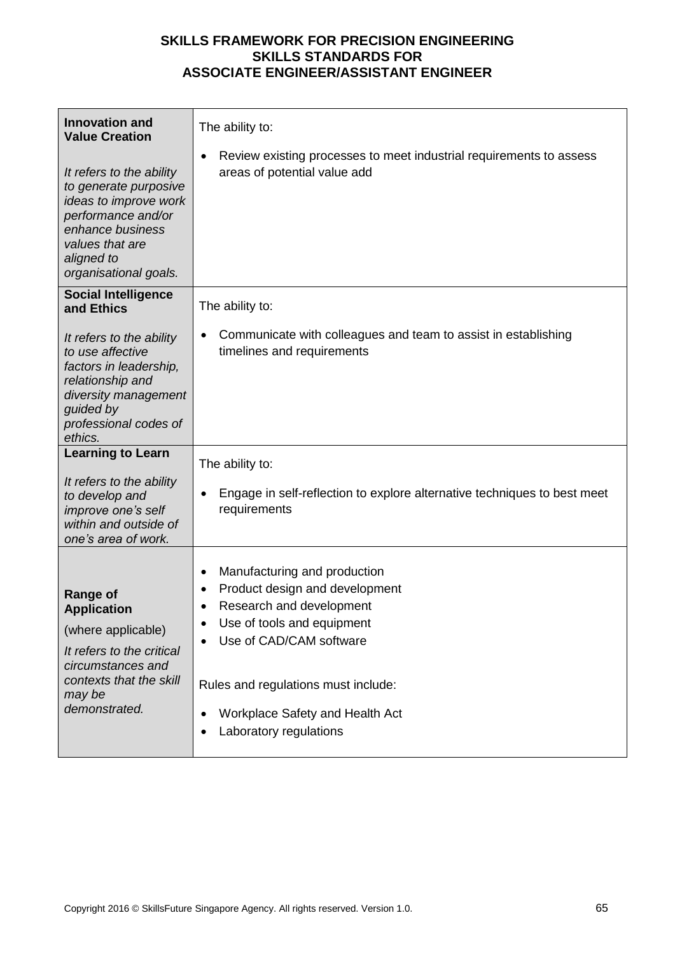| <b>Innovation and</b><br><b>Value Creation</b>                                                                                                                                 | The ability to:<br>Review existing processes to meet industrial requirements to assess                                                                                                                                                                            |
|--------------------------------------------------------------------------------------------------------------------------------------------------------------------------------|-------------------------------------------------------------------------------------------------------------------------------------------------------------------------------------------------------------------------------------------------------------------|
| It refers to the ability<br>to generate purposive<br>ideas to improve work<br>performance and/or<br>enhance business<br>values that are<br>aligned to<br>organisational goals. | areas of potential value add                                                                                                                                                                                                                                      |
| <b>Social Intelligence</b><br>and Ethics                                                                                                                                       | The ability to:                                                                                                                                                                                                                                                   |
| It refers to the ability<br>to use affective<br>factors in leadership,<br>relationship and<br>diversity management<br>guided by<br>professional codes of<br>ethics.            | Communicate with colleagues and team to assist in establishing<br>٠<br>timelines and requirements                                                                                                                                                                 |
| <b>Learning to Learn</b>                                                                                                                                                       | The ability to:                                                                                                                                                                                                                                                   |
| It refers to the ability<br>to develop and<br>improve one's self<br>within and outside of<br>one's area of work.                                                               | Engage in self-reflection to explore alternative techniques to best meet<br>$\bullet$<br>requirements                                                                                                                                                             |
| <b>Range of</b><br><b>Application</b><br>(where applicable)<br>It refers to the critical<br>circumstances and<br>contexts that the skill<br>may be<br>demonstrated.            | Manufacturing and production<br>٠<br>Product design and development<br>Research and development<br>Use of tools and equipment<br>Use of CAD/CAM software<br>Rules and regulations must include:<br>Workplace Safety and Health Act<br>Laboratory regulations<br>٠ |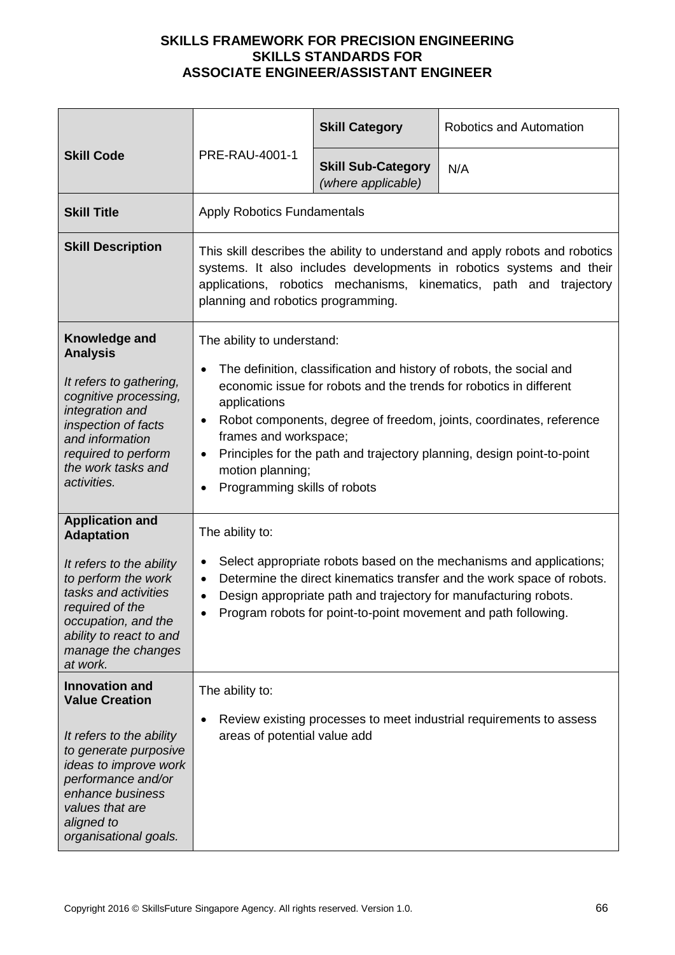|                                                                                                                                                                                                                                  |                                                                                                                                                                                                                                                                                                                                                                                                                                          | <b>Skill Category</b>                           | Robotics and Automation                                                                                                                                                                                                                                                             |
|----------------------------------------------------------------------------------------------------------------------------------------------------------------------------------------------------------------------------------|------------------------------------------------------------------------------------------------------------------------------------------------------------------------------------------------------------------------------------------------------------------------------------------------------------------------------------------------------------------------------------------------------------------------------------------|-------------------------------------------------|-------------------------------------------------------------------------------------------------------------------------------------------------------------------------------------------------------------------------------------------------------------------------------------|
| <b>Skill Code</b>                                                                                                                                                                                                                | PRE-RAU-4001-1                                                                                                                                                                                                                                                                                                                                                                                                                           | <b>Skill Sub-Category</b><br>(where applicable) | N/A                                                                                                                                                                                                                                                                                 |
| <b>Skill Title</b>                                                                                                                                                                                                               | <b>Apply Robotics Fundamentals</b>                                                                                                                                                                                                                                                                                                                                                                                                       |                                                 |                                                                                                                                                                                                                                                                                     |
| <b>Skill Description</b>                                                                                                                                                                                                         | This skill describes the ability to understand and apply robots and robotics<br>systems. It also includes developments in robotics systems and their<br>applications, robotics mechanisms, kinematics, path and trajectory<br>planning and robotics programming.                                                                                                                                                                         |                                                 |                                                                                                                                                                                                                                                                                     |
| Knowledge and<br><b>Analysis</b><br>It refers to gathering,<br>cognitive processing,<br>integration and<br>inspection of facts<br>and information<br>required to perform<br>the work tasks and<br>activities.                    | The ability to understand:<br>The definition, classification and history of robots, the social and<br>$\bullet$<br>economic issue for robots and the trends for robotics in different<br>applications<br>Robot components, degree of freedom, joints, coordinates, reference<br>٠<br>frames and workspace;<br>Principles for the path and trajectory planning, design point-to-point<br>motion planning;<br>Programming skills of robots |                                                 |                                                                                                                                                                                                                                                                                     |
| <b>Application and</b><br><b>Adaptation</b><br>It refers to the ability<br>to perform the work<br>tasks and activities<br>required of the<br>occupation, and the<br>ability to react to and<br>manage the changes<br>at work.    | The ability to:<br>$\bullet$<br>$\bullet$                                                                                                                                                                                                                                                                                                                                                                                                |                                                 | Select appropriate robots based on the mechanisms and applications;<br>Determine the direct kinematics transfer and the work space of robots.<br>Design appropriate path and trajectory for manufacturing robots.<br>Program robots for point-to-point movement and path following. |
| <b>Innovation and</b><br><b>Value Creation</b><br>It refers to the ability<br>to generate purposive<br>ideas to improve work<br>performance and/or<br>enhance business<br>values that are<br>aligned to<br>organisational goals. | The ability to:<br>areas of potential value add                                                                                                                                                                                                                                                                                                                                                                                          |                                                 | Review existing processes to meet industrial requirements to assess                                                                                                                                                                                                                 |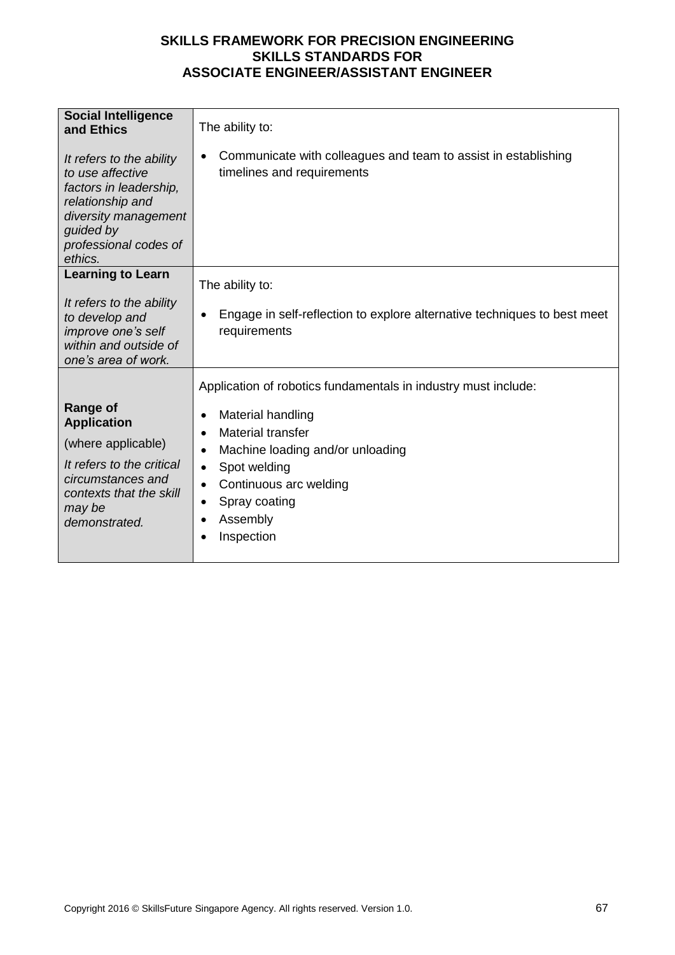| <b>Social Intelligence</b><br>and Ethics<br>It refers to the ability<br>to use affective<br>factors in leadership,<br>relationship and<br>diversity management<br>guided by<br>professional codes of<br>ethics. | The ability to:<br>Communicate with colleagues and team to assist in establishing<br>$\bullet$<br>timelines and requirements                                                                                                                                                                                    |
|-----------------------------------------------------------------------------------------------------------------------------------------------------------------------------------------------------------------|-----------------------------------------------------------------------------------------------------------------------------------------------------------------------------------------------------------------------------------------------------------------------------------------------------------------|
| <b>Learning to Learn</b><br>It refers to the ability<br>to develop and<br>improve one's self<br>within and outside of<br>one's area of work.                                                                    | The ability to:<br>Engage in self-reflection to explore alternative techniques to best meet<br>٠<br>requirements                                                                                                                                                                                                |
| Range of<br><b>Application</b><br>(where applicable)<br>It refers to the critical<br>circumstances and<br>contexts that the skill<br>may be<br>demonstrated.                                                    | Application of robotics fundamentals in industry must include:<br>Material handling<br>$\bullet$<br>Material transfer<br>$\bullet$<br>Machine loading and/or unloading<br>$\bullet$<br>Spot welding<br>$\bullet$<br>Continuous arc welding<br>$\bullet$<br>Spray coating<br>$\bullet$<br>Assembly<br>Inspection |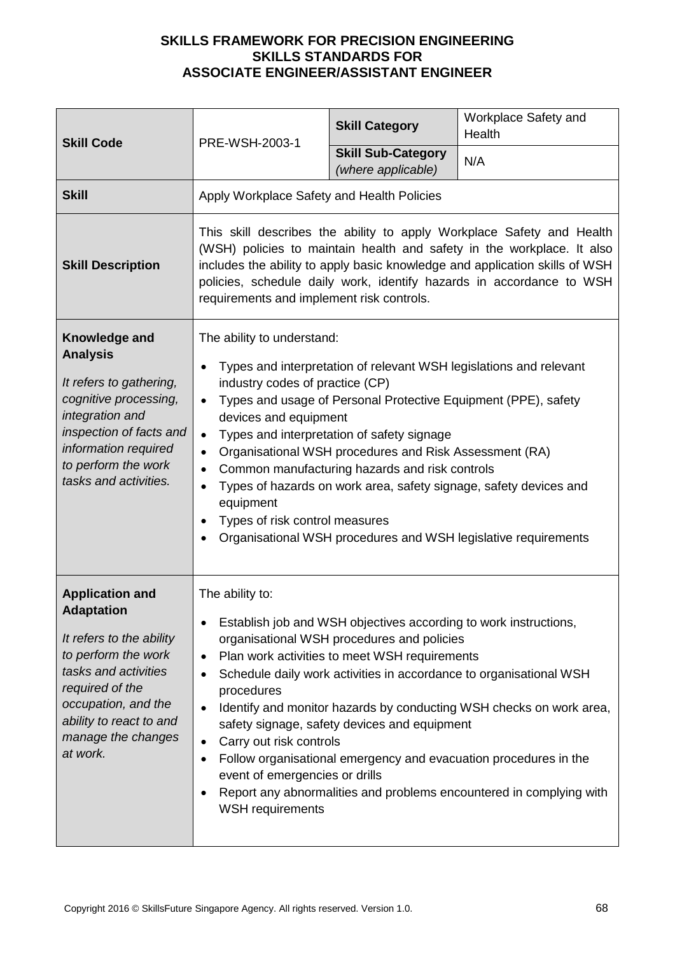| <b>Skill Code</b>                                                                                                                                                                                                             | PRE-WSH-2003-1                                                                                                                                                                                                                   | <b>Skill Category</b>                                                                                                                                                                                                                                                                          | Workplace Safety and<br>Health                                                                                                                                                                                                                                                                         |
|-------------------------------------------------------------------------------------------------------------------------------------------------------------------------------------------------------------------------------|----------------------------------------------------------------------------------------------------------------------------------------------------------------------------------------------------------------------------------|------------------------------------------------------------------------------------------------------------------------------------------------------------------------------------------------------------------------------------------------------------------------------------------------|--------------------------------------------------------------------------------------------------------------------------------------------------------------------------------------------------------------------------------------------------------------------------------------------------------|
|                                                                                                                                                                                                                               |                                                                                                                                                                                                                                  | <b>Skill Sub-Category</b><br>(where applicable)                                                                                                                                                                                                                                                | N/A                                                                                                                                                                                                                                                                                                    |
| <b>Skill</b>                                                                                                                                                                                                                  | Apply Workplace Safety and Health Policies                                                                                                                                                                                       |                                                                                                                                                                                                                                                                                                |                                                                                                                                                                                                                                                                                                        |
| <b>Skill Description</b>                                                                                                                                                                                                      | requirements and implement risk controls.                                                                                                                                                                                        |                                                                                                                                                                                                                                                                                                | This skill describes the ability to apply Workplace Safety and Health<br>(WSH) policies to maintain health and safety in the workplace. It also<br>includes the ability to apply basic knowledge and application skills of WSH<br>policies, schedule daily work, identify hazards in accordance to WSH |
| Knowledge and<br><b>Analysis</b><br>It refers to gathering,<br>cognitive processing,<br>integration and<br>inspection of facts and<br>information required<br>to perform the work<br>tasks and activities.                    | The ability to understand:<br>$\bullet$<br>industry codes of practice (CP)<br>$\bullet$<br>devices and equipment<br>$\bullet$<br>$\bullet$<br>$\bullet$<br>$\bullet$<br>equipment<br>Types of risk control measures<br>$\bullet$ | Types and interpretation of relevant WSH legislations and relevant<br>Types and usage of Personal Protective Equipment (PPE), safety<br>Types and interpretation of safety signage<br>Organisational WSH procedures and Risk Assessment (RA)<br>Common manufacturing hazards and risk controls | Types of hazards on work area, safety signage, safety devices and<br>Organisational WSH procedures and WSH legislative requirements                                                                                                                                                                    |
| <b>Application and</b><br><b>Adaptation</b><br>It refers to the ability<br>to perform the work<br>tasks and activities<br>required of the<br>occupation, and the<br>ability to react to and<br>manage the changes<br>at work. | The ability to:<br>$\bullet$<br>$\bullet$<br>$\bullet$<br>procedures<br>Carry out risk controls<br>$\bullet$<br>$\bullet$<br>event of emergencies or drills<br>$\bullet$<br><b>WSH</b> requirements                              | Establish job and WSH objectives according to work instructions,<br>organisational WSH procedures and policies<br>Plan work activities to meet WSH requirements<br>safety signage, safety devices and equipment                                                                                | Schedule daily work activities in accordance to organisational WSH<br>Identify and monitor hazards by conducting WSH checks on work area,<br>Follow organisational emergency and evacuation procedures in the<br>Report any abnormalities and problems encountered in complying with                   |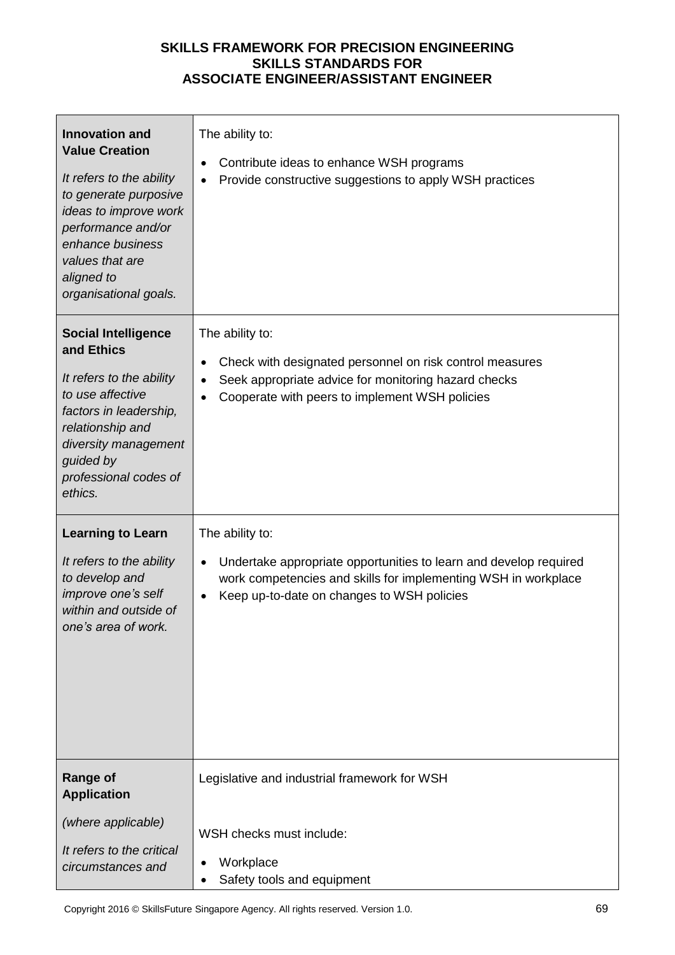| <b>Innovation and</b><br><b>Value Creation</b><br>It refers to the ability<br>to generate purposive<br>ideas to improve work<br>performance and/or<br>enhance business<br>values that are<br>aligned to<br>organisational goals. | The ability to:<br>Contribute ideas to enhance WSH programs<br>$\bullet$<br>Provide constructive suggestions to apply WSH practices<br>$\bullet$                                                                               |
|----------------------------------------------------------------------------------------------------------------------------------------------------------------------------------------------------------------------------------|--------------------------------------------------------------------------------------------------------------------------------------------------------------------------------------------------------------------------------|
| <b>Social Intelligence</b><br>and Ethics<br>It refers to the ability<br>to use affective<br>factors in leadership,<br>relationship and<br>diversity management<br>guided by<br>professional codes of<br>ethics.                  | The ability to:<br>Check with designated personnel on risk control measures<br>$\bullet$<br>Seek appropriate advice for monitoring hazard checks<br>$\bullet$<br>Cooperate with peers to implement WSH policies<br>$\bullet$   |
| <b>Learning to Learn</b><br>It refers to the ability<br>to develop and<br>improve one's self<br>within and outside of<br>one's area of work.                                                                                     | The ability to:<br>Undertake appropriate opportunities to learn and develop required<br>$\bullet$<br>work competencies and skills for implementing WSH in workplace<br>Keep up-to-date on changes to WSH policies<br>$\bullet$ |
| <b>Range of</b><br><b>Application</b><br>(where applicable)<br>It refers to the critical<br>circumstances and                                                                                                                    | Legislative and industrial framework for WSH<br>WSH checks must include:<br>Workplace<br>Safety tools and equipment                                                                                                            |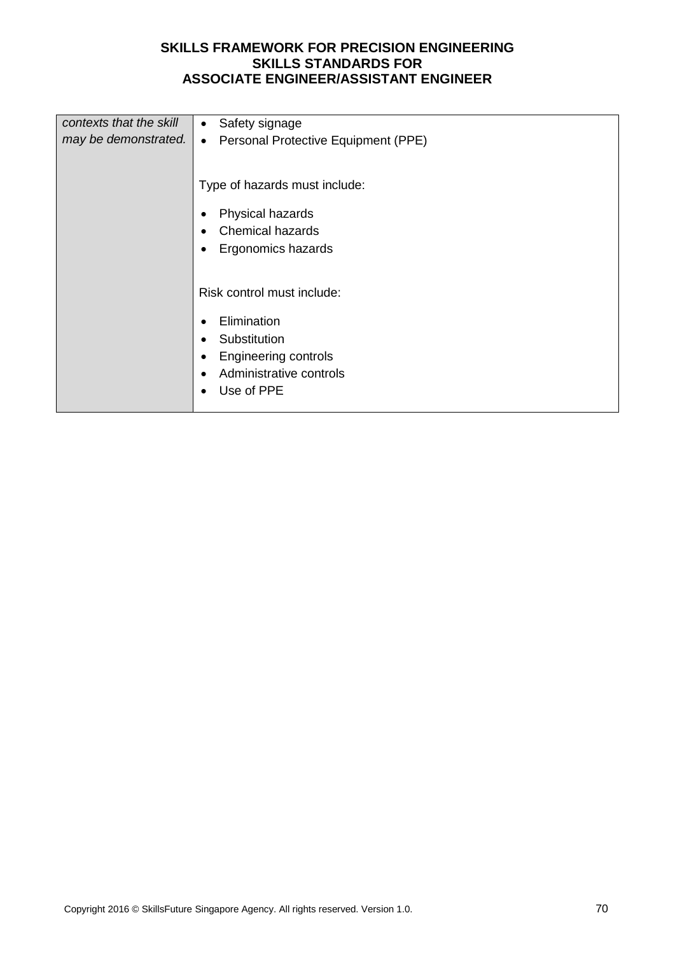| contexts that the skill<br>may be demonstrated. | Safety signage<br>$\bullet$<br>Personal Protective Equipment (PPE)<br>$\bullet$ |
|-------------------------------------------------|---------------------------------------------------------------------------------|
|                                                 | Type of hazards must include:                                                   |
|                                                 | Physical hazards<br>٠                                                           |
|                                                 | <b>Chemical hazards</b><br>$\bullet$                                            |
|                                                 | Ergonomics hazards<br>$\bullet$                                                 |
|                                                 |                                                                                 |
|                                                 | Risk control must include:                                                      |
|                                                 | Elimination<br>٠                                                                |
|                                                 | Substitution<br>$\bullet$                                                       |
|                                                 | <b>Engineering controls</b><br>٠                                                |
|                                                 | Administrative controls<br>$\bullet$                                            |
|                                                 | Use of PPE<br>٠                                                                 |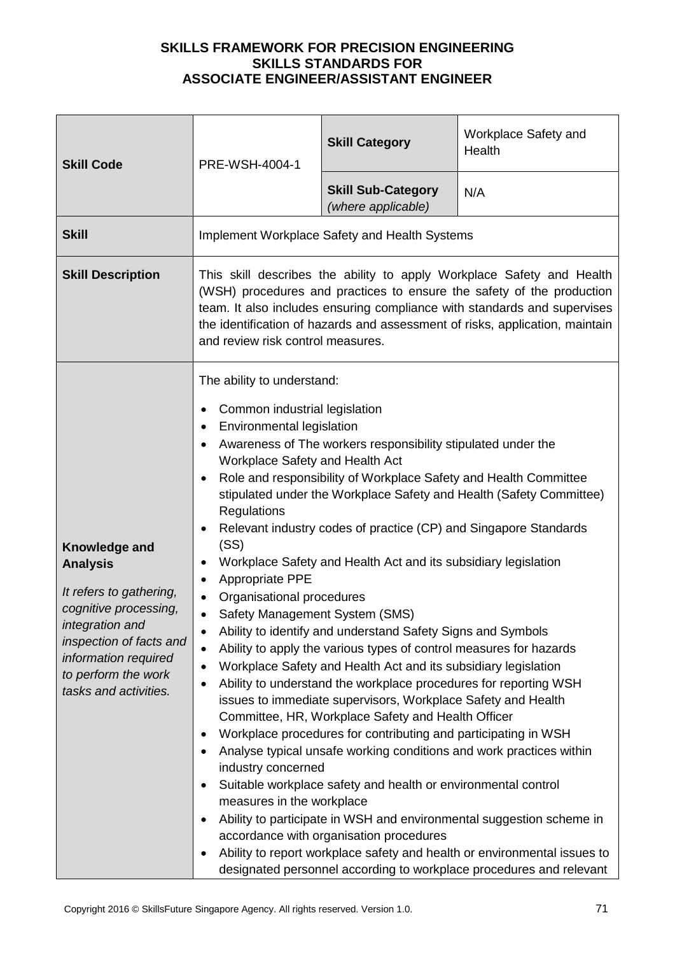| <b>Skill Code</b>                                                                                                                                                                                                 | PRE-WSH-4004-1                                                                                                                                                                                                                                                                                                                                                                                                                                                                                                                                                                                                                                                                                                                                                                                                                                                                                                                                                                                                                                                                                                                                                                                                                                                                                                                                                                                                                                                                                                                                    | <b>Skill Category</b>                           | Workplace Safety and<br>Health                                                                                                                  |
|-------------------------------------------------------------------------------------------------------------------------------------------------------------------------------------------------------------------|---------------------------------------------------------------------------------------------------------------------------------------------------------------------------------------------------------------------------------------------------------------------------------------------------------------------------------------------------------------------------------------------------------------------------------------------------------------------------------------------------------------------------------------------------------------------------------------------------------------------------------------------------------------------------------------------------------------------------------------------------------------------------------------------------------------------------------------------------------------------------------------------------------------------------------------------------------------------------------------------------------------------------------------------------------------------------------------------------------------------------------------------------------------------------------------------------------------------------------------------------------------------------------------------------------------------------------------------------------------------------------------------------------------------------------------------------------------------------------------------------------------------------------------------------|-------------------------------------------------|-------------------------------------------------------------------------------------------------------------------------------------------------|
|                                                                                                                                                                                                                   |                                                                                                                                                                                                                                                                                                                                                                                                                                                                                                                                                                                                                                                                                                                                                                                                                                                                                                                                                                                                                                                                                                                                                                                                                                                                                                                                                                                                                                                                                                                                                   | <b>Skill Sub-Category</b><br>(where applicable) | N/A                                                                                                                                             |
| <b>Skill</b>                                                                                                                                                                                                      |                                                                                                                                                                                                                                                                                                                                                                                                                                                                                                                                                                                                                                                                                                                                                                                                                                                                                                                                                                                                                                                                                                                                                                                                                                                                                                                                                                                                                                                                                                                                                   | Implement Workplace Safety and Health Systems   |                                                                                                                                                 |
| <b>Skill Description</b>                                                                                                                                                                                          | This skill describes the ability to apply Workplace Safety and Health<br>(WSH) procedures and practices to ensure the safety of the production<br>team. It also includes ensuring compliance with standards and supervises<br>the identification of hazards and assessment of risks, application, maintain<br>and review risk control measures.                                                                                                                                                                                                                                                                                                                                                                                                                                                                                                                                                                                                                                                                                                                                                                                                                                                                                                                                                                                                                                                                                                                                                                                                   |                                                 |                                                                                                                                                 |
| Knowledge and<br><b>Analysis</b><br>It refers to gathering,<br>cognitive processing,<br><i>integration and</i><br>inspection of facts and<br>information required<br>to perform the work<br>tasks and activities. | The ability to understand:<br>Common industrial legislation<br>٠<br>Environmental legislation<br>$\bullet$<br>Awareness of The workers responsibility stipulated under the<br>$\bullet$<br>Workplace Safety and Health Act<br>Role and responsibility of Workplace Safety and Health Committee<br>$\bullet$<br>stipulated under the Workplace Safety and Health (Safety Committee)<br>Regulations<br>Relevant industry codes of practice (CP) and Singapore Standards<br>$\bullet$<br>(SS)<br>Workplace Safety and Health Act and its subsidiary legislation<br>٠<br>Appropriate PPE<br>$\bullet$<br>Organisational procedures<br>Safety Management System (SMS)<br>Ability to identify and understand Safety Signs and Symbols<br>$\bullet$<br>Ability to apply the various types of control measures for hazards<br>$\bullet$<br>Workplace Safety and Health Act and its subsidiary legislation<br>$\bullet$<br>Ability to understand the workplace procedures for reporting WSH<br>$\bullet$<br>issues to immediate supervisors, Workplace Safety and Health<br>Committee, HR, Workplace Safety and Health Officer<br>Workplace procedures for contributing and participating in WSH<br>$\bullet$<br>Analyse typical unsafe working conditions and work practices within<br>$\bullet$<br>industry concerned<br>Suitable workplace safety and health or environmental control<br>$\bullet$<br>measures in the workplace<br>Ability to participate in WSH and environmental suggestion scheme in<br>٠<br>accordance with organisation procedures |                                                 | Ability to report workplace safety and health or environmental issues to<br>designated personnel according to workplace procedures and relevant |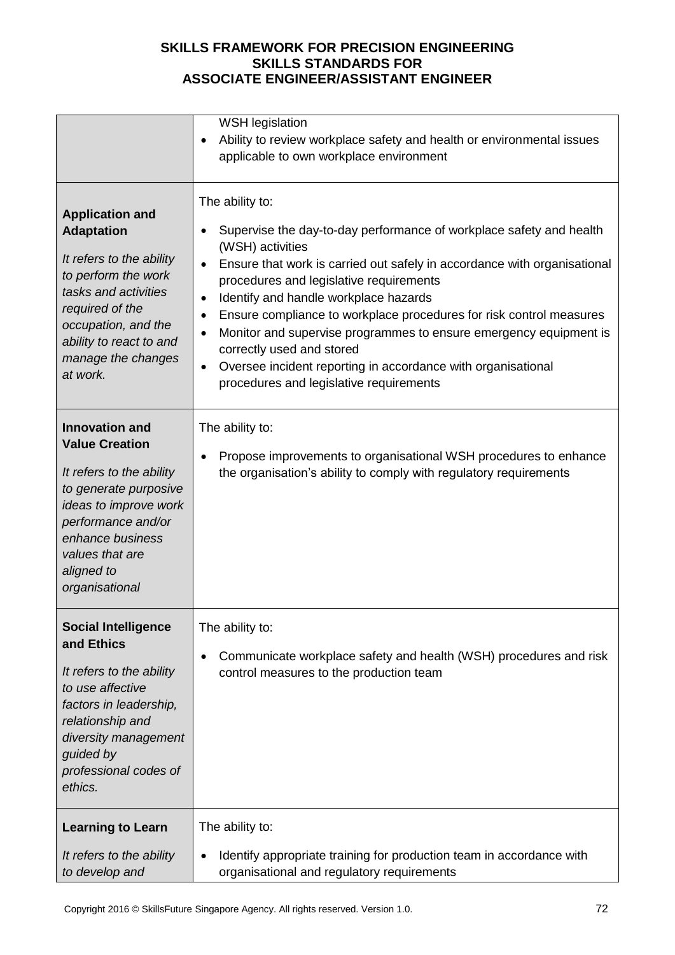| <b>Application and</b><br><b>Adaptation</b><br>It refers to the ability<br>to perform the work<br>tasks and activities<br>required of the<br>occupation, and the<br>ability to react to and                               | <b>WSH legislation</b><br>Ability to review workplace safety and health or environmental issues<br>$\bullet$<br>applicable to own workplace environment<br>The ability to:<br>Supervise the day-to-day performance of workplace safety and health<br>$\bullet$<br>(WSH) activities<br>Ensure that work is carried out safely in accordance with organisational<br>$\bullet$<br>procedures and legislative requirements<br>Identify and handle workplace hazards<br>$\bullet$<br>Ensure compliance to workplace procedures for risk control measures<br>$\bullet$<br>Monitor and supervise programmes to ensure emergency equipment is<br>$\bullet$ |
|---------------------------------------------------------------------------------------------------------------------------------------------------------------------------------------------------------------------------|----------------------------------------------------------------------------------------------------------------------------------------------------------------------------------------------------------------------------------------------------------------------------------------------------------------------------------------------------------------------------------------------------------------------------------------------------------------------------------------------------------------------------------------------------------------------------------------------------------------------------------------------------|
| manage the changes<br>at work.                                                                                                                                                                                            | correctly used and stored<br>Oversee incident reporting in accordance with organisational<br>$\bullet$<br>procedures and legislative requirements                                                                                                                                                                                                                                                                                                                                                                                                                                                                                                  |
| <b>Innovation and</b><br><b>Value Creation</b><br>It refers to the ability<br>to generate purposive<br>ideas to improve work<br>performance and/or<br>enhance business<br>values that are<br>aligned to<br>organisational | The ability to:<br>Propose improvements to organisational WSH procedures to enhance<br>$\bullet$<br>the organisation's ability to comply with regulatory requirements                                                                                                                                                                                                                                                                                                                                                                                                                                                                              |
| <b>Social Intelligence</b><br>and Ethics<br>It refers to the ability<br>to use affective<br>factors in leadership,<br>relationship and<br>diversity management<br>guided by<br>professional codes of<br>ethics.           | The ability to:<br>Communicate workplace safety and health (WSH) procedures and risk<br>$\bullet$<br>control measures to the production team                                                                                                                                                                                                                                                                                                                                                                                                                                                                                                       |
| <b>Learning to Learn</b><br>It refers to the ability<br>to develop and                                                                                                                                                    | The ability to:<br>Identify appropriate training for production team in accordance with<br>$\bullet$<br>organisational and regulatory requirements                                                                                                                                                                                                                                                                                                                                                                                                                                                                                                 |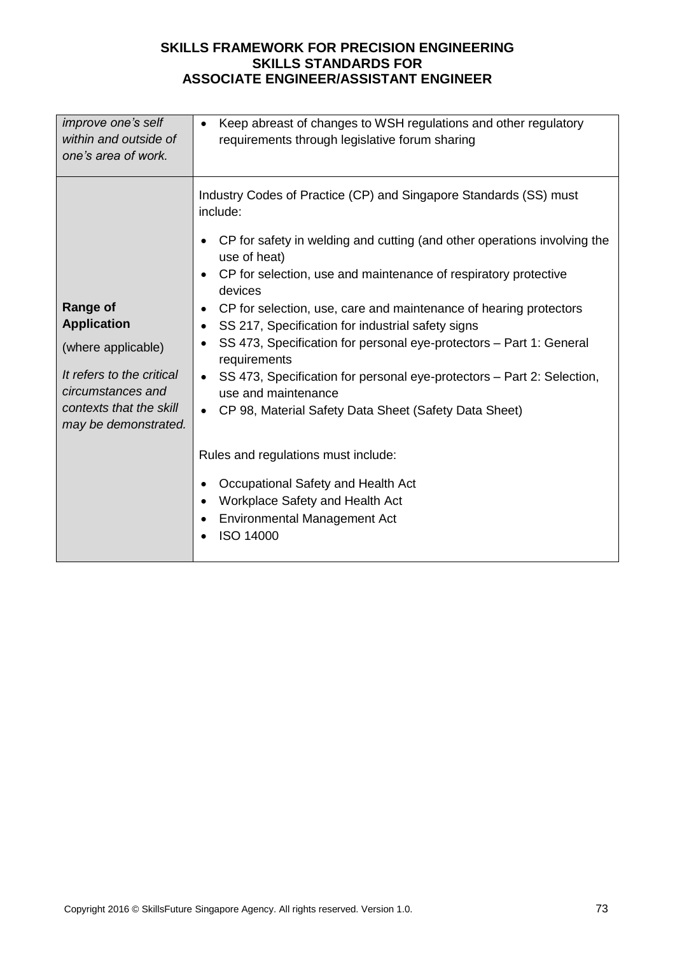| <i>improve one's self</i>                                                                                                                                        | Keep abreast of changes to WSH regulations and other regulatory                                                                                                                                                                                                                                                                                                                                                                                                                                                                                                                                                                                                                                                                                                                                                                                                                                                    |
|------------------------------------------------------------------------------------------------------------------------------------------------------------------|--------------------------------------------------------------------------------------------------------------------------------------------------------------------------------------------------------------------------------------------------------------------------------------------------------------------------------------------------------------------------------------------------------------------------------------------------------------------------------------------------------------------------------------------------------------------------------------------------------------------------------------------------------------------------------------------------------------------------------------------------------------------------------------------------------------------------------------------------------------------------------------------------------------------|
| within and outside of                                                                                                                                            | $\bullet$                                                                                                                                                                                                                                                                                                                                                                                                                                                                                                                                                                                                                                                                                                                                                                                                                                                                                                          |
| one's area of work.                                                                                                                                              | requirements through legislative forum sharing                                                                                                                                                                                                                                                                                                                                                                                                                                                                                                                                                                                                                                                                                                                                                                                                                                                                     |
| <b>Range of</b><br><b>Application</b><br>(where applicable)<br>It refers to the critical<br>circumstances and<br>contexts that the skill<br>may be demonstrated. | Industry Codes of Practice (CP) and Singapore Standards (SS) must<br>include:<br>CP for safety in welding and cutting (and other operations involving the<br>$\bullet$<br>use of heat)<br>CP for selection, use and maintenance of respiratory protective<br>$\bullet$<br>devices<br>CP for selection, use, care and maintenance of hearing protectors<br>٠<br>SS 217, Specification for industrial safety signs<br>$\bullet$<br>SS 473, Specification for personal eye-protectors - Part 1: General<br>$\bullet$<br>requirements<br>SS 473, Specification for personal eye-protectors - Part 2: Selection,<br>$\bullet$<br>use and maintenance<br>CP 98, Material Safety Data Sheet (Safety Data Sheet)<br>$\bullet$<br>Rules and regulations must include:<br>Occupational Safety and Health Act<br>٠<br>Workplace Safety and Health Act<br>$\bullet$<br><b>Environmental Management Act</b><br><b>ISO 14000</b> |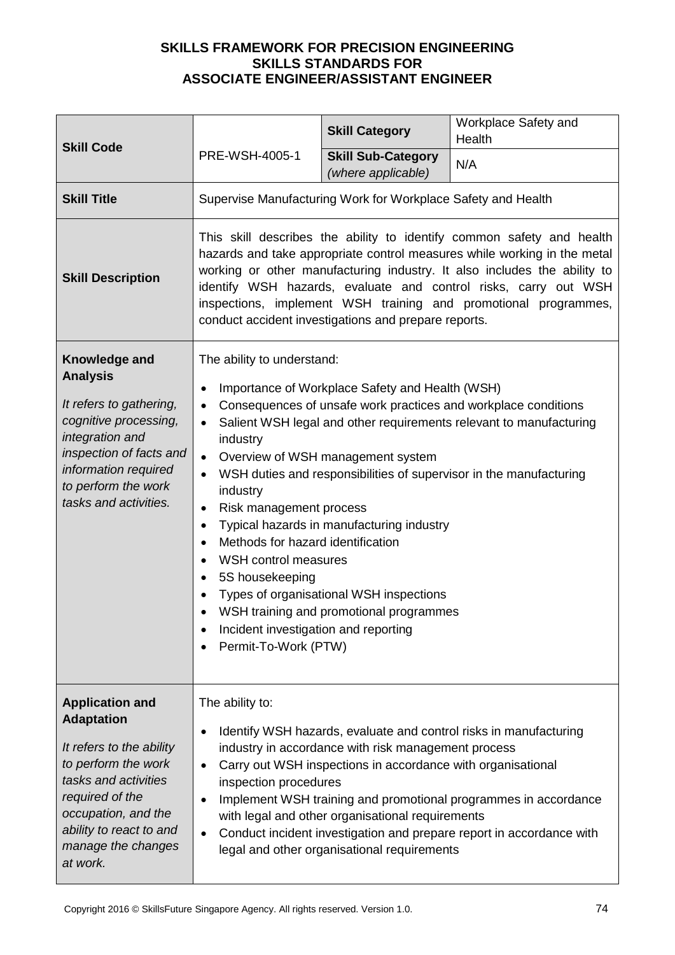| <b>Skill Code</b><br>PRE-WSH-4005-1                                                                                                                                                                                           |                                                                                                                                                                                                                                                                                                                                                                                                                             | <b>Skill Category</b>                                                                                                                                                                                                   | Workplace Safety and<br>Health                                                                                                                                                                               |
|-------------------------------------------------------------------------------------------------------------------------------------------------------------------------------------------------------------------------------|-----------------------------------------------------------------------------------------------------------------------------------------------------------------------------------------------------------------------------------------------------------------------------------------------------------------------------------------------------------------------------------------------------------------------------|-------------------------------------------------------------------------------------------------------------------------------------------------------------------------------------------------------------------------|--------------------------------------------------------------------------------------------------------------------------------------------------------------------------------------------------------------|
|                                                                                                                                                                                                                               | <b>Skill Sub-Category</b><br>(where applicable)                                                                                                                                                                                                                                                                                                                                                                             | N/A                                                                                                                                                                                                                     |                                                                                                                                                                                                              |
| <b>Skill Title</b>                                                                                                                                                                                                            |                                                                                                                                                                                                                                                                                                                                                                                                                             | Supervise Manufacturing Work for Workplace Safety and Health                                                                                                                                                            |                                                                                                                                                                                                              |
| <b>Skill Description</b>                                                                                                                                                                                                      | This skill describes the ability to identify common safety and health<br>hazards and take appropriate control measures while working in the metal<br>working or other manufacturing industry. It also includes the ability to<br>identify WSH hazards, evaluate and control risks, carry out WSH<br>inspections, implement WSH training and promotional programmes,<br>conduct accident investigations and prepare reports. |                                                                                                                                                                                                                         |                                                                                                                                                                                                              |
| Knowledge and<br><b>Analysis</b><br>It refers to gathering,<br>cognitive processing,<br>integration and<br>inspection of facts and<br>information required<br>to perform the work<br>tasks and activities.                    | The ability to understand:<br>٠<br>industry<br>$\bullet$<br>industry<br>Risk management process<br>٠<br>٠<br>Methods for hazard identification<br>$\bullet$<br>WSH control measures<br>$\bullet$<br>5S housekeeping<br>$\bullet$<br>Incident investigation and reporting<br>Permit-To-Work (PTW)                                                                                                                            | Importance of Workplace Safety and Health (WSH)<br>Overview of WSH management system<br>Typical hazards in manufacturing industry<br>Types of organisational WSH inspections<br>WSH training and promotional programmes | Consequences of unsafe work practices and workplace conditions<br>Salient WSH legal and other requirements relevant to manufacturing<br>WSH duties and responsibilities of supervisor in the manufacturing   |
| <b>Application and</b><br><b>Adaptation</b><br>It refers to the ability<br>to perform the work<br>tasks and activities<br>required of the<br>occupation, and the<br>ability to react to and<br>manage the changes<br>at work. | The ability to:<br>$\bullet$<br>inspection procedures                                                                                                                                                                                                                                                                                                                                                                       | industry in accordance with risk management process<br>Carry out WSH inspections in accordance with organisational<br>with legal and other organisational requirements<br>legal and other organisational requirements   | Identify WSH hazards, evaluate and control risks in manufacturing<br>Implement WSH training and promotional programmes in accordance<br>Conduct incident investigation and prepare report in accordance with |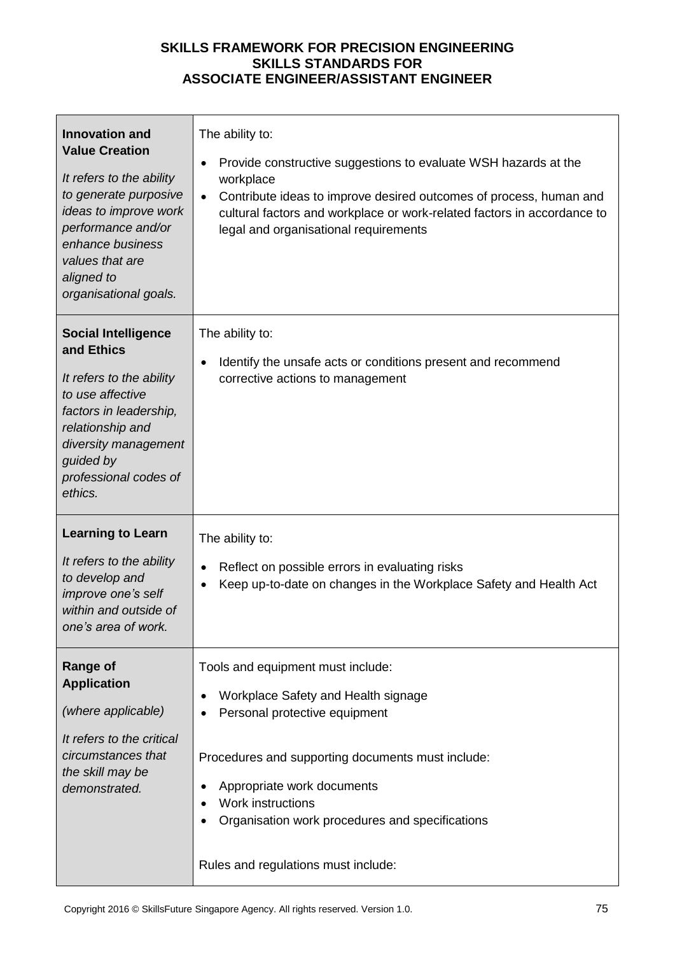| <b>Innovation and</b><br><b>Value Creation</b><br>It refers to the ability<br>to generate purposive<br>ideas to improve work<br>performance and/or<br>enhance business<br>values that are<br>aligned to<br>organisational goals. | The ability to:<br>Provide constructive suggestions to evaluate WSH hazards at the<br>٠<br>workplace<br>Contribute ideas to improve desired outcomes of process, human and<br>cultural factors and workplace or work-related factors in accordance to<br>legal and organisational requirements              |
|----------------------------------------------------------------------------------------------------------------------------------------------------------------------------------------------------------------------------------|-------------------------------------------------------------------------------------------------------------------------------------------------------------------------------------------------------------------------------------------------------------------------------------------------------------|
| <b>Social Intelligence</b><br>and Ethics<br>It refers to the ability<br>to use affective<br>factors in leadership,<br>relationship and<br>diversity management<br>guided by<br>professional codes of<br>ethics.                  | The ability to:<br>Identify the unsafe acts or conditions present and recommend<br>$\bullet$<br>corrective actions to management                                                                                                                                                                            |
| <b>Learning to Learn</b><br>It refers to the ability<br>to develop and<br>improve one's self<br>within and outside of<br>one's area of work.                                                                                     | The ability to:<br>Reflect on possible errors in evaluating risks<br>$\bullet$<br>Keep up-to-date on changes in the Workplace Safety and Health Act                                                                                                                                                         |
| <b>Range of</b><br><b>Application</b><br>(where applicable)<br>It refers to the critical<br>circumstances that<br>the skill may be<br>demonstrated.                                                                              | Tools and equipment must include:<br>Workplace Safety and Health signage<br>Personal protective equipment<br>Procedures and supporting documents must include:<br>Appropriate work documents<br>Work instructions<br>Organisation work procedures and specifications<br>Rules and regulations must include: |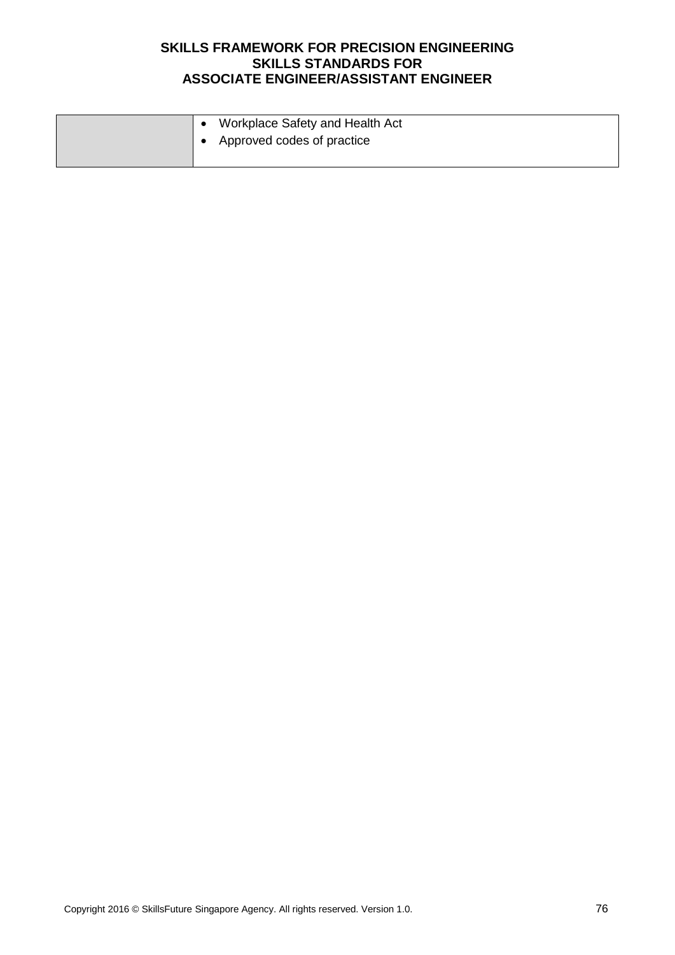|  | Workplace Safety and Health Act |
|--|---------------------------------|
|  | Approved codes of practice      |
|  |                                 |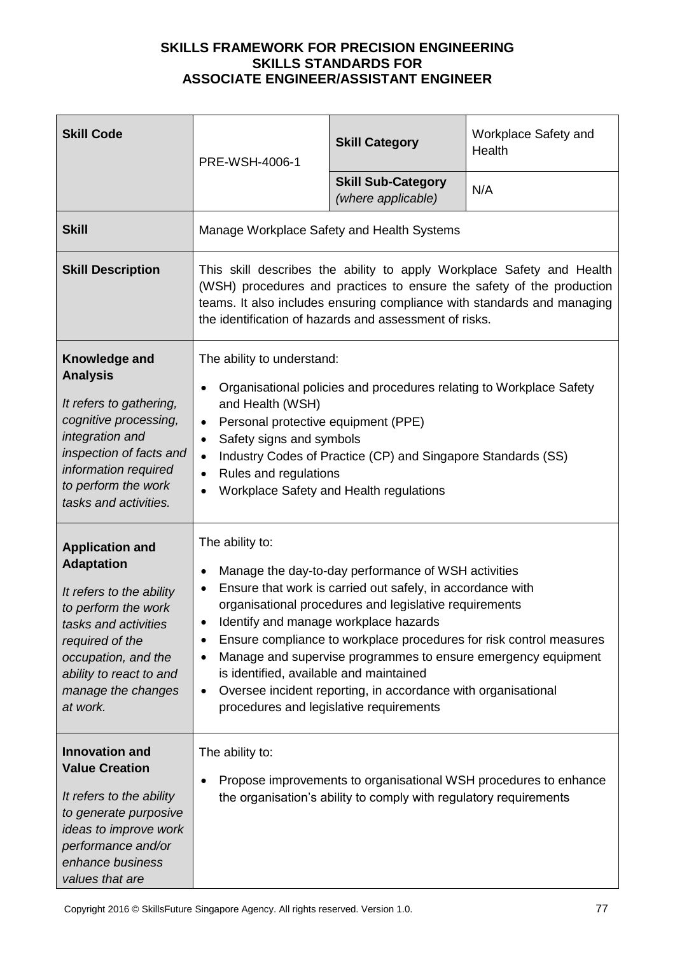| <b>Skill Code</b>                                                                                                                                                                                                             | PRE-WSH-4006-1                                                                                                                                                                                                           | <b>Skill Category</b>                                                                                                                                                                                                                                                                                                            | Workplace Safety and<br>Health                                                                                                                                                                                            |
|-------------------------------------------------------------------------------------------------------------------------------------------------------------------------------------------------------------------------------|--------------------------------------------------------------------------------------------------------------------------------------------------------------------------------------------------------------------------|----------------------------------------------------------------------------------------------------------------------------------------------------------------------------------------------------------------------------------------------------------------------------------------------------------------------------------|---------------------------------------------------------------------------------------------------------------------------------------------------------------------------------------------------------------------------|
|                                                                                                                                                                                                                               |                                                                                                                                                                                                                          | <b>Skill Sub-Category</b><br>(where applicable)                                                                                                                                                                                                                                                                                  | N/A                                                                                                                                                                                                                       |
| <b>Skill</b>                                                                                                                                                                                                                  | Manage Workplace Safety and Health Systems                                                                                                                                                                               |                                                                                                                                                                                                                                                                                                                                  |                                                                                                                                                                                                                           |
| <b>Skill Description</b>                                                                                                                                                                                                      |                                                                                                                                                                                                                          | the identification of hazards and assessment of risks.                                                                                                                                                                                                                                                                           | This skill describes the ability to apply Workplace Safety and Health<br>(WSH) procedures and practices to ensure the safety of the production<br>teams. It also includes ensuring compliance with standards and managing |
| Knowledge and<br><b>Analysis</b><br>It refers to gathering,<br>cognitive processing,<br>integration and<br>inspection of facts and<br>information required<br>to perform the work<br>tasks and activities.                    | The ability to understand:<br>$\bullet$<br>and Health (WSH)<br>Personal protective equipment (PPE)<br>$\bullet$<br>Safety signs and symbols<br>$\bullet$<br>$\bullet$<br>Rules and regulations<br>$\bullet$<br>$\bullet$ | Organisational policies and procedures relating to Workplace Safety<br>Industry Codes of Practice (CP) and Singapore Standards (SS)<br>Workplace Safety and Health regulations                                                                                                                                                   |                                                                                                                                                                                                                           |
| <b>Application and</b><br><b>Adaptation</b><br>It refers to the ability<br>to perform the work<br>tasks and activities<br>required of the<br>occupation, and the<br>ability to react to and<br>manage the changes<br>at work. | The ability to:<br>٠<br>$\bullet$<br>٠<br>$\bullet$<br>is identified, available and maintained<br>$\bullet$                                                                                                              | Manage the day-to-day performance of WSH activities<br>Ensure that work is carried out safely, in accordance with<br>organisational procedures and legislative requirements<br>Identify and manage workplace hazards<br>Oversee incident reporting, in accordance with organisational<br>procedures and legislative requirements | Ensure compliance to workplace procedures for risk control measures<br>Manage and supervise programmes to ensure emergency equipment                                                                                      |
| <b>Innovation and</b><br><b>Value Creation</b><br>It refers to the ability<br>to generate purposive<br>ideas to improve work<br>performance and/or<br>enhance business<br>values that are                                     | The ability to:<br>٠                                                                                                                                                                                                     | the organisation's ability to comply with regulatory requirements                                                                                                                                                                                                                                                                | Propose improvements to organisational WSH procedures to enhance                                                                                                                                                          |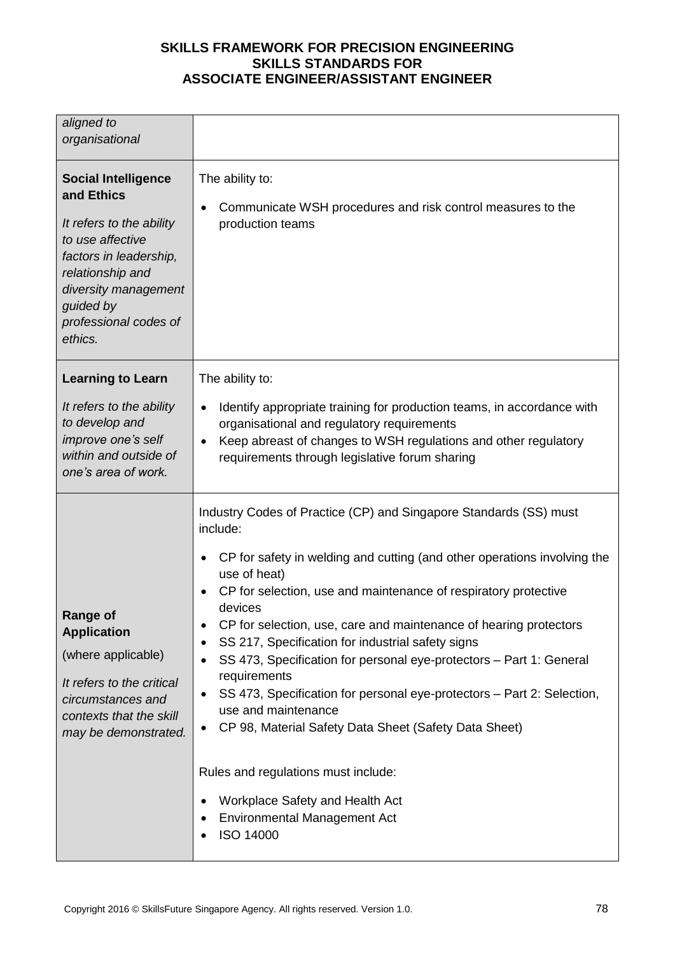| aligned to<br>organisational                                                                                                                                                                                    |                                                                                                                                                                                                                                                                                                                                                                                                                                                                                                                                                                                                                              |
|-----------------------------------------------------------------------------------------------------------------------------------------------------------------------------------------------------------------|------------------------------------------------------------------------------------------------------------------------------------------------------------------------------------------------------------------------------------------------------------------------------------------------------------------------------------------------------------------------------------------------------------------------------------------------------------------------------------------------------------------------------------------------------------------------------------------------------------------------------|
| <b>Social Intelligence</b><br>and Ethics<br>It refers to the ability<br>to use affective<br>factors in leadership,<br>relationship and<br>diversity management<br>guided by<br>professional codes of<br>ethics. | The ability to:<br>Communicate WSH procedures and risk control measures to the<br>٠<br>production teams                                                                                                                                                                                                                                                                                                                                                                                                                                                                                                                      |
| <b>Learning to Learn</b>                                                                                                                                                                                        | The ability to:                                                                                                                                                                                                                                                                                                                                                                                                                                                                                                                                                                                                              |
| It refers to the ability<br>to develop and<br>improve one's self<br>within and outside of<br>one's area of work.                                                                                                | Identify appropriate training for production teams, in accordance with<br>$\bullet$<br>organisational and regulatory requirements<br>Keep abreast of changes to WSH regulations and other regulatory<br>requirements through legislative forum sharing                                                                                                                                                                                                                                                                                                                                                                       |
|                                                                                                                                                                                                                 | Industry Codes of Practice (CP) and Singapore Standards (SS) must<br>include:                                                                                                                                                                                                                                                                                                                                                                                                                                                                                                                                                |
| Range of<br><b>Application</b><br>(where applicable)<br>It refers to the critical<br>circumstances and<br>contexts that the skill<br>may be demonstrated.                                                       | CP for safety in welding and cutting (and other operations involving the<br>٠<br>use of heat)<br>CP for selection, use and maintenance of respiratory protective<br>$\bullet$<br>devices<br>CP for selection, use, care and maintenance of hearing protectors<br>$\bullet$<br>SS 217, Specification for industrial safety signs<br>$\bullet$<br>SS 473, Specification for personal eye-protectors - Part 1: General<br>$\bullet$<br>requirements<br>SS 473, Specification for personal eye-protectors - Part 2: Selection,<br>$\bullet$<br>use and maintenance<br>CP 98, Material Safety Data Sheet (Safety Data Sheet)<br>٠ |
|                                                                                                                                                                                                                 | Rules and regulations must include:<br>Workplace Safety and Health Act<br>٠<br><b>Environmental Management Act</b><br>ISO 14000                                                                                                                                                                                                                                                                                                                                                                                                                                                                                              |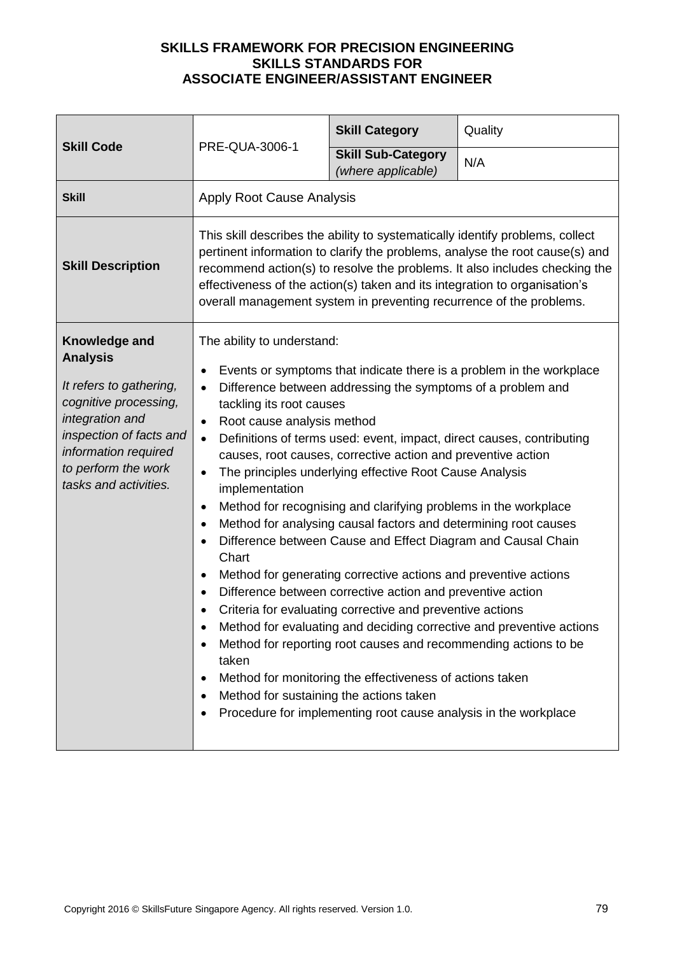| <b>Skill Code</b>                                                                                                                                                                                          | PRE-QUA-3006-1                                                                                                                                                                                                                                                                                                                            | <b>Skill Category</b>                                                                                                                                                                                                                                                                                                                                                                                                                                                                                                                                                                                                                                                                                                                                                                        | Quality                                                                                                                                                                                                                                     |
|------------------------------------------------------------------------------------------------------------------------------------------------------------------------------------------------------------|-------------------------------------------------------------------------------------------------------------------------------------------------------------------------------------------------------------------------------------------------------------------------------------------------------------------------------------------|----------------------------------------------------------------------------------------------------------------------------------------------------------------------------------------------------------------------------------------------------------------------------------------------------------------------------------------------------------------------------------------------------------------------------------------------------------------------------------------------------------------------------------------------------------------------------------------------------------------------------------------------------------------------------------------------------------------------------------------------------------------------------------------------|---------------------------------------------------------------------------------------------------------------------------------------------------------------------------------------------------------------------------------------------|
|                                                                                                                                                                                                            |                                                                                                                                                                                                                                                                                                                                           | <b>Skill Sub-Category</b><br>(where applicable)                                                                                                                                                                                                                                                                                                                                                                                                                                                                                                                                                                                                                                                                                                                                              | N/A                                                                                                                                                                                                                                         |
| <b>Skill</b>                                                                                                                                                                                               | <b>Apply Root Cause Analysis</b>                                                                                                                                                                                                                                                                                                          |                                                                                                                                                                                                                                                                                                                                                                                                                                                                                                                                                                                                                                                                                                                                                                                              |                                                                                                                                                                                                                                             |
| <b>Skill Description</b>                                                                                                                                                                                   | effectiveness of the action(s) taken and its integration to organisation's<br>overall management system in preventing recurrence of the problems.                                                                                                                                                                                         |                                                                                                                                                                                                                                                                                                                                                                                                                                                                                                                                                                                                                                                                                                                                                                                              | This skill describes the ability to systematically identify problems, collect<br>pertinent information to clarify the problems, analyse the root cause(s) and<br>recommend action(s) to resolve the problems. It also includes checking the |
| Knowledge and<br><b>Analysis</b><br>It refers to gathering,<br>cognitive processing,<br>integration and<br>inspection of facts and<br>information required<br>to perform the work<br>tasks and activities. | The ability to understand:<br>٠<br>$\bullet$<br>tackling its root causes<br>Root cause analysis method<br>$\bullet$<br>$\bullet$<br>$\bullet$<br>implementation<br>$\bullet$<br>$\bullet$<br>$\bullet$<br>Chart<br>$\bullet$<br>$\bullet$<br>$\bullet$<br>٠<br>taken<br>$\bullet$<br>Method for sustaining the actions taken<br>$\bullet$ | Difference between addressing the symptoms of a problem and<br>causes, root causes, corrective action and preventive action<br>The principles underlying effective Root Cause Analysis<br>Method for recognising and clarifying problems in the workplace<br>Method for analysing causal factors and determining root causes<br>Difference between Cause and Effect Diagram and Causal Chain<br>Method for generating corrective actions and preventive actions<br>Difference between corrective action and preventive action<br>Criteria for evaluating corrective and preventive actions<br>Method for reporting root causes and recommending actions to be<br>Method for monitoring the effectiveness of actions taken<br>Procedure for implementing root cause analysis in the workplace | Events or symptoms that indicate there is a problem in the workplace<br>Definitions of terms used: event, impact, direct causes, contributing<br>Method for evaluating and deciding corrective and preventive actions                       |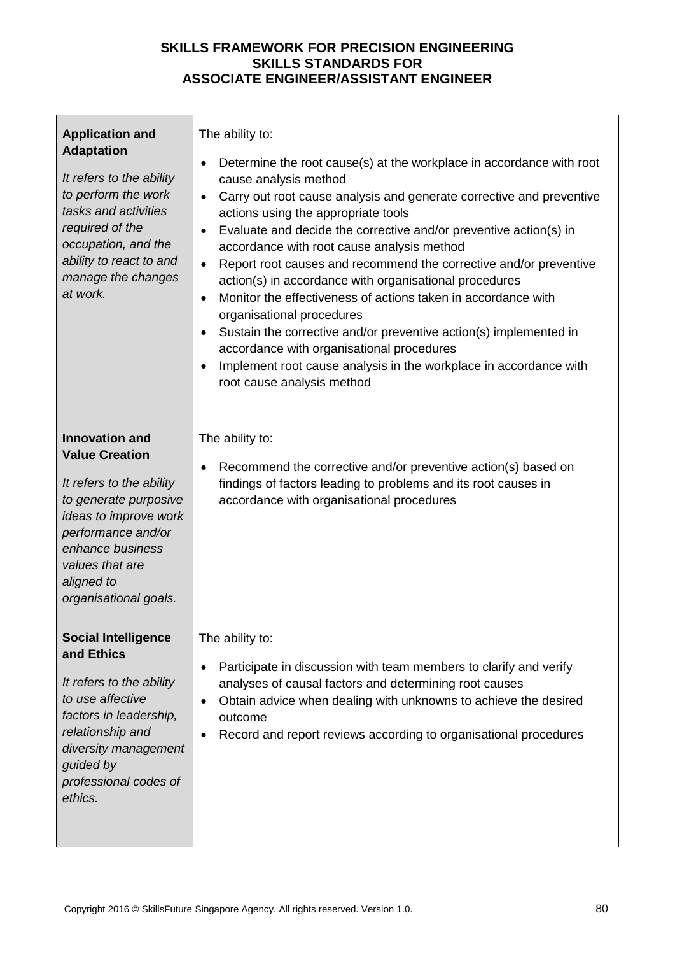| <b>Application and</b><br><b>Adaptation</b><br>It refers to the ability<br>to perform the work<br>tasks and activities<br>required of the<br>occupation, and the<br>ability to react to and<br>manage the changes<br>at work.    | The ability to:<br>Determine the root cause(s) at the workplace in accordance with root<br>$\bullet$<br>cause analysis method<br>Carry out root cause analysis and generate corrective and preventive<br>$\bullet$<br>actions using the appropriate tools<br>Evaluate and decide the corrective and/or preventive action(s) in<br>$\bullet$<br>accordance with root cause analysis method<br>Report root causes and recommend the corrective and/or preventive<br>$\bullet$<br>action(s) in accordance with organisational procedures<br>Monitor the effectiveness of actions taken in accordance with<br>$\bullet$<br>organisational procedures<br>Sustain the corrective and/or preventive action(s) implemented in<br>٠<br>accordance with organisational procedures<br>Implement root cause analysis in the workplace in accordance with<br>root cause analysis method |
|----------------------------------------------------------------------------------------------------------------------------------------------------------------------------------------------------------------------------------|----------------------------------------------------------------------------------------------------------------------------------------------------------------------------------------------------------------------------------------------------------------------------------------------------------------------------------------------------------------------------------------------------------------------------------------------------------------------------------------------------------------------------------------------------------------------------------------------------------------------------------------------------------------------------------------------------------------------------------------------------------------------------------------------------------------------------------------------------------------------------|
| <b>Innovation and</b><br><b>Value Creation</b><br>It refers to the ability<br>to generate purposive<br>ideas to improve work<br>performance and/or<br>enhance business<br>values that are<br>aligned to<br>organisational goals. | The ability to:<br>Recommend the corrective and/or preventive action(s) based on<br>$\bullet$<br>findings of factors leading to problems and its root causes in<br>accordance with organisational procedures                                                                                                                                                                                                                                                                                                                                                                                                                                                                                                                                                                                                                                                               |
| <b>Social Intelligence</b><br>and Ethics<br>It refers to the ability<br>to use affective<br>factors in leadership,<br>relationship and<br>diversity management<br>guided by<br>professional codes of<br>ethics.                  | The ability to:<br>Participate in discussion with team members to clarify and verify<br>$\bullet$<br>analyses of causal factors and determining root causes<br>Obtain advice when dealing with unknowns to achieve the desired<br>$\bullet$<br>outcome<br>Record and report reviews according to organisational procedures                                                                                                                                                                                                                                                                                                                                                                                                                                                                                                                                                 |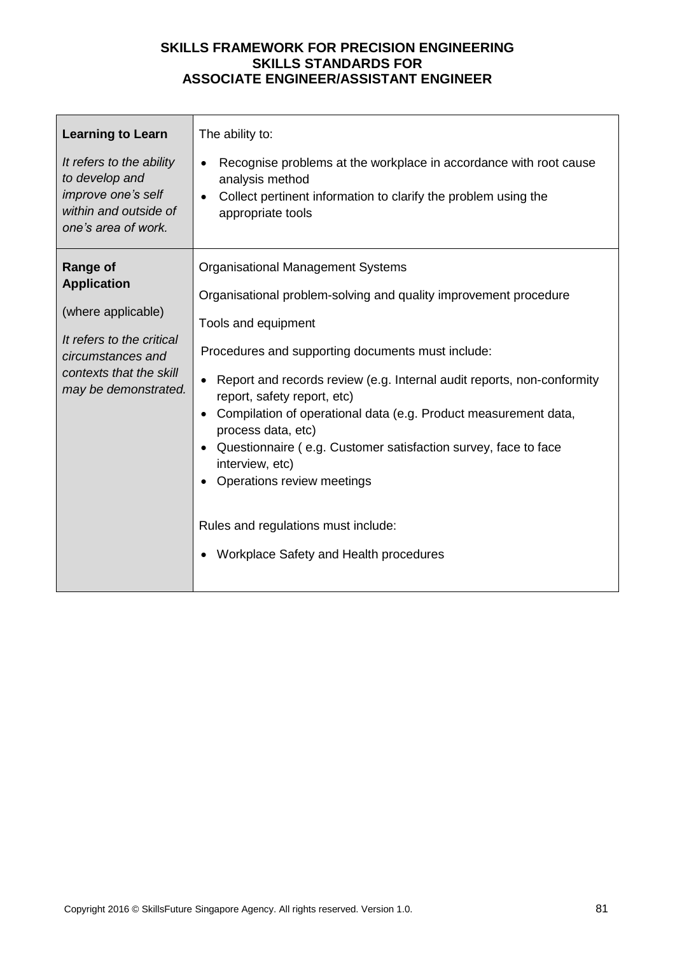| <b>Learning to Learn</b><br>It refers to the ability<br>to develop and<br>improve one's self<br>within and outside of<br>one's area of work.                     | The ability to:<br>Recognise problems at the workplace in accordance with root cause<br>analysis method<br>Collect pertinent information to clarify the problem using the<br>appropriate tools                                                                                                                                                                                                                                                                                                                                                                                                 |
|------------------------------------------------------------------------------------------------------------------------------------------------------------------|------------------------------------------------------------------------------------------------------------------------------------------------------------------------------------------------------------------------------------------------------------------------------------------------------------------------------------------------------------------------------------------------------------------------------------------------------------------------------------------------------------------------------------------------------------------------------------------------|
| <b>Range of</b><br><b>Application</b><br>(where applicable)<br>It refers to the critical<br>circumstances and<br>contexts that the skill<br>may be demonstrated. | <b>Organisational Management Systems</b><br>Organisational problem-solving and quality improvement procedure<br>Tools and equipment<br>Procedures and supporting documents must include:<br>Report and records review (e.g. Internal audit reports, non-conformity<br>report, safety report, etc)<br>Compilation of operational data (e.g. Product measurement data,<br>process data, etc)<br>Questionnaire (e.g. Customer satisfaction survey, face to face<br>interview, etc)<br>Operations review meetings<br>Rules and regulations must include:<br>Workplace Safety and Health procedures |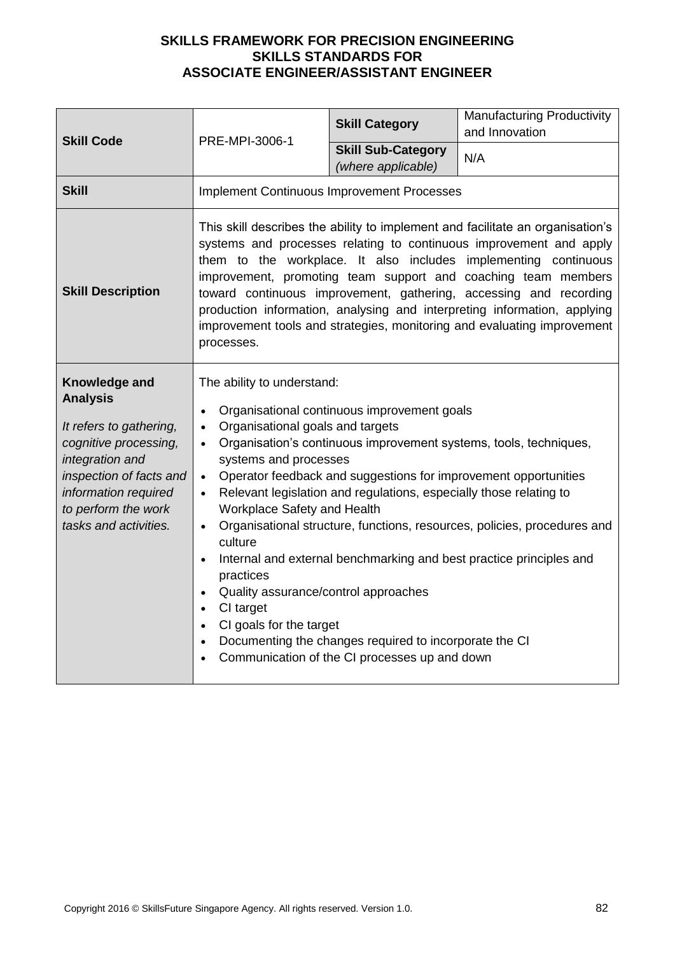| <b>Skill Code</b>                                                                                                                                                                                          | PRE-MPI-3006-1                                                                                                                                                                                                                                                                                                                                                                                                                                                                                                                                                                                                                                                                                                                                                                                                                                                                                           | <b>Skill Category</b>                           | <b>Manufacturing Productivity</b><br>and Innovation                                                                                                                                                                                                                                                                                                                                                                                                                                                                  |
|------------------------------------------------------------------------------------------------------------------------------------------------------------------------------------------------------------|----------------------------------------------------------------------------------------------------------------------------------------------------------------------------------------------------------------------------------------------------------------------------------------------------------------------------------------------------------------------------------------------------------------------------------------------------------------------------------------------------------------------------------------------------------------------------------------------------------------------------------------------------------------------------------------------------------------------------------------------------------------------------------------------------------------------------------------------------------------------------------------------------------|-------------------------------------------------|----------------------------------------------------------------------------------------------------------------------------------------------------------------------------------------------------------------------------------------------------------------------------------------------------------------------------------------------------------------------------------------------------------------------------------------------------------------------------------------------------------------------|
|                                                                                                                                                                                                            |                                                                                                                                                                                                                                                                                                                                                                                                                                                                                                                                                                                                                                                                                                                                                                                                                                                                                                          | <b>Skill Sub-Category</b><br>(where applicable) | N/A                                                                                                                                                                                                                                                                                                                                                                                                                                                                                                                  |
| <b>Skill</b>                                                                                                                                                                                               | <b>Implement Continuous Improvement Processes</b>                                                                                                                                                                                                                                                                                                                                                                                                                                                                                                                                                                                                                                                                                                                                                                                                                                                        |                                                 |                                                                                                                                                                                                                                                                                                                                                                                                                                                                                                                      |
| <b>Skill Description</b>                                                                                                                                                                                   | processes.                                                                                                                                                                                                                                                                                                                                                                                                                                                                                                                                                                                                                                                                                                                                                                                                                                                                                               |                                                 | This skill describes the ability to implement and facilitate an organisation's<br>systems and processes relating to continuous improvement and apply<br>them to the workplace. It also includes implementing continuous<br>improvement, promoting team support and coaching team members<br>toward continuous improvement, gathering, accessing and recording<br>production information, analysing and interpreting information, applying<br>improvement tools and strategies, monitoring and evaluating improvement |
| Knowledge and<br><b>Analysis</b><br>It refers to gathering,<br>cognitive processing,<br>integration and<br>inspection of facts and<br>information required<br>to perform the work<br>tasks and activities. | The ability to understand:<br>Organisational continuous improvement goals<br>$\bullet$<br>Organisational goals and targets<br>$\bullet$<br>Organisation's continuous improvement systems, tools, techniques,<br>$\bullet$<br>systems and processes<br>Operator feedback and suggestions for improvement opportunities<br>$\bullet$<br>Relevant legislation and regulations, especially those relating to<br>$\bullet$<br>Workplace Safety and Health<br>Organisational structure, functions, resources, policies, procedures and<br>$\bullet$<br>culture<br>Internal and external benchmarking and best practice principles and<br>$\bullet$<br>practices<br>Quality assurance/control approaches<br>$\bullet$<br>CI target<br>$\bullet$<br>CI goals for the target<br>$\bullet$<br>Documenting the changes required to incorporate the CI<br>$\bullet$<br>Communication of the CI processes up and down |                                                 |                                                                                                                                                                                                                                                                                                                                                                                                                                                                                                                      |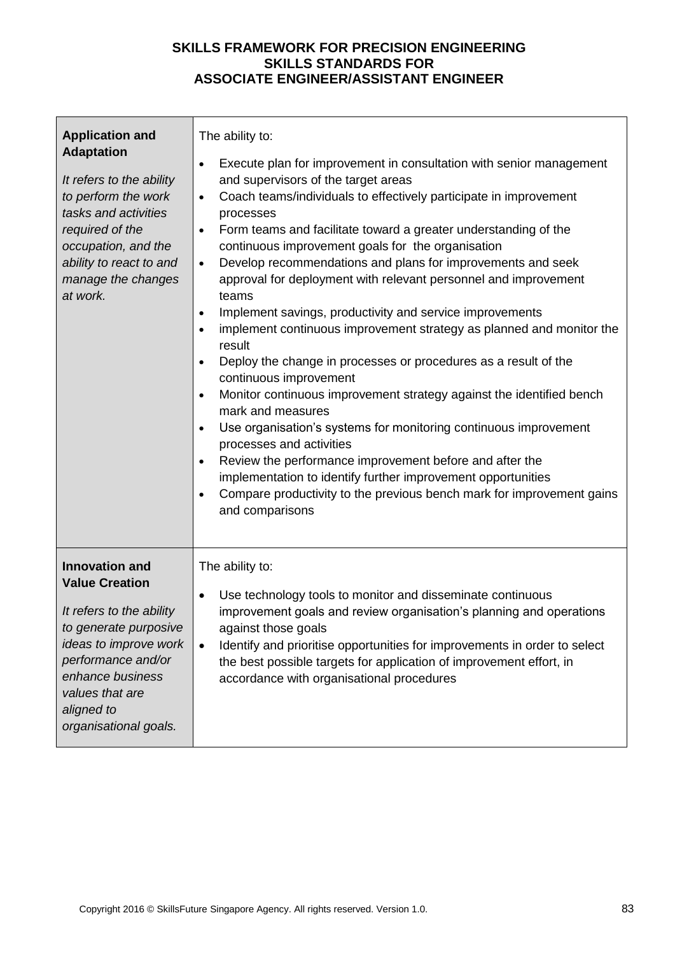| <b>Application and</b><br><b>Adaptation</b><br>It refers to the ability<br>to perform the work<br>tasks and activities<br>required of the<br>occupation, and the<br>ability to react to and<br>manage the changes<br>at work.    | The ability to:<br>Execute plan for improvement in consultation with senior management<br>and supervisors of the target areas<br>Coach teams/individuals to effectively participate in improvement<br>$\bullet$<br>processes<br>Form teams and facilitate toward a greater understanding of the<br>$\bullet$<br>continuous improvement goals for the organisation<br>Develop recommendations and plans for improvements and seek<br>$\bullet$<br>approval for deployment with relevant personnel and improvement<br>teams<br>Implement savings, productivity and service improvements<br>$\bullet$<br>implement continuous improvement strategy as planned and monitor the<br>result<br>Deploy the change in processes or procedures as a result of the<br>continuous improvement<br>Monitor continuous improvement strategy against the identified bench<br>mark and measures<br>Use organisation's systems for monitoring continuous improvement<br>processes and activities<br>Review the performance improvement before and after the<br>implementation to identify further improvement opportunities<br>Compare productivity to the previous bench mark for improvement gains<br>and comparisons |
|----------------------------------------------------------------------------------------------------------------------------------------------------------------------------------------------------------------------------------|-------------------------------------------------------------------------------------------------------------------------------------------------------------------------------------------------------------------------------------------------------------------------------------------------------------------------------------------------------------------------------------------------------------------------------------------------------------------------------------------------------------------------------------------------------------------------------------------------------------------------------------------------------------------------------------------------------------------------------------------------------------------------------------------------------------------------------------------------------------------------------------------------------------------------------------------------------------------------------------------------------------------------------------------------------------------------------------------------------------------------------------------------------------------------------------------------------|
| <b>Innovation and</b><br><b>Value Creation</b><br>It refers to the ability<br>to generate purposive<br>ideas to improve work<br>performance and/or<br>enhance business<br>values that are<br>aligned to<br>organisational goals. | The ability to:<br>Use technology tools to monitor and disseminate continuous<br>$\bullet$<br>improvement goals and review organisation's planning and operations<br>against those goals<br>Identify and prioritise opportunities for improvements in order to select<br>$\bullet$<br>the best possible targets for application of improvement effort, in<br>accordance with organisational procedures                                                                                                                                                                                                                                                                                                                                                                                                                                                                                                                                                                                                                                                                                                                                                                                                |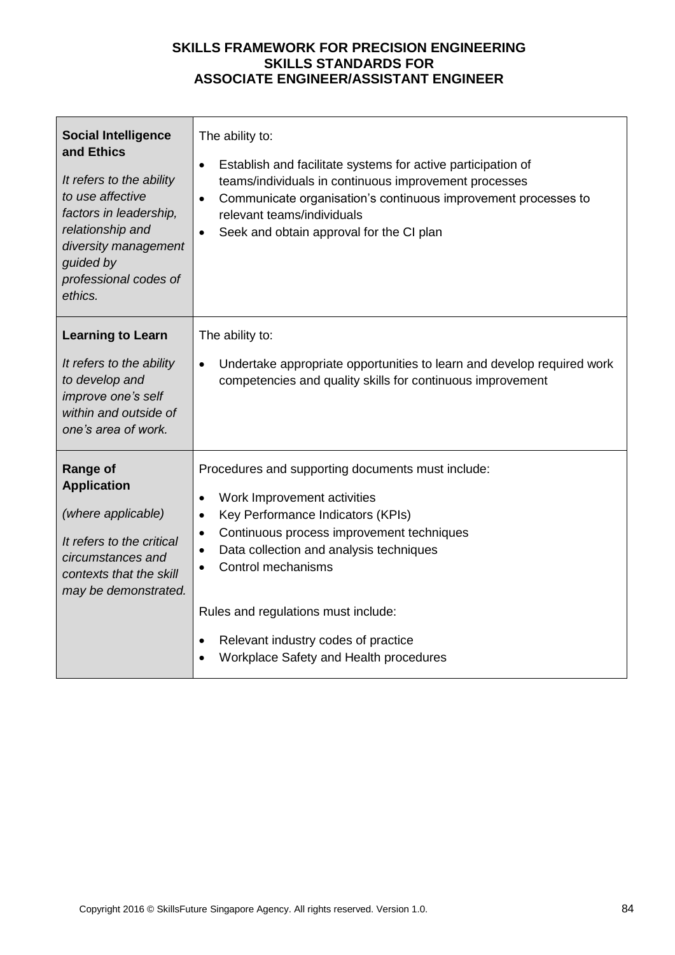| <b>Social Intelligence</b><br>and Ethics<br>It refers to the ability<br>to use affective<br>factors in leadership,<br>relationship and<br>diversity management<br>guided by<br>professional codes of<br>ethics. | The ability to:<br>Establish and facilitate systems for active participation of<br>$\bullet$<br>teams/individuals in continuous improvement processes<br>Communicate organisation's continuous improvement processes to<br>$\bullet$<br>relevant teams/individuals<br>Seek and obtain approval for the CI plan<br>$\bullet$                                                                                     |
|-----------------------------------------------------------------------------------------------------------------------------------------------------------------------------------------------------------------|-----------------------------------------------------------------------------------------------------------------------------------------------------------------------------------------------------------------------------------------------------------------------------------------------------------------------------------------------------------------------------------------------------------------|
| <b>Learning to Learn</b><br>It refers to the ability<br>to develop and<br>improve one's self<br>within and outside of<br>one's area of work.                                                                    | The ability to:<br>Undertake appropriate opportunities to learn and develop required work<br>$\bullet$<br>competencies and quality skills for continuous improvement                                                                                                                                                                                                                                            |
| <b>Range of</b><br><b>Application</b><br>(where applicable)<br>It refers to the critical<br>circumstances and<br>contexts that the skill<br>may be demonstrated.                                                | Procedures and supporting documents must include:<br>Work Improvement activities<br>$\bullet$<br>Key Performance Indicators (KPIs)<br>$\bullet$<br>Continuous process improvement techniques<br>$\bullet$<br>Data collection and analysis techniques<br>$\bullet$<br>Control mechanisms<br>Rules and regulations must include:<br>Relevant industry codes of practice<br>Workplace Safety and Health procedures |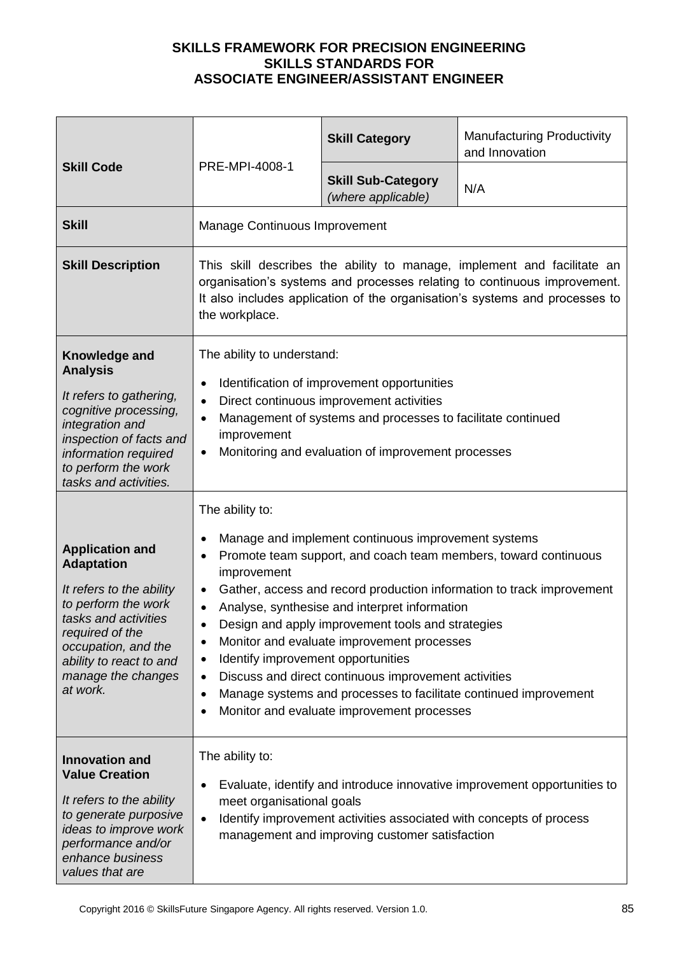| <b>Skill Code</b>                                                                                                                                                                                                             |                                                                                                                                                                                                                                                                                                                                                                                                                                                                                                                                                                                                                                   | <b>Skill Category</b>                           | <b>Manufacturing Productivity</b><br>and Innovation |
|-------------------------------------------------------------------------------------------------------------------------------------------------------------------------------------------------------------------------------|-----------------------------------------------------------------------------------------------------------------------------------------------------------------------------------------------------------------------------------------------------------------------------------------------------------------------------------------------------------------------------------------------------------------------------------------------------------------------------------------------------------------------------------------------------------------------------------------------------------------------------------|-------------------------------------------------|-----------------------------------------------------|
|                                                                                                                                                                                                                               | PRE-MPI-4008-1                                                                                                                                                                                                                                                                                                                                                                                                                                                                                                                                                                                                                    | <b>Skill Sub-Category</b><br>(where applicable) | N/A                                                 |
| <b>Skill</b>                                                                                                                                                                                                                  | Manage Continuous Improvement                                                                                                                                                                                                                                                                                                                                                                                                                                                                                                                                                                                                     |                                                 |                                                     |
| <b>Skill Description</b>                                                                                                                                                                                                      | This skill describes the ability to manage, implement and facilitate an<br>organisation's systems and processes relating to continuous improvement.<br>It also includes application of the organisation's systems and processes to<br>the workplace.                                                                                                                                                                                                                                                                                                                                                                              |                                                 |                                                     |
| Knowledge and<br><b>Analysis</b><br>It refers to gathering,<br>cognitive processing,<br>integration and<br>inspection of facts and<br>information required<br>to perform the work<br>tasks and activities.                    | The ability to understand:<br>Identification of improvement opportunities<br>$\bullet$<br>Direct continuous improvement activities<br>Management of systems and processes to facilitate continued<br>$\bullet$<br>improvement<br>Monitoring and evaluation of improvement processes<br>$\bullet$                                                                                                                                                                                                                                                                                                                                  |                                                 |                                                     |
| <b>Application and</b><br><b>Adaptation</b><br>It refers to the ability<br>to perform the work<br>tasks and activities<br>required of the<br>occupation, and the<br>ability to react to and<br>manage the changes<br>at work. | The ability to:<br>Manage and implement continuous improvement systems<br>Promote team support, and coach team members, toward continuous<br>improvement<br>Gather, access and record production information to track improvement<br>Analyse, synthesise and interpret information<br>Design and apply improvement tools and strategies<br>Monitor and evaluate improvement processes<br>٠<br>Identify improvement opportunities<br>٠<br>Discuss and direct continuous improvement activities<br>$\bullet$<br>Manage systems and processes to facilitate continued improvement<br>٠<br>Monitor and evaluate improvement processes |                                                 |                                                     |
| <b>Innovation and</b><br><b>Value Creation</b><br>It refers to the ability<br>to generate purposive<br>ideas to improve work<br>performance and/or<br>enhance business<br>values that are                                     | The ability to:<br>Evaluate, identify and introduce innovative improvement opportunities to<br>meet organisational goals<br>Identify improvement activities associated with concepts of process<br>$\bullet$<br>management and improving customer satisfaction                                                                                                                                                                                                                                                                                                                                                                    |                                                 |                                                     |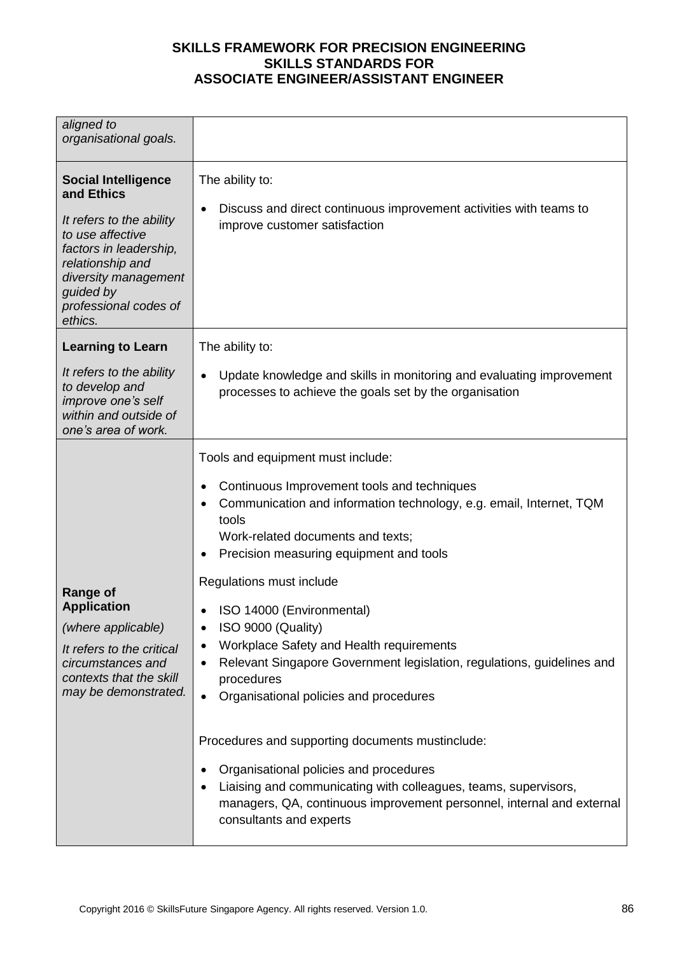| aligned to<br>organisational goals.                                                                                                                                                                             |                                                                                                                                                                                                                                                                                                                                                                                                                                                                                                                                                                                                                                                                                                                                                                                                 |
|-----------------------------------------------------------------------------------------------------------------------------------------------------------------------------------------------------------------|-------------------------------------------------------------------------------------------------------------------------------------------------------------------------------------------------------------------------------------------------------------------------------------------------------------------------------------------------------------------------------------------------------------------------------------------------------------------------------------------------------------------------------------------------------------------------------------------------------------------------------------------------------------------------------------------------------------------------------------------------------------------------------------------------|
| <b>Social Intelligence</b><br>and Ethics<br>It refers to the ability<br>to use affective<br>factors in leadership,<br>relationship and<br>diversity management<br>guided by<br>professional codes of<br>ethics. | The ability to:<br>Discuss and direct continuous improvement activities with teams to<br>improve customer satisfaction                                                                                                                                                                                                                                                                                                                                                                                                                                                                                                                                                                                                                                                                          |
| <b>Learning to Learn</b>                                                                                                                                                                                        | The ability to:                                                                                                                                                                                                                                                                                                                                                                                                                                                                                                                                                                                                                                                                                                                                                                                 |
| It refers to the ability<br>to develop and<br>improve one's self<br>within and outside of<br>one's area of work.                                                                                                | Update knowledge and skills in monitoring and evaluating improvement<br>processes to achieve the goals set by the organisation                                                                                                                                                                                                                                                                                                                                                                                                                                                                                                                                                                                                                                                                  |
| <b>Range of</b><br><b>Application</b><br>(where applicable)<br>It refers to the critical<br>circumstances and<br>contexts that the skill<br>may be demonstrated.                                                | Tools and equipment must include:<br>Continuous Improvement tools and techniques<br>Communication and information technology, e.g. email, Internet, TQM<br>tools<br>Work-related documents and texts;<br>Precision measuring equipment and tools<br>Regulations must include<br>ISO 14000 (Environmental)<br>ISO 9000 (Quality)<br>Workplace Safety and Health requirements<br>Relevant Singapore Government legislation, regulations, guidelines and<br>procedures<br>Organisational policies and procedures<br>$\bullet$<br>Procedures and supporting documents mustinclude:<br>Organisational policies and procedures<br>Liaising and communicating with colleagues, teams, supervisors,<br>managers, QA, continuous improvement personnel, internal and external<br>consultants and experts |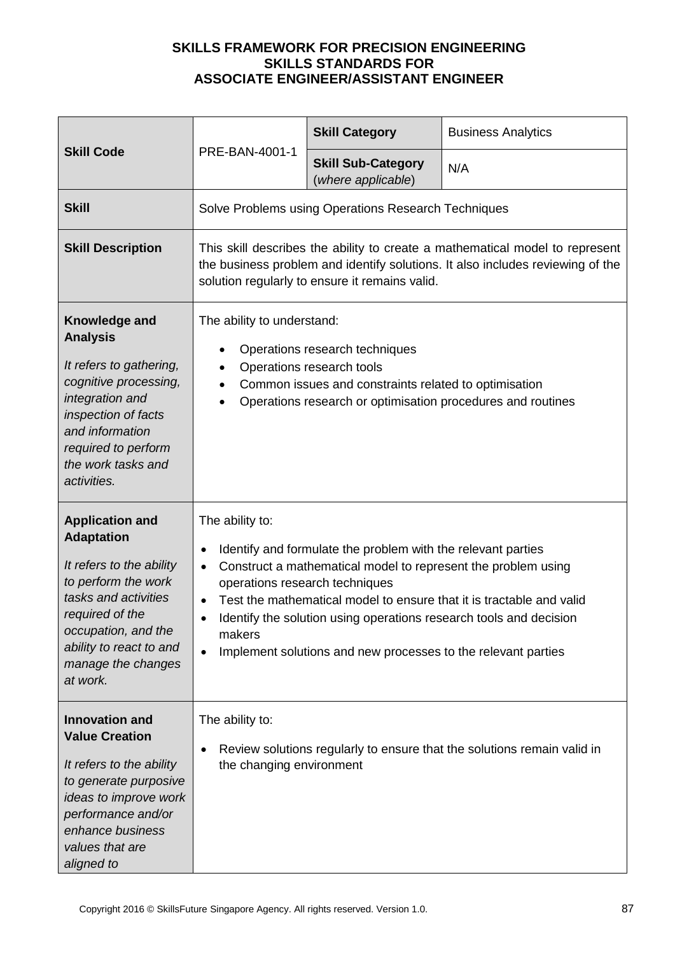|                                                                                                                                                                                                                               | PRE-BAN-4001-1                                                                                                                                                                                                                                                                                                                                                                                                                        | <b>Skill Category</b>                               | <b>Business Analytics</b> |
|-------------------------------------------------------------------------------------------------------------------------------------------------------------------------------------------------------------------------------|---------------------------------------------------------------------------------------------------------------------------------------------------------------------------------------------------------------------------------------------------------------------------------------------------------------------------------------------------------------------------------------------------------------------------------------|-----------------------------------------------------|---------------------------|
| <b>Skill Code</b>                                                                                                                                                                                                             |                                                                                                                                                                                                                                                                                                                                                                                                                                       | <b>Skill Sub-Category</b><br>(where applicable)     | N/A                       |
| <b>Skill</b>                                                                                                                                                                                                                  |                                                                                                                                                                                                                                                                                                                                                                                                                                       | Solve Problems using Operations Research Techniques |                           |
| <b>Skill Description</b>                                                                                                                                                                                                      | This skill describes the ability to create a mathematical model to represent<br>the business problem and identify solutions. It also includes reviewing of the<br>solution regularly to ensure it remains valid.                                                                                                                                                                                                                      |                                                     |                           |
| Knowledge and<br><b>Analysis</b><br>It refers to gathering,<br>cognitive processing,<br>integration and<br>inspection of facts<br>and information<br>required to perform<br>the work tasks and<br>activities.                 | The ability to understand:<br>Operations research techniques<br>$\bullet$<br>Operations research tools<br>$\bullet$<br>Common issues and constraints related to optimisation<br>$\bullet$<br>Operations research or optimisation procedures and routines<br>$\bullet$                                                                                                                                                                 |                                                     |                           |
| <b>Application and</b><br><b>Adaptation</b><br>It refers to the ability<br>to perform the work<br>tasks and activities<br>required of the<br>occupation, and the<br>ability to react to and<br>manage the changes<br>at work. | The ability to:<br>Identify and formulate the problem with the relevant parties<br>Construct a mathematical model to represent the problem using<br>$\bullet$<br>operations research techniques<br>Test the mathematical model to ensure that it is tractable and valid<br>Identify the solution using operations research tools and decision<br>makers<br>Implement solutions and new processes to the relevant parties<br>$\bullet$ |                                                     |                           |
| <b>Innovation and</b><br><b>Value Creation</b><br>It refers to the ability<br>to generate purposive<br>ideas to improve work<br>performance and/or<br>enhance business<br>values that are<br>aligned to                       | The ability to:<br>Review solutions regularly to ensure that the solutions remain valid in<br>the changing environment                                                                                                                                                                                                                                                                                                                |                                                     |                           |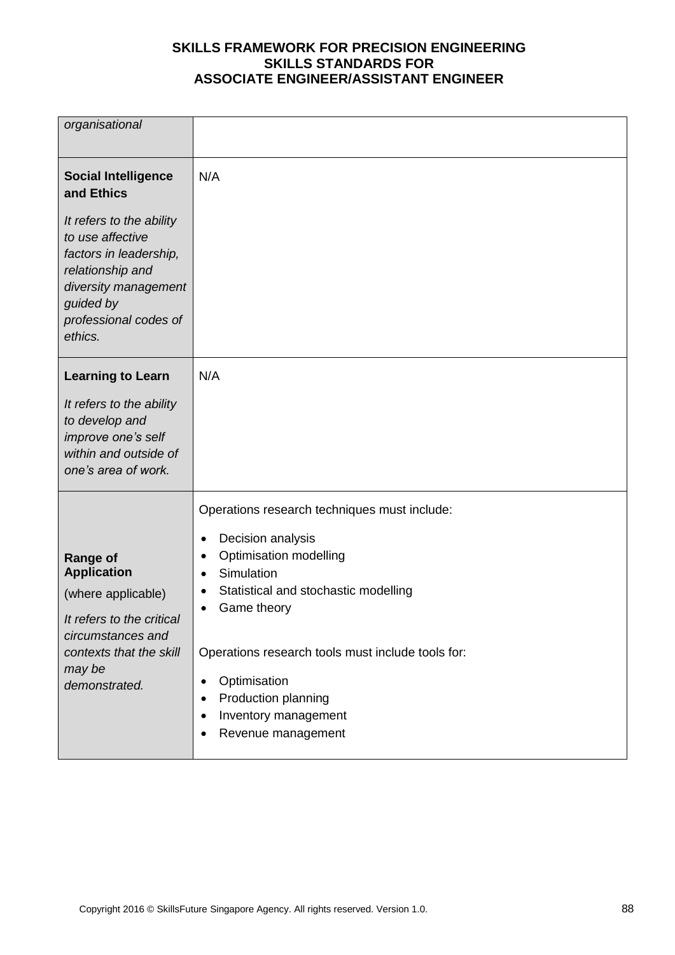| organisational                                                                                                                                                      |                                                                                                                                                                                                                                                                                                                                        |
|---------------------------------------------------------------------------------------------------------------------------------------------------------------------|----------------------------------------------------------------------------------------------------------------------------------------------------------------------------------------------------------------------------------------------------------------------------------------------------------------------------------------|
| <b>Social Intelligence</b><br>and Ethics                                                                                                                            | N/A                                                                                                                                                                                                                                                                                                                                    |
| It refers to the ability<br>to use affective<br>factors in leadership,<br>relationship and<br>diversity management<br>guided by<br>professional codes of<br>ethics. |                                                                                                                                                                                                                                                                                                                                        |
| <b>Learning to Learn</b><br>It refers to the ability<br>to develop and<br>improve one's self<br>within and outside of<br>one's area of work.                        | N/A                                                                                                                                                                                                                                                                                                                                    |
| <b>Range of</b><br><b>Application</b><br>(where applicable)<br>It refers to the critical<br>circumstances and<br>contexts that the skill<br>may be<br>demonstrated. | Operations research techniques must include:<br>Decision analysis<br>٠<br>Optimisation modelling<br>Simulation<br>$\bullet$<br>Statistical and stochastic modelling<br>Game theory<br>Operations research tools must include tools for:<br>Optimisation<br>٠<br>Production planning<br>Inventory management<br>٠<br>Revenue management |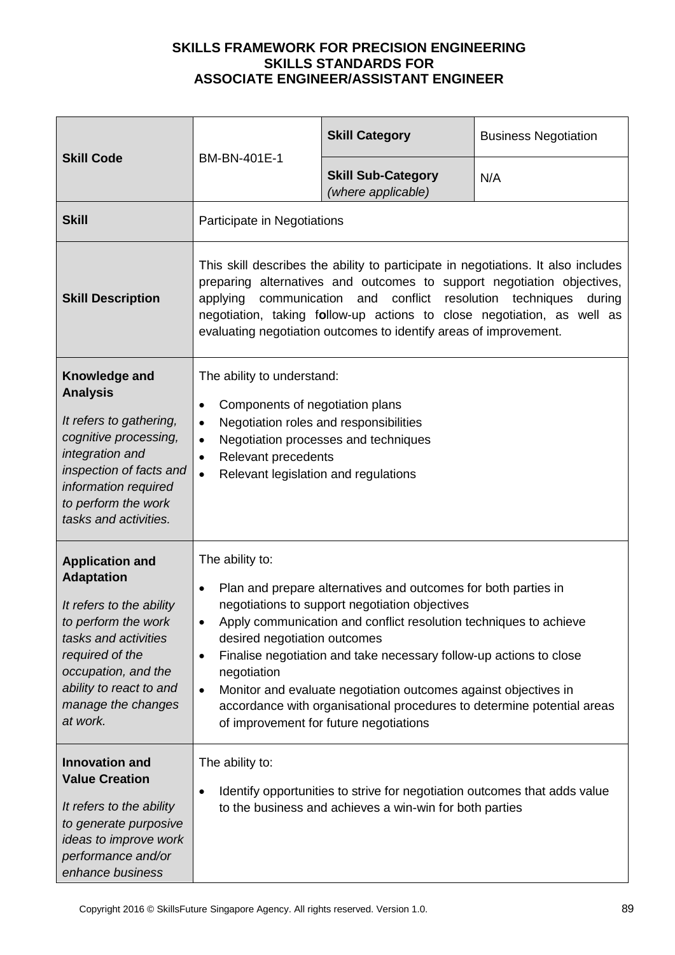| <b>Skill Code</b>                                                                                                                                                                                                             | BM-BN-401E-1                                                                                                                                                                                                                                                                                                                                                                                                                                                                                                                                                | <b>Skill Category</b>                           | <b>Business Negotiation</b> |
|-------------------------------------------------------------------------------------------------------------------------------------------------------------------------------------------------------------------------------|-------------------------------------------------------------------------------------------------------------------------------------------------------------------------------------------------------------------------------------------------------------------------------------------------------------------------------------------------------------------------------------------------------------------------------------------------------------------------------------------------------------------------------------------------------------|-------------------------------------------------|-----------------------------|
|                                                                                                                                                                                                                               |                                                                                                                                                                                                                                                                                                                                                                                                                                                                                                                                                             | <b>Skill Sub-Category</b><br>(where applicable) | N/A                         |
| <b>Skill</b>                                                                                                                                                                                                                  | Participate in Negotiations                                                                                                                                                                                                                                                                                                                                                                                                                                                                                                                                 |                                                 |                             |
| <b>Skill Description</b>                                                                                                                                                                                                      | This skill describes the ability to participate in negotiations. It also includes<br>preparing alternatives and outcomes to support negotiation objectives,<br>communication and conflict resolution techniques<br>applying<br>during<br>negotiation, taking follow-up actions to close negotiation, as well as<br>evaluating negotiation outcomes to identify areas of improvement.                                                                                                                                                                        |                                                 |                             |
| Knowledge and<br><b>Analysis</b><br>It refers to gathering,<br>cognitive processing,<br>integration and<br>inspection of facts and<br>information required<br>to perform the work<br>tasks and activities.                    | The ability to understand:<br>Components of negotiation plans<br>٠<br>Negotiation roles and responsibilities<br>$\bullet$<br>Negotiation processes and techniques<br>$\bullet$<br>Relevant precedents<br>$\bullet$<br>Relevant legislation and regulations<br>$\bullet$                                                                                                                                                                                                                                                                                     |                                                 |                             |
| <b>Application and</b><br><b>Adaptation</b><br>It refers to the ability<br>to perform the work<br>tasks and activities<br>required of the<br>occupation, and the<br>ability to react to and<br>manage the changes<br>at work. | The ability to:<br>Plan and prepare alternatives and outcomes for both parties in<br>$\bullet$<br>negotiations to support negotiation objectives<br>Apply communication and conflict resolution techniques to achieve<br>desired negotiation outcomes<br>Finalise negotiation and take necessary follow-up actions to close<br>$\bullet$<br>negotiation<br>Monitor and evaluate negotiation outcomes against objectives in<br>$\bullet$<br>accordance with organisational procedures to determine potential areas<br>of improvement for future negotiations |                                                 |                             |
| <b>Innovation and</b><br><b>Value Creation</b><br>It refers to the ability<br>to generate purposive<br>ideas to improve work<br>performance and/or<br>enhance business                                                        | The ability to:<br>Identify opportunities to strive for negotiation outcomes that adds value<br>$\bullet$<br>to the business and achieves a win-win for both parties                                                                                                                                                                                                                                                                                                                                                                                        |                                                 |                             |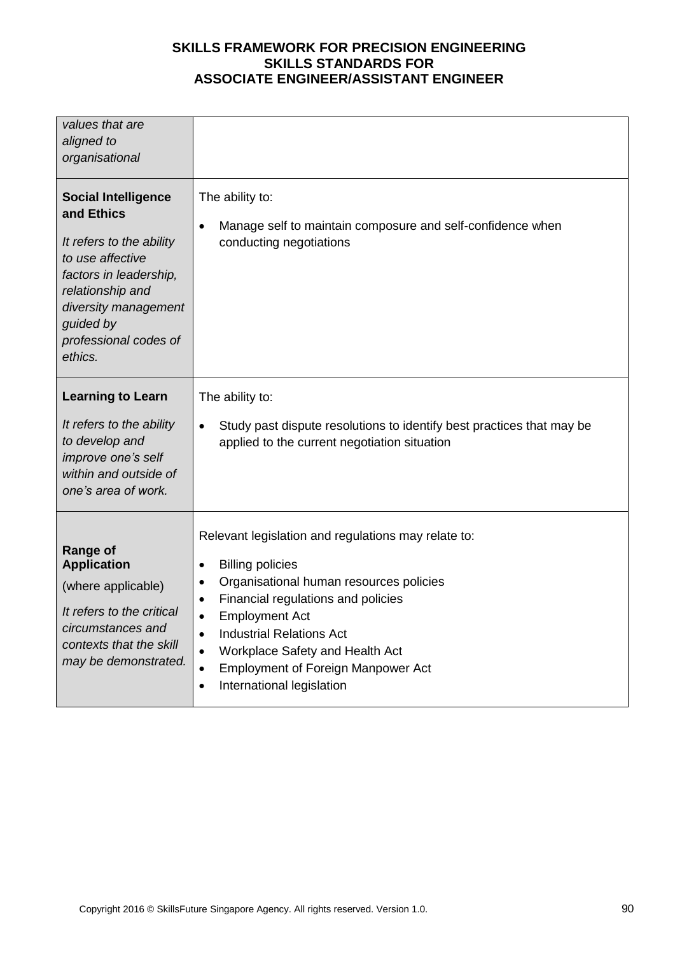| values that are<br>aligned to<br>organisational                                                                                                                                                                 |                                                                                                                                                                                                                                                                                                                                                                                                                                                  |
|-----------------------------------------------------------------------------------------------------------------------------------------------------------------------------------------------------------------|--------------------------------------------------------------------------------------------------------------------------------------------------------------------------------------------------------------------------------------------------------------------------------------------------------------------------------------------------------------------------------------------------------------------------------------------------|
| <b>Social Intelligence</b><br>and Ethics<br>It refers to the ability<br>to use affective<br>factors in leadership,<br>relationship and<br>diversity management<br>guided by<br>professional codes of<br>ethics. | The ability to:<br>Manage self to maintain composure and self-confidence when<br>$\bullet$<br>conducting negotiations                                                                                                                                                                                                                                                                                                                            |
| <b>Learning to Learn</b><br>It refers to the ability<br>to develop and<br>improve one's self<br>within and outside of<br>one's area of work.                                                                    | The ability to:<br>Study past dispute resolutions to identify best practices that may be<br>$\bullet$<br>applied to the current negotiation situation                                                                                                                                                                                                                                                                                            |
| <b>Range of</b><br><b>Application</b><br>(where applicable)<br>It refers to the critical<br>circumstances and<br>contexts that the skill<br>may be demonstrated.                                                | Relevant legislation and regulations may relate to:<br><b>Billing policies</b><br>$\bullet$<br>Organisational human resources policies<br>$\bullet$<br>Financial regulations and policies<br>$\bullet$<br><b>Employment Act</b><br>$\bullet$<br><b>Industrial Relations Act</b><br>$\bullet$<br>Workplace Safety and Health Act<br>$\bullet$<br><b>Employment of Foreign Manpower Act</b><br>$\bullet$<br>International legislation<br>$\bullet$ |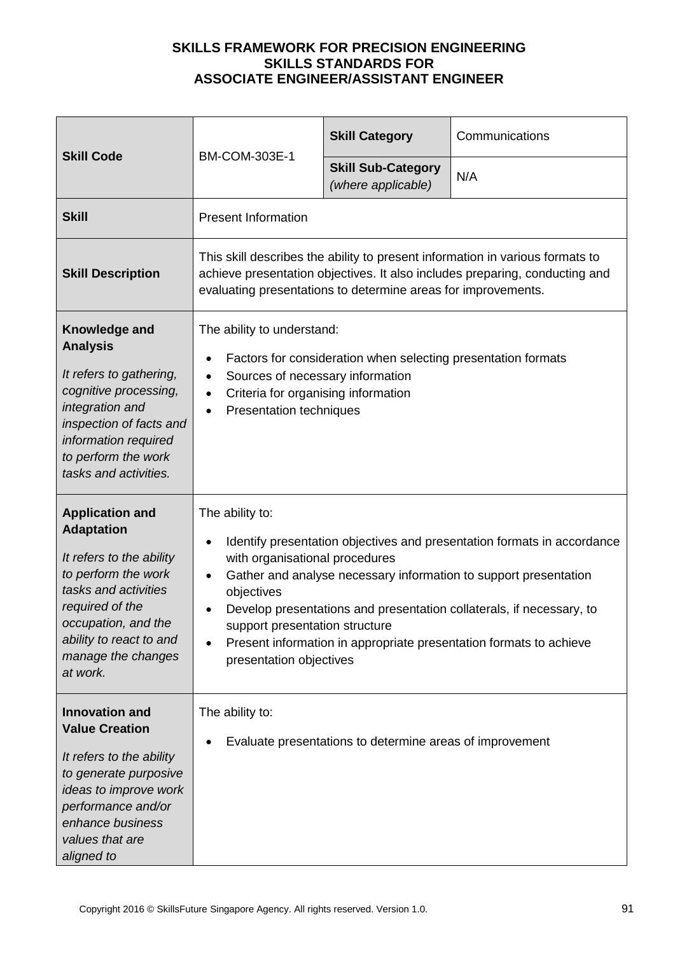| <b>Skill Code</b>                                                                                                                                                                                                             | <b>BM-COM-303E-1</b>                                                                                                                                                                                                                                                                                                                                                                                                                   | <b>Skill Category</b>                           | Communications |
|-------------------------------------------------------------------------------------------------------------------------------------------------------------------------------------------------------------------------------|----------------------------------------------------------------------------------------------------------------------------------------------------------------------------------------------------------------------------------------------------------------------------------------------------------------------------------------------------------------------------------------------------------------------------------------|-------------------------------------------------|----------------|
|                                                                                                                                                                                                                               |                                                                                                                                                                                                                                                                                                                                                                                                                                        | <b>Skill Sub-Category</b><br>(where applicable) | N/A            |
| <b>Skill</b>                                                                                                                                                                                                                  | <b>Present Information</b>                                                                                                                                                                                                                                                                                                                                                                                                             |                                                 |                |
| <b>Skill Description</b>                                                                                                                                                                                                      | This skill describes the ability to present information in various formats to<br>achieve presentation objectives. It also includes preparing, conducting and<br>evaluating presentations to determine areas for improvements.                                                                                                                                                                                                          |                                                 |                |
| Knowledge and<br><b>Analysis</b><br>It refers to gathering,<br>cognitive processing,<br>integration and<br>inspection of facts and<br>information required<br>to perform the work<br>tasks and activities.                    | The ability to understand:<br>Factors for consideration when selecting presentation formats<br>Sources of necessary information<br>$\bullet$<br>Criteria for organising information<br><b>Presentation techniques</b><br>$\bullet$                                                                                                                                                                                                     |                                                 |                |
| <b>Application and</b><br><b>Adaptation</b><br>It refers to the ability<br>to perform the work<br>tasks and activities<br>required of the<br>occupation, and the<br>ability to react to and<br>manage the changes<br>at work. | The ability to:<br>Identify presentation objectives and presentation formats in accordance<br>with organisational procedures<br>Gather and analyse necessary information to support presentation<br>$\bullet$<br>objectives<br>Develop presentations and presentation collaterals, if necessary, to<br>support presentation structure<br>Present information in appropriate presentation formats to achieve<br>presentation objectives |                                                 |                |
| <b>Innovation and</b><br><b>Value Creation</b><br>It refers to the ability<br>to generate purposive<br>ideas to improve work<br>performance and/or<br>enhance business<br>values that are<br>aligned to                       | The ability to:<br>Evaluate presentations to determine areas of improvement                                                                                                                                                                                                                                                                                                                                                            |                                                 |                |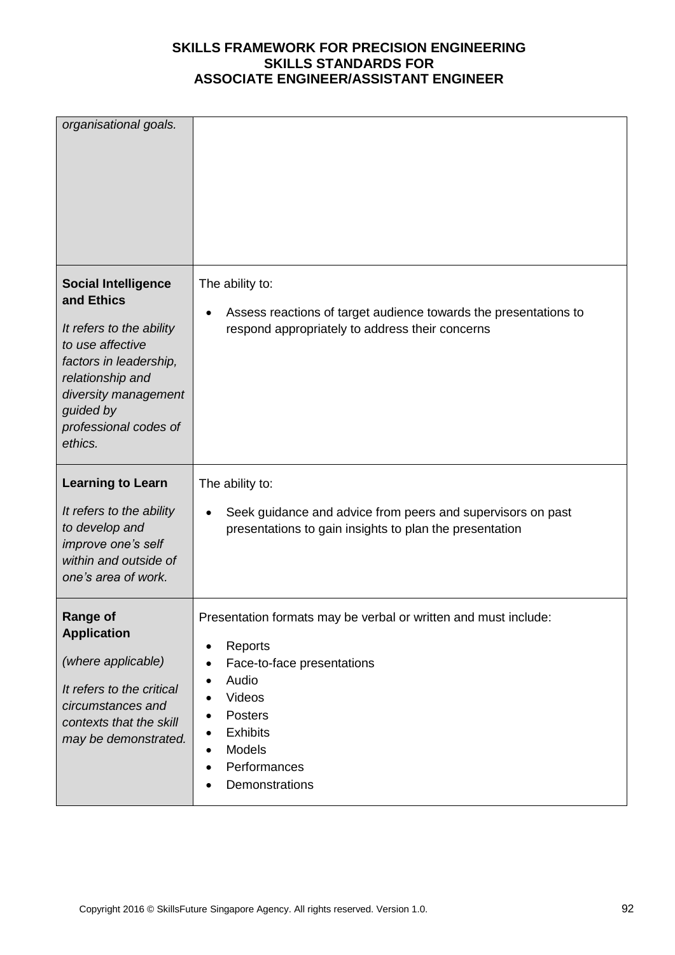| organisational goals.                                                                                                                                                                                           |                                                                                                                                                                                                       |
|-----------------------------------------------------------------------------------------------------------------------------------------------------------------------------------------------------------------|-------------------------------------------------------------------------------------------------------------------------------------------------------------------------------------------------------|
| <b>Social Intelligence</b><br>and Ethics<br>It refers to the ability<br>to use affective<br>factors in leadership,<br>relationship and<br>diversity management<br>guided by<br>professional codes of<br>ethics. | The ability to:<br>Assess reactions of target audience towards the presentations to<br>respond appropriately to address their concerns                                                                |
| <b>Learning to Learn</b>                                                                                                                                                                                        | The ability to:                                                                                                                                                                                       |
| It refers to the ability<br>to develop and<br>improve one's self<br>within and outside of<br>one's area of work.                                                                                                | Seek guidance and advice from peers and supervisors on past<br>$\bullet$<br>presentations to gain insights to plan the presentation                                                                   |
| <b>Range of</b><br><b>Application</b><br>(where applicable)<br>It refers to the critical<br>circumstances and<br>contexts that the skill<br>may be demonstrated.                                                | Presentation formats may be verbal or written and must include:<br>Reports<br>Face-to-face presentations<br>Audio<br>Videos<br>Posters<br><b>Exhibits</b><br>Models<br>Performances<br>Demonstrations |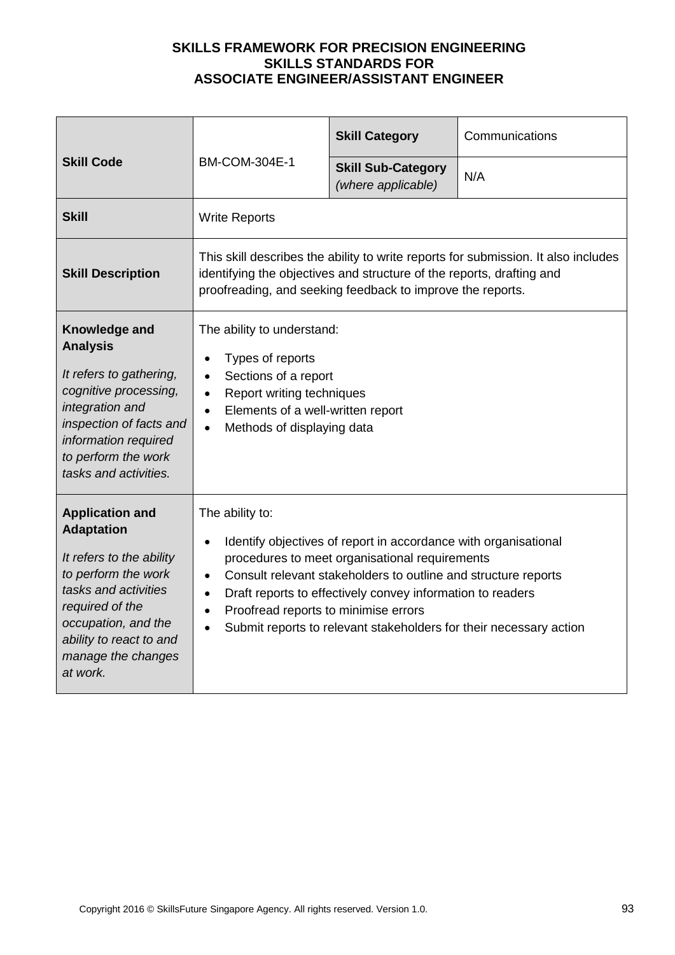|                                                                                                                                                                                                                               |                                                                                                                                                                                                                                                                                                                                                                                                 | <b>Skill Category</b>                           | Communications |
|-------------------------------------------------------------------------------------------------------------------------------------------------------------------------------------------------------------------------------|-------------------------------------------------------------------------------------------------------------------------------------------------------------------------------------------------------------------------------------------------------------------------------------------------------------------------------------------------------------------------------------------------|-------------------------------------------------|----------------|
| <b>Skill Code</b>                                                                                                                                                                                                             | <b>BM-COM-304E-1</b>                                                                                                                                                                                                                                                                                                                                                                            | <b>Skill Sub-Category</b><br>(where applicable) | N/A            |
| <b>Skill</b>                                                                                                                                                                                                                  | <b>Write Reports</b>                                                                                                                                                                                                                                                                                                                                                                            |                                                 |                |
| <b>Skill Description</b>                                                                                                                                                                                                      | This skill describes the ability to write reports for submission. It also includes<br>identifying the objectives and structure of the reports, drafting and<br>proofreading, and seeking feedback to improve the reports.                                                                                                                                                                       |                                                 |                |
| Knowledge and<br><b>Analysis</b><br>It refers to gathering,<br>cognitive processing,<br>integration and<br>inspection of facts and<br>information required<br>to perform the work<br>tasks and activities.                    | The ability to understand:<br>Types of reports<br>Sections of a report<br>Report writing techniques<br>Elements of a well-written report<br>$\bullet$<br>Methods of displaying data<br>$\bullet$                                                                                                                                                                                                |                                                 |                |
| <b>Application and</b><br><b>Adaptation</b><br>It refers to the ability<br>to perform the work<br>tasks and activities<br>required of the<br>occupation, and the<br>ability to react to and<br>manage the changes<br>at work. | The ability to:<br>Identify objectives of report in accordance with organisational<br>procedures to meet organisational requirements<br>Consult relevant stakeholders to outline and structure reports<br>$\bullet$<br>Draft reports to effectively convey information to readers<br>Proofread reports to minimise errors<br>Submit reports to relevant stakeholders for their necessary action |                                                 |                |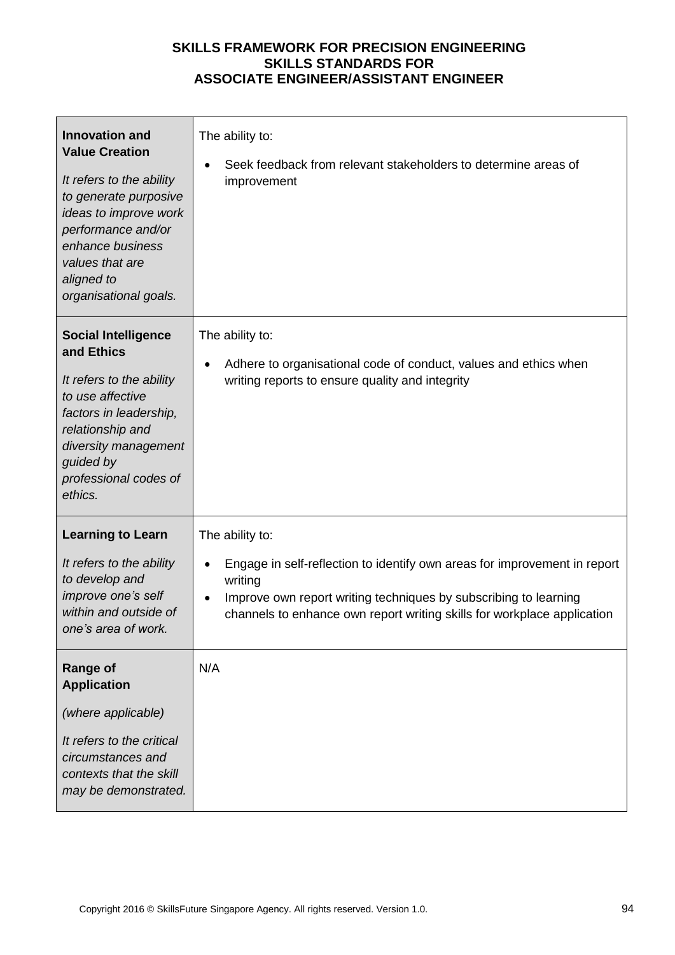| <b>Innovation and</b><br><b>Value Creation</b><br>It refers to the ability<br>to generate purposive<br>ideas to improve work<br>performance and/or<br>enhance business<br>values that are<br>aligned to<br>organisational goals. | The ability to:<br>Seek feedback from relevant stakeholders to determine areas of<br>improvement                                                                                                                                                       |
|----------------------------------------------------------------------------------------------------------------------------------------------------------------------------------------------------------------------------------|--------------------------------------------------------------------------------------------------------------------------------------------------------------------------------------------------------------------------------------------------------|
| <b>Social Intelligence</b><br>and Ethics<br>It refers to the ability<br>to use affective<br>factors in leadership,<br>relationship and<br>diversity management<br>guided by<br>professional codes of<br>ethics.                  | The ability to:<br>Adhere to organisational code of conduct, values and ethics when<br>$\bullet$<br>writing reports to ensure quality and integrity                                                                                                    |
| <b>Learning to Learn</b><br>It refers to the ability<br>to develop and<br>improve one's self<br>within and outside of<br>one's area of work.                                                                                     | The ability to:<br>Engage in self-reflection to identify own areas for improvement in report<br>writing<br>Improve own report writing techniques by subscribing to learning<br>channels to enhance own report writing skills for workplace application |
| <b>Range of</b><br><b>Application</b><br>(where applicable)<br>It refers to the critical<br>circumstances and<br>contexts that the skill<br>may be demonstrated.                                                                 | N/A                                                                                                                                                                                                                                                    |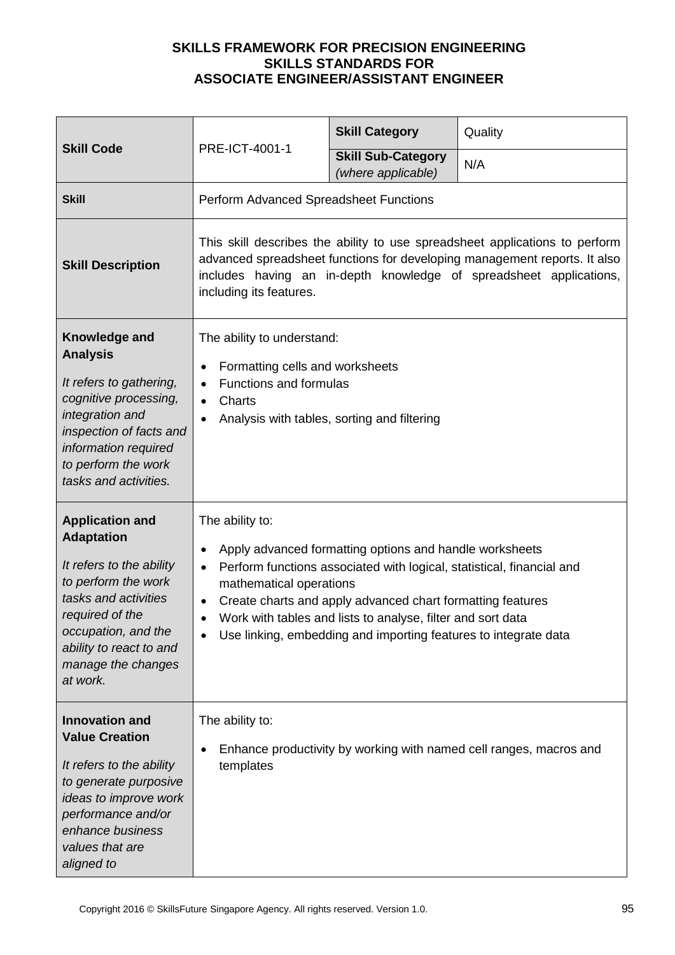|                                                                                                                                                                                                                               | PRE-ICT-4001-1                                                                                                                                                                                                                                                                                                                                                                              | <b>Skill Category</b>                           | Quality |
|-------------------------------------------------------------------------------------------------------------------------------------------------------------------------------------------------------------------------------|---------------------------------------------------------------------------------------------------------------------------------------------------------------------------------------------------------------------------------------------------------------------------------------------------------------------------------------------------------------------------------------------|-------------------------------------------------|---------|
| <b>Skill Code</b>                                                                                                                                                                                                             |                                                                                                                                                                                                                                                                                                                                                                                             | <b>Skill Sub-Category</b><br>(where applicable) | N/A     |
| <b>Skill</b>                                                                                                                                                                                                                  | Perform Advanced Spreadsheet Functions                                                                                                                                                                                                                                                                                                                                                      |                                                 |         |
| <b>Skill Description</b>                                                                                                                                                                                                      | This skill describes the ability to use spreadsheet applications to perform<br>advanced spreadsheet functions for developing management reports. It also<br>includes having an in-depth knowledge of spreadsheet applications,<br>including its features.                                                                                                                                   |                                                 |         |
| Knowledge and<br><b>Analysis</b><br>It refers to gathering,<br>cognitive processing,<br>integration and<br>inspection of facts and<br>information required<br>to perform the work<br>tasks and activities.                    | The ability to understand:<br>Formatting cells and worksheets<br>Functions and formulas<br>Charts<br>$\bullet$<br>Analysis with tables, sorting and filtering                                                                                                                                                                                                                               |                                                 |         |
| <b>Application and</b><br><b>Adaptation</b><br>It refers to the ability<br>to perform the work<br>tasks and activities<br>required of the<br>occupation, and the<br>ability to react to and<br>manage the changes<br>at work. | The ability to:<br>Apply advanced formatting options and handle worksheets<br>Perform functions associated with logical, statistical, financial and<br>$\bullet$<br>mathematical operations<br>Create charts and apply advanced chart formatting features<br>Work with tables and lists to analyse, filter and sort data<br>Use linking, embedding and importing features to integrate data |                                                 |         |
| <b>Innovation and</b><br><b>Value Creation</b><br>It refers to the ability<br>to generate purposive<br>ideas to improve work<br>performance and/or<br>enhance business<br>values that are<br>aligned to                       | The ability to:<br>Enhance productivity by working with named cell ranges, macros and<br>templates                                                                                                                                                                                                                                                                                          |                                                 |         |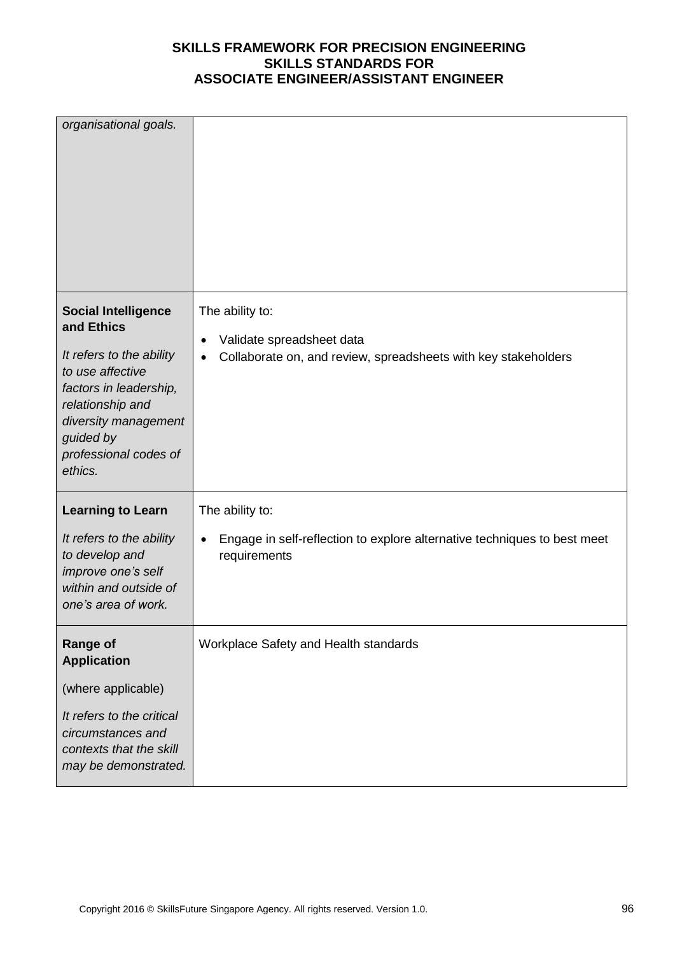| organisational goals.                                                                                                                                                                                           |                                                                                                                          |
|-----------------------------------------------------------------------------------------------------------------------------------------------------------------------------------------------------------------|--------------------------------------------------------------------------------------------------------------------------|
| <b>Social Intelligence</b><br>and Ethics<br>It refers to the ability<br>to use affective<br>factors in leadership,<br>relationship and<br>diversity management<br>guided by<br>professional codes of<br>ethics. | The ability to:<br>Validate spreadsheet data<br>Collaborate on, and review, spreadsheets with key stakeholders           |
| <b>Learning to Learn</b><br>It refers to the ability<br>to develop and<br>improve one's self<br>within and outside of<br>one's area of work.                                                                    | The ability to:<br>Engage in self-reflection to explore alternative techniques to best meet<br>$\bullet$<br>requirements |
| <b>Range of</b><br><b>Application</b><br>(where applicable)<br>It refers to the critical<br>circumstances and<br>contexts that the skill<br>may be demonstrated.                                                | Workplace Safety and Health standards                                                                                    |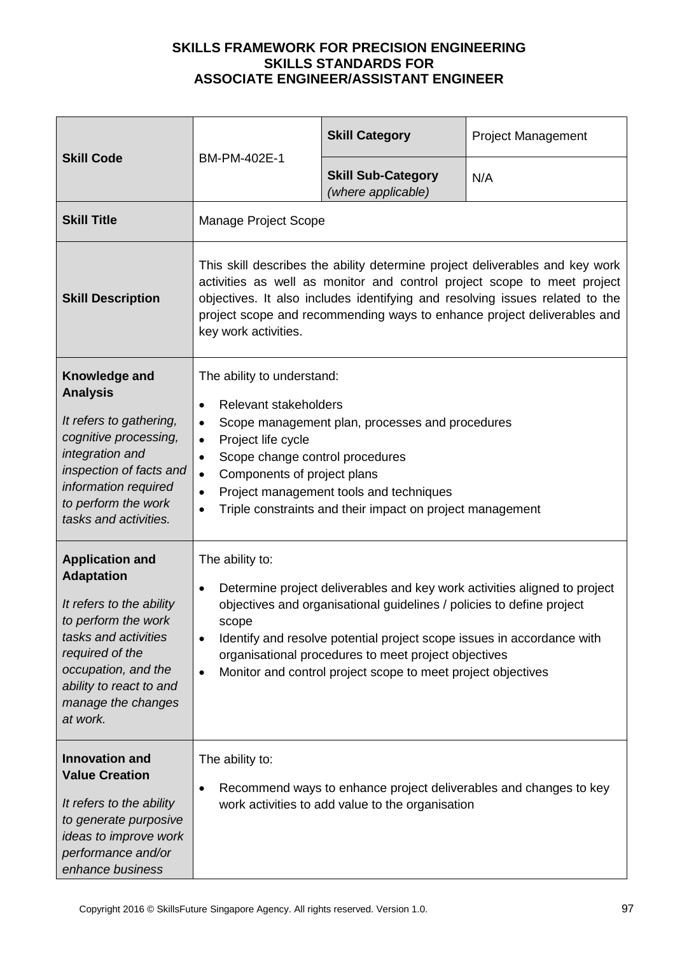| <b>Skill Code</b>                                                                                                                                                                                                             | BM-PM-402E-1                                                                                                                                                                                                                                                                                                                                                                                  | <b>Skill Category</b>                           | <b>Project Management</b> |
|-------------------------------------------------------------------------------------------------------------------------------------------------------------------------------------------------------------------------------|-----------------------------------------------------------------------------------------------------------------------------------------------------------------------------------------------------------------------------------------------------------------------------------------------------------------------------------------------------------------------------------------------|-------------------------------------------------|---------------------------|
|                                                                                                                                                                                                                               |                                                                                                                                                                                                                                                                                                                                                                                               | <b>Skill Sub-Category</b><br>(where applicable) | N/A                       |
| <b>Skill Title</b>                                                                                                                                                                                                            | Manage Project Scope                                                                                                                                                                                                                                                                                                                                                                          |                                                 |                           |
| <b>Skill Description</b>                                                                                                                                                                                                      | This skill describes the ability determine project deliverables and key work<br>activities as well as monitor and control project scope to meet project<br>objectives. It also includes identifying and resolving issues related to the<br>project scope and recommending ways to enhance project deliverables and<br>key work activities.                                                    |                                                 |                           |
| Knowledge and<br><b>Analysis</b><br>It refers to gathering,<br>cognitive processing,<br>integration and<br>inspection of facts and<br>information required<br>to perform the work<br>tasks and activities.                    | The ability to understand:<br>Relevant stakeholders<br>$\bullet$<br>Scope management plan, processes and procedures<br>$\bullet$<br>Project life cycle<br>$\bullet$<br>Scope change control procedures<br>$\bullet$<br>Components of project plans<br>$\bullet$<br>Project management tools and techniques<br>$\bullet$<br>Triple constraints and their impact on project management          |                                                 |                           |
| <b>Application and</b><br><b>Adaptation</b><br>It refers to the ability<br>to perform the work<br>tasks and activities<br>required of the<br>occupation, and the<br>ability to react to and<br>manage the changes<br>at work. | The ability to:<br>Determine project deliverables and key work activities aligned to project<br>$\bullet$<br>objectives and organisational guidelines / policies to define project<br>scope<br>Identify and resolve potential project scope issues in accordance with<br>organisational procedures to meet project objectives<br>Monitor and control project scope to meet project objectives |                                                 |                           |
| <b>Innovation and</b><br><b>Value Creation</b><br>It refers to the ability<br>to generate purposive<br>ideas to improve work<br>performance and/or<br>enhance business                                                        | The ability to:<br>Recommend ways to enhance project deliverables and changes to key<br>٠<br>work activities to add value to the organisation                                                                                                                                                                                                                                                 |                                                 |                           |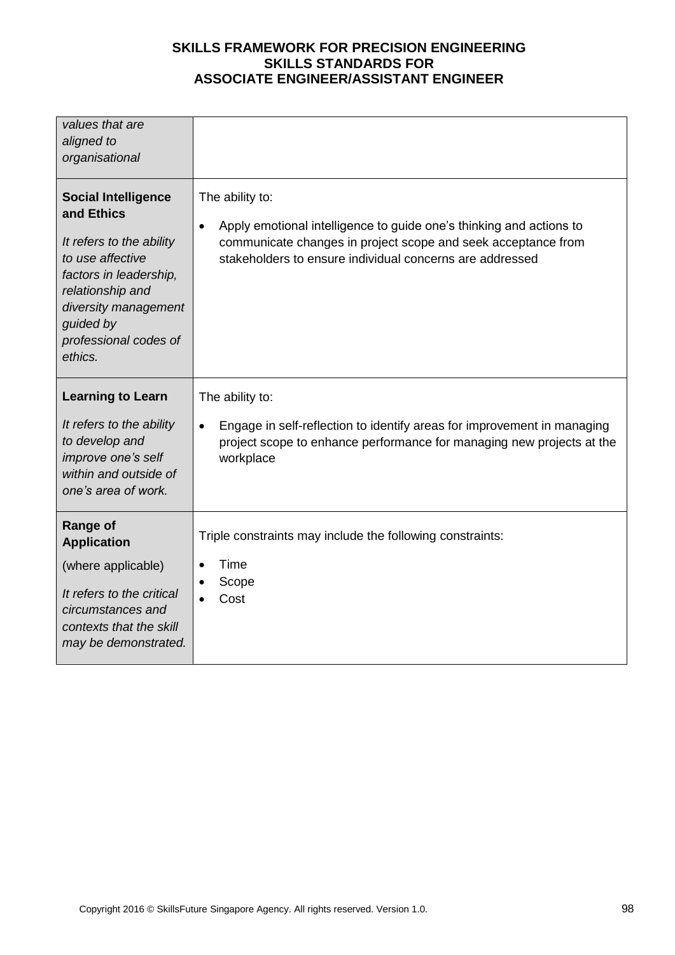| values that are<br>aligned to<br>organisational                                                                                                                                                                 |                                                                                                                                                                                                                                  |
|-----------------------------------------------------------------------------------------------------------------------------------------------------------------------------------------------------------------|----------------------------------------------------------------------------------------------------------------------------------------------------------------------------------------------------------------------------------|
| <b>Social Intelligence</b><br>and Ethics<br>It refers to the ability<br>to use affective<br>factors in leadership,<br>relationship and<br>diversity management<br>guided by<br>professional codes of<br>ethics. | The ability to:<br>Apply emotional intelligence to guide one's thinking and actions to<br>$\bullet$<br>communicate changes in project scope and seek acceptance from<br>stakeholders to ensure individual concerns are addressed |
| <b>Learning to Learn</b><br>It refers to the ability<br>to develop and<br>improve one's self                                                                                                                    | The ability to:<br>Engage in self-reflection to identify areas for improvement in managing<br>$\bullet$<br>project scope to enhance performance for managing new projects at the<br>workplace                                    |
| within and outside of<br>one's area of work.                                                                                                                                                                    |                                                                                                                                                                                                                                  |
| <b>Range of</b><br><b>Application</b><br>(where applicable)<br>It refers to the critical<br>circumstances and<br>contexts that the skill<br>may be demonstrated.                                                | Triple constraints may include the following constraints:<br>Time<br>Scope<br>Cost                                                                                                                                               |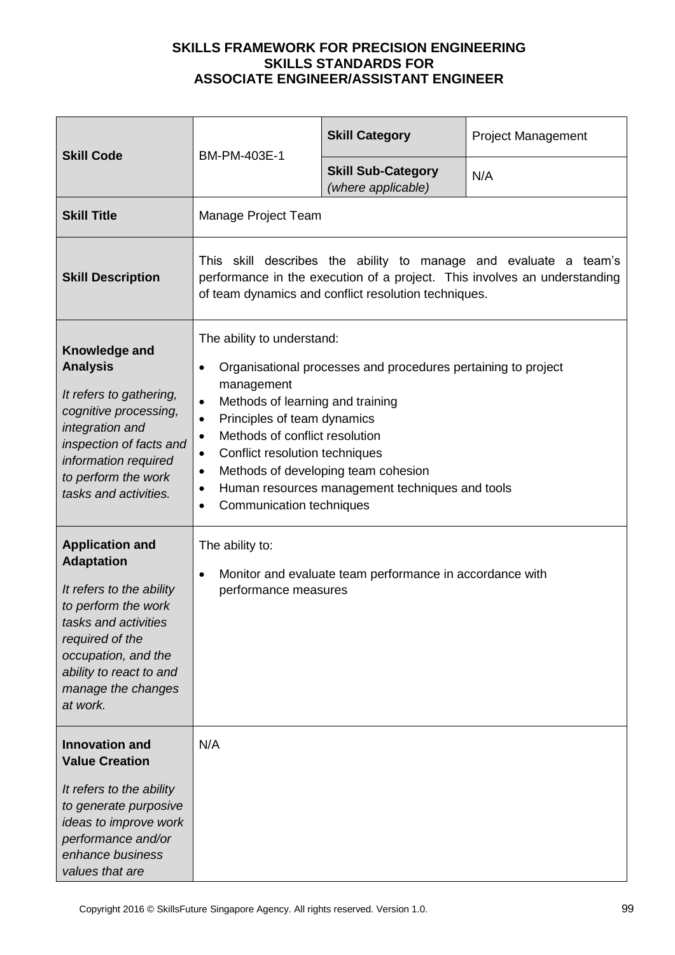| <b>Skill Code</b>                                                                                                                                                                                                             | BM-PM-403E-1                                                                                                                                                                                                                                                                                                                                                                                                                                                   | <b>Skill Category</b>                           | <b>Project Management</b> |
|-------------------------------------------------------------------------------------------------------------------------------------------------------------------------------------------------------------------------------|----------------------------------------------------------------------------------------------------------------------------------------------------------------------------------------------------------------------------------------------------------------------------------------------------------------------------------------------------------------------------------------------------------------------------------------------------------------|-------------------------------------------------|---------------------------|
|                                                                                                                                                                                                                               |                                                                                                                                                                                                                                                                                                                                                                                                                                                                | <b>Skill Sub-Category</b><br>(where applicable) | N/A                       |
| <b>Skill Title</b>                                                                                                                                                                                                            | Manage Project Team                                                                                                                                                                                                                                                                                                                                                                                                                                            |                                                 |                           |
| <b>Skill Description</b>                                                                                                                                                                                                      | This skill describes the ability to manage and evaluate a team's<br>performance in the execution of a project. This involves an understanding<br>of team dynamics and conflict resolution techniques.                                                                                                                                                                                                                                                          |                                                 |                           |
| Knowledge and<br><b>Analysis</b><br>It refers to gathering,<br>cognitive processing,<br>integration and<br>inspection of facts and<br>information required<br>to perform the work<br>tasks and activities.                    | The ability to understand:<br>Organisational processes and procedures pertaining to project<br>$\bullet$<br>management<br>Methods of learning and training<br>$\bullet$<br>Principles of team dynamics<br>$\bullet$<br>Methods of conflict resolution<br>$\bullet$<br>Conflict resolution techniques<br>$\bullet$<br>Methods of developing team cohesion<br>٠<br>Human resources management techniques and tools<br>٠<br>Communication techniques<br>$\bullet$ |                                                 |                           |
| <b>Application and</b><br><b>Adaptation</b><br>It refers to the ability<br>to perform the work<br>tasks and activities<br>required of the<br>occupation, and the<br>ability to react to and<br>manage the changes<br>at work. | The ability to:<br>Monitor and evaluate team performance in accordance with<br>$\bullet$<br>performance measures                                                                                                                                                                                                                                                                                                                                               |                                                 |                           |
| <b>Innovation and</b><br><b>Value Creation</b><br>It refers to the ability<br>to generate purposive<br>ideas to improve work<br>performance and/or<br>enhance business<br>values that are                                     | N/A                                                                                                                                                                                                                                                                                                                                                                                                                                                            |                                                 |                           |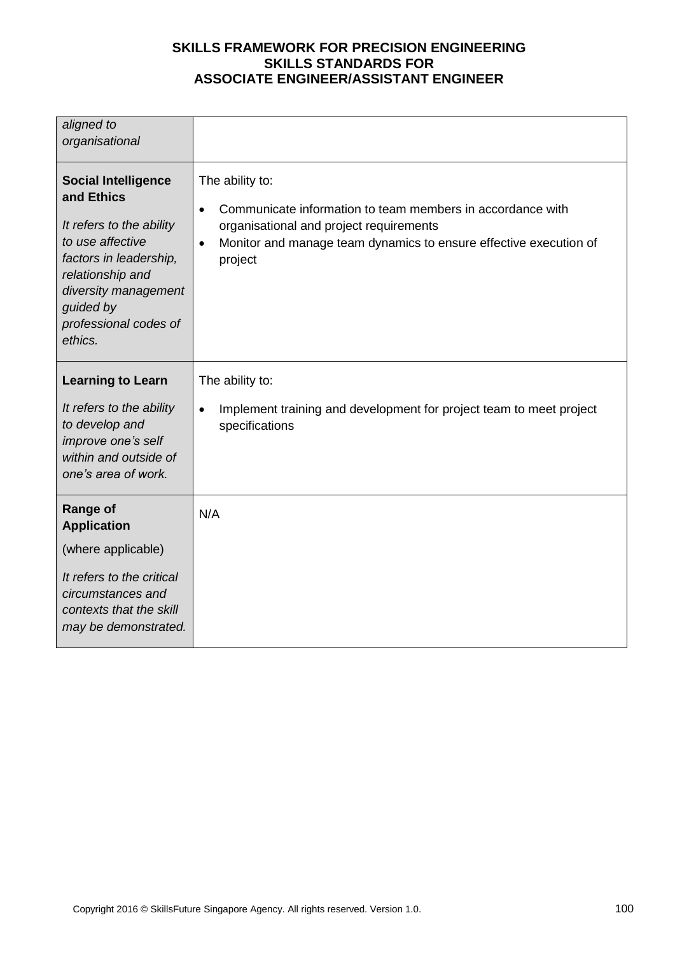| aligned to                                                                                                                                                                                                      |                                                                                                                                                                                                                                    |
|-----------------------------------------------------------------------------------------------------------------------------------------------------------------------------------------------------------------|------------------------------------------------------------------------------------------------------------------------------------------------------------------------------------------------------------------------------------|
| organisational                                                                                                                                                                                                  |                                                                                                                                                                                                                                    |
|                                                                                                                                                                                                                 |                                                                                                                                                                                                                                    |
| <b>Social Intelligence</b><br>and Ethics<br>It refers to the ability<br>to use affective<br>factors in leadership,<br>relationship and<br>diversity management<br>guided by<br>professional codes of<br>ethics. | The ability to:<br>Communicate information to team members in accordance with<br>$\bullet$<br>organisational and project requirements<br>Monitor and manage team dynamics to ensure effective execution of<br>$\bullet$<br>project |
| <b>Learning to Learn</b>                                                                                                                                                                                        | The ability to:                                                                                                                                                                                                                    |
| It refers to the ability<br>to develop and<br>improve one's self<br>within and outside of<br>one's area of work.                                                                                                | Implement training and development for project team to meet project<br>$\bullet$<br>specifications                                                                                                                                 |
| <b>Range of</b><br><b>Application</b>                                                                                                                                                                           | N/A                                                                                                                                                                                                                                |
| (where applicable)                                                                                                                                                                                              |                                                                                                                                                                                                                                    |
| It refers to the critical<br>circumstances and<br>contexts that the skill<br>may be demonstrated.                                                                                                               |                                                                                                                                                                                                                                    |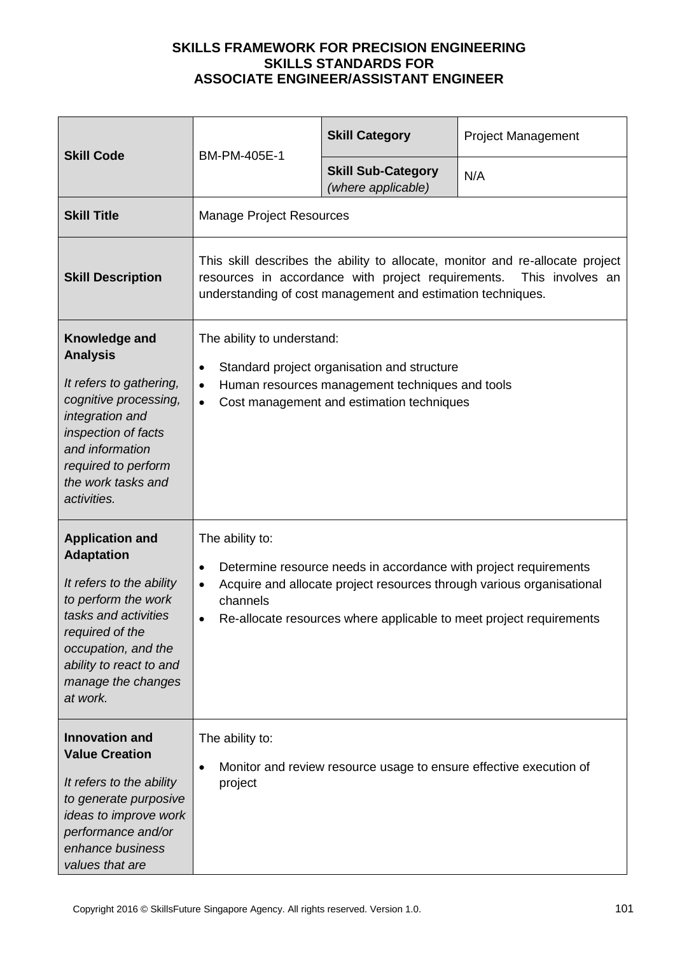| <b>Skill Code</b>                                                                                                                                                                                                             |                                                                                                                                                                                                                                                              | <b>Skill Category</b>                                              | <b>Project Management</b> |
|-------------------------------------------------------------------------------------------------------------------------------------------------------------------------------------------------------------------------------|--------------------------------------------------------------------------------------------------------------------------------------------------------------------------------------------------------------------------------------------------------------|--------------------------------------------------------------------|---------------------------|
|                                                                                                                                                                                                                               | BM-PM-405E-1                                                                                                                                                                                                                                                 | <b>Skill Sub-Category</b><br>(where applicable)                    | N/A                       |
| <b>Skill Title</b>                                                                                                                                                                                                            | <b>Manage Project Resources</b>                                                                                                                                                                                                                              |                                                                    |                           |
| <b>Skill Description</b>                                                                                                                                                                                                      | This skill describes the ability to allocate, monitor and re-allocate project<br>resources in accordance with project requirements.<br>This involves an<br>understanding of cost management and estimation techniques.                                       |                                                                    |                           |
| Knowledge and<br><b>Analysis</b><br>It refers to gathering,<br>cognitive processing,<br>integration and<br>inspection of facts<br>and information<br>required to perform<br>the work tasks and<br>activities.                 | The ability to understand:<br>Standard project organisation and structure<br>$\bullet$<br>Human resources management techniques and tools<br>$\bullet$<br>Cost management and estimation techniques                                                          |                                                                    |                           |
| <b>Application and</b><br><b>Adaptation</b><br>It refers to the ability<br>to perform the work<br>tasks and activities<br>required of the<br>occupation, and the<br>ability to react to and<br>manage the changes<br>at work. | The ability to:<br>Determine resource needs in accordance with project requirements<br>$\bullet$<br>Acquire and allocate project resources through various organisational<br>channels<br>Re-allocate resources where applicable to meet project requirements |                                                                    |                           |
| <b>Innovation and</b><br><b>Value Creation</b><br>It refers to the ability<br>to generate purposive<br>ideas to improve work<br>performance and/or<br>enhance business<br>values that are                                     | The ability to:<br>project                                                                                                                                                                                                                                   | Monitor and review resource usage to ensure effective execution of |                           |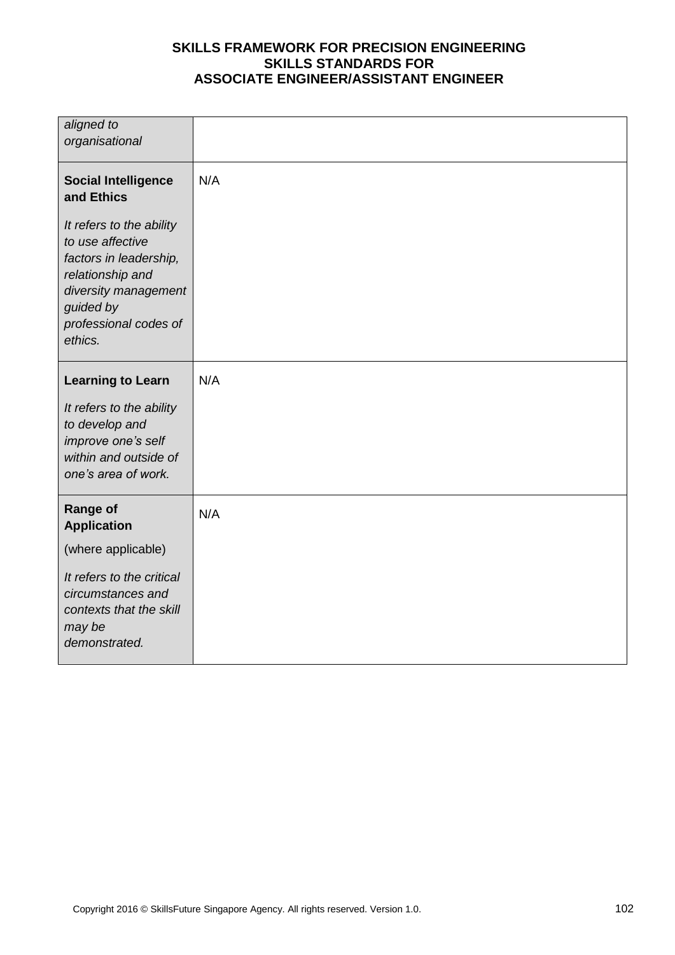| aligned to<br>organisational                                                                                     |     |
|------------------------------------------------------------------------------------------------------------------|-----|
|                                                                                                                  |     |
| <b>Social Intelligence</b><br>and Ethics<br>It refers to the ability                                             | N/A |
| to use affective<br>factors in leadership,<br>relationship and<br>diversity management                           |     |
| guided by<br>professional codes of<br>ethics.                                                                    |     |
| <b>Learning to Learn</b>                                                                                         | N/A |
| It refers to the ability<br>to develop and<br>improve one's self<br>within and outside of<br>one's area of work. |     |
| <b>Range of</b><br><b>Application</b>                                                                            | N/A |
| (where applicable)                                                                                               |     |
| It refers to the critical<br>circumstances and<br>contexts that the skill<br>may be<br>demonstrated.             |     |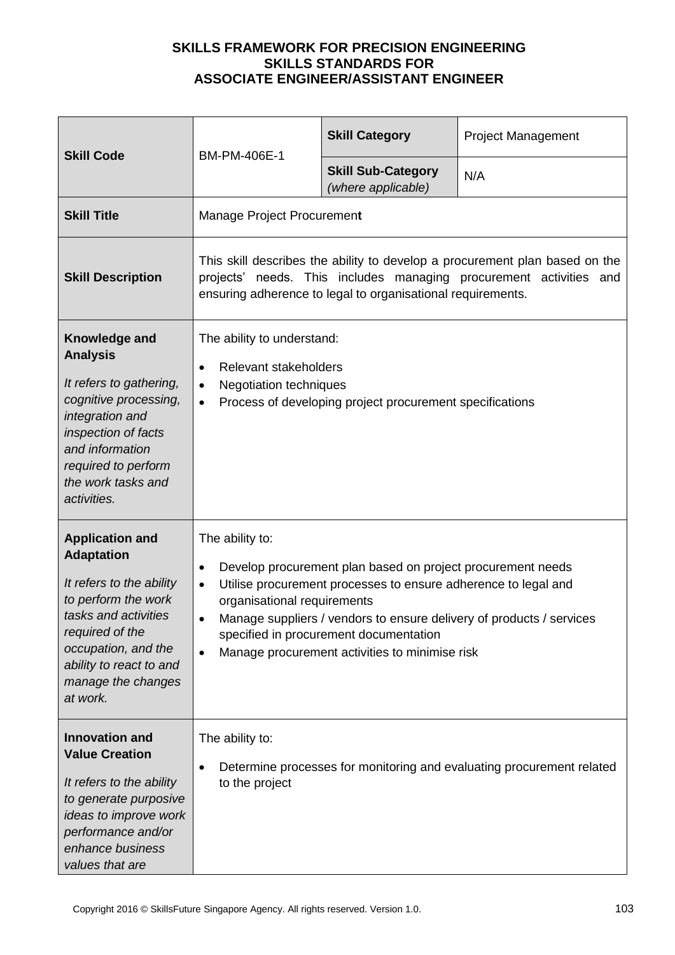| <b>Skill Code</b><br>BM-PM-406E-1                                                                                                                                                                                             |                                                                                                                                                                                                                                                                                                                                                                                            | <b>Skill Category</b>                           | <b>Project Management</b> |
|-------------------------------------------------------------------------------------------------------------------------------------------------------------------------------------------------------------------------------|--------------------------------------------------------------------------------------------------------------------------------------------------------------------------------------------------------------------------------------------------------------------------------------------------------------------------------------------------------------------------------------------|-------------------------------------------------|---------------------------|
|                                                                                                                                                                                                                               |                                                                                                                                                                                                                                                                                                                                                                                            | <b>Skill Sub-Category</b><br>(where applicable) | N/A                       |
| <b>Skill Title</b>                                                                                                                                                                                                            | Manage Project Procurement                                                                                                                                                                                                                                                                                                                                                                 |                                                 |                           |
| <b>Skill Description</b>                                                                                                                                                                                                      | This skill describes the ability to develop a procurement plan based on the<br>projects' needs. This includes managing procurement activities and<br>ensuring adherence to legal to organisational requirements.                                                                                                                                                                           |                                                 |                           |
| Knowledge and<br><b>Analysis</b><br>It refers to gathering,<br>cognitive processing,<br>integration and<br>inspection of facts<br>and information<br>required to perform<br>the work tasks and<br>activities.                 | The ability to understand:<br>Relevant stakeholders<br><b>Negotiation techniques</b><br>$\bullet$<br>Process of developing project procurement specifications<br>$\bullet$                                                                                                                                                                                                                 |                                                 |                           |
| <b>Application and</b><br><b>Adaptation</b><br>It refers to the ability<br>to perform the work<br>tasks and activities<br>required of the<br>occupation, and the<br>ability to react to and<br>manage the changes<br>at work. | The ability to:<br>Develop procurement plan based on project procurement needs<br>$\bullet$<br>Utilise procurement processes to ensure adherence to legal and<br>$\bullet$<br>organisational requirements<br>Manage suppliers / vendors to ensure delivery of products / services<br>specified in procurement documentation<br>Manage procurement activities to minimise risk<br>$\bullet$ |                                                 |                           |
| <b>Innovation and</b><br><b>Value Creation</b><br>It refers to the ability<br>to generate purposive<br>ideas to improve work<br>performance and/or<br>enhance business<br>values that are                                     | The ability to:<br>Determine processes for monitoring and evaluating procurement related<br>to the project                                                                                                                                                                                                                                                                                 |                                                 |                           |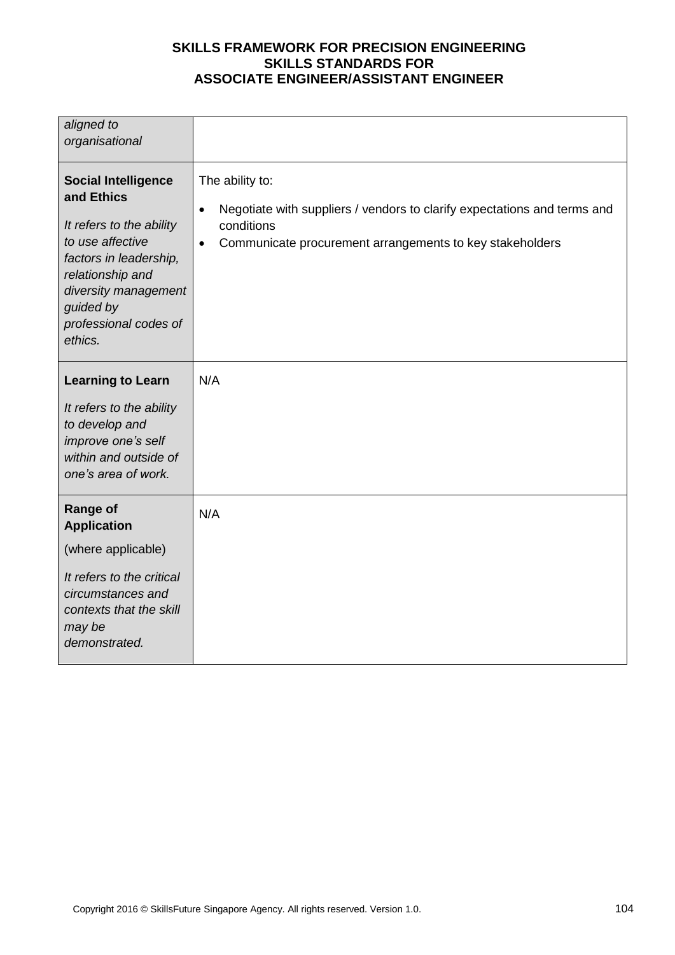| aligned to<br>organisational                                                                                                                                                                                    |                                                                                                                                                                                                 |
|-----------------------------------------------------------------------------------------------------------------------------------------------------------------------------------------------------------------|-------------------------------------------------------------------------------------------------------------------------------------------------------------------------------------------------|
| <b>Social Intelligence</b><br>and Ethics<br>It refers to the ability<br>to use affective<br>factors in leadership,<br>relationship and<br>diversity management<br>guided by<br>professional codes of<br>ethics. | The ability to:<br>Negotiate with suppliers / vendors to clarify expectations and terms and<br>$\bullet$<br>conditions<br>Communicate procurement arrangements to key stakeholders<br>$\bullet$ |
| <b>Learning to Learn</b><br>It refers to the ability<br>to develop and<br>improve one's self<br>within and outside of<br>one's area of work.                                                                    | N/A                                                                                                                                                                                             |
| <b>Range of</b><br><b>Application</b><br>(where applicable)<br>It refers to the critical<br>circumstances and<br>contexts that the skill<br>may be<br>demonstrated.                                             | N/A                                                                                                                                                                                             |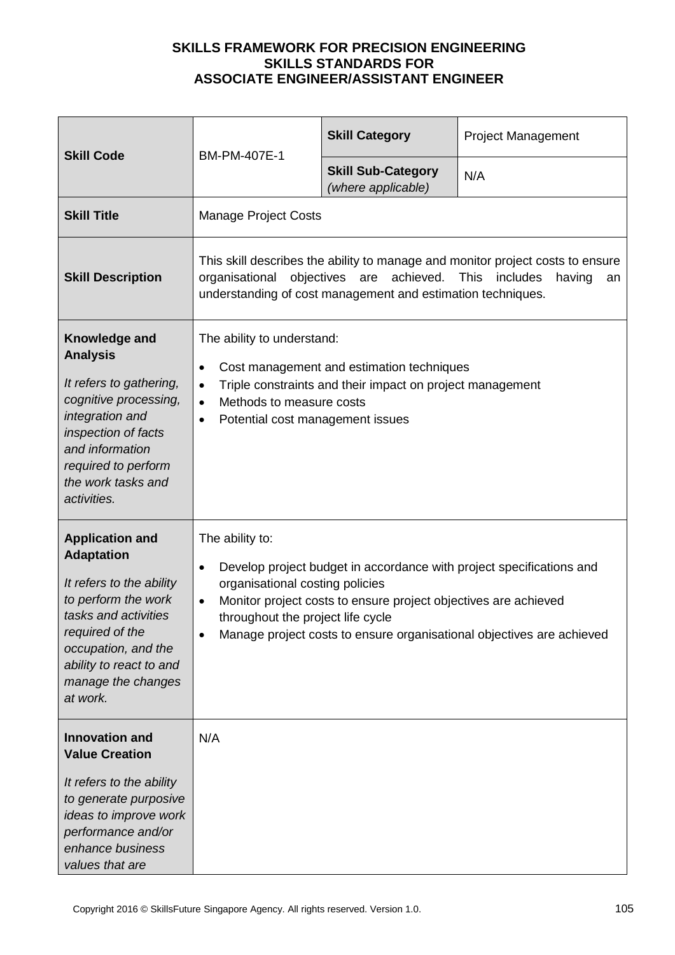| <b>Skill Code</b>                                                                                                                                                                                                             | BM-PM-407E-1                                                                                                                                                                                                                                                                                                                          | <b>Skill Category</b>                           | <b>Project Management</b> |
|-------------------------------------------------------------------------------------------------------------------------------------------------------------------------------------------------------------------------------|---------------------------------------------------------------------------------------------------------------------------------------------------------------------------------------------------------------------------------------------------------------------------------------------------------------------------------------|-------------------------------------------------|---------------------------|
|                                                                                                                                                                                                                               |                                                                                                                                                                                                                                                                                                                                       | <b>Skill Sub-Category</b><br>(where applicable) | N/A                       |
| <b>Skill Title</b>                                                                                                                                                                                                            | <b>Manage Project Costs</b>                                                                                                                                                                                                                                                                                                           |                                                 |                           |
| <b>Skill Description</b>                                                                                                                                                                                                      | This skill describes the ability to manage and monitor project costs to ensure<br>achieved.<br>objectives are<br><b>This</b><br>organisational<br>includes<br>having<br>an<br>understanding of cost management and estimation techniques.                                                                                             |                                                 |                           |
| Knowledge and<br><b>Analysis</b><br>It refers to gathering,<br>cognitive processing,<br>integration and<br>inspection of facts<br>and information<br>required to perform<br>the work tasks and<br>activities.                 | The ability to understand:<br>Cost management and estimation techniques<br>$\bullet$<br>Triple constraints and their impact on project management<br>$\bullet$<br>Methods to measure costs<br>$\bullet$<br>Potential cost management issues<br>$\bullet$                                                                              |                                                 |                           |
| <b>Application and</b><br><b>Adaptation</b><br>It refers to the ability<br>to perform the work<br>tasks and activities<br>required of the<br>occupation, and the<br>ability to react to and<br>manage the changes<br>at work. | The ability to:<br>Develop project budget in accordance with project specifications and<br>$\bullet$<br>organisational costing policies<br>Monitor project costs to ensure project objectives are achieved<br>$\bullet$<br>throughout the project life cycle<br>Manage project costs to ensure organisational objectives are achieved |                                                 |                           |
| <b>Innovation and</b><br><b>Value Creation</b><br>It refers to the ability<br>to generate purposive<br>ideas to improve work<br>performance and/or<br>enhance business<br>values that are                                     | N/A                                                                                                                                                                                                                                                                                                                                   |                                                 |                           |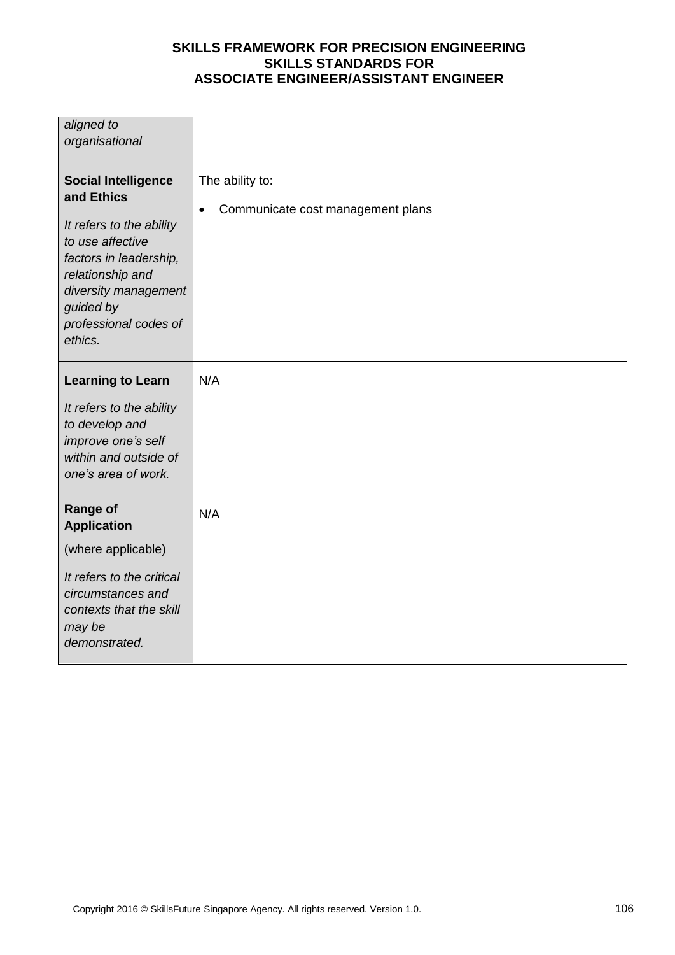| aligned to<br>organisational                                                                                                                                                                                    |                                                                   |
|-----------------------------------------------------------------------------------------------------------------------------------------------------------------------------------------------------------------|-------------------------------------------------------------------|
| <b>Social Intelligence</b><br>and Ethics<br>It refers to the ability<br>to use affective<br>factors in leadership,<br>relationship and<br>diversity management<br>guided by<br>professional codes of<br>ethics. | The ability to:<br>Communicate cost management plans<br>$\bullet$ |
| <b>Learning to Learn</b><br>It refers to the ability<br>to develop and<br>improve one's self<br>within and outside of<br>one's area of work.                                                                    | N/A                                                               |
| <b>Range of</b><br><b>Application</b><br>(where applicable)<br>It refers to the critical<br>circumstances and<br>contexts that the skill<br>may be<br>demonstrated.                                             | N/A                                                               |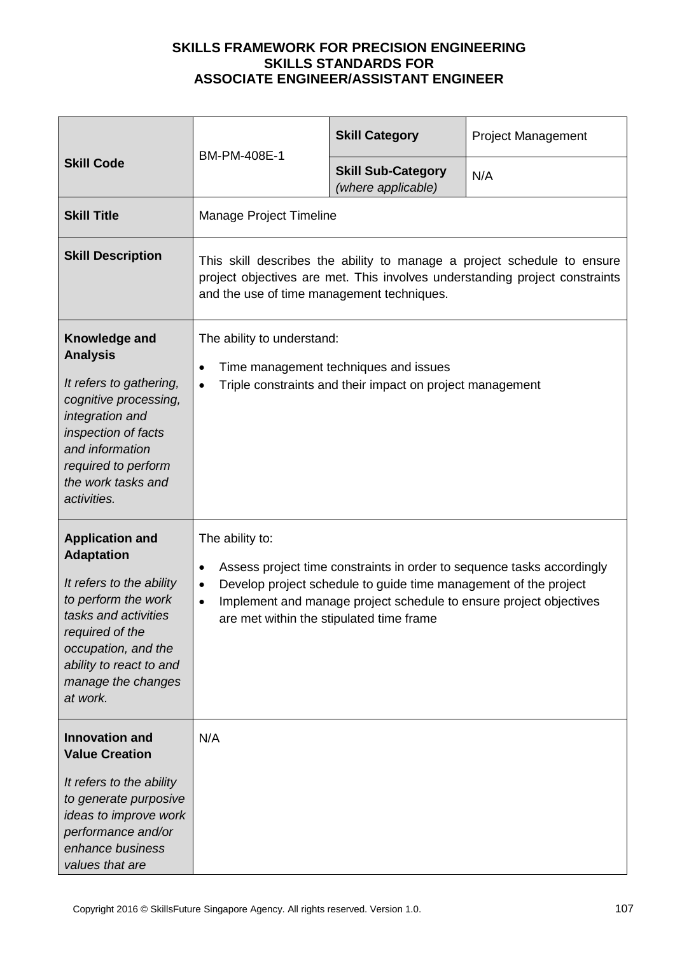| BM-PM-408E-1<br><b>Skill Code</b>                                                                                                                                                                                             |                                                                                                                                                                                                                                                                                                                        | <b>Skill Category</b>                           | <b>Project Management</b> |
|-------------------------------------------------------------------------------------------------------------------------------------------------------------------------------------------------------------------------------|------------------------------------------------------------------------------------------------------------------------------------------------------------------------------------------------------------------------------------------------------------------------------------------------------------------------|-------------------------------------------------|---------------------------|
|                                                                                                                                                                                                                               |                                                                                                                                                                                                                                                                                                                        | <b>Skill Sub-Category</b><br>(where applicable) | N/A                       |
| <b>Skill Title</b>                                                                                                                                                                                                            | Manage Project Timeline                                                                                                                                                                                                                                                                                                |                                                 |                           |
| <b>Skill Description</b>                                                                                                                                                                                                      | This skill describes the ability to manage a project schedule to ensure<br>project objectives are met. This involves understanding project constraints<br>and the use of time management techniques.                                                                                                                   |                                                 |                           |
| Knowledge and<br><b>Analysis</b><br>It refers to gathering,<br>cognitive processing,<br>integration and<br>inspection of facts<br>and information<br>required to perform<br>the work tasks and<br>activities.                 | The ability to understand:<br>Time management techniques and issues<br>Triple constraints and their impact on project management                                                                                                                                                                                       |                                                 |                           |
| <b>Application and</b><br><b>Adaptation</b><br>It refers to the ability<br>to perform the work<br>tasks and activities<br>required of the<br>occupation, and the<br>ability to react to and<br>manage the changes<br>at work. | The ability to:<br>Assess project time constraints in order to sequence tasks accordingly<br>$\bullet$<br>Develop project schedule to guide time management of the project<br>$\bullet$<br>Implement and manage project schedule to ensure project objectives<br>$\bullet$<br>are met within the stipulated time frame |                                                 |                           |
| <b>Innovation and</b><br><b>Value Creation</b><br>It refers to the ability<br>to generate purposive<br>ideas to improve work<br>performance and/or<br>enhance business<br>values that are                                     | N/A                                                                                                                                                                                                                                                                                                                    |                                                 |                           |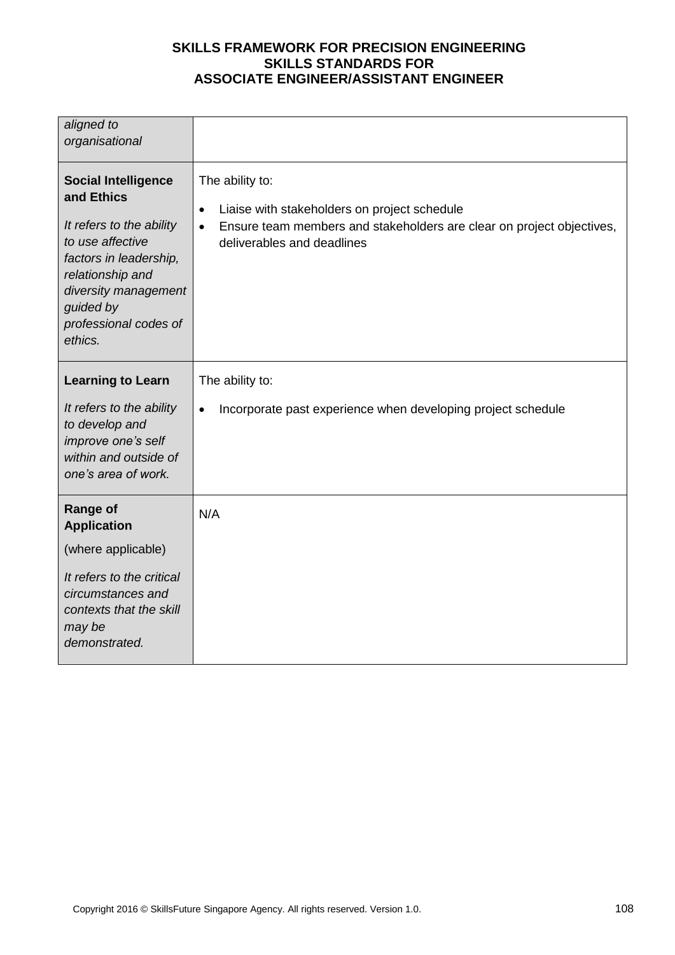| aligned to<br>organisational                                                                                                                                                                                    |                                                                                                                                                                                                  |
|-----------------------------------------------------------------------------------------------------------------------------------------------------------------------------------------------------------------|--------------------------------------------------------------------------------------------------------------------------------------------------------------------------------------------------|
| <b>Social Intelligence</b><br>and Ethics<br>It refers to the ability<br>to use affective<br>factors in leadership,<br>relationship and<br>diversity management<br>guided by<br>professional codes of<br>ethics. | The ability to:<br>Liaise with stakeholders on project schedule<br>$\bullet$<br>Ensure team members and stakeholders are clear on project objectives,<br>$\bullet$<br>deliverables and deadlines |
| <b>Learning to Learn</b><br>It refers to the ability<br>to develop and<br>improve one's self<br>within and outside of<br>one's area of work.                                                                    | The ability to:<br>Incorporate past experience when developing project schedule<br>$\bullet$                                                                                                     |
| <b>Range of</b><br><b>Application</b><br>(where applicable)<br>It refers to the critical<br>circumstances and<br>contexts that the skill<br>may be<br>demonstrated.                                             | N/A                                                                                                                                                                                              |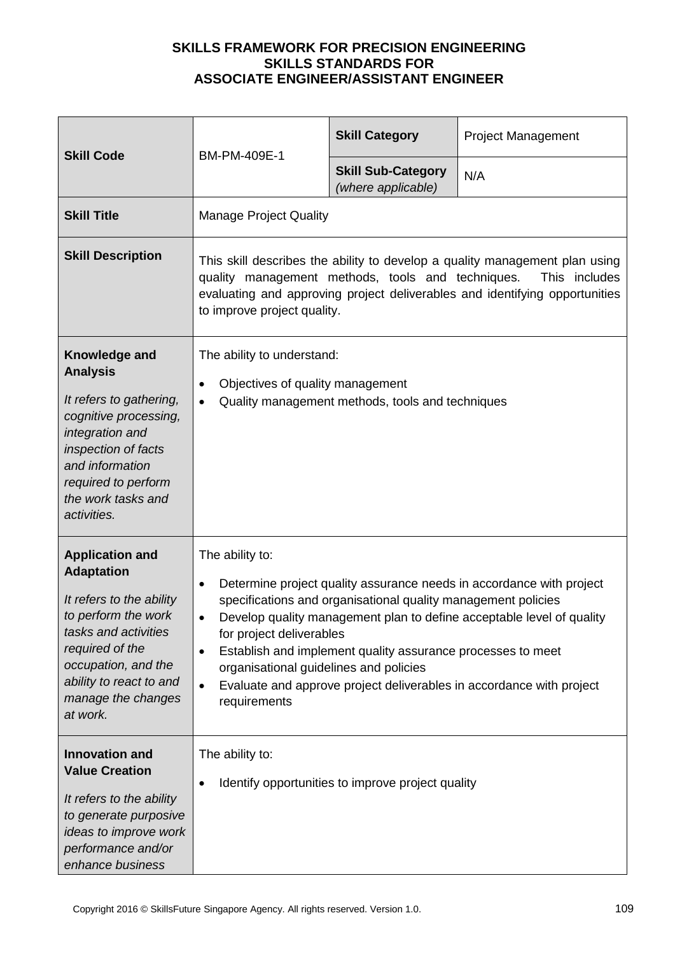| <b>Skill Code</b><br>BM-PM-409E-1                                                                                                                                                                                             |                                                                                                                                                                                                                                                                                                                                                                                                                                                                                                       | <b>Skill Category</b>                             | <b>Project Management</b> |
|-------------------------------------------------------------------------------------------------------------------------------------------------------------------------------------------------------------------------------|-------------------------------------------------------------------------------------------------------------------------------------------------------------------------------------------------------------------------------------------------------------------------------------------------------------------------------------------------------------------------------------------------------------------------------------------------------------------------------------------------------|---------------------------------------------------|---------------------------|
|                                                                                                                                                                                                                               | <b>Skill Sub-Category</b><br>(where applicable)                                                                                                                                                                                                                                                                                                                                                                                                                                                       | N/A                                               |                           |
| <b>Skill Title</b>                                                                                                                                                                                                            | <b>Manage Project Quality</b>                                                                                                                                                                                                                                                                                                                                                                                                                                                                         |                                                   |                           |
| <b>Skill Description</b>                                                                                                                                                                                                      | This skill describes the ability to develop a quality management plan using<br>quality management methods, tools and techniques.<br>This includes<br>evaluating and approving project deliverables and identifying opportunities<br>to improve project quality.                                                                                                                                                                                                                                       |                                                   |                           |
| Knowledge and<br><b>Analysis</b><br>It refers to gathering,<br>cognitive processing,<br>integration and<br>inspection of facts<br>and information<br>required to perform<br>the work tasks and<br>activities.                 | The ability to understand:<br>Objectives of quality management<br>Quality management methods, tools and techniques                                                                                                                                                                                                                                                                                                                                                                                    |                                                   |                           |
| <b>Application and</b><br><b>Adaptation</b><br>It refers to the ability<br>to perform the work<br>tasks and activities<br>required of the<br>occupation, and the<br>ability to react to and<br>manage the changes<br>at work. | The ability to:<br>Determine project quality assurance needs in accordance with project<br>$\bullet$<br>specifications and organisational quality management policies<br>Develop quality management plan to define acceptable level of quality<br>for project deliverables<br>Establish and implement quality assurance processes to meet<br>$\bullet$<br>organisational guidelines and policies<br>Evaluate and approve project deliverables in accordance with project<br>$\bullet$<br>requirements |                                                   |                           |
| <b>Innovation and</b><br><b>Value Creation</b><br>It refers to the ability<br>to generate purposive<br>ideas to improve work<br>performance and/or<br>enhance business                                                        | The ability to:<br>$\bullet$                                                                                                                                                                                                                                                                                                                                                                                                                                                                          | Identify opportunities to improve project quality |                           |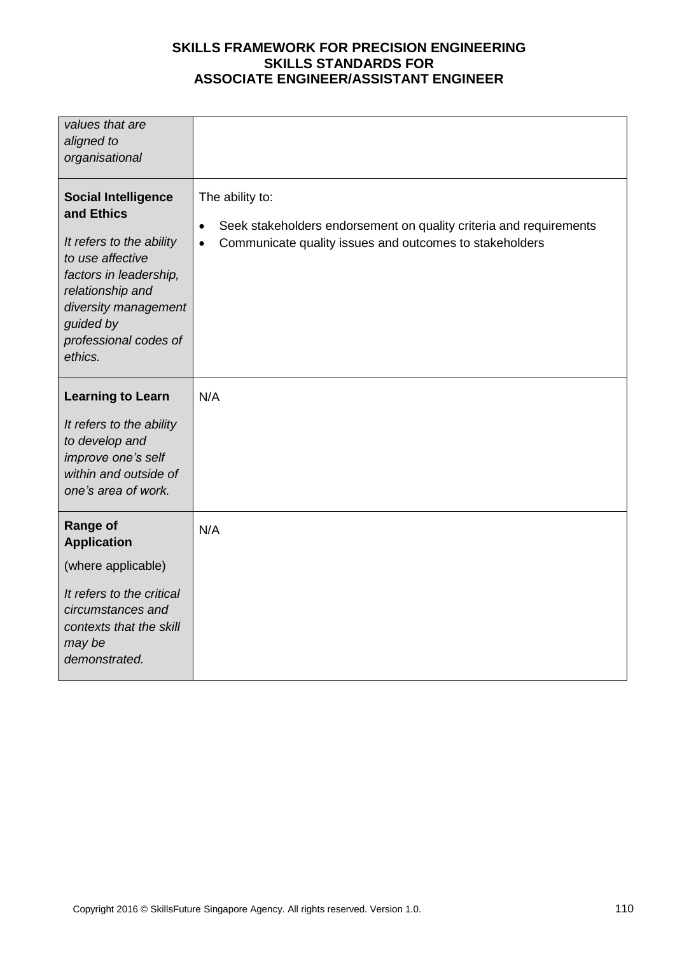| values that are<br>aligned to<br>organisational                                                                                                                                                                 |                                                                                                                                                                            |
|-----------------------------------------------------------------------------------------------------------------------------------------------------------------------------------------------------------------|----------------------------------------------------------------------------------------------------------------------------------------------------------------------------|
| <b>Social Intelligence</b><br>and Ethics<br>It refers to the ability<br>to use affective<br>factors in leadership,<br>relationship and<br>diversity management<br>guided by<br>professional codes of<br>ethics. | The ability to:<br>Seek stakeholders endorsement on quality criteria and requirements<br>$\bullet$<br>Communicate quality issues and outcomes to stakeholders<br>$\bullet$ |
| <b>Learning to Learn</b><br>It refers to the ability<br>to develop and<br>improve one's self<br>within and outside of<br>one's area of work.                                                                    | N/A                                                                                                                                                                        |
| <b>Range of</b><br><b>Application</b><br>(where applicable)<br>It refers to the critical<br>circumstances and<br>contexts that the skill<br>may be<br>demonstrated.                                             | N/A                                                                                                                                                                        |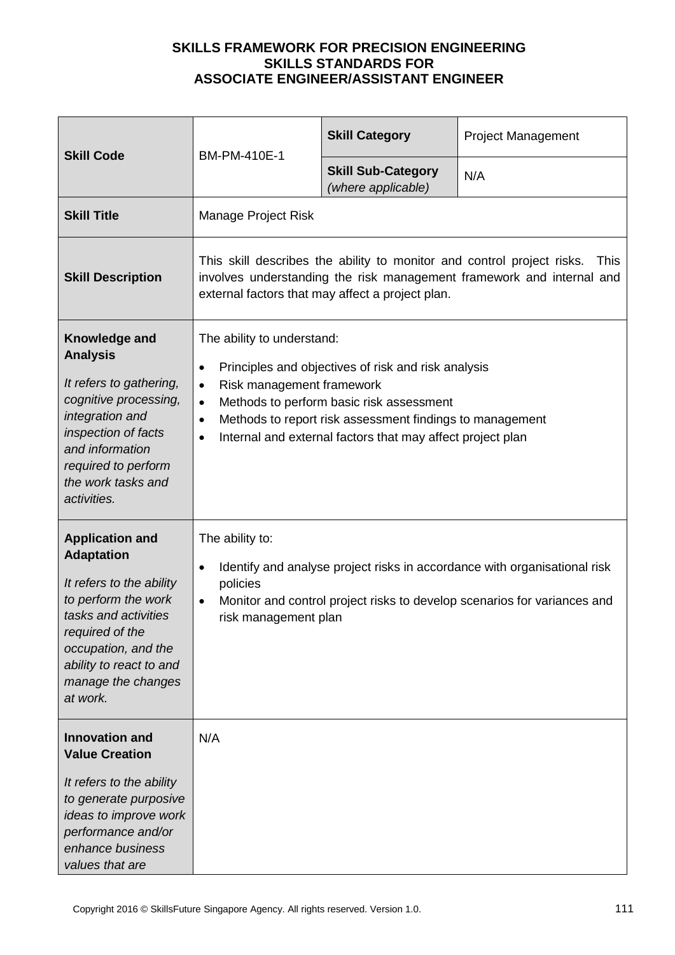| <b>Skill Code</b><br>BM-PM-410E-1                                                                                                                                                                                             |                                                                                                                                                                                                                                                                                                                                                       | <b>Skill Category</b> | <b>Project Management</b> |
|-------------------------------------------------------------------------------------------------------------------------------------------------------------------------------------------------------------------------------|-------------------------------------------------------------------------------------------------------------------------------------------------------------------------------------------------------------------------------------------------------------------------------------------------------------------------------------------------------|-----------------------|---------------------------|
|                                                                                                                                                                                                                               | <b>Skill Sub-Category</b><br>(where applicable)                                                                                                                                                                                                                                                                                                       | N/A                   |                           |
| <b>Skill Title</b>                                                                                                                                                                                                            | Manage Project Risk                                                                                                                                                                                                                                                                                                                                   |                       |                           |
| <b>Skill Description</b>                                                                                                                                                                                                      | This skill describes the ability to monitor and control project risks.<br><b>This</b><br>involves understanding the risk management framework and internal and<br>external factors that may affect a project plan.                                                                                                                                    |                       |                           |
| Knowledge and<br><b>Analysis</b><br>It refers to gathering,<br>cognitive processing,<br>integration and<br>inspection of facts<br>and information<br>required to perform<br>the work tasks and<br>activities.                 | The ability to understand:<br>Principles and objectives of risk and risk analysis<br>$\bullet$<br>Risk management framework<br>$\bullet$<br>Methods to perform basic risk assessment<br>$\bullet$<br>Methods to report risk assessment findings to management<br>$\bullet$<br>Internal and external factors that may affect project plan<br>$\bullet$ |                       |                           |
| <b>Application and</b><br><b>Adaptation</b><br>It refers to the ability<br>to perform the work<br>tasks and activities<br>required of the<br>occupation, and the<br>ability to react to and<br>manage the changes<br>at work. | The ability to:<br>Identify and analyse project risks in accordance with organisational risk<br>$\bullet$<br>policies<br>Monitor and control project risks to develop scenarios for variances and<br>$\bullet$<br>risk management plan                                                                                                                |                       |                           |
| <b>Innovation and</b><br><b>Value Creation</b><br>It refers to the ability<br>to generate purposive<br>ideas to improve work<br>performance and/or<br>enhance business<br>values that are                                     | N/A                                                                                                                                                                                                                                                                                                                                                   |                       |                           |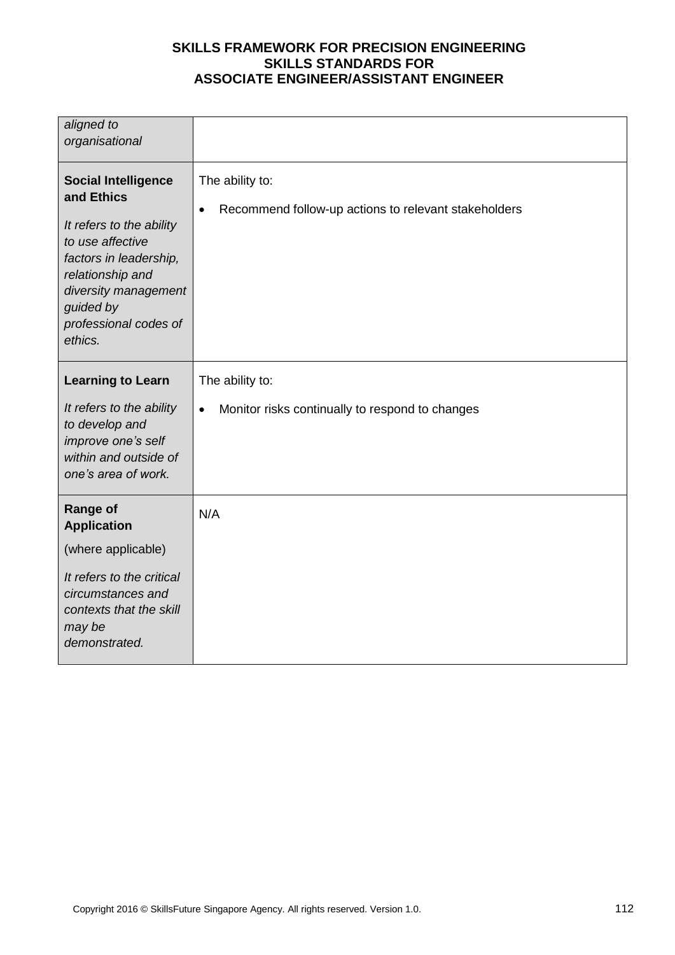| aligned to<br>organisational                                                                                                                                                                                    |                                                                                      |
|-----------------------------------------------------------------------------------------------------------------------------------------------------------------------------------------------------------------|--------------------------------------------------------------------------------------|
| <b>Social Intelligence</b><br>and Ethics<br>It refers to the ability<br>to use affective<br>factors in leadership,<br>relationship and<br>diversity management<br>guided by<br>professional codes of<br>ethics. | The ability to:<br>Recommend follow-up actions to relevant stakeholders<br>$\bullet$ |
| <b>Learning to Learn</b><br>It refers to the ability<br>to develop and<br>improve one's self<br>within and outside of<br>one's area of work.                                                                    | The ability to:<br>Monitor risks continually to respond to changes<br>$\bullet$      |
| <b>Range of</b><br><b>Application</b><br>(where applicable)<br>It refers to the critical<br>circumstances and<br>contexts that the skill<br>may be<br>demonstrated.                                             | N/A                                                                                  |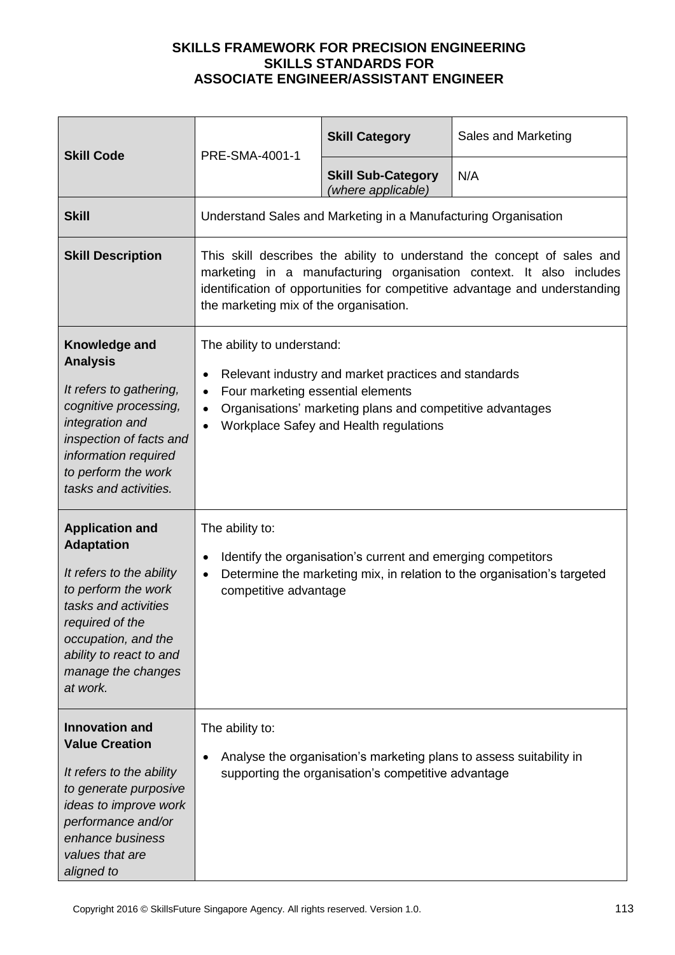| <b>Skill Code</b>                                                                                                                                                                                                             | PRE-SMA-4001-1                                                                                                                                                                                                                                                          | <b>Skill Category</b>                           | Sales and Marketing |
|-------------------------------------------------------------------------------------------------------------------------------------------------------------------------------------------------------------------------------|-------------------------------------------------------------------------------------------------------------------------------------------------------------------------------------------------------------------------------------------------------------------------|-------------------------------------------------|---------------------|
|                                                                                                                                                                                                                               |                                                                                                                                                                                                                                                                         | <b>Skill Sub-Category</b><br>(where applicable) | N/A                 |
| <b>Skill</b>                                                                                                                                                                                                                  | Understand Sales and Marketing in a Manufacturing Organisation                                                                                                                                                                                                          |                                                 |                     |
| <b>Skill Description</b>                                                                                                                                                                                                      | This skill describes the ability to understand the concept of sales and<br>marketing in a manufacturing organisation context. It also includes<br>identification of opportunities for competitive advantage and understanding<br>the marketing mix of the organisation. |                                                 |                     |
| Knowledge and<br><b>Analysis</b><br>It refers to gathering,<br>cognitive processing,<br>integration and<br>inspection of facts and<br>information required<br>to perform the work<br>tasks and activities.                    | The ability to understand:<br>Relevant industry and market practices and standards<br>Four marketing essential elements<br>$\bullet$<br>Organisations' marketing plans and competitive advantages<br>Workplace Safey and Health regulations<br>$\bullet$                |                                                 |                     |
| <b>Application and</b><br><b>Adaptation</b><br>It refers to the ability<br>to perform the work<br>tasks and activities<br>required of the<br>occupation, and the<br>ability to react to and<br>manage the changes<br>at work. | The ability to:<br>Identify the organisation's current and emerging competitors<br>Determine the marketing mix, in relation to the organisation's targeted<br>$\bullet$<br>competitive advantage                                                                        |                                                 |                     |
| <b>Innovation and</b><br><b>Value Creation</b><br>It refers to the ability<br>to generate purposive<br>ideas to improve work<br>performance and/or<br>enhance business<br>values that are<br>aligned to                       | The ability to:<br>Analyse the organisation's marketing plans to assess suitability in<br>supporting the organisation's competitive advantage                                                                                                                           |                                                 |                     |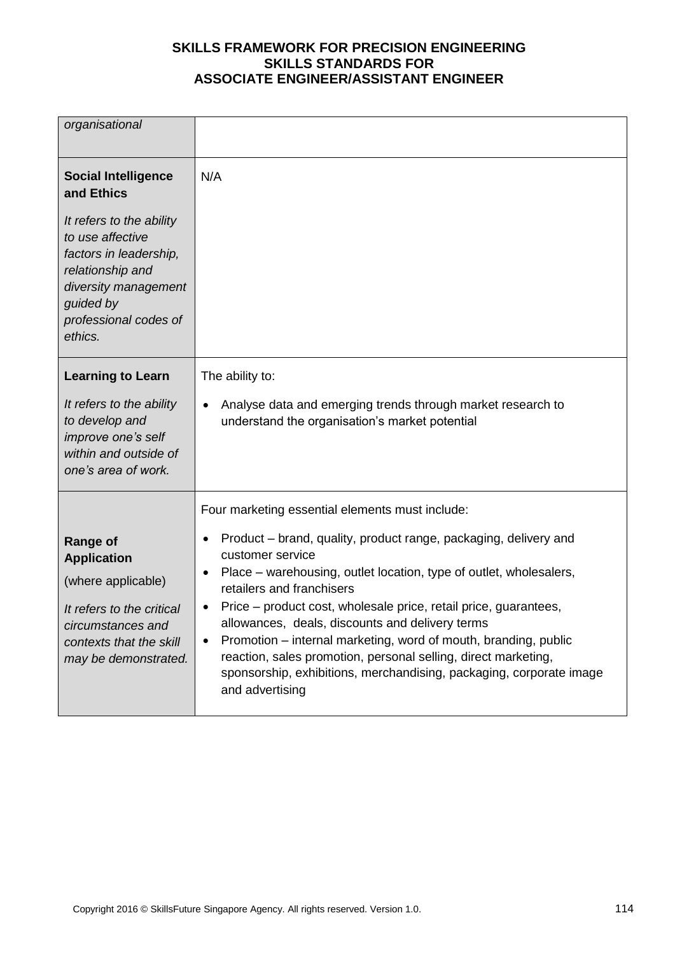| organisational                                                                                                                                                                                                  |                                                                                                                                                                                                                                                                                                                                                                                                                                                                                                                                                                                                                              |
|-----------------------------------------------------------------------------------------------------------------------------------------------------------------------------------------------------------------|------------------------------------------------------------------------------------------------------------------------------------------------------------------------------------------------------------------------------------------------------------------------------------------------------------------------------------------------------------------------------------------------------------------------------------------------------------------------------------------------------------------------------------------------------------------------------------------------------------------------------|
| <b>Social Intelligence</b><br>and Ethics<br>It refers to the ability<br>to use affective<br>factors in leadership,<br>relationship and<br>diversity management<br>guided by<br>professional codes of<br>ethics. | N/A                                                                                                                                                                                                                                                                                                                                                                                                                                                                                                                                                                                                                          |
| <b>Learning to Learn</b><br>It refers to the ability<br>to develop and<br>improve one's self<br>within and outside of<br>one's area of work.                                                                    | The ability to:<br>Analyse data and emerging trends through market research to<br>$\bullet$<br>understand the organisation's market potential                                                                                                                                                                                                                                                                                                                                                                                                                                                                                |
| <b>Range of</b><br><b>Application</b><br>(where applicable)<br>It refers to the critical<br>circumstances and<br>contexts that the skill<br>may be demonstrated.                                                | Four marketing essential elements must include:<br>Product - brand, quality, product range, packaging, delivery and<br>$\bullet$<br>customer service<br>Place – warehousing, outlet location, type of outlet, wholesalers,<br>٠<br>retailers and franchisers<br>Price – product cost, wholesale price, retail price, guarantees,<br>٠<br>allowances, deals, discounts and delivery terms<br>Promotion – internal marketing, word of mouth, branding, public<br>٠<br>reaction, sales promotion, personal selling, direct marketing,<br>sponsorship, exhibitions, merchandising, packaging, corporate image<br>and advertising |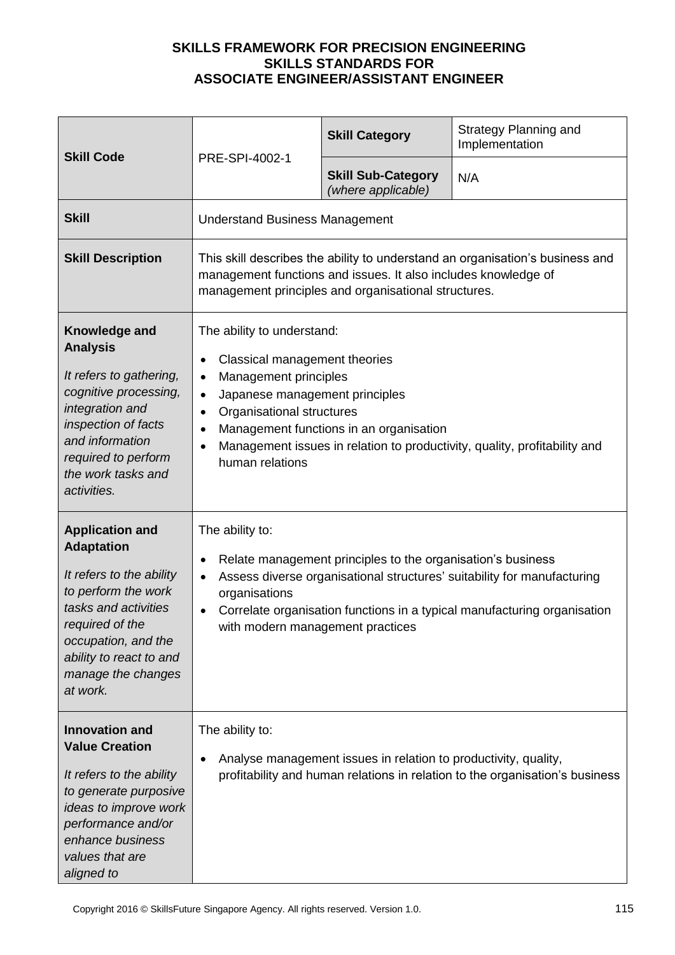| <b>Skill Code</b>                                                                                                                                                                                                             | PRE-SPI-4002-1                                                                                                                                                                                                                                                                                                                        | <b>Skill Category</b>                           | <b>Strategy Planning and</b><br>Implementation |
|-------------------------------------------------------------------------------------------------------------------------------------------------------------------------------------------------------------------------------|---------------------------------------------------------------------------------------------------------------------------------------------------------------------------------------------------------------------------------------------------------------------------------------------------------------------------------------|-------------------------------------------------|------------------------------------------------|
|                                                                                                                                                                                                                               |                                                                                                                                                                                                                                                                                                                                       | <b>Skill Sub-Category</b><br>(where applicable) | N/A                                            |
| <b>Skill</b>                                                                                                                                                                                                                  | <b>Understand Business Management</b>                                                                                                                                                                                                                                                                                                 |                                                 |                                                |
| <b>Skill Description</b>                                                                                                                                                                                                      | This skill describes the ability to understand an organisation's business and<br>management functions and issues. It also includes knowledge of<br>management principles and organisational structures.                                                                                                                               |                                                 |                                                |
| Knowledge and<br><b>Analysis</b><br>It refers to gathering,<br>cognitive processing,<br>integration and<br>inspection of facts<br>and information<br>required to perform<br>the work tasks and<br>activities.                 | The ability to understand:<br>Classical management theories<br>Management principles<br>$\bullet$<br>Japanese management principles<br>Organisational structures<br>$\bullet$<br>Management functions in an organisation<br>$\bullet$<br>Management issues in relation to productivity, quality, profitability and<br>human relations |                                                 |                                                |
| <b>Application and</b><br><b>Adaptation</b><br>It refers to the ability<br>to perform the work<br>tasks and activities<br>required of the<br>occupation, and the<br>ability to react to and<br>manage the changes<br>at work. | The ability to:<br>Relate management principles to the organisation's business<br>٠<br>Assess diverse organisational structures' suitability for manufacturing<br>organisations<br>Correlate organisation functions in a typical manufacturing organisation<br>with modern management practices                                       |                                                 |                                                |
| <b>Innovation and</b><br><b>Value Creation</b><br>It refers to the ability<br>to generate purposive<br>ideas to improve work<br>performance and/or<br>enhance business<br>values that are<br>aligned to                       | The ability to:<br>Analyse management issues in relation to productivity, quality,<br>profitability and human relations in relation to the organisation's business                                                                                                                                                                    |                                                 |                                                |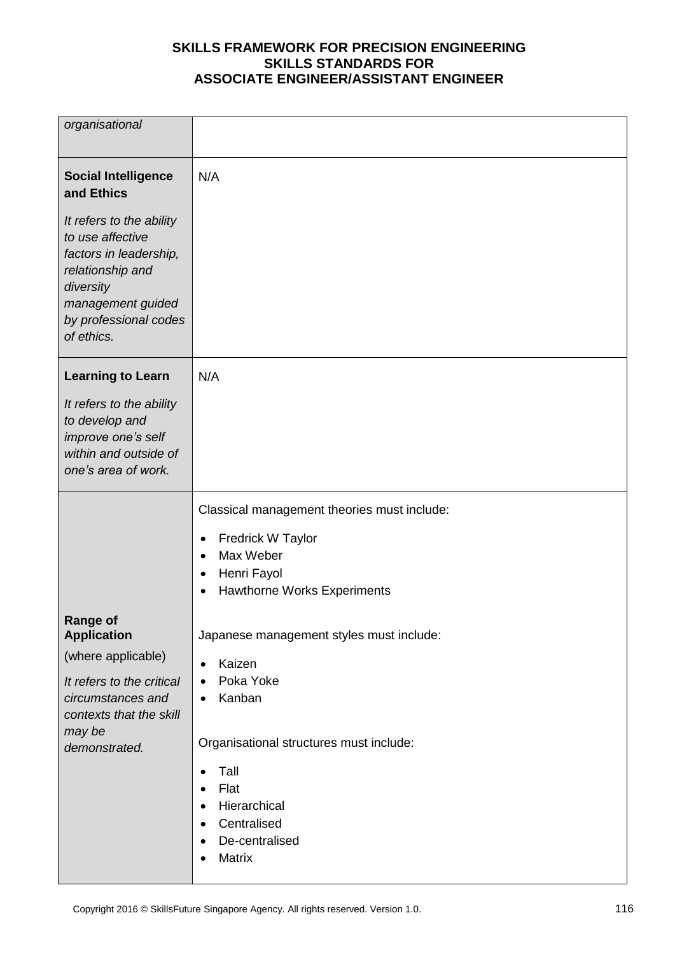| organisational                                                                                                                                                      |                                                                             |
|---------------------------------------------------------------------------------------------------------------------------------------------------------------------|-----------------------------------------------------------------------------|
| <b>Social Intelligence</b><br>and Ethics                                                                                                                            | N/A                                                                         |
| It refers to the ability<br>to use affective<br>factors in leadership,<br>relationship and<br>diversity<br>management guided<br>by professional codes<br>of ethics. |                                                                             |
| <b>Learning to Learn</b>                                                                                                                                            | N/A                                                                         |
| It refers to the ability<br>to develop and<br>improve one's self<br>within and outside of<br>one's area of work.                                                    |                                                                             |
|                                                                                                                                                                     | Classical management theories must include:                                 |
|                                                                                                                                                                     | <b>Fredrick W Taylor</b><br>$\bullet$<br>Max Weber<br>$\bullet$             |
|                                                                                                                                                                     | Henri Fayol<br>$\bullet$<br><b>Hawthorne Works Experiments</b><br>$\bullet$ |
| <b>Range of</b>                                                                                                                                                     |                                                                             |
|                                                                                                                                                                     |                                                                             |
| <b>Application</b><br>(where applicable)                                                                                                                            | Japanese management styles must include:<br>$\bullet$                       |
| It refers to the critical                                                                                                                                           | Kaizen<br>Poka Yoke<br>$\bullet$                                            |
| circumstances and<br>contexts that the skill                                                                                                                        | Kanban<br>٠                                                                 |
| may be<br>demonstrated.                                                                                                                                             | Organisational structures must include:                                     |
|                                                                                                                                                                     | Tall<br>$\bullet$<br>Flat<br>$\bullet$                                      |
|                                                                                                                                                                     | Hierarchical<br>$\bullet$                                                   |
|                                                                                                                                                                     | Centralised<br>$\bullet$<br>De-centralised<br>$\bullet$<br>Matrix           |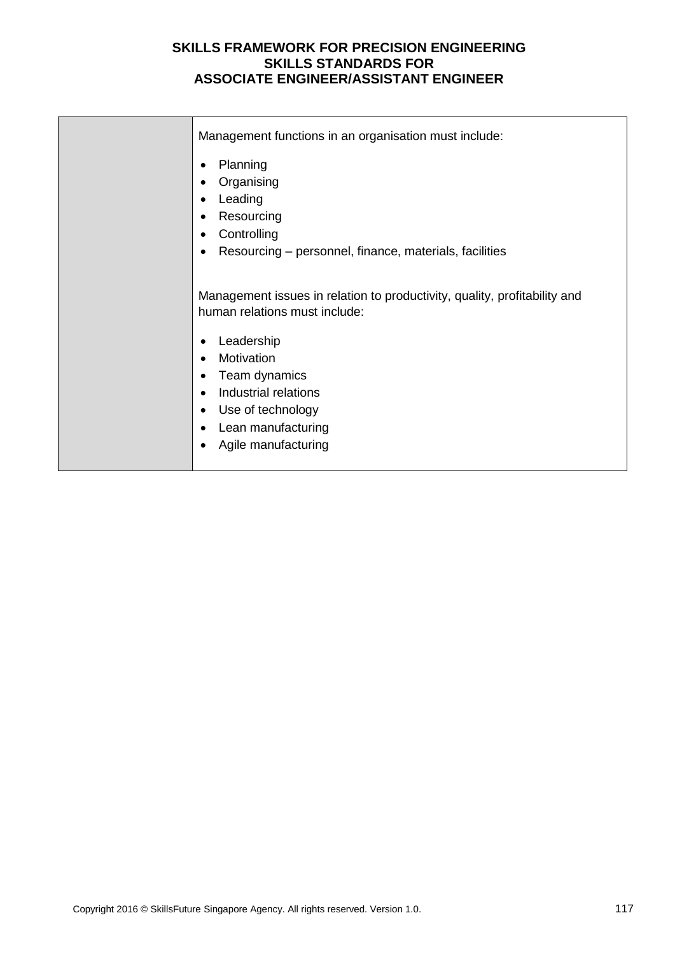| Management functions in an organisation must include:                                                                                                   |
|---------------------------------------------------------------------------------------------------------------------------------------------------------|
| Planning                                                                                                                                                |
| Organising                                                                                                                                              |
| Leading                                                                                                                                                 |
| Resourcing                                                                                                                                              |
| Controlling<br>$\bullet$                                                                                                                                |
| Resourcing - personnel, finance, materials, facilities                                                                                                  |
| Management issues in relation to productivity, quality, profitability and<br>human relations must include:<br>Leadership<br>Motivation<br>Team dynamics |
| Industrial relations<br>$\bullet$                                                                                                                       |
| Use of technology<br>$\bullet$                                                                                                                          |
| Lean manufacturing                                                                                                                                      |
| Agile manufacturing                                                                                                                                     |
|                                                                                                                                                         |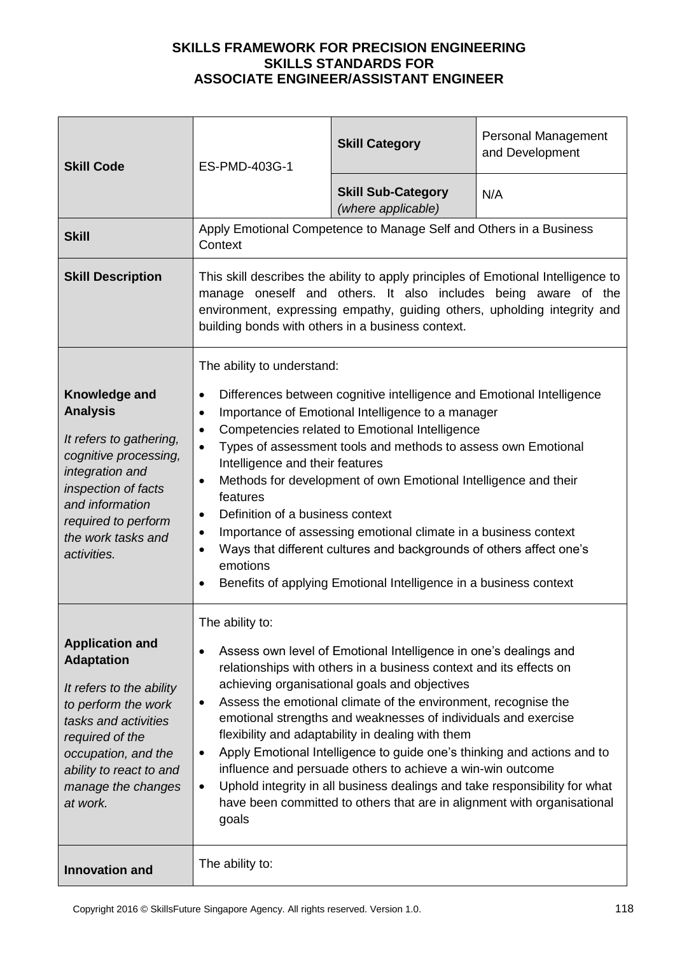| <b>Skill Code</b>                                                                                                                                                                                                             | ES-PMD-403G-1                                                                                                                                                                                                                                                                                                                                                                                                                                                                                                                                                                                                                                                                                                                                         | <b>Skill Category</b>                           | Personal Management<br>and Development |
|-------------------------------------------------------------------------------------------------------------------------------------------------------------------------------------------------------------------------------|-------------------------------------------------------------------------------------------------------------------------------------------------------------------------------------------------------------------------------------------------------------------------------------------------------------------------------------------------------------------------------------------------------------------------------------------------------------------------------------------------------------------------------------------------------------------------------------------------------------------------------------------------------------------------------------------------------------------------------------------------------|-------------------------------------------------|----------------------------------------|
|                                                                                                                                                                                                                               |                                                                                                                                                                                                                                                                                                                                                                                                                                                                                                                                                                                                                                                                                                                                                       | <b>Skill Sub-Category</b><br>(where applicable) | N/A                                    |
| <b>Skill</b>                                                                                                                                                                                                                  | Apply Emotional Competence to Manage Self and Others in a Business<br>Context                                                                                                                                                                                                                                                                                                                                                                                                                                                                                                                                                                                                                                                                         |                                                 |                                        |
| <b>Skill Description</b>                                                                                                                                                                                                      | This skill describes the ability to apply principles of Emotional Intelligence to<br>manage oneself and others. It also includes being aware of the<br>environment, expressing empathy, guiding others, upholding integrity and<br>building bonds with others in a business context.                                                                                                                                                                                                                                                                                                                                                                                                                                                                  |                                                 |                                        |
| Knowledge and<br><b>Analysis</b><br>It refers to gathering,<br>cognitive processing,<br>integration and<br>inspection of facts<br>and information<br>required to perform<br>the work tasks and<br>activities.                 | The ability to understand:<br>Differences between cognitive intelligence and Emotional Intelligence<br>$\bullet$<br>Importance of Emotional Intelligence to a manager<br>٠<br>Competencies related to Emotional Intelligence<br>$\bullet$<br>Types of assessment tools and methods to assess own Emotional<br>$\bullet$<br>Intelligence and their features<br>Methods for development of own Emotional Intelligence and their<br>$\bullet$<br>features<br>Definition of a business context<br>$\bullet$<br>Importance of assessing emotional climate in a business context<br>٠<br>Ways that different cultures and backgrounds of others affect one's<br>$\bullet$<br>emotions<br>Benefits of applying Emotional Intelligence in a business context  |                                                 |                                        |
| <b>Application and</b><br><b>Adaptation</b><br>It refers to the ability<br>to perform the work<br>tasks and activities<br>required of the<br>occupation, and the<br>ability to react to and<br>manage the changes<br>at work. | The ability to:<br>Assess own level of Emotional Intelligence in one's dealings and<br>relationships with others in a business context and its effects on<br>achieving organisational goals and objectives<br>Assess the emotional climate of the environment, recognise the<br>$\bullet$<br>emotional strengths and weaknesses of individuals and exercise<br>flexibility and adaptability in dealing with them<br>Apply Emotional Intelligence to guide one's thinking and actions and to<br>$\bullet$<br>influence and persuade others to achieve a win-win outcome<br>Uphold integrity in all business dealings and take responsibility for what<br>$\bullet$<br>have been committed to others that are in alignment with organisational<br>goals |                                                 |                                        |
| <b>Innovation and</b>                                                                                                                                                                                                         | The ability to:                                                                                                                                                                                                                                                                                                                                                                                                                                                                                                                                                                                                                                                                                                                                       |                                                 |                                        |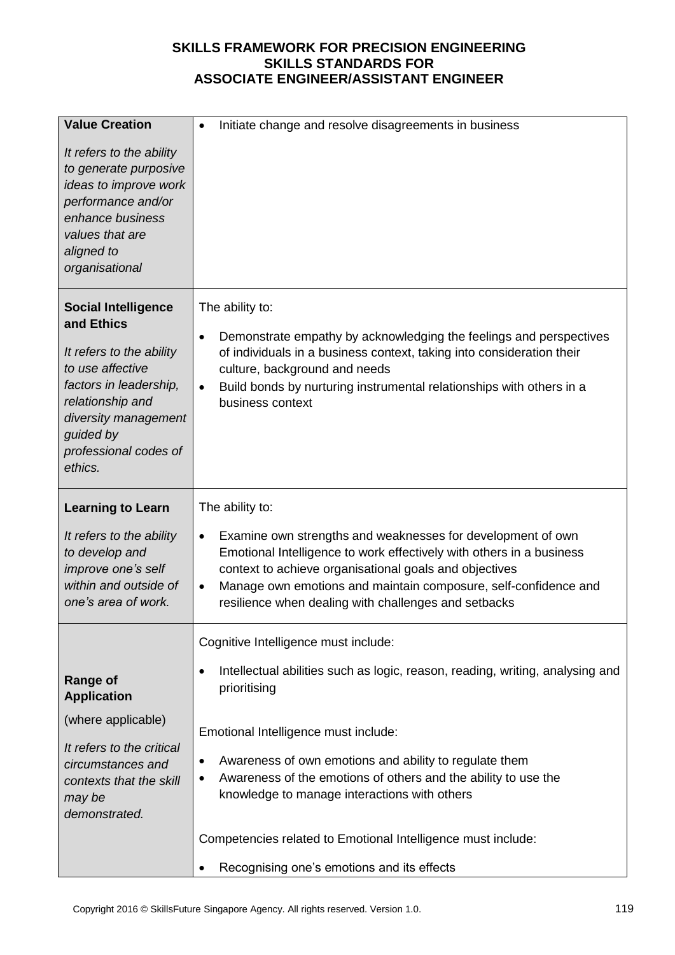| <b>Value Creation</b>                                                                                                                                                                                           | Initiate change and resolve disagreements in business<br>$\bullet$                                                                                                                                                                                                                                                                         |
|-----------------------------------------------------------------------------------------------------------------------------------------------------------------------------------------------------------------|--------------------------------------------------------------------------------------------------------------------------------------------------------------------------------------------------------------------------------------------------------------------------------------------------------------------------------------------|
| It refers to the ability<br>to generate purposive<br>ideas to improve work<br>performance and/or<br>enhance business<br>values that are<br>aligned to<br>organisational                                         |                                                                                                                                                                                                                                                                                                                                            |
| <b>Social Intelligence</b><br>and Ethics<br>It refers to the ability<br>to use affective<br>factors in leadership,<br>relationship and<br>diversity management<br>guided by<br>professional codes of<br>ethics. | The ability to:<br>Demonstrate empathy by acknowledging the feelings and perspectives<br>$\bullet$<br>of individuals in a business context, taking into consideration their<br>culture, background and needs<br>Build bonds by nurturing instrumental relationships with others in a<br>$\bullet$<br>business context                      |
| <b>Learning to Learn</b>                                                                                                                                                                                        |                                                                                                                                                                                                                                                                                                                                            |
|                                                                                                                                                                                                                 | The ability to:                                                                                                                                                                                                                                                                                                                            |
| It refers to the ability<br>to develop and<br>improve one's self<br>within and outside of<br>one's area of work.                                                                                                | Examine own strengths and weaknesses for development of own<br>٠<br>Emotional Intelligence to work effectively with others in a business<br>context to achieve organisational goals and objectives<br>Manage own emotions and maintain composure, self-confidence and<br>$\bullet$<br>resilience when dealing with challenges and setbacks |
|                                                                                                                                                                                                                 | Cognitive Intelligence must include:                                                                                                                                                                                                                                                                                                       |
| <b>Range of</b><br><b>Application</b>                                                                                                                                                                           | Intellectual abilities such as logic, reason, reading, writing, analysing and<br>٠<br>prioritising                                                                                                                                                                                                                                         |
| (where applicable)                                                                                                                                                                                              | Emotional Intelligence must include:                                                                                                                                                                                                                                                                                                       |
| It refers to the critical<br>circumstances and<br>contexts that the skill<br>may be<br>demonstrated.                                                                                                            | Awareness of own emotions and ability to regulate them<br>٠<br>Awareness of the emotions of others and the ability to use the<br>knowledge to manage interactions with others                                                                                                                                                              |
|                                                                                                                                                                                                                 | Competencies related to Emotional Intelligence must include:                                                                                                                                                                                                                                                                               |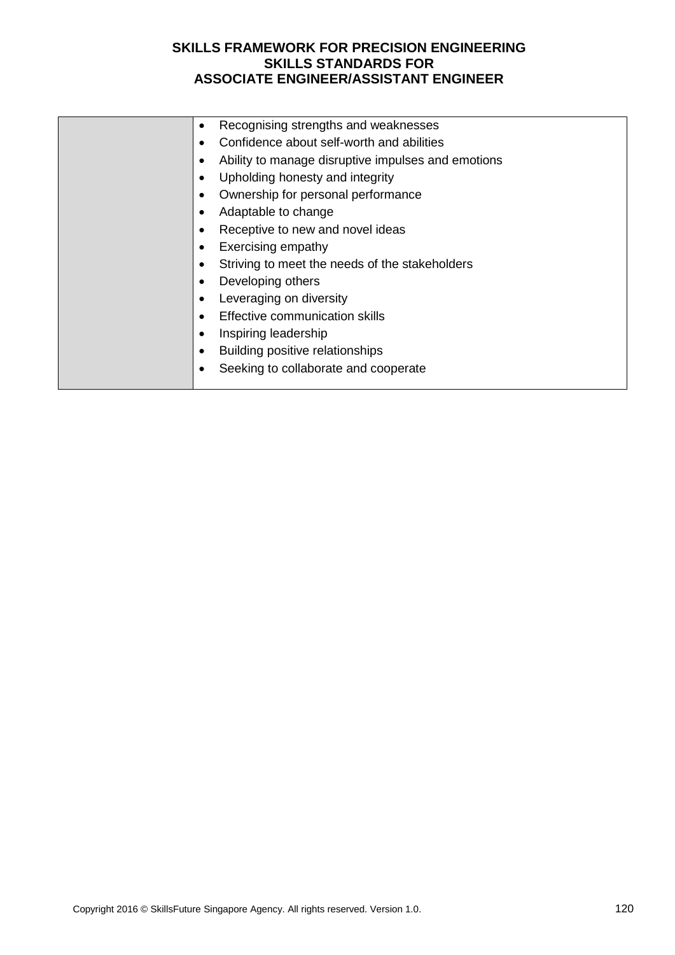| Recognising strengths and weaknesses               |
|----------------------------------------------------|
| Confidence about self-worth and abilities          |
| Ability to manage disruptive impulses and emotions |
| Upholding honesty and integrity                    |
| Ownership for personal performance                 |
| Adaptable to change                                |
| Receptive to new and novel ideas                   |
| Exercising empathy                                 |
| Striving to meet the needs of the stakeholders     |
| Developing others                                  |
| Leveraging on diversity                            |
| Effective communication skills<br>$\bullet$        |
| Inspiring leadership                               |
| Building positive relationships                    |
| Seeking to collaborate and cooperate               |
|                                                    |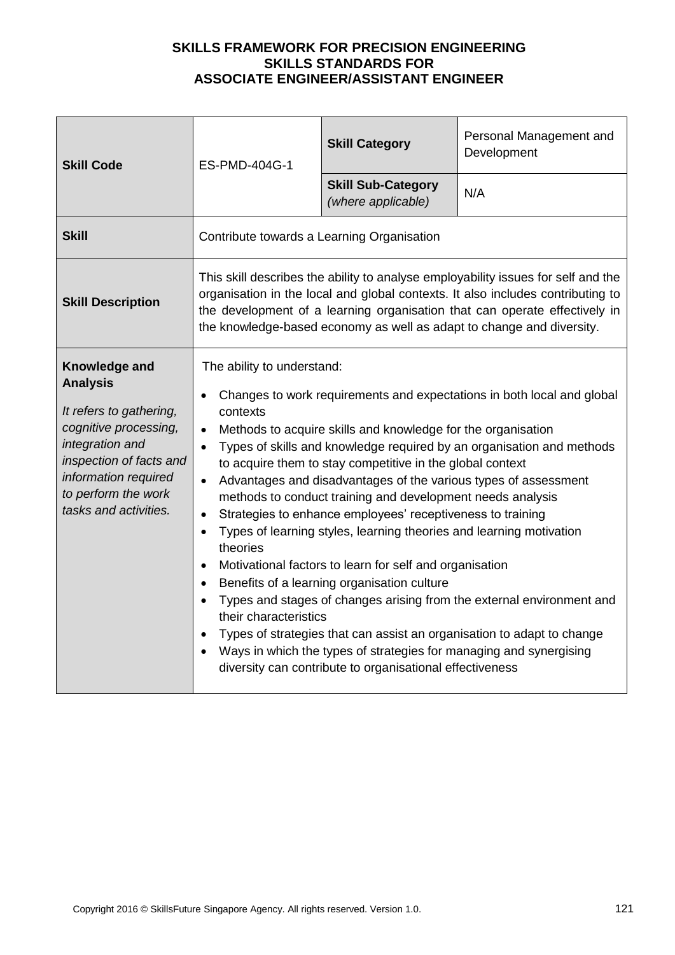| <b>Skill Code</b>                                                                                                                                                                                          | ES-PMD-404G-1                                                                                                                                                                                                                                                                                                                                                                                                                                                                                                                                                                                                                                                                                                                                                                                                                                                                                                                                                                                                                                                           | <b>Skill Category</b>                           | Personal Management and<br>Development |
|------------------------------------------------------------------------------------------------------------------------------------------------------------------------------------------------------------|-------------------------------------------------------------------------------------------------------------------------------------------------------------------------------------------------------------------------------------------------------------------------------------------------------------------------------------------------------------------------------------------------------------------------------------------------------------------------------------------------------------------------------------------------------------------------------------------------------------------------------------------------------------------------------------------------------------------------------------------------------------------------------------------------------------------------------------------------------------------------------------------------------------------------------------------------------------------------------------------------------------------------------------------------------------------------|-------------------------------------------------|----------------------------------------|
|                                                                                                                                                                                                            |                                                                                                                                                                                                                                                                                                                                                                                                                                                                                                                                                                                                                                                                                                                                                                                                                                                                                                                                                                                                                                                                         | <b>Skill Sub-Category</b><br>(where applicable) | N/A                                    |
| <b>Skill</b>                                                                                                                                                                                               | Contribute towards a Learning Organisation                                                                                                                                                                                                                                                                                                                                                                                                                                                                                                                                                                                                                                                                                                                                                                                                                                                                                                                                                                                                                              |                                                 |                                        |
| <b>Skill Description</b>                                                                                                                                                                                   | This skill describes the ability to analyse employability issues for self and the<br>organisation in the local and global contexts. It also includes contributing to<br>the development of a learning organisation that can operate effectively in<br>the knowledge-based economy as well as adapt to change and diversity.                                                                                                                                                                                                                                                                                                                                                                                                                                                                                                                                                                                                                                                                                                                                             |                                                 |                                        |
| Knowledge and<br><b>Analysis</b><br>It refers to gathering,<br>cognitive processing,<br>integration and<br>inspection of facts and<br>information required<br>to perform the work<br>tasks and activities. | The ability to understand:<br>Changes to work requirements and expectations in both local and global<br>contexts<br>Methods to acquire skills and knowledge for the organisation<br>$\bullet$<br>Types of skills and knowledge required by an organisation and methods<br>to acquire them to stay competitive in the global context<br>Advantages and disadvantages of the various types of assessment<br>methods to conduct training and development needs analysis<br>Strategies to enhance employees' receptiveness to training<br>Types of learning styles, learning theories and learning motivation<br>theories<br>Motivational factors to learn for self and organisation<br>$\bullet$<br>Benefits of a learning organisation culture<br>$\bullet$<br>Types and stages of changes arising from the external environment and<br>their characteristics<br>Types of strategies that can assist an organisation to adapt to change<br>Ways in which the types of strategies for managing and synergising<br>diversity can contribute to organisational effectiveness |                                                 |                                        |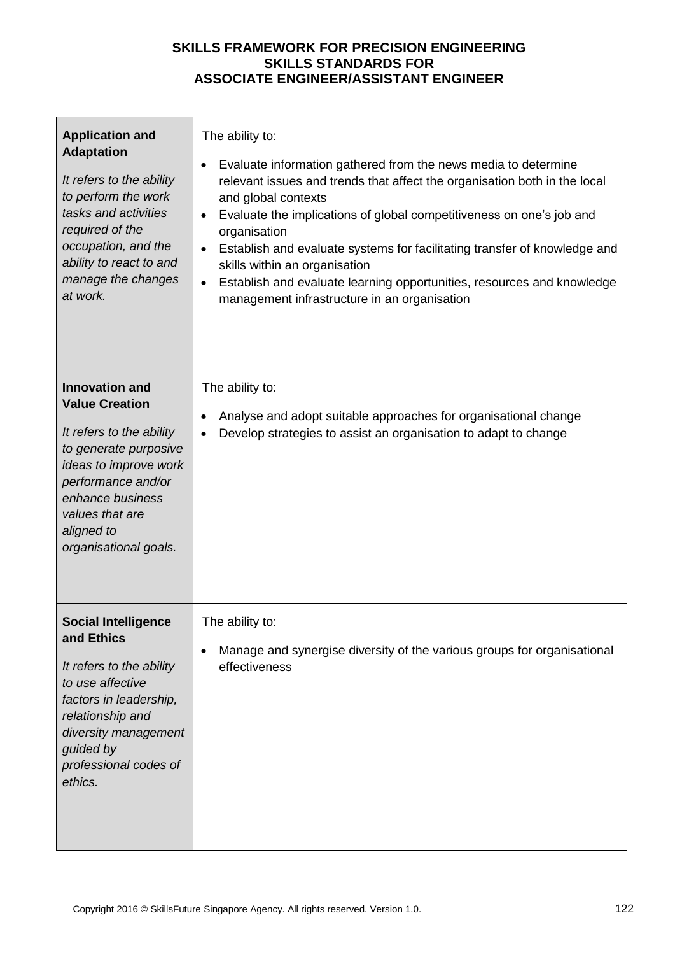| <b>Application and</b><br><b>Adaptation</b><br>It refers to the ability<br>to perform the work<br>tasks and activities<br>required of the<br>occupation, and the<br>ability to react to and<br>manage the changes<br>at work.    | The ability to:<br>Evaluate information gathered from the news media to determine<br>$\bullet$<br>relevant issues and trends that affect the organisation both in the local<br>and global contexts<br>Evaluate the implications of global competitiveness on one's job and<br>$\bullet$<br>organisation<br>Establish and evaluate systems for facilitating transfer of knowledge and<br>skills within an organisation<br>Establish and evaluate learning opportunities, resources and knowledge<br>management infrastructure in an organisation |
|----------------------------------------------------------------------------------------------------------------------------------------------------------------------------------------------------------------------------------|-------------------------------------------------------------------------------------------------------------------------------------------------------------------------------------------------------------------------------------------------------------------------------------------------------------------------------------------------------------------------------------------------------------------------------------------------------------------------------------------------------------------------------------------------|
| <b>Innovation and</b><br><b>Value Creation</b><br>It refers to the ability<br>to generate purposive<br>ideas to improve work<br>performance and/or<br>enhance business<br>values that are<br>aligned to<br>organisational goals. | The ability to:<br>Analyse and adopt suitable approaches for organisational change<br>Develop strategies to assist an organisation to adapt to change                                                                                                                                                                                                                                                                                                                                                                                           |
| <b>Social Intelligence</b><br>and Ethics<br>It refers to the ability<br>to use affective<br>factors in leadership,<br>relationship and<br>diversity management<br>guided by<br>professional codes of<br>ethics.                  | The ability to:<br>Manage and synergise diversity of the various groups for organisational<br>effectiveness                                                                                                                                                                                                                                                                                                                                                                                                                                     |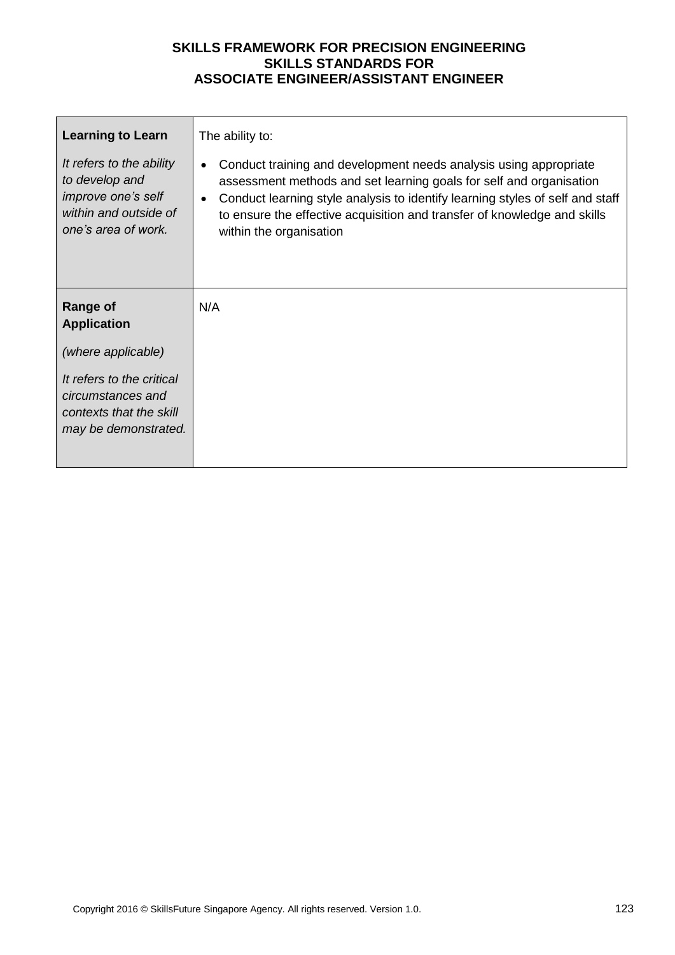| <b>Learning to Learn</b>                                                                                                | The ability to:                                                                                                                                                                                                                                                                                                                  |
|-------------------------------------------------------------------------------------------------------------------------|----------------------------------------------------------------------------------------------------------------------------------------------------------------------------------------------------------------------------------------------------------------------------------------------------------------------------------|
| It refers to the ability<br>to develop and<br><i>improve one's self</i><br>within and outside of<br>one's area of work. | Conduct training and development needs analysis using appropriate<br>assessment methods and set learning goals for self and organisation<br>Conduct learning style analysis to identify learning styles of self and staff<br>to ensure the effective acquisition and transfer of knowledge and skills<br>within the organisation |
| <b>Range of</b><br><b>Application</b>                                                                                   | N/A                                                                                                                                                                                                                                                                                                                              |
| (where applicable)                                                                                                      |                                                                                                                                                                                                                                                                                                                                  |
| It refers to the critical<br>circumstances and<br>contexts that the skill<br>may be demonstrated.                       |                                                                                                                                                                                                                                                                                                                                  |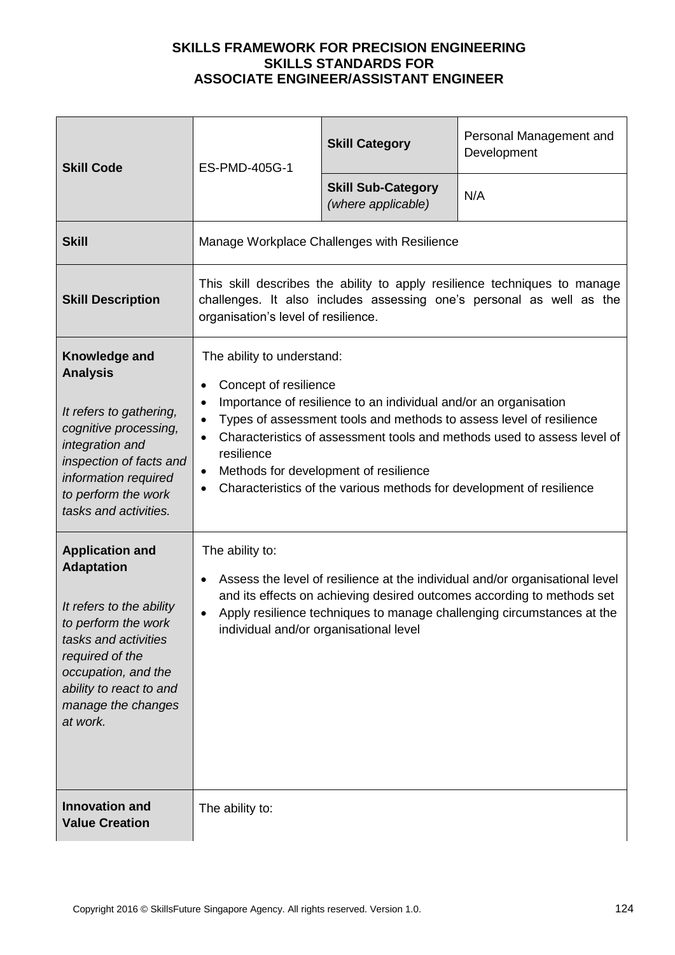| <b>Skill Code</b>                                                                                                                                                                                                             | ES-PMD-405G-1                                                                                                                                                                                                                                                                                                                                                                                                                                   | <b>Skill Category</b>                           | Personal Management and<br>Development                                                                                                                                                                                           |  |
|-------------------------------------------------------------------------------------------------------------------------------------------------------------------------------------------------------------------------------|-------------------------------------------------------------------------------------------------------------------------------------------------------------------------------------------------------------------------------------------------------------------------------------------------------------------------------------------------------------------------------------------------------------------------------------------------|-------------------------------------------------|----------------------------------------------------------------------------------------------------------------------------------------------------------------------------------------------------------------------------------|--|
|                                                                                                                                                                                                                               |                                                                                                                                                                                                                                                                                                                                                                                                                                                 | <b>Skill Sub-Category</b><br>(where applicable) | N/A                                                                                                                                                                                                                              |  |
| <b>Skill</b>                                                                                                                                                                                                                  |                                                                                                                                                                                                                                                                                                                                                                                                                                                 | Manage Workplace Challenges with Resilience     |                                                                                                                                                                                                                                  |  |
| <b>Skill Description</b>                                                                                                                                                                                                      | This skill describes the ability to apply resilience techniques to manage<br>challenges. It also includes assessing one's personal as well as the<br>organisation's level of resilience.                                                                                                                                                                                                                                                        |                                                 |                                                                                                                                                                                                                                  |  |
| Knowledge and<br><b>Analysis</b>                                                                                                                                                                                              | The ability to understand:<br>Concept of resilience<br>Importance of resilience to an individual and/or an organisation<br>$\bullet$<br>Types of assessment tools and methods to assess level of resilience<br>Characteristics of assessment tools and methods used to assess level of<br>$\bullet$<br>resilience<br>Methods for development of resilience<br>$\bullet$<br>Characteristics of the various methods for development of resilience |                                                 |                                                                                                                                                                                                                                  |  |
| It refers to gathering,<br>cognitive processing,<br>integration and<br>inspection of facts and<br>information required<br>to perform the work<br>tasks and activities.                                                        |                                                                                                                                                                                                                                                                                                                                                                                                                                                 |                                                 |                                                                                                                                                                                                                                  |  |
| <b>Application and</b><br><b>Adaptation</b><br>It refers to the ability<br>to perform the work<br>tasks and activities<br>required of the<br>occupation, and the<br>ability to react to and<br>manage the changes<br>at work. | The ability to:<br>individual and/or organisational level                                                                                                                                                                                                                                                                                                                                                                                       |                                                 | Assess the level of resilience at the individual and/or organisational level<br>and its effects on achieving desired outcomes according to methods set<br>Apply resilience techniques to manage challenging circumstances at the |  |
| <b>Innovation and</b><br><b>Value Creation</b>                                                                                                                                                                                | The ability to:                                                                                                                                                                                                                                                                                                                                                                                                                                 |                                                 |                                                                                                                                                                                                                                  |  |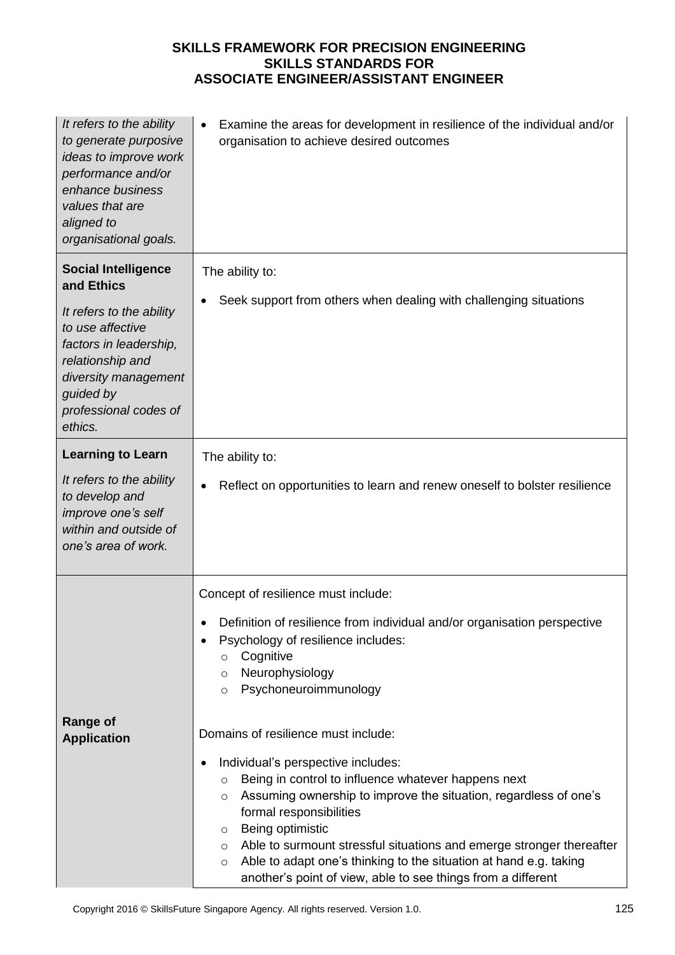| It refers to the ability<br>to generate purposive<br>ideas to improve work<br>performance and/or<br>enhance business<br>values that are<br>aligned to<br>organisational goals.                                  | Examine the areas for development in resilience of the individual and/or<br>organisation to achieve desired outcomes                                                                                                                                                                                                                                                                                                                                                                                                                                                                                                                                                                                                                                                            |
|-----------------------------------------------------------------------------------------------------------------------------------------------------------------------------------------------------------------|---------------------------------------------------------------------------------------------------------------------------------------------------------------------------------------------------------------------------------------------------------------------------------------------------------------------------------------------------------------------------------------------------------------------------------------------------------------------------------------------------------------------------------------------------------------------------------------------------------------------------------------------------------------------------------------------------------------------------------------------------------------------------------|
| <b>Social Intelligence</b><br>and Ethics<br>It refers to the ability<br>to use affective<br>factors in leadership,<br>relationship and<br>diversity management<br>guided by<br>professional codes of<br>ethics. | The ability to:<br>Seek support from others when dealing with challenging situations                                                                                                                                                                                                                                                                                                                                                                                                                                                                                                                                                                                                                                                                                            |
| <b>Learning to Learn</b><br>It refers to the ability<br>to develop and<br>improve one's self<br>within and outside of<br>one's area of work.                                                                    | The ability to:<br>Reflect on opportunities to learn and renew oneself to bolster resilience                                                                                                                                                                                                                                                                                                                                                                                                                                                                                                                                                                                                                                                                                    |
| <b>Range of</b><br><b>Application</b>                                                                                                                                                                           | Concept of resilience must include:<br>Definition of resilience from individual and/or organisation perspective<br>Psychology of resilience includes:<br>Cognitive<br>$\circ$<br>Neurophysiology<br>$\circ$<br>Psychoneuroimmunology<br>$\circ$<br>Domains of resilience must include:<br>Individual's perspective includes:<br>٠<br>Being in control to influence whatever happens next<br>$\circ$<br>Assuming ownership to improve the situation, regardless of one's<br>$\circ$<br>formal responsibilities<br>Being optimistic<br>$\circ$<br>Able to surmount stressful situations and emerge stronger thereafter<br>$\circ$<br>Able to adapt one's thinking to the situation at hand e.g. taking<br>$\circ$<br>another's point of view, able to see things from a different |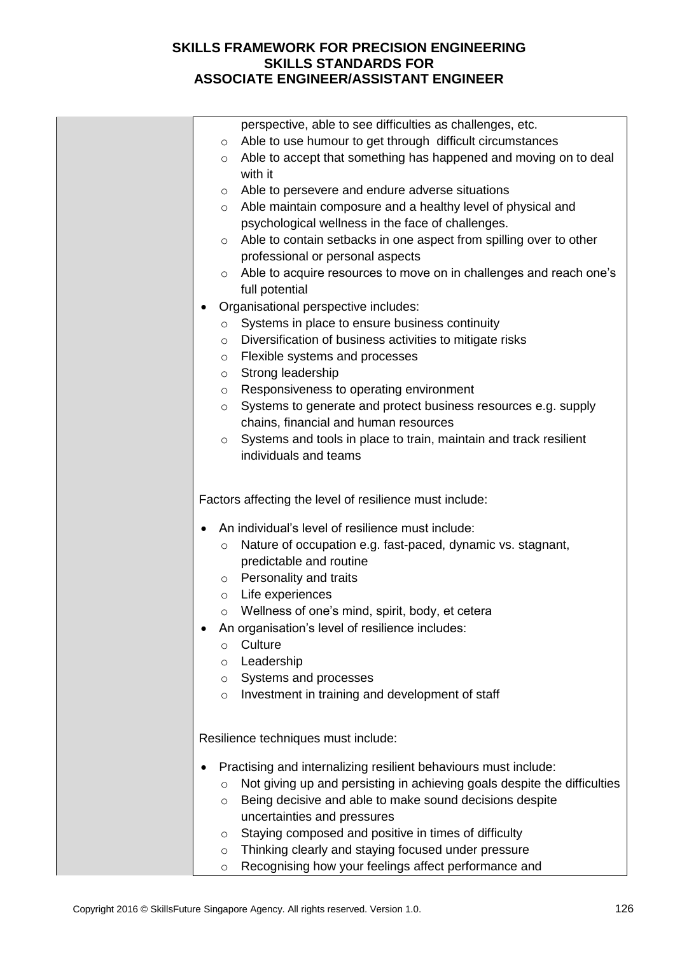|         | perspective, able to see difficulties as challenges, etc.                |
|---------|--------------------------------------------------------------------------|
| $\circ$ | Able to use humour to get through difficult circumstances                |
| $\circ$ | Able to accept that something has happened and moving on to deal         |
|         | with it                                                                  |
| O       | Able to persevere and endure adverse situations                          |
| $\circ$ | Able maintain composure and a healthy level of physical and              |
|         | psychological wellness in the face of challenges.                        |
| $\circ$ | Able to contain setbacks in one aspect from spilling over to other       |
|         | professional or personal aspects                                         |
| $\circ$ | Able to acquire resources to move on in challenges and reach one's       |
|         | full potential                                                           |
|         | Organisational perspective includes:                                     |
| $\circ$ | Systems in place to ensure business continuity                           |
| O       | Diversification of business activities to mitigate risks                 |
| O       | Flexible systems and processes                                           |
| $\circ$ | Strong leadership                                                        |
| $\circ$ | Responsiveness to operating environment                                  |
| O       | Systems to generate and protect business resources e.g. supply           |
|         | chains, financial and human resources                                    |
| $\circ$ | Systems and tools in place to train, maintain and track resilient        |
|         | individuals and teams                                                    |
|         |                                                                          |
|         | Factors affecting the level of resilience must include:                  |
|         | An individual's level of resilience must include:                        |
| $\circ$ | Nature of occupation e.g. fast-paced, dynamic vs. stagnant,              |
|         | predictable and routine                                                  |
|         | o Personality and traits                                                 |
|         | o Life experiences                                                       |
| $\circ$ | Wellness of one's mind, spirit, body, et cetera                          |
|         | An organisation's level of resilience includes:                          |
| $\circ$ | Culture                                                                  |
| O       | Leadership                                                               |
| $\circ$ | Systems and processes                                                    |
| $\circ$ | Investment in training and development of staff                          |
|         |                                                                          |
|         | Resilience techniques must include:                                      |
| ٠       | Practising and internalizing resilient behaviours must include:          |
| $\circ$ | Not giving up and persisting in achieving goals despite the difficulties |
| O       | Being decisive and able to make sound decisions despite                  |
|         | uncertainties and pressures                                              |
| O       | Staying composed and positive in times of difficulty                     |
| $\circ$ | Thinking clearly and staying focused under pressure                      |
| $\circ$ | Recognising how your feelings affect performance and                     |
|         |                                                                          |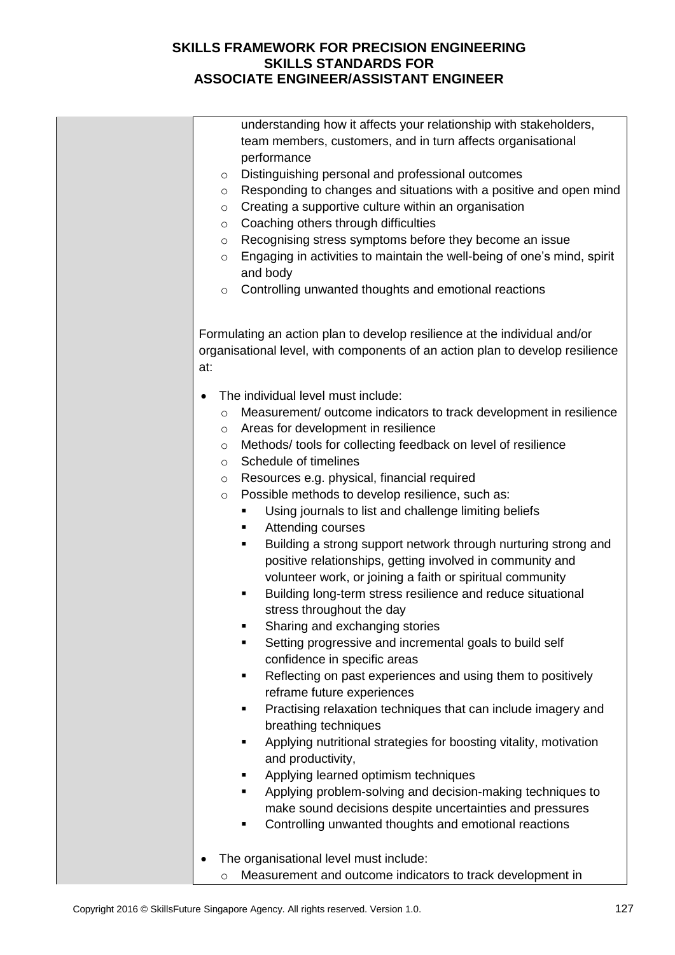|           | understanding how it affects your relationship with stakeholders,                                                                                          |
|-----------|------------------------------------------------------------------------------------------------------------------------------------------------------------|
|           | team members, customers, and in turn affects organisational                                                                                                |
|           | performance                                                                                                                                                |
| $\circ$   | Distinguishing personal and professional outcomes                                                                                                          |
| $\circ$   | Responding to changes and situations with a positive and open mind                                                                                         |
| $\circ$   | Creating a supportive culture within an organisation                                                                                                       |
| $\circ$   | Coaching others through difficulties                                                                                                                       |
| $\circ$   | Recognising stress symptoms before they become an issue                                                                                                    |
| $\circ$   | Engaging in activities to maintain the well-being of one's mind, spirit                                                                                    |
|           | and body                                                                                                                                                   |
| $\circ$   | Controlling unwanted thoughts and emotional reactions                                                                                                      |
| at:       | Formulating an action plan to develop resilience at the individual and/or<br>organisational level, with components of an action plan to develop resilience |
|           | The individual level must include:                                                                                                                         |
| $\circ$   | Measurement/ outcome indicators to track development in resilience                                                                                         |
| $\circ$   | Areas for development in resilience                                                                                                                        |
| $\circ$   | Methods/tools for collecting feedback on level of resilience                                                                                               |
| $\circ$   | Schedule of timelines                                                                                                                                      |
| $\circ$   | Resources e.g. physical, financial required                                                                                                                |
| $\circ$   | Possible methods to develop resilience, such as:                                                                                                           |
|           | Using journals to list and challenge limiting beliefs<br>٠                                                                                                 |
|           | Attending courses<br>٠                                                                                                                                     |
|           | Building a strong support network through nurturing strong and<br>п                                                                                        |
|           | positive relationships, getting involved in community and                                                                                                  |
|           | volunteer work, or joining a faith or spiritual community                                                                                                  |
|           | Building long-term stress resilience and reduce situational<br>٠                                                                                           |
|           | stress throughout the day                                                                                                                                  |
|           | Sharing and exchanging stories<br>п                                                                                                                        |
|           | Setting progressive and incremental goals to build self<br>п                                                                                               |
|           | confidence in specific areas<br>Reflecting on past experiences and using them to positively<br>п                                                           |
|           | reframe future experiences                                                                                                                                 |
|           | п                                                                                                                                                          |
|           | Practising relaxation techniques that can include imagery and                                                                                              |
|           | breathing techniques<br>Applying nutritional strategies for boosting vitality, motivation<br>٠                                                             |
|           | and productivity,                                                                                                                                          |
|           | Applying learned optimism techniques                                                                                                                       |
|           | Applying problem-solving and decision-making techniques to<br>٠                                                                                            |
|           | make sound decisions despite uncertainties and pressures                                                                                                   |
|           | Controlling unwanted thoughts and emotional reactions<br>п                                                                                                 |
|           |                                                                                                                                                            |
| $\bullet$ | The organisational level must include:                                                                                                                     |
| $\circ$   | Measurement and outcome indicators to track development in                                                                                                 |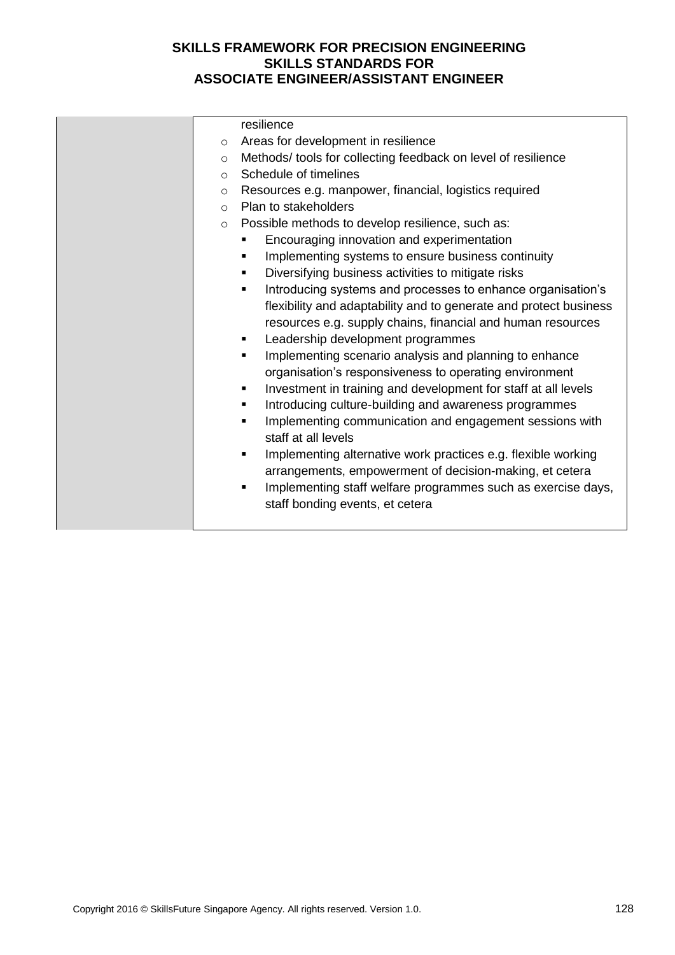|         | resilience                                                          |
|---------|---------------------------------------------------------------------|
| $\circ$ | Areas for development in resilience                                 |
| $\circ$ | Methods/tools for collecting feedback on level of resilience        |
| $\circ$ | Schedule of timelines                                               |
| $\circ$ | Resources e.g. manpower, financial, logistics required              |
| $\circ$ | Plan to stakeholders                                                |
| $\circ$ | Possible methods to develop resilience, such as:                    |
|         | Encouraging innovation and experimentation<br>٠                     |
|         | Implementing systems to ensure business continuity<br>٠             |
|         | Diversifying business activities to mitigate risks<br>٠             |
|         | Introducing systems and processes to enhance organisation's<br>٠    |
|         | flexibility and adaptability and to generate and protect business   |
|         | resources e.g. supply chains, financial and human resources         |
|         | Leadership development programmes                                   |
|         | Implementing scenario analysis and planning to enhance<br>٠         |
|         | organisation's responsiveness to operating environment              |
|         | Investment in training and development for staff at all levels<br>٠ |
|         | Introducing culture-building and awareness programmes<br>٠          |
|         | Implementing communication and engagement sessions with<br>٠        |
|         | staff at all levels                                                 |
|         | Implementing alternative work practices e.g. flexible working<br>٠  |
|         | arrangements, empowerment of decision-making, et cetera             |
|         | Implementing staff welfare programmes such as exercise days,<br>٠   |
|         | staff bonding events, et cetera                                     |
|         |                                                                     |
|         |                                                                     |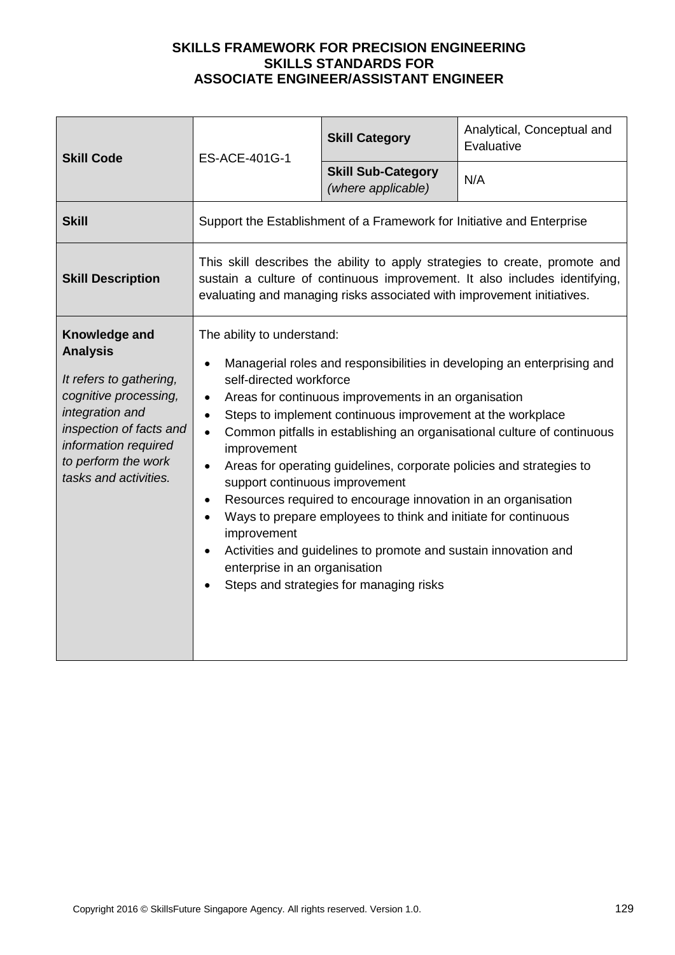| <b>Skill Code</b>                                                                                                                                                                                          | ES-ACE-401G-1                                                                                                                                                                                                                                                                                                                                                                                                                                                                                                                                                                                                                                                                                                                                                                                                                             | <b>Skill Category</b>                                                  | Analytical, Conceptual and<br>Evaluative |
|------------------------------------------------------------------------------------------------------------------------------------------------------------------------------------------------------------|-------------------------------------------------------------------------------------------------------------------------------------------------------------------------------------------------------------------------------------------------------------------------------------------------------------------------------------------------------------------------------------------------------------------------------------------------------------------------------------------------------------------------------------------------------------------------------------------------------------------------------------------------------------------------------------------------------------------------------------------------------------------------------------------------------------------------------------------|------------------------------------------------------------------------|------------------------------------------|
|                                                                                                                                                                                                            |                                                                                                                                                                                                                                                                                                                                                                                                                                                                                                                                                                                                                                                                                                                                                                                                                                           | <b>Skill Sub-Category</b><br>(where applicable)                        | N/A                                      |
| <b>Skill</b>                                                                                                                                                                                               |                                                                                                                                                                                                                                                                                                                                                                                                                                                                                                                                                                                                                                                                                                                                                                                                                                           | Support the Establishment of a Framework for Initiative and Enterprise |                                          |
| <b>Skill Description</b>                                                                                                                                                                                   | This skill describes the ability to apply strategies to create, promote and<br>sustain a culture of continuous improvement. It also includes identifying,<br>evaluating and managing risks associated with improvement initiatives.                                                                                                                                                                                                                                                                                                                                                                                                                                                                                                                                                                                                       |                                                                        |                                          |
| Knowledge and<br><b>Analysis</b><br>It refers to gathering,<br>cognitive processing,<br>integration and<br>inspection of facts and<br>information required<br>to perform the work<br>tasks and activities. | The ability to understand:<br>Managerial roles and responsibilities in developing an enterprising and<br>$\bullet$<br>self-directed workforce<br>Areas for continuous improvements in an organisation<br>$\bullet$<br>Steps to implement continuous improvement at the workplace<br>$\bullet$<br>Common pitfalls in establishing an organisational culture of continuous<br>$\bullet$<br>improvement<br>Areas for operating guidelines, corporate policies and strategies to<br>support continuous improvement<br>Resources required to encourage innovation in an organisation<br>$\bullet$<br>Ways to prepare employees to think and initiate for continuous<br>$\bullet$<br>improvement<br>Activities and guidelines to promote and sustain innovation and<br>enterprise in an organisation<br>Steps and strategies for managing risks |                                                                        |                                          |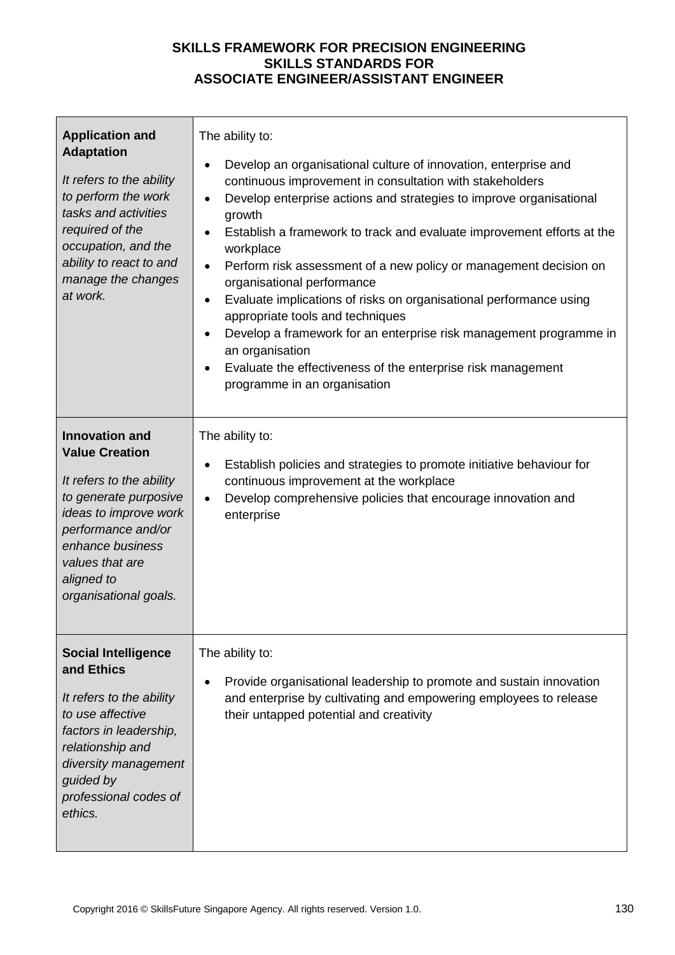| <b>Application and</b><br><b>Adaptation</b><br>It refers to the ability<br>to perform the work<br>tasks and activities<br>required of the<br>occupation, and the<br>ability to react to and<br>manage the changes<br>at work.    | The ability to:<br>Develop an organisational culture of innovation, enterprise and<br>$\bullet$<br>continuous improvement in consultation with stakeholders<br>Develop enterprise actions and strategies to improve organisational<br>$\bullet$<br>growth<br>Establish a framework to track and evaluate improvement efforts at the<br>$\bullet$<br>workplace<br>Perform risk assessment of a new policy or management decision on<br>$\bullet$<br>organisational performance<br>Evaluate implications of risks on organisational performance using<br>$\bullet$<br>appropriate tools and techniques<br>Develop a framework for an enterprise risk management programme in<br>an organisation<br>Evaluate the effectiveness of the enterprise risk management<br>programme in an organisation |
|----------------------------------------------------------------------------------------------------------------------------------------------------------------------------------------------------------------------------------|-----------------------------------------------------------------------------------------------------------------------------------------------------------------------------------------------------------------------------------------------------------------------------------------------------------------------------------------------------------------------------------------------------------------------------------------------------------------------------------------------------------------------------------------------------------------------------------------------------------------------------------------------------------------------------------------------------------------------------------------------------------------------------------------------|
| <b>Innovation and</b><br><b>Value Creation</b><br>It refers to the ability<br>to generate purposive<br>ideas to improve work<br>performance and/or<br>enhance business<br>values that are<br>aligned to<br>organisational goals. | The ability to:<br>Establish policies and strategies to promote initiative behaviour for<br>$\bullet$<br>continuous improvement at the workplace<br>Develop comprehensive policies that encourage innovation and<br>$\bullet$<br>enterprise                                                                                                                                                                                                                                                                                                                                                                                                                                                                                                                                                   |
| <b>Social Intelligence</b><br>and Ethics<br>It refers to the ability<br>to use affective<br>factors in leadership,<br>relationship and<br>diversity management<br>guided by<br>professional codes of<br>ethics.                  | The ability to:<br>Provide organisational leadership to promote and sustain innovation<br>$\bullet$<br>and enterprise by cultivating and empowering employees to release<br>their untapped potential and creativity                                                                                                                                                                                                                                                                                                                                                                                                                                                                                                                                                                           |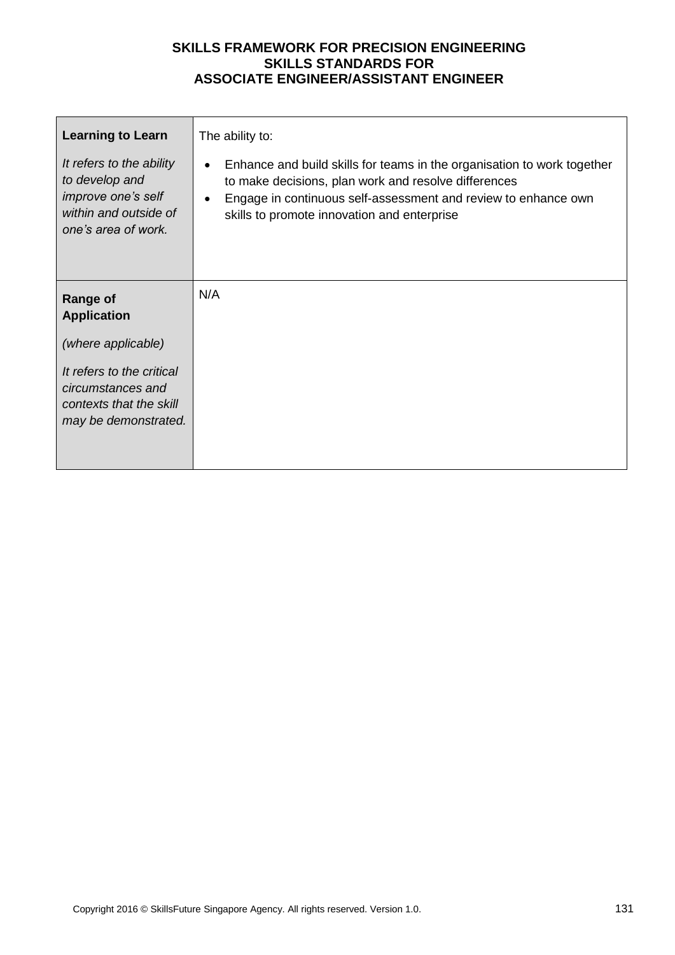| <b>Learning to Learn</b>                                                                                         | The ability to:                                                                                                                                                                                                                                                            |
|------------------------------------------------------------------------------------------------------------------|----------------------------------------------------------------------------------------------------------------------------------------------------------------------------------------------------------------------------------------------------------------------------|
| It refers to the ability<br>to develop and<br>improve one's self<br>within and outside of<br>one's area of work. | Enhance and build skills for teams in the organisation to work together<br>$\bullet$<br>to make decisions, plan work and resolve differences<br>Engage in continuous self-assessment and review to enhance own<br>$\bullet$<br>skills to promote innovation and enterprise |
| <b>Range of</b><br><b>Application</b>                                                                            | N/A                                                                                                                                                                                                                                                                        |
| (where applicable)                                                                                               |                                                                                                                                                                                                                                                                            |
| It refers to the critical<br>circumstances and<br>contexts that the skill<br>may be demonstrated.                |                                                                                                                                                                                                                                                                            |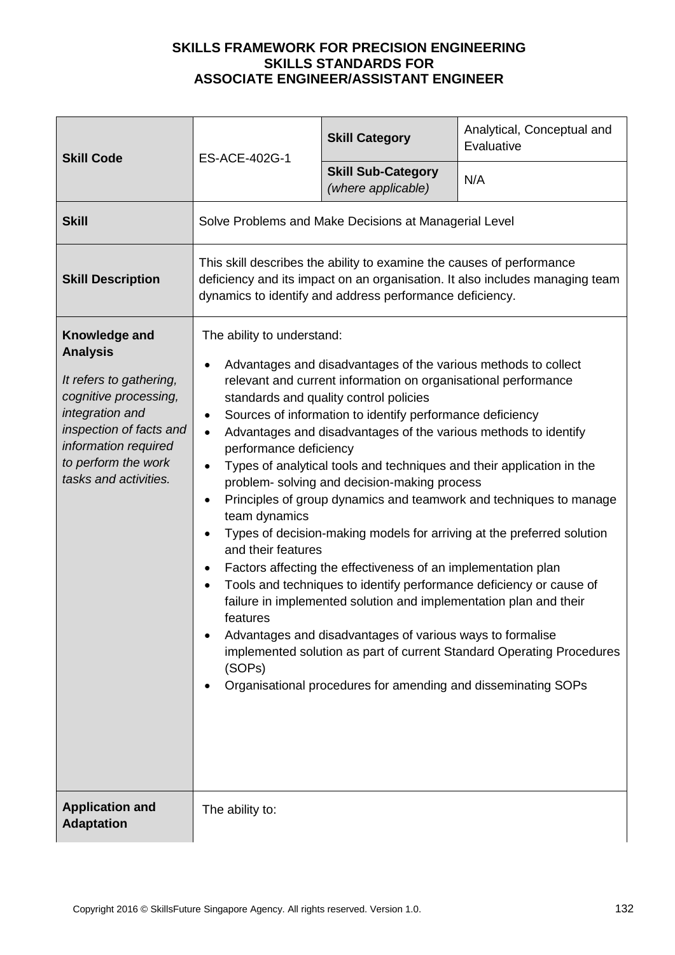| <b>Skill Code</b>                                                                                                                                                                                          | ES-ACE-402G-1                                                                                                                                                                                                                                                                                                                                                                                                                                                                                                                                                                                                                                                                                                                                                                                                                                                                                                                                                                                                                                                                                                                                          | <b>Skill Category</b>                                 | Analytical, Conceptual and<br>Evaluative |
|------------------------------------------------------------------------------------------------------------------------------------------------------------------------------------------------------------|--------------------------------------------------------------------------------------------------------------------------------------------------------------------------------------------------------------------------------------------------------------------------------------------------------------------------------------------------------------------------------------------------------------------------------------------------------------------------------------------------------------------------------------------------------------------------------------------------------------------------------------------------------------------------------------------------------------------------------------------------------------------------------------------------------------------------------------------------------------------------------------------------------------------------------------------------------------------------------------------------------------------------------------------------------------------------------------------------------------------------------------------------------|-------------------------------------------------------|------------------------------------------|
|                                                                                                                                                                                                            |                                                                                                                                                                                                                                                                                                                                                                                                                                                                                                                                                                                                                                                                                                                                                                                                                                                                                                                                                                                                                                                                                                                                                        | <b>Skill Sub-Category</b><br>(where applicable)       | N/A                                      |
| <b>Skill</b>                                                                                                                                                                                               |                                                                                                                                                                                                                                                                                                                                                                                                                                                                                                                                                                                                                                                                                                                                                                                                                                                                                                                                                                                                                                                                                                                                                        | Solve Problems and Make Decisions at Managerial Level |                                          |
| <b>Skill Description</b>                                                                                                                                                                                   | This skill describes the ability to examine the causes of performance<br>deficiency and its impact on an organisation. It also includes managing team<br>dynamics to identify and address performance deficiency.                                                                                                                                                                                                                                                                                                                                                                                                                                                                                                                                                                                                                                                                                                                                                                                                                                                                                                                                      |                                                       |                                          |
| Knowledge and<br><b>Analysis</b><br>It refers to gathering,<br>cognitive processing,<br>integration and<br>inspection of facts and<br>information required<br>to perform the work<br>tasks and activities. | The ability to understand:<br>Advantages and disadvantages of the various methods to collect<br>relevant and current information on organisational performance<br>standards and quality control policies<br>Sources of information to identify performance deficiency<br>$\bullet$<br>Advantages and disadvantages of the various methods to identify<br>$\bullet$<br>performance deficiency<br>Types of analytical tools and techniques and their application in the<br>problem- solving and decision-making process<br>Principles of group dynamics and teamwork and techniques to manage<br>team dynamics<br>Types of decision-making models for arriving at the preferred solution<br>and their features<br>Factors affecting the effectiveness of an implementation plan<br>Tools and techniques to identify performance deficiency or cause of<br>failure in implemented solution and implementation plan and their<br>features<br>Advantages and disadvantages of various ways to formalise<br>implemented solution as part of current Standard Operating Procedures<br>(SOPs)<br>Organisational procedures for amending and disseminating SOPs |                                                       |                                          |
| <b>Application and</b><br><b>Adaptation</b>                                                                                                                                                                | The ability to:                                                                                                                                                                                                                                                                                                                                                                                                                                                                                                                                                                                                                                                                                                                                                                                                                                                                                                                                                                                                                                                                                                                                        |                                                       |                                          |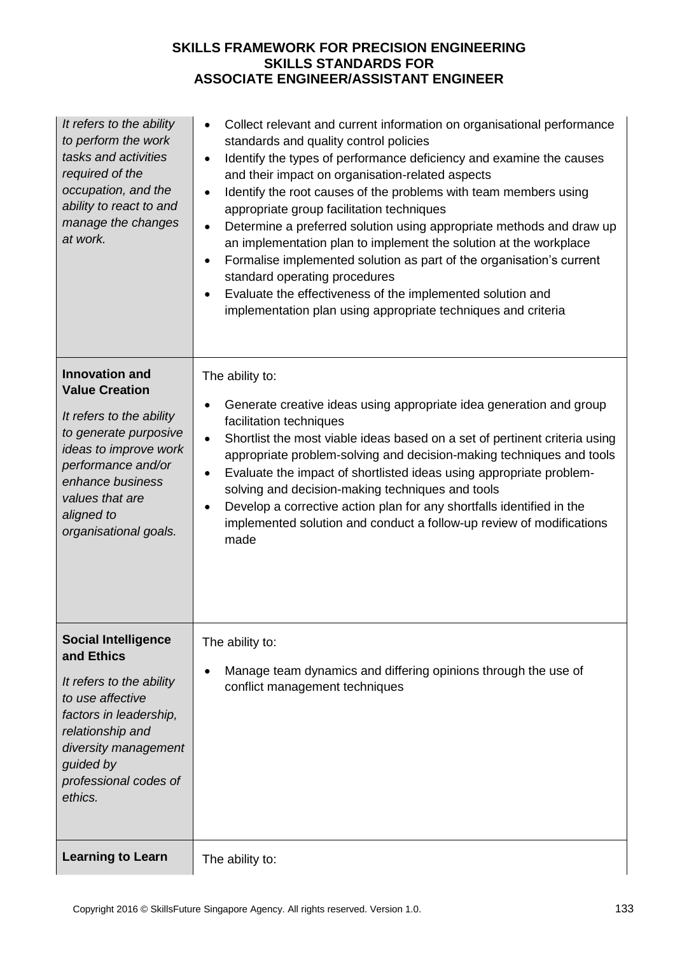| It refers to the ability<br>to perform the work<br>tasks and activities<br>required of the<br>occupation, and the<br>ability to react to and<br>manage the changes<br>at work.                                                   | Collect relevant and current information on organisational performance<br>$\bullet$<br>standards and quality control policies<br>Identify the types of performance deficiency and examine the causes<br>$\bullet$<br>and their impact on organisation-related aspects<br>Identify the root causes of the problems with team members using<br>$\bullet$<br>appropriate group facilitation techniques<br>Determine a preferred solution using appropriate methods and draw up<br>$\bullet$<br>an implementation plan to implement the solution at the workplace<br>Formalise implemented solution as part of the organisation's current<br>$\bullet$<br>standard operating procedures<br>Evaluate the effectiveness of the implemented solution and<br>implementation plan using appropriate techniques and criteria |
|----------------------------------------------------------------------------------------------------------------------------------------------------------------------------------------------------------------------------------|--------------------------------------------------------------------------------------------------------------------------------------------------------------------------------------------------------------------------------------------------------------------------------------------------------------------------------------------------------------------------------------------------------------------------------------------------------------------------------------------------------------------------------------------------------------------------------------------------------------------------------------------------------------------------------------------------------------------------------------------------------------------------------------------------------------------|
| <b>Innovation and</b><br><b>Value Creation</b><br>It refers to the ability<br>to generate purposive<br>ideas to improve work<br>performance and/or<br>enhance business<br>values that are<br>aligned to<br>organisational goals. | The ability to:<br>Generate creative ideas using appropriate idea generation and group<br>facilitation techniques<br>Shortlist the most viable ideas based on a set of pertinent criteria using<br>$\bullet$<br>appropriate problem-solving and decision-making techniques and tools<br>Evaluate the impact of shortlisted ideas using appropriate problem-<br>solving and decision-making techniques and tools<br>Develop a corrective action plan for any shortfalls identified in the<br>implemented solution and conduct a follow-up review of modifications<br>made                                                                                                                                                                                                                                           |
| <b>Social Intelligence</b><br>and Ethics<br>It refers to the ability<br>to use affective<br>factors in leadership,<br>relationship and<br>diversity management<br>guided by<br>professional codes of<br>ethics.                  | The ability to:<br>Manage team dynamics and differing opinions through the use of<br>conflict management techniques                                                                                                                                                                                                                                                                                                                                                                                                                                                                                                                                                                                                                                                                                                |
| <b>Learning to Learn</b>                                                                                                                                                                                                         | The ability to:                                                                                                                                                                                                                                                                                                                                                                                                                                                                                                                                                                                                                                                                                                                                                                                                    |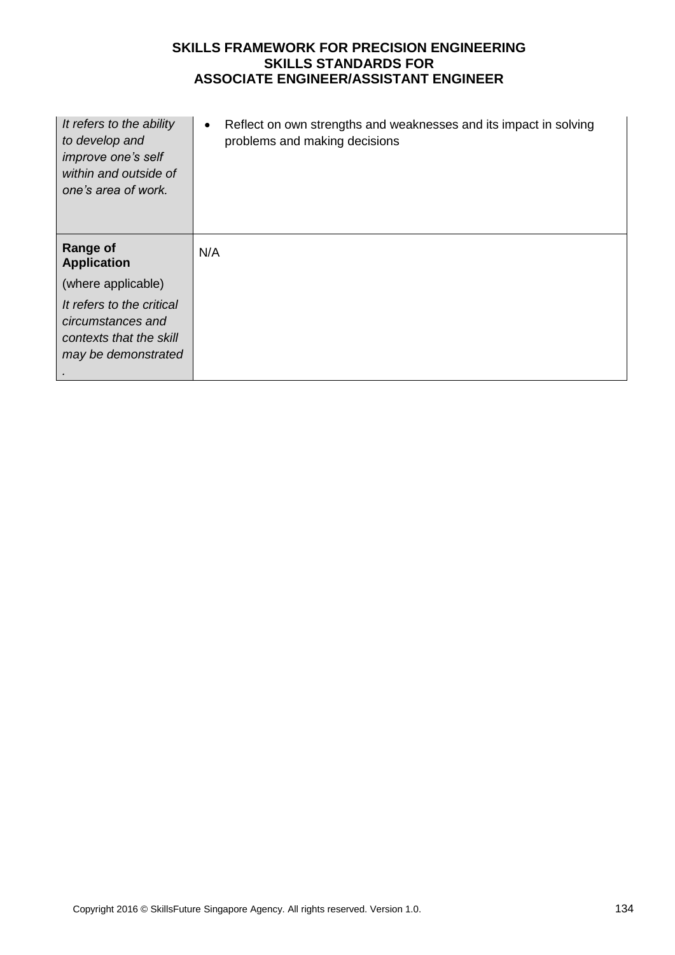| It refers to the ability<br>to develop and<br>improve one's self<br>within and outside of<br>one's area of work. | Reflect on own strengths and weaknesses and its impact in solving<br>$\bullet$<br>problems and making decisions |
|------------------------------------------------------------------------------------------------------------------|-----------------------------------------------------------------------------------------------------------------|
| <b>Range of</b><br><b>Application</b>                                                                            | N/A                                                                                                             |
| (where applicable)                                                                                               |                                                                                                                 |
| It refers to the critical<br>circumstances and<br>contexts that the skill<br>may be demonstrated                 |                                                                                                                 |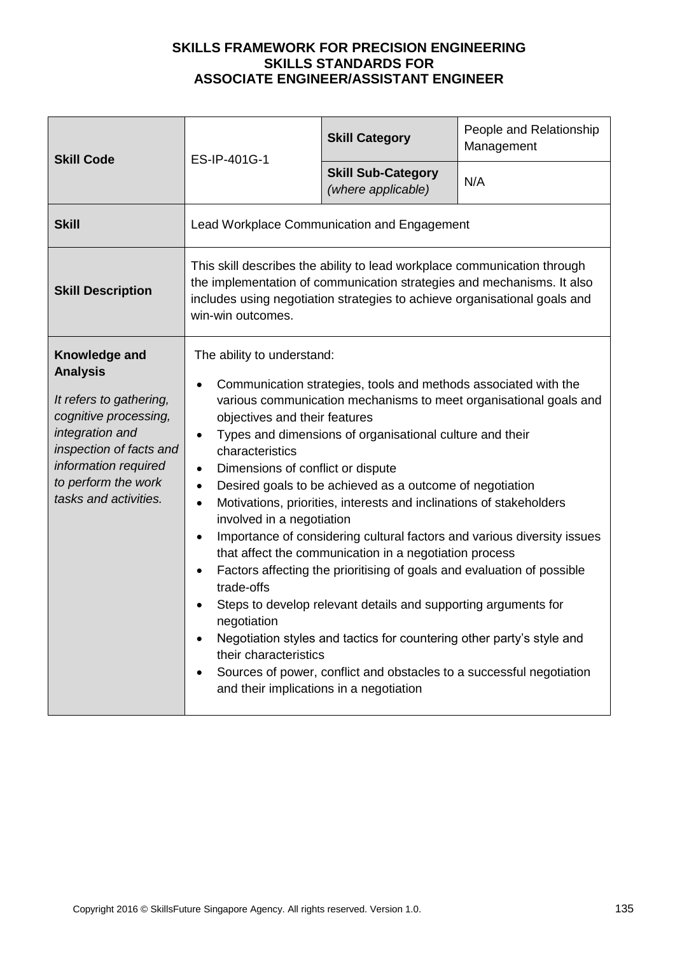| <b>Skill Code</b><br>ES-IP-401G-1                                                                                                                                                                          |                                                                                                                                                                                                                                                                                                                                                                                                                                                                                                                                                                                                                                                                                                                                                                                                                                                                                                                                                                                                                                                                                             | <b>Skill Category</b>                           | People and Relationship<br>Management |
|------------------------------------------------------------------------------------------------------------------------------------------------------------------------------------------------------------|---------------------------------------------------------------------------------------------------------------------------------------------------------------------------------------------------------------------------------------------------------------------------------------------------------------------------------------------------------------------------------------------------------------------------------------------------------------------------------------------------------------------------------------------------------------------------------------------------------------------------------------------------------------------------------------------------------------------------------------------------------------------------------------------------------------------------------------------------------------------------------------------------------------------------------------------------------------------------------------------------------------------------------------------------------------------------------------------|-------------------------------------------------|---------------------------------------|
|                                                                                                                                                                                                            |                                                                                                                                                                                                                                                                                                                                                                                                                                                                                                                                                                                                                                                                                                                                                                                                                                                                                                                                                                                                                                                                                             | <b>Skill Sub-Category</b><br>(where applicable) | N/A                                   |
| <b>Skill</b>                                                                                                                                                                                               |                                                                                                                                                                                                                                                                                                                                                                                                                                                                                                                                                                                                                                                                                                                                                                                                                                                                                                                                                                                                                                                                                             | Lead Workplace Communication and Engagement     |                                       |
| <b>Skill Description</b>                                                                                                                                                                                   | This skill describes the ability to lead workplace communication through<br>the implementation of communication strategies and mechanisms. It also<br>includes using negotiation strategies to achieve organisational goals and<br>win-win outcomes.                                                                                                                                                                                                                                                                                                                                                                                                                                                                                                                                                                                                                                                                                                                                                                                                                                        |                                                 |                                       |
| Knowledge and<br><b>Analysis</b><br>It refers to gathering,<br>cognitive processing,<br>integration and<br>inspection of facts and<br>information required<br>to perform the work<br>tasks and activities. | The ability to understand:<br>Communication strategies, tools and methods associated with the<br>various communication mechanisms to meet organisational goals and<br>objectives and their features<br>Types and dimensions of organisational culture and their<br>$\bullet$<br>characteristics<br>Dimensions of conflict or dispute<br>$\bullet$<br>Desired goals to be achieved as a outcome of negotiation<br>$\bullet$<br>Motivations, priorities, interests and inclinations of stakeholders<br>$\bullet$<br>involved in a negotiation<br>Importance of considering cultural factors and various diversity issues<br>$\bullet$<br>that affect the communication in a negotiation process<br>Factors affecting the prioritising of goals and evaluation of possible<br>trade-offs<br>Steps to develop relevant details and supporting arguments for<br>negotiation<br>Negotiation styles and tactics for countering other party's style and<br>their characteristics<br>Sources of power, conflict and obstacles to a successful negotiation<br>and their implications in a negotiation |                                                 |                                       |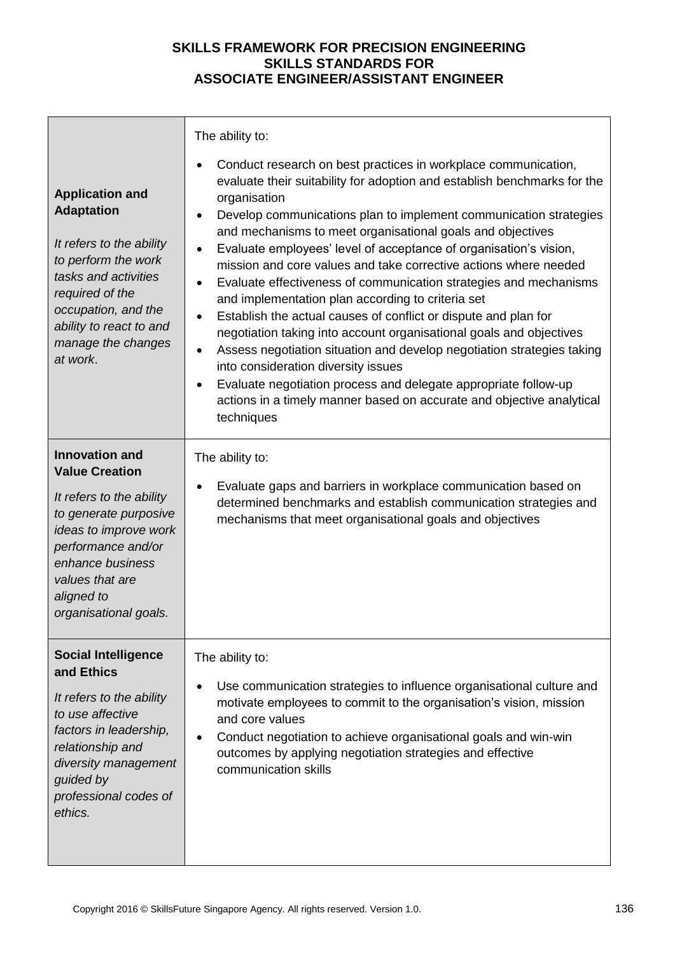|                                                                                                                                                                                                                                  | The ability to:                                                                                                                                                                                                                                                                                                                                                                                                                                                                                                                                                                                                                                                                                                                                                                                                                                                                                                                                                                                                      |  |  |  |
|----------------------------------------------------------------------------------------------------------------------------------------------------------------------------------------------------------------------------------|----------------------------------------------------------------------------------------------------------------------------------------------------------------------------------------------------------------------------------------------------------------------------------------------------------------------------------------------------------------------------------------------------------------------------------------------------------------------------------------------------------------------------------------------------------------------------------------------------------------------------------------------------------------------------------------------------------------------------------------------------------------------------------------------------------------------------------------------------------------------------------------------------------------------------------------------------------------------------------------------------------------------|--|--|--|
| <b>Application and</b><br><b>Adaptation</b><br>It refers to the ability<br>to perform the work<br>tasks and activities<br>required of the<br>occupation, and the<br>ability to react to and<br>manage the changes<br>at work.    | Conduct research on best practices in workplace communication,<br>evaluate their suitability for adoption and establish benchmarks for the<br>organisation<br>Develop communications plan to implement communication strategies<br>$\bullet$<br>and mechanisms to meet organisational goals and objectives<br>Evaluate employees' level of acceptance of organisation's vision,<br>$\bullet$<br>mission and core values and take corrective actions where needed<br>Evaluate effectiveness of communication strategies and mechanisms<br>and implementation plan according to criteria set<br>Establish the actual causes of conflict or dispute and plan for<br>٠<br>negotiation taking into account organisational goals and objectives<br>Assess negotiation situation and develop negotiation strategies taking<br>into consideration diversity issues<br>Evaluate negotiation process and delegate appropriate follow-up<br>actions in a timely manner based on accurate and objective analytical<br>techniques |  |  |  |
| <b>Innovation and</b><br><b>Value Creation</b><br>It refers to the ability<br>to generate purposive<br>ideas to improve work<br>performance and/or<br>enhance business<br>values that are<br>aligned to<br>organisational goals. | The ability to:<br>Evaluate gaps and barriers in workplace communication based on<br>determined benchmarks and establish communication strategies and<br>mechanisms that meet organisational goals and objectives                                                                                                                                                                                                                                                                                                                                                                                                                                                                                                                                                                                                                                                                                                                                                                                                    |  |  |  |
| <b>Social Intelligence</b><br>and Ethics<br>It refers to the ability<br>to use affective<br>factors in leadership,<br>relationship and<br>diversity management<br>guided by<br>professional codes of<br>ethics.                  | The ability to:<br>Use communication strategies to influence organisational culture and<br>motivate employees to commit to the organisation's vision, mission<br>and core values<br>Conduct negotiation to achieve organisational goals and win-win<br>$\bullet$<br>outcomes by applying negotiation strategies and effective<br>communication skills                                                                                                                                                                                                                                                                                                                                                                                                                                                                                                                                                                                                                                                                |  |  |  |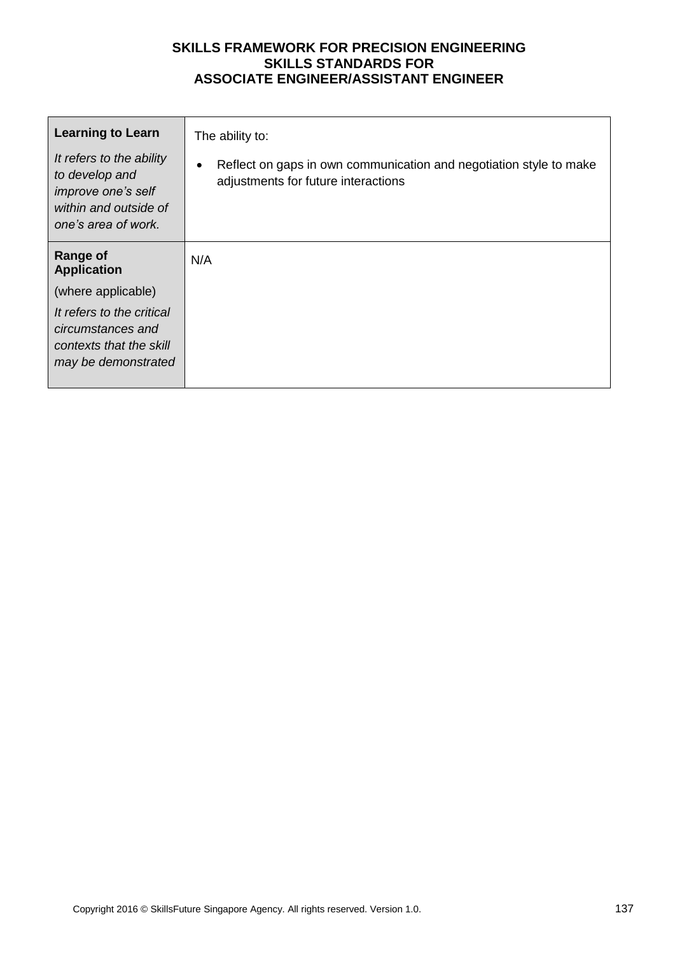| <b>Learning to Learn</b>                                                                                         | The ability to:                                                                                           |
|------------------------------------------------------------------------------------------------------------------|-----------------------------------------------------------------------------------------------------------|
| It refers to the ability<br>to develop and<br>improve one's self<br>within and outside of<br>one's area of work. | Reflect on gaps in own communication and negotiation style to make<br>adjustments for future interactions |
| <b>Range of</b><br><b>Application</b>                                                                            | N/A                                                                                                       |
| (where applicable)                                                                                               |                                                                                                           |
| It refers to the critical<br>circumstances and<br>contexts that the skill<br>may be demonstrated                 |                                                                                                           |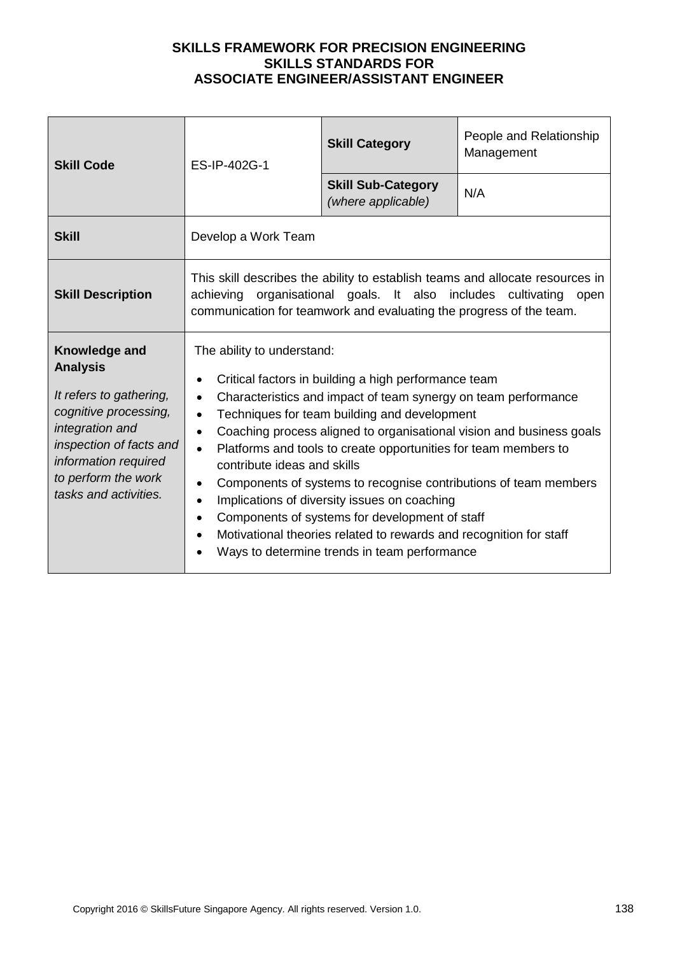| <b>Skill Code</b>                                                                                                                                                                                          | ES-IP-402G-1                                                                                                                                                                                                                                                                                                                                                                                                                                                                                                                                                                                                                                                                                                                                                          | <b>Skill Category</b>                           | People and Relationship<br>Management |
|------------------------------------------------------------------------------------------------------------------------------------------------------------------------------------------------------------|-----------------------------------------------------------------------------------------------------------------------------------------------------------------------------------------------------------------------------------------------------------------------------------------------------------------------------------------------------------------------------------------------------------------------------------------------------------------------------------------------------------------------------------------------------------------------------------------------------------------------------------------------------------------------------------------------------------------------------------------------------------------------|-------------------------------------------------|---------------------------------------|
|                                                                                                                                                                                                            |                                                                                                                                                                                                                                                                                                                                                                                                                                                                                                                                                                                                                                                                                                                                                                       | <b>Skill Sub-Category</b><br>(where applicable) | N/A                                   |
| <b>Skill</b>                                                                                                                                                                                               | Develop a Work Team                                                                                                                                                                                                                                                                                                                                                                                                                                                                                                                                                                                                                                                                                                                                                   |                                                 |                                       |
| <b>Skill Description</b>                                                                                                                                                                                   | This skill describes the ability to establish teams and allocate resources in<br>organisational goals. It also includes cultivating<br>achieving<br>open<br>communication for teamwork and evaluating the progress of the team.                                                                                                                                                                                                                                                                                                                                                                                                                                                                                                                                       |                                                 |                                       |
| Knowledge and<br><b>Analysis</b><br>It refers to gathering,<br>cognitive processing,<br>integration and<br>inspection of facts and<br>information required<br>to perform the work<br>tasks and activities. | The ability to understand:<br>Critical factors in building a high performance team<br>Characteristics and impact of team synergy on team performance<br>$\bullet$<br>Techniques for team building and development<br>$\bullet$<br>Coaching process aligned to organisational vision and business goals<br>$\bullet$<br>Platforms and tools to create opportunities for team members to<br>$\bullet$<br>contribute ideas and skills<br>Components of systems to recognise contributions of team members<br>$\bullet$<br>Implications of diversity issues on coaching<br>$\bullet$<br>Components of systems for development of staff<br>$\bullet$<br>Motivational theories related to rewards and recognition for staff<br>Ways to determine trends in team performance |                                                 |                                       |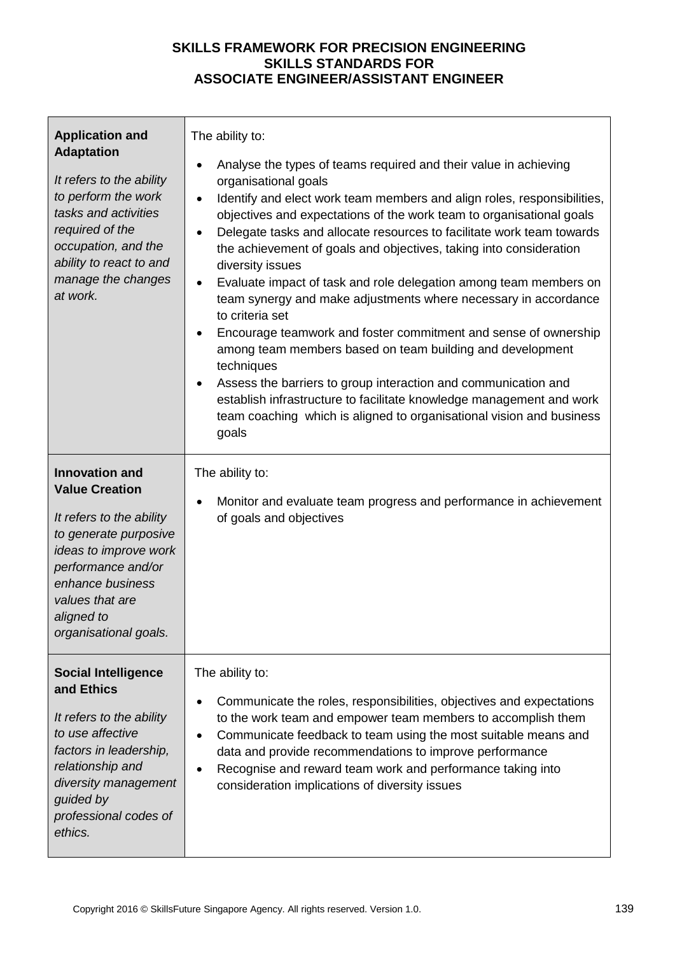| <b>Application and</b><br><b>Adaptation</b><br>It refers to the ability<br>to perform the work<br>tasks and activities<br>required of the<br>occupation, and the<br>ability to react to and<br>manage the changes<br>at work.    | The ability to:<br>Analyse the types of teams required and their value in achieving<br>$\bullet$<br>organisational goals<br>Identify and elect work team members and align roles, responsibilities,<br>$\bullet$<br>objectives and expectations of the work team to organisational goals<br>Delegate tasks and allocate resources to facilitate work team towards<br>$\bullet$<br>the achievement of goals and objectives, taking into consideration<br>diversity issues<br>Evaluate impact of task and role delegation among team members on<br>team synergy and make adjustments where necessary in accordance<br>to criteria set<br>Encourage teamwork and foster commitment and sense of ownership<br>among team members based on team building and development<br>techniques<br>Assess the barriers to group interaction and communication and<br>$\bullet$<br>establish infrastructure to facilitate knowledge management and work<br>team coaching which is aligned to organisational vision and business<br>goals |
|----------------------------------------------------------------------------------------------------------------------------------------------------------------------------------------------------------------------------------|---------------------------------------------------------------------------------------------------------------------------------------------------------------------------------------------------------------------------------------------------------------------------------------------------------------------------------------------------------------------------------------------------------------------------------------------------------------------------------------------------------------------------------------------------------------------------------------------------------------------------------------------------------------------------------------------------------------------------------------------------------------------------------------------------------------------------------------------------------------------------------------------------------------------------------------------------------------------------------------------------------------------------|
| <b>Innovation and</b><br><b>Value Creation</b><br>It refers to the ability<br>to generate purposive<br>ideas to improve work<br>performance and/or<br>enhance business<br>values that are<br>aligned to<br>organisational goals. | The ability to:<br>Monitor and evaluate team progress and performance in achievement<br>of goals and objectives                                                                                                                                                                                                                                                                                                                                                                                                                                                                                                                                                                                                                                                                                                                                                                                                                                                                                                           |
| <b>Social Intelligence</b><br>and Ethics<br>It refers to the ability<br>to use affective<br>factors in leadership,<br>relationship and<br>diversity management<br>guided by<br>professional codes of<br>ethics.                  | The ability to:<br>Communicate the roles, responsibilities, objectives and expectations<br>to the work team and empower team members to accomplish them<br>Communicate feedback to team using the most suitable means and<br>data and provide recommendations to improve performance<br>Recognise and reward team work and performance taking into<br>consideration implications of diversity issues                                                                                                                                                                                                                                                                                                                                                                                                                                                                                                                                                                                                                      |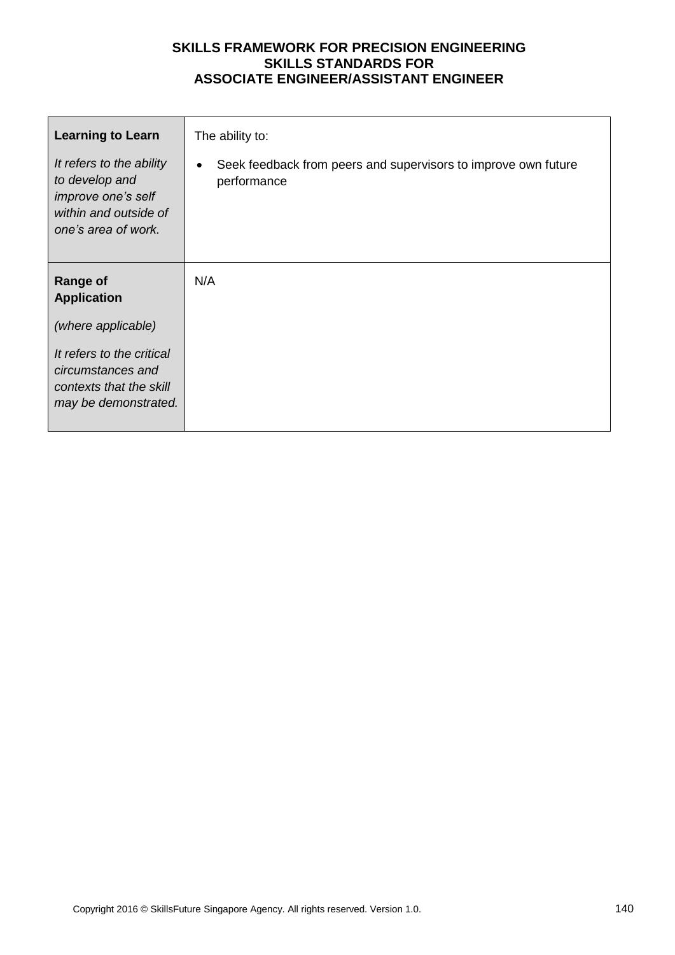| <b>Learning to Learn</b>                                                                                         | The ability to:                                                                            |
|------------------------------------------------------------------------------------------------------------------|--------------------------------------------------------------------------------------------|
| It refers to the ability<br>to develop and<br>improve one's self<br>within and outside of<br>one's area of work. | Seek feedback from peers and supervisors to improve own future<br>$\bullet$<br>performance |
| <b>Range of</b><br><b>Application</b>                                                                            | N/A                                                                                        |
| (where applicable)                                                                                               |                                                                                            |
| It refers to the critical<br>circumstances and<br>contexts that the skill<br>may be demonstrated.                |                                                                                            |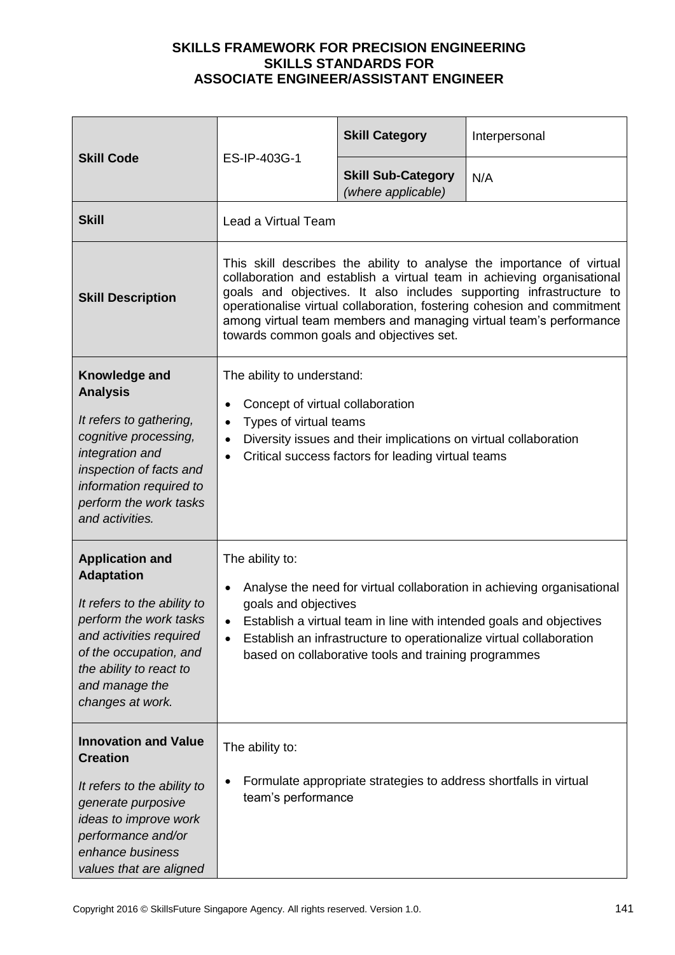| <b>Skill Code</b><br>ES-IP-403G-1                                                                                                                                                                                          |                                                                                                                                                                                                                                                                                                                                                                                                                     | <b>Skill Category</b> | Interpersonal |
|----------------------------------------------------------------------------------------------------------------------------------------------------------------------------------------------------------------------------|---------------------------------------------------------------------------------------------------------------------------------------------------------------------------------------------------------------------------------------------------------------------------------------------------------------------------------------------------------------------------------------------------------------------|-----------------------|---------------|
|                                                                                                                                                                                                                            | <b>Skill Sub-Category</b><br>(where applicable)                                                                                                                                                                                                                                                                                                                                                                     | N/A                   |               |
| <b>Skill</b>                                                                                                                                                                                                               | Lead a Virtual Team                                                                                                                                                                                                                                                                                                                                                                                                 |                       |               |
| <b>Skill Description</b>                                                                                                                                                                                                   | This skill describes the ability to analyse the importance of virtual<br>collaboration and establish a virtual team in achieving organisational<br>goals and objectives. It also includes supporting infrastructure to<br>operationalise virtual collaboration, fostering cohesion and commitment<br>among virtual team members and managing virtual team's performance<br>towards common goals and objectives set. |                       |               |
| Knowledge and<br><b>Analysis</b><br>It refers to gathering,<br>cognitive processing,<br>integration and<br>inspection of facts and<br>information required to<br>perform the work tasks<br>and activities.                 | The ability to understand:<br>Concept of virtual collaboration<br>Types of virtual teams<br>$\bullet$<br>Diversity issues and their implications on virtual collaboration<br>$\bullet$<br>Critical success factors for leading virtual teams<br>$\bullet$                                                                                                                                                           |                       |               |
| <b>Application and</b><br><b>Adaptation</b><br>It refers to the ability to<br>perform the work tasks<br>and activities required<br>of the occupation, and<br>the ability to react to<br>and manage the<br>changes at work. | The ability to:<br>Analyse the need for virtual collaboration in achieving organisational<br>goals and objectives<br>Establish a virtual team in line with intended goals and objectives<br>Establish an infrastructure to operationalize virtual collaboration<br>$\bullet$<br>based on collaborative tools and training programmes                                                                                |                       |               |
| <b>Innovation and Value</b><br><b>Creation</b><br>It refers to the ability to<br>generate purposive<br>ideas to improve work<br>performance and/or<br>enhance business<br>values that are aligned                          | The ability to:<br>Formulate appropriate strategies to address shortfalls in virtual<br>team's performance                                                                                                                                                                                                                                                                                                          |                       |               |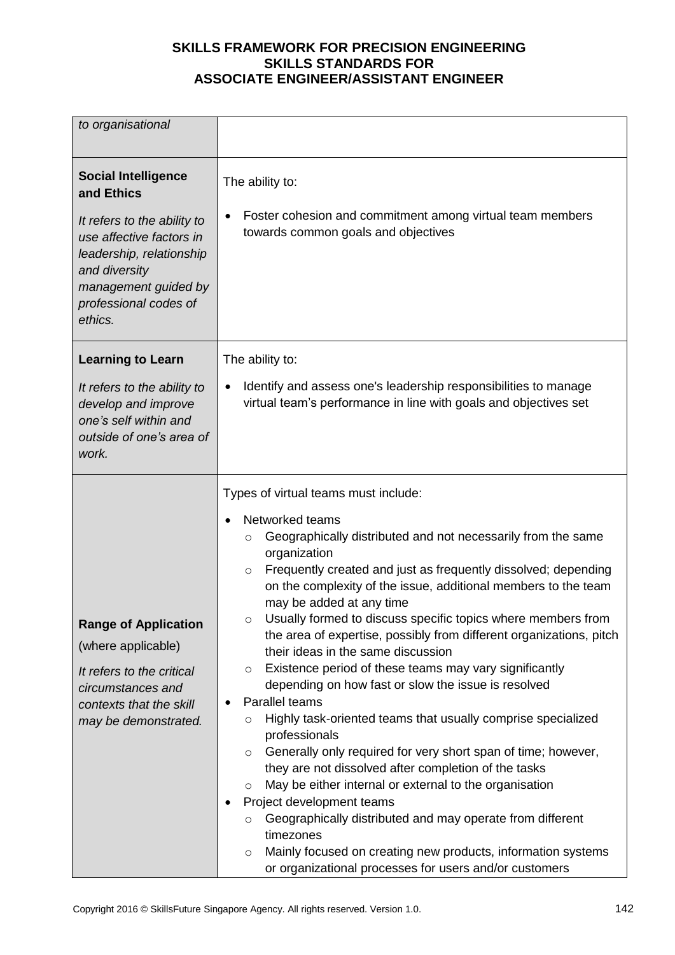| to organisational                                                                                                                                                                                            |                                                                                                                                                                                                                                                                                                                                                                                                                                                                                                                                                                                                                                                                                                                                                                                                                                                                                                                                                                                                                                                                                                                                                                                                    |  |  |
|--------------------------------------------------------------------------------------------------------------------------------------------------------------------------------------------------------------|----------------------------------------------------------------------------------------------------------------------------------------------------------------------------------------------------------------------------------------------------------------------------------------------------------------------------------------------------------------------------------------------------------------------------------------------------------------------------------------------------------------------------------------------------------------------------------------------------------------------------------------------------------------------------------------------------------------------------------------------------------------------------------------------------------------------------------------------------------------------------------------------------------------------------------------------------------------------------------------------------------------------------------------------------------------------------------------------------------------------------------------------------------------------------------------------------|--|--|
| <b>Social Intelligence</b><br>and Ethics<br>It refers to the ability to<br>use affective factors in<br>leadership, relationship<br>and diversity<br>management guided by<br>professional codes of<br>ethics. | The ability to:<br>Foster cohesion and commitment among virtual team members<br>towards common goals and objectives                                                                                                                                                                                                                                                                                                                                                                                                                                                                                                                                                                                                                                                                                                                                                                                                                                                                                                                                                                                                                                                                                |  |  |
| <b>Learning to Learn</b>                                                                                                                                                                                     | The ability to:                                                                                                                                                                                                                                                                                                                                                                                                                                                                                                                                                                                                                                                                                                                                                                                                                                                                                                                                                                                                                                                                                                                                                                                    |  |  |
| It refers to the ability to<br>develop and improve<br>one's self within and<br>outside of one's area of<br>work.                                                                                             | Identify and assess one's leadership responsibilities to manage<br>virtual team's performance in line with goals and objectives set                                                                                                                                                                                                                                                                                                                                                                                                                                                                                                                                                                                                                                                                                                                                                                                                                                                                                                                                                                                                                                                                |  |  |
| <b>Range of Application</b><br>(where applicable)<br>It refers to the critical<br>circumstances and<br>contexts that the skill<br>may be demonstrated.                                                       | Types of virtual teams must include:<br>Networked teams<br>Geographically distributed and not necessarily from the same<br>$\circ$<br>organization<br>Frequently created and just as frequently dissolved; depending<br>$\circ$<br>on the complexity of the issue, additional members to the team<br>may be added at any time<br>Usually formed to discuss specific topics where members from<br>the area of expertise, possibly from different organizations, pitch<br>their ideas in the same discussion<br>Existence period of these teams may vary significantly<br>$\circ$<br>depending on how fast or slow the issue is resolved<br>Parallel teams<br>Highly task-oriented teams that usually comprise specialized<br>O<br>professionals<br>Generally only required for very short span of time; however,<br>$\circ$<br>they are not dissolved after completion of the tasks<br>May be either internal or external to the organisation<br>O<br>Project development teams<br>Geographically distributed and may operate from different<br>O<br>timezones<br>Mainly focused on creating new products, information systems<br>$\circ$<br>or organizational processes for users and/or customers |  |  |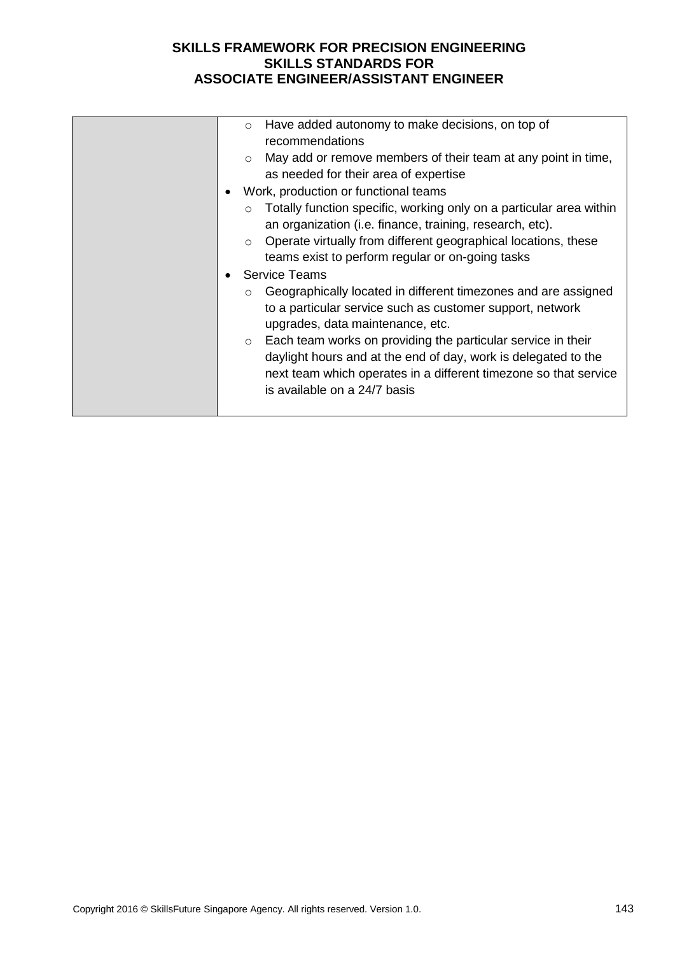| Have added autonomy to make decisions, on top of<br>$\circ$<br>recommendations<br>May add or remove members of their team at any point in time,<br>$\circ$<br>as needed for their area of expertise<br>Work, production or functional teams<br>Totally function specific, working only on a particular area within<br>$\circ$<br>an organization (i.e. finance, training, research, etc).<br>Operate virtually from different geographical locations, these<br>$\circ$<br>teams exist to perform regular or on-going tasks<br><b>Service Teams</b><br>Geographically located in different timezones and are assigned<br>$\circ$<br>to a particular service such as customer support, network<br>upgrades, data maintenance, etc.<br>$\circ$ Each team works on providing the particular service in their<br>daylight hours and at the end of day, work is delegated to the |
|----------------------------------------------------------------------------------------------------------------------------------------------------------------------------------------------------------------------------------------------------------------------------------------------------------------------------------------------------------------------------------------------------------------------------------------------------------------------------------------------------------------------------------------------------------------------------------------------------------------------------------------------------------------------------------------------------------------------------------------------------------------------------------------------------------------------------------------------------------------------------|
| next team which operates in a different timezone so that service<br>is available on a 24/7 basis                                                                                                                                                                                                                                                                                                                                                                                                                                                                                                                                                                                                                                                                                                                                                                           |
|                                                                                                                                                                                                                                                                                                                                                                                                                                                                                                                                                                                                                                                                                                                                                                                                                                                                            |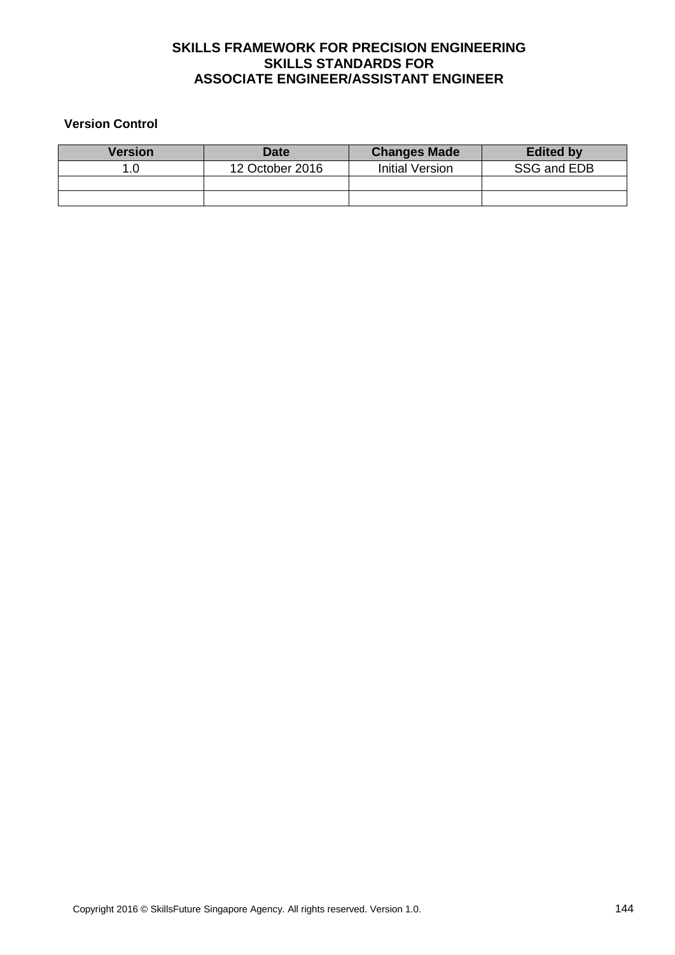#### **Version Control**

| <b>Version</b> | <b>Date</b>     | <b>Changes Made</b>    | <b>Edited by</b> |
|----------------|-----------------|------------------------|------------------|
|                | 12 October 2016 | <b>Initial Version</b> | SSG and EDB      |
|                |                 |                        |                  |
|                |                 |                        |                  |